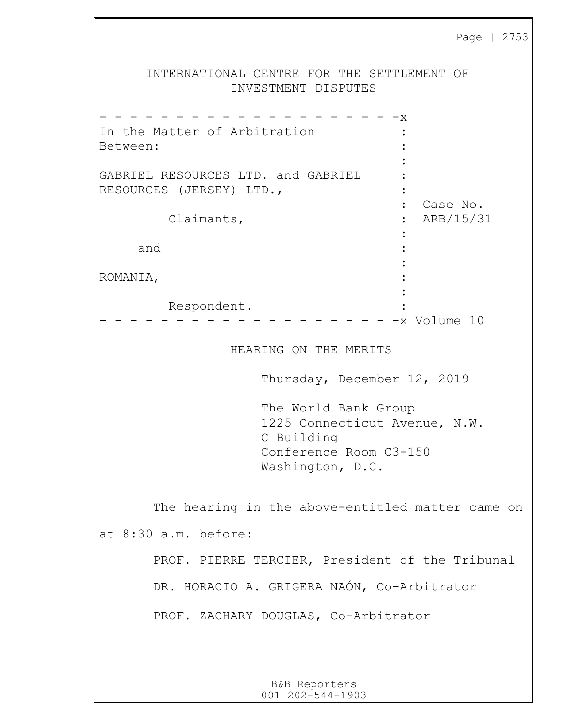Page | 2753 B&B Reporters INTERNATIONAL CENTRE FOR THE SETTLEMENT OF INVESTMENT DISPUTES - - - - - - - - - - - - - - - - - - X In the Matter of Arbitration : Between: : : GABRIEL RESOURCES LTD. and GABRIEL RESOURCES (JERSEY) LTD., : Case No. Claimants,  $\qquad \qquad : \quad \text{ARB}/15/31$ : and  $\qquad \qquad :$ : ROMANIA, : Respondent.  $- - - - - - -$  Volume 10 HEARING ON THE MERITS Thursday, December 12, 2019 The World Bank Group 1225 Connecticut Avenue, N.W. C Building Conference Room C3-150 Washington, D.C. The hearing in the above-entitled matter came on at 8:30 a.m. before: PROF. PIERRE TERCIER, President of the Tribunal DR. HORACIO A. GRIGERA NAÓN, Co-Arbitrator PROF. ZACHARY DOUGLAS, Co-Arbitrator

001 202-544-1903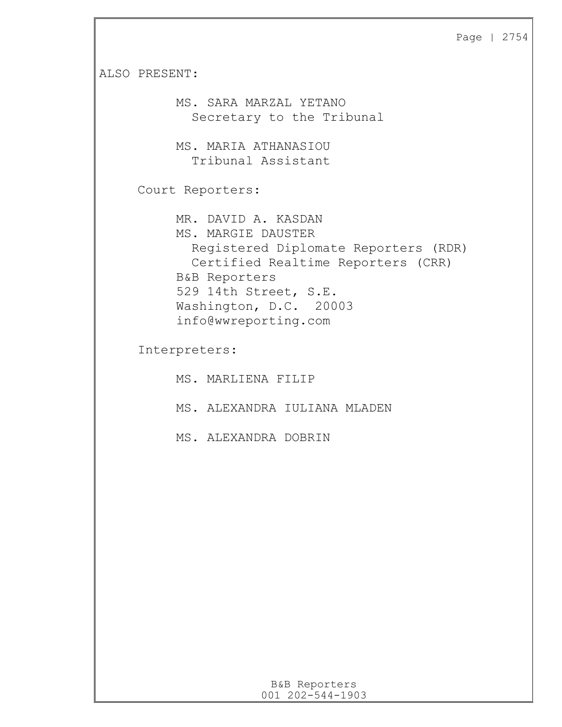ALSO PRESENT:

 MS. SARA MARZAL YETANO Secretary to the Tribunal MS. MARIA ATHANASIOU Tribunal Assistant Court Reporters: MR. DAVID A. KASDAN MS. MARGIE DAUSTER Registered Diplomate Reporters (RDR) Certified Realtime Reporters (CRR) B&B Reporters 529 14th Street, S.E. Washington, D.C. 20003 info@wwreporting.com Interpreters: MS. MARLIENA FILIP MS. ALEXANDRA IULIANA MLADEN MS. ALEXANDRA DOBRIN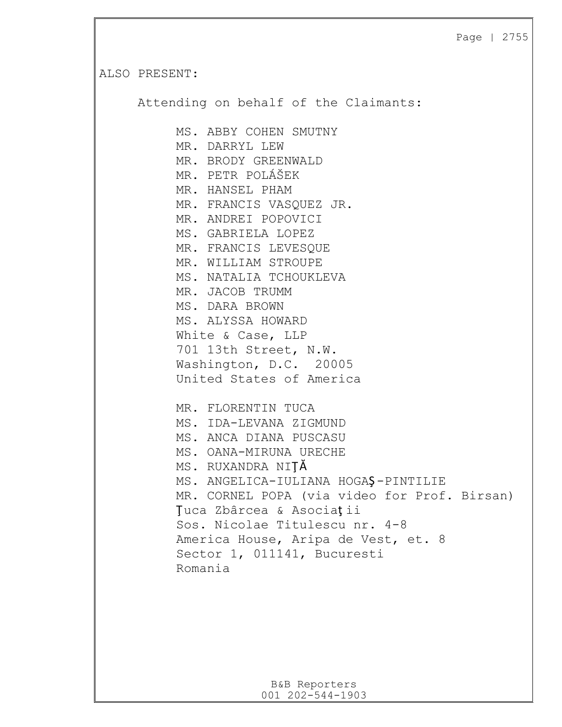ALSO PRESENT:

Attending on behalf of the Claimants:

 MS. ABBY COHEN SMUTNY MR. DARRYL LEW MR. BRODY GREENWALD MR. PETR POLÁŠEK MR. HANSEL PHAM MR. FRANCIS VASQUEZ JR. MR. ANDREI POPOVICI MS. GABRIELA LOPEZ MR. FRANCIS LEVESQUE MR. WILLIAM STROUPE MS. NATALIA TCHOUKLEVA MR. JACOB TRUMM MS. DARA BROWN MS. ALYSSA HOWARD White & Case, LLP 701 13th Street, N.W. Washington, D.C. 20005 United States of America MR. FLORENTIN TUCA MS. IDA-LEVANA ZIGMUND MS. ANCA DIANA PUSCASU MS. OANA-MIRUNA URECHE MS. RUXANDRA NIŢĂ MS. ANGELICA-IULIANA HOGAŞ-PINTILIE MR. CORNEL POPA (via video for Prof. Birsan) Ţuca Zbârcea & Asociaţ ii Sos. Nicolae Titulescu nr. 4-8 America House, Aripa de Vest, et. 8 Sector 1, 011141, Bucuresti Romania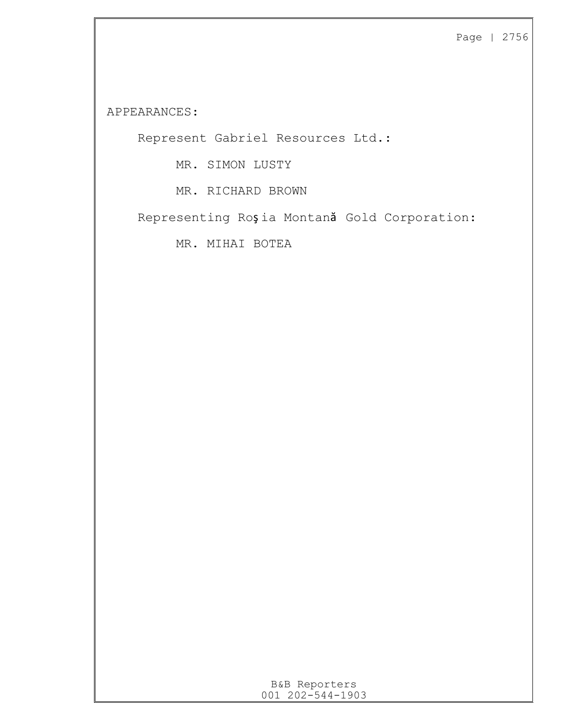APPEARANCES:

Represent Gabriel Resources Ltd.:

MR. SIMON LUSTY

MR. RICHARD BROWN

Representing Roş ia Montană Gold Corporation:

MR. MIHAI BOTEA

| B&B Reporters         |
|-----------------------|
| $001202 - 544 - 1903$ |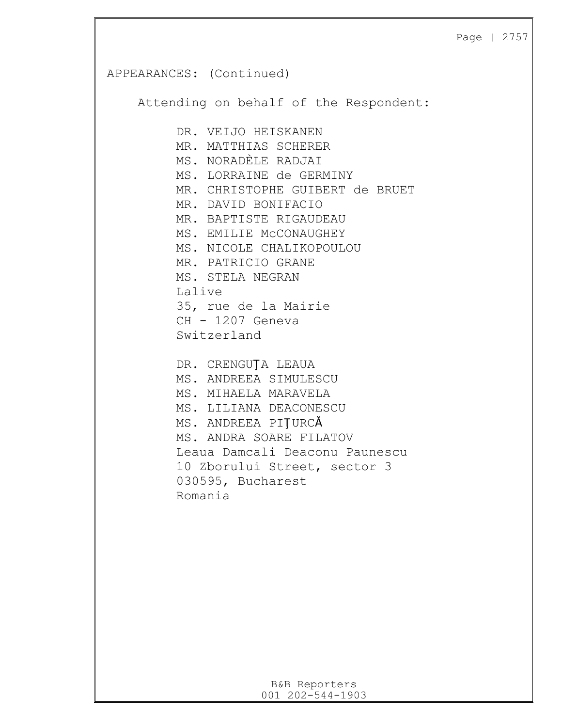APPEARANCES: (Continued) Attending on behalf of the Respondent: DR. VEIJO HEISKANEN MR. MATTHIAS SCHERER MS. NORADÈLE RADJAI MS. LORRAINE de GERMINY MR. CHRISTOPHE GUIBERT de BRUET MR. DAVID BONIFACIO MR. BAPTISTE RIGAUDEAU MS. EMILIE McCONAUGHEY MS. NICOLE CHALIKOPOULOU MR. PATRICIO GRANE MS. STELA NEGRAN Lalive 35, rue de la Mairie CH - 1207 Geneva Switzerland DR. CRENGUŢA LEAUA MS. ANDREEA SIMULESCU MS. MIHAELA MARAVELA MS. LILIANA DEACONESCU MS. ANDREEA PIŢURCĂ MS. ANDRA SOARE FILATOV Leaua Damcali Deaconu Paunescu 10 Zborului Street, sector 3 030595, Bucharest Romania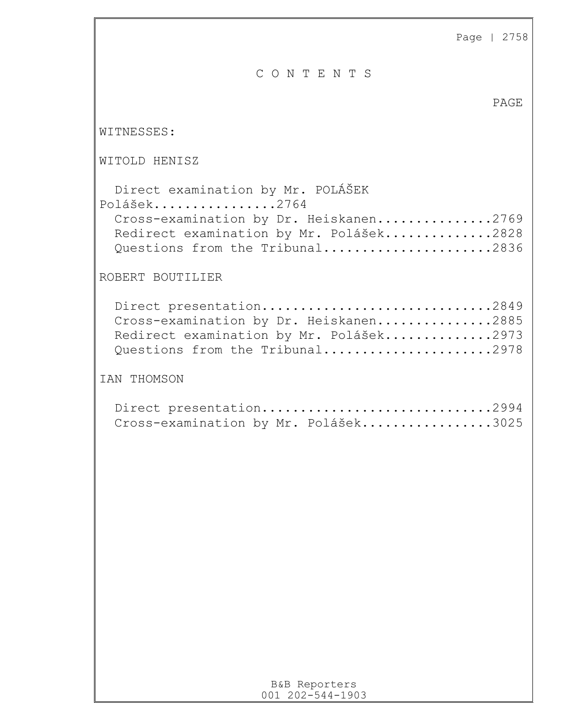C O N T E N T S

PAGE

WITNESSES:

WITOLD HENISZ

 Direct examination by Mr. POLÁŠEK Polášek................2764 Cross-examination by Dr. Heiskanen...............2769

 Redirect examination by Mr. Polášek..............2828 Questions from the Tribunal......................2836

ROBERT BOUTILIER

| Direct presentation2849                 |  |
|-----------------------------------------|--|
| Cross-examination by Dr. Heiskanen2885  |  |
| Redirect examination by Mr. Polášek2973 |  |
| Ouestions from the Tribunal2978         |  |

IAN THOMSON

| Direct presentation2994              |  |  |
|--------------------------------------|--|--|
| Cross-examination by Mr. Polášek3025 |  |  |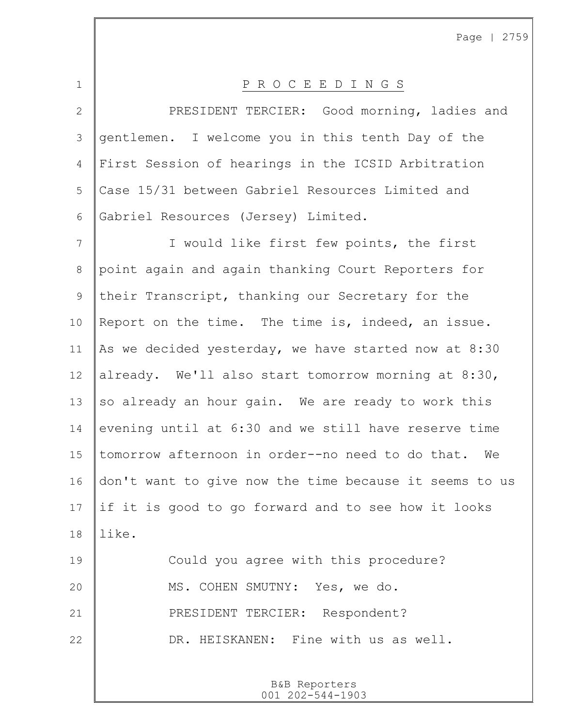| $\mathbf 1$    | P R O C E E D I N G S                                  |
|----------------|--------------------------------------------------------|
| $\mathbf{2}$   | PRESIDENT TERCIER: Good morning, ladies and            |
| 3              | gentlemen. I welcome you in this tenth Day of the      |
| 4              | First Session of hearings in the ICSID Arbitration     |
| 5              | Case 15/31 between Gabriel Resources Limited and       |
| 6              | Gabriel Resources (Jersey) Limited.                    |
| $\overline{7}$ | I would like first few points, the first               |
| $8\,$          | point again and again thanking Court Reporters for     |
| $\mathcal{G}$  | their Transcript, thanking our Secretary for the       |
| 10             | Report on the time. The time is, indeed, an issue.     |
| 11             | As we decided yesterday, we have started now at 8:30   |
| 12             | already. We'll also start tomorrow morning at 8:30,    |
| 13             | so already an hour gain. We are ready to work this     |
| 14             | evening until at 6:30 and we still have reserve time   |
| 15             | tomorrow afternoon in order--no need to do that. We    |
| 16             | don't want to give now the time because it seems to us |
| 17             | if it is good to go forward and to see how it looks    |
| 18             | like.                                                  |
| 19             | Could you agree with this procedure?                   |
| 20             | MS. COHEN SMUTNY: Yes, we do.                          |
| 21             | PRESIDENT TERCIER: Respondent?                         |
| 22             | DR. HEISKANEN: Fine with us as well.                   |
|                |                                                        |
|                | B&B Reporters<br>001 202-544-1903                      |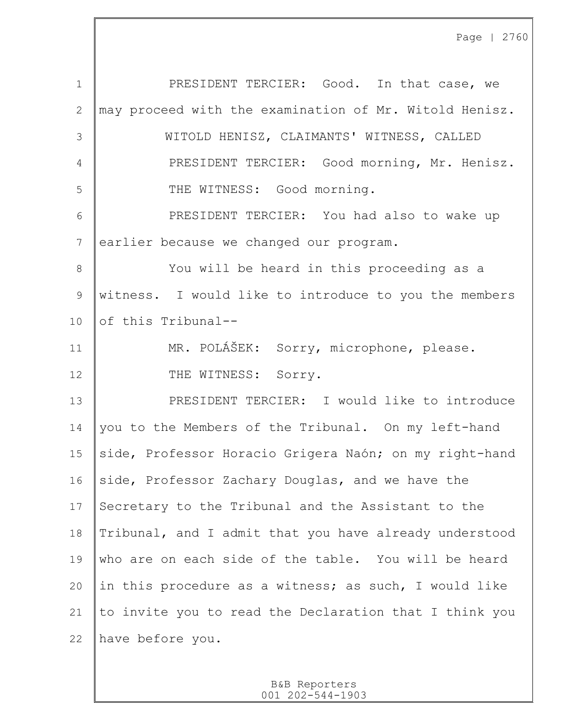1 **PRESIDENT TERCIER:** Good. In that case, we 2 | may proceed with the examination of Mr. Witold Henisz. 3 WITOLD HENISZ, CLAIMANTS' WITNESS, CALLED 4 | PRESIDENT TERCIER: Good morning, Mr. Henisz. 5 **Julie 19 SET IN THE WITNESS:** Good morning. 6 | PRESIDENT TERCIER: You had also to wake up 7 earlier because we changed our program. 8 | You will be heard in this proceeding as a 9 | witness. I would like to introduce to you the members 10  $\vert$  of this Tribunal--11 MR. POLÁŠEK: Sorry, microphone, please. 12 THE WITNESS: Sorry. 13 **PRESIDENT TERCIER:** I would like to introduce 14 you to the Members of the Tribunal. On my left-hand 15 side, Professor Horacio Grigera Naón; on my right-hand 16 side, Professor Zachary Douglas, and we have the 17 Secretary to the Tribunal and the Assistant to the 18 Tribunal, and I admit that you have already understood 19 who are on each side of the table. You will be heard 20 In this procedure as a witness; as such, I would like 21  $|$  to invite you to read the Declaration that I think you 22 have before you.

Page | 2760

B&B Reporters 001 202-544-1903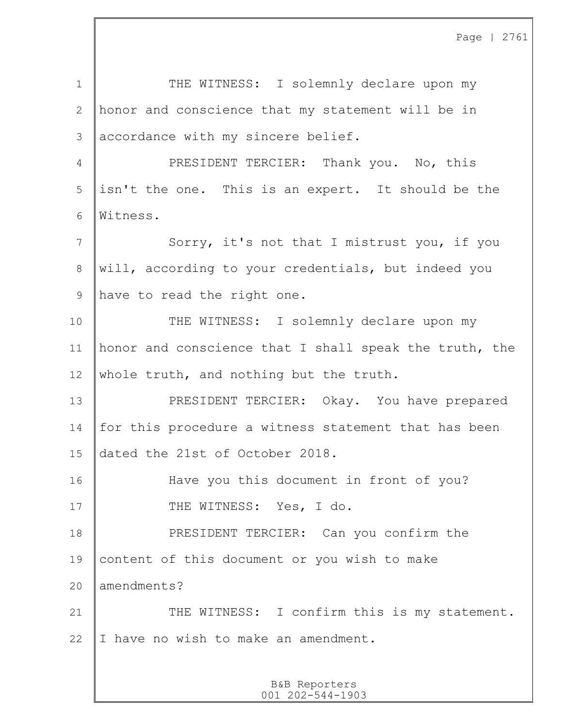| $1\,$          | THE WITNESS: I solemnly declare upon my                |
|----------------|--------------------------------------------------------|
| $\mathbf{2}$   | honor and conscience that my statement will be in      |
| 3              | accordance with my sincere belief.                     |
| $\overline{4}$ | PRESIDENT TERCIER: Thank you. No, this                 |
| 5              | isn't the one. This is an expert. It should be the     |
| $6\,$          | Witness.                                               |
| $\overline{7}$ | Sorry, it's not that I mistrust you, if you            |
| $\,8\,$        | will, according to your credentials, but indeed you    |
| 9              | have to read the right one.                            |
| 10             | THE WITNESS: I solemnly declare upon my                |
| 11             | honor and conscience that I shall speak the truth, the |
| 12             | whole truth, and nothing but the truth.                |
| 13             | PRESIDENT TERCIER: Okay. You have prepared             |
| 14             | for this procedure a witness statement that has been   |
| 15             | dated the 21st of October 2018.                        |
| 16             | Have you this document in front of you?                |
| 17             | THE WITNESS: Yes, I do.                                |
| 18             | PRESIDENT TERCIER: Can you confirm the                 |
| 19             | content of this document or you wish to make           |
| 20             | amendments?                                            |
| 21             | THE WITNESS: I confirm this is my statement.           |
| 22             | I have no wish to make an amendment.                   |
|                |                                                        |
|                | B&B Reporters<br>001 202-544-1903                      |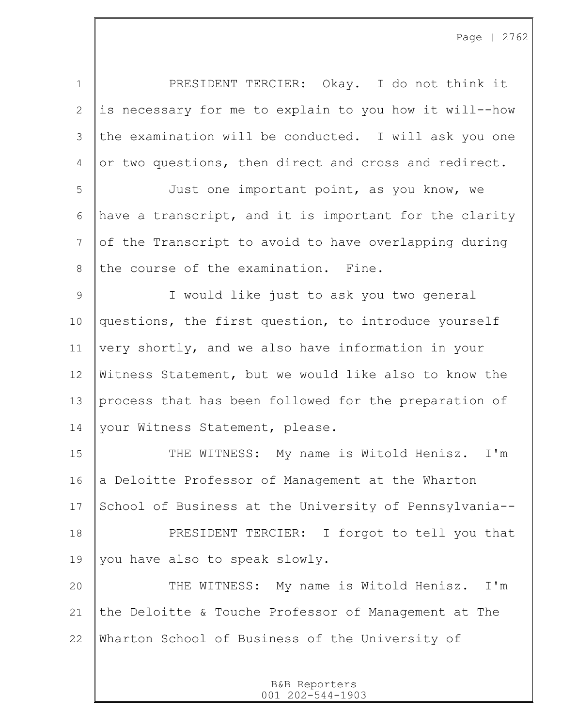| $\mathbf 1$    | PRESIDENT TERCIER: Okay. I do not think it             |
|----------------|--------------------------------------------------------|
| $\mathbf{2}$   | is necessary for me to explain to you how it will--how |
| 3              | the examination will be conducted. I will ask you one  |
| 4              | or two questions, then direct and cross and redirect.  |
| 5              | Just one important point, as you know, we              |
| 6              | have a transcript, and it is important for the clarity |
| $\overline{7}$ | of the Transcript to avoid to have overlapping during  |
| $8\,$          | the course of the examination. Fine.                   |
| 9              | I would like just to ask you two general               |
| 10             | questions, the first question, to introduce yourself   |
| 11             | very shortly, and we also have information in your     |
| 12             | Witness Statement, but we would like also to know the  |
| 13             | process that has been followed for the preparation of  |
| 14             | your Witness Statement, please.                        |
| 15             | THE WITNESS: My name is Witold Henisz. I'm             |
| 16             | a Deloitte Professor of Management at the Wharton      |
| 17             | School of Business at the University of Pennsylvania-- |
| 18             | PRESIDENT TERCIER: I forgot to tell you that           |
| 19             | you have also to speak slowly.                         |
| 20             | THE WITNESS: My name is Witold Henisz. I'm             |
| 21             | the Deloitte & Touche Professor of Management at The   |
| 22             | Wharton School of Business of the University of        |
|                |                                                        |
|                | B&B Reporters<br>001 202-544-1903                      |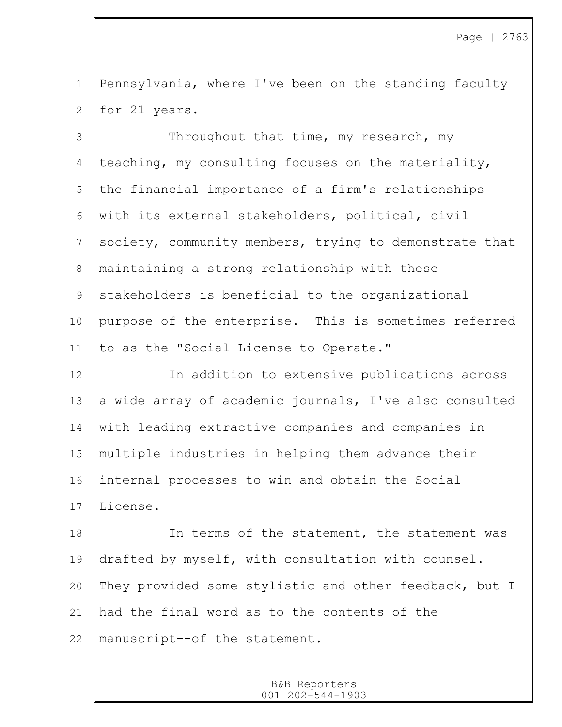1 Pennsylvania, where I've been on the standing faculty 2 for 21 years.

3 Throughout that time, my research, my 4 teaching, my consulting focuses on the materiality, 5 the financial importance of a firm's relationships 6 with its external stakeholders, political, civil 7 Society, community members, trying to demonstrate that 8 | maintaining a strong relationship with these 9 stakeholders is beneficial to the organizational 10 purpose of the enterprise. This is sometimes referred 11 | to as the "Social License to Operate." 12 In addition to extensive publications across 13 a wide array of academic journals, I've also consulted 14 with leading extractive companies and companies in

15 multiple industries in helping them advance their

16 internal processes to win and obtain the Social 17 License.

18 In terms of the statement, the statement was 19 drafted by myself, with consultation with counsel. 20 They provided some stylistic and other feedback, but I 21 had the final word as to the contents of the 22 | manuscript--of the statement.

## B&B Reporters 001 202-544-1903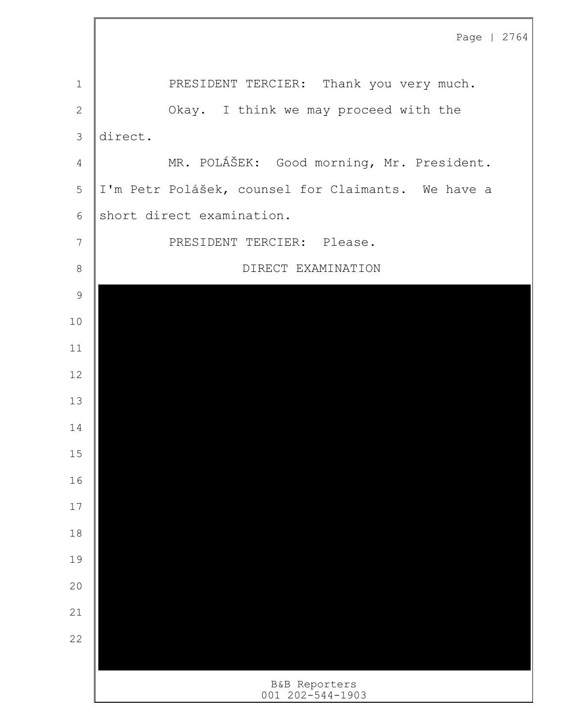|                | Page   2764                                        |
|----------------|----------------------------------------------------|
| $\mathbf 1$    | PRESIDENT TERCIER: Thank you very much.            |
| $\mathbf{2}$   | Okay. I think we may proceed with the              |
| 3              | direct.                                            |
| $\overline{4}$ | MR. POLÁŠEK: Good morning, Mr. President.          |
| 5              | I'm Petr Polášek, counsel for Claimants. We have a |
| $6\,$          | short direct examination.                          |
| $\overline{7}$ | PRESIDENT TERCIER: Please.                         |
| $\,8\,$        | DIRECT EXAMINATION                                 |
| $\mathsf 9$    |                                                    |
| 10             |                                                    |
| 11             |                                                    |
| 12             |                                                    |
| 13             |                                                    |
| 14             |                                                    |
| 15             |                                                    |
| 16             |                                                    |
| 17             |                                                    |
| 18             |                                                    |
| 19             |                                                    |
| 20             |                                                    |
| 21             |                                                    |
| 22             |                                                    |
|                | B&B Reporters<br>001 202-544-1903                  |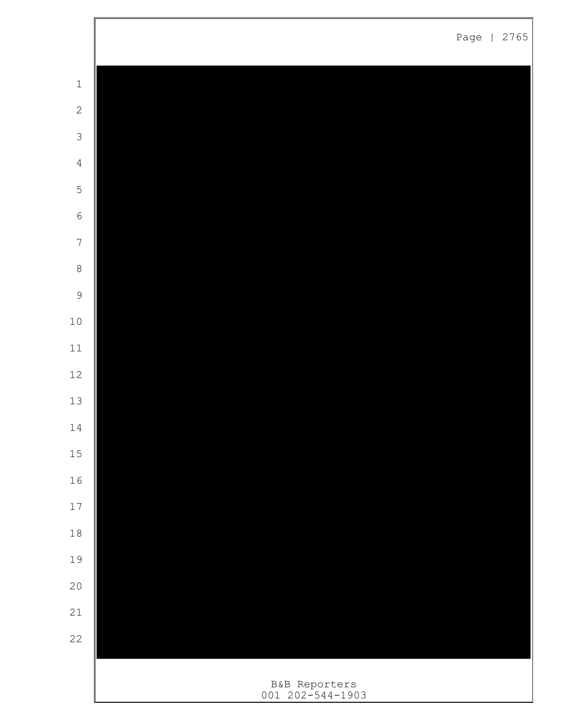|                                  | Page   2765                       |
|----------------------------------|-----------------------------------|
|                                  |                                   |
| $\mathbf 1$<br>$\overline{c}$    |                                   |
| $\mathfrak{Z}$                   |                                   |
| $\overline{4}$                   |                                   |
|                                  |                                   |
| $\overline{5}$<br>$\overline{6}$ |                                   |
|                                  |                                   |
| $\overline{7}$                   |                                   |
| 8                                |                                   |
| $\mathcal{G}$                    |                                   |
| $10$                             |                                   |
| $11$                             |                                   |
| $12$                             |                                   |
| 13                               |                                   |
| $1\,4$                           |                                   |
| $15\,$                           |                                   |
| 16                               |                                   |
| $17\,$                           |                                   |
| $1\,8$                           |                                   |
| 19                               |                                   |
| $20$                             |                                   |
| 21                               |                                   |
| 22                               |                                   |
|                                  |                                   |
|                                  | B&B Reporters<br>001 202-544-1903 |

 $\overline{\mathbf{I}}$ 

 $\overline{r}$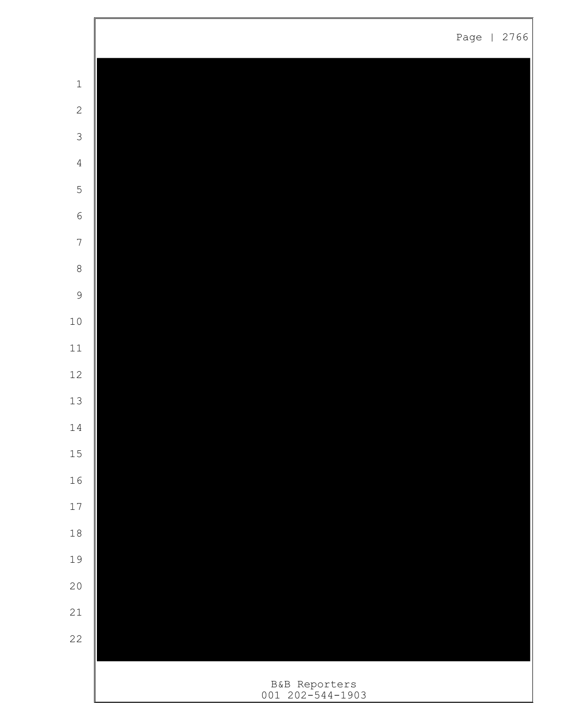|                                 | 2766<br>Page                      |
|---------------------------------|-----------------------------------|
| $\mathbbm{1}$                   |                                   |
| $\overline{c}$                  |                                   |
| $\mathfrak{Z}$                  |                                   |
| $\overline{4}$                  |                                   |
| $\overline{5}$                  |                                   |
| $6\overline{6}$                 |                                   |
| $\overline{7}$                  |                                   |
| $\begin{matrix} 8 \end{matrix}$ |                                   |
| 9                               |                                   |
| 10                              |                                   |
| $11\,$                          |                                   |
| $12\,$                          |                                   |
| 13                              |                                   |
| $1\,4$                          |                                   |
| $15\,$                          |                                   |
| 16                              |                                   |
| $17$                            |                                   |
| $1\,8$                          |                                   |
| 19                              |                                   |
| $20$<br>$21\,$                  |                                   |
| 22                              |                                   |
|                                 |                                   |
|                                 | B&B Reporters<br>001 202-544-1903 |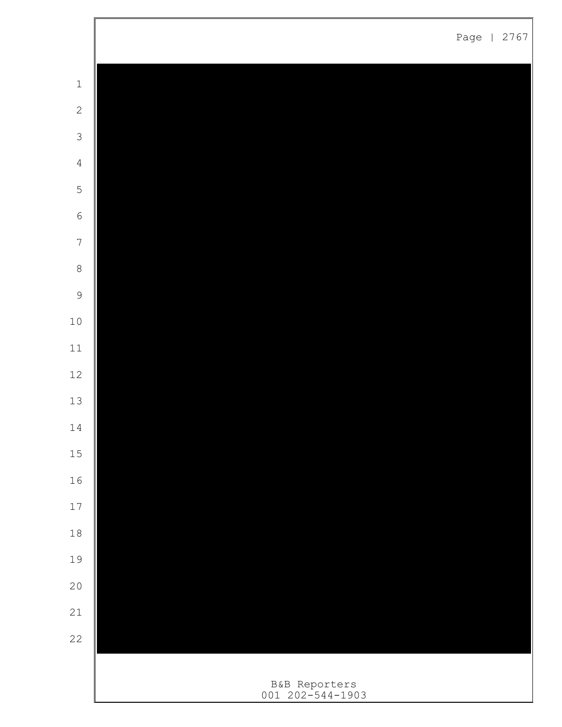|                                  | 2767<br>Page                      |
|----------------------------------|-----------------------------------|
|                                  |                                   |
| $\mathbf 1$                      |                                   |
| $\overline{c}$<br>$\overline{3}$ |                                   |
| $\overline{4}$                   |                                   |
| $\overline{5}$                   |                                   |
| $6\overline{6}$                  |                                   |
| $\overline{7}$                   |                                   |
| $\overline{8}$                   |                                   |
| $\mathcal{G}$                    |                                   |
| $10$                             |                                   |
| $11\,$                           |                                   |
| $12$                             |                                   |
| 13                               |                                   |
| $1\,4$                           |                                   |
| $15\,$                           |                                   |
| 16                               |                                   |
| $17$                             |                                   |
| $1\,8$                           |                                   |
| 19                               |                                   |
| $20$                             |                                   |
| $21\,$                           |                                   |
| 22                               |                                   |
|                                  |                                   |
|                                  | B&B Reporters<br>001 202-544-1903 |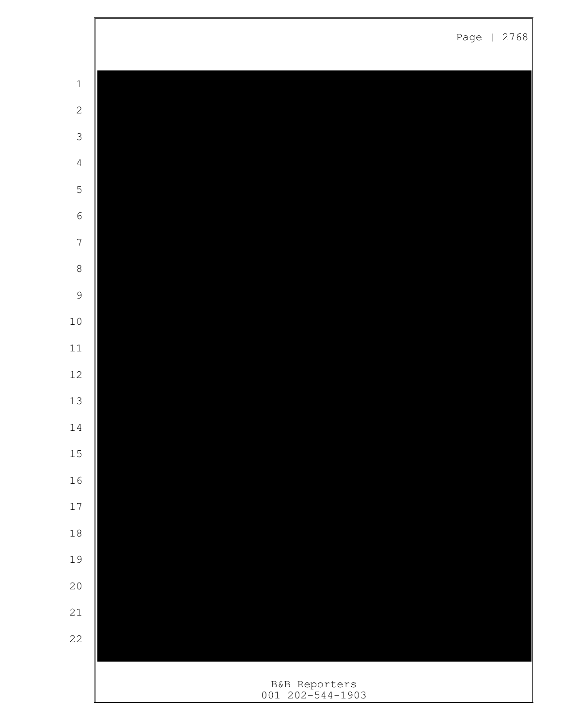|                                  | 2768<br>Page                      |
|----------------------------------|-----------------------------------|
| $\mathbbm{1}$                    |                                   |
| $\sqrt{2}$                       |                                   |
| $\mathfrak{Z}$                   |                                   |
| $\overline{4}$                   |                                   |
| $\overline{5}$                   |                                   |
| $6\overline{6}$                  |                                   |
| $\overline{7}$                   |                                   |
| $\begin{array}{c} 8 \end{array}$ |                                   |
| 9                                |                                   |
| $10$                             |                                   |
| $11\,$                           |                                   |
| 12                               |                                   |
| 13                               |                                   |
| 14                               |                                   |
| $15\,$                           |                                   |
| 16                               |                                   |
| $17$                             |                                   |
| $1\,8$                           |                                   |
| 19                               |                                   |
| $20$                             |                                   |
| $21\,$                           |                                   |
| 22                               |                                   |
|                                  | B&B Reporters<br>001 202-544-1903 |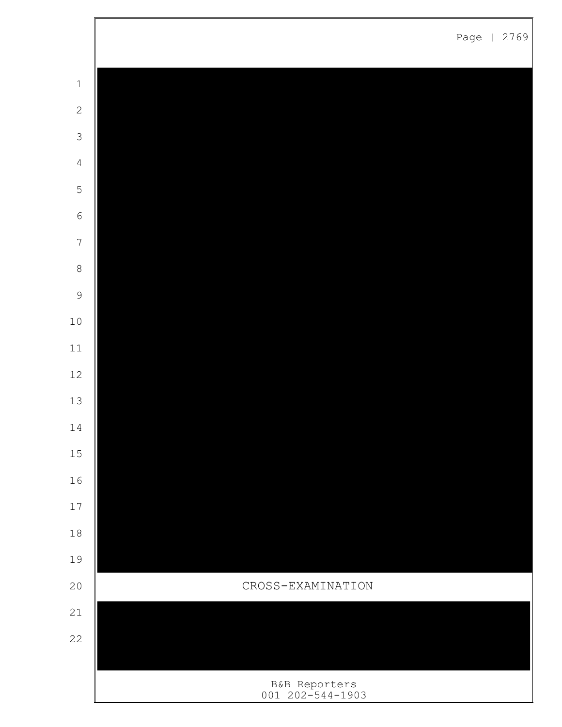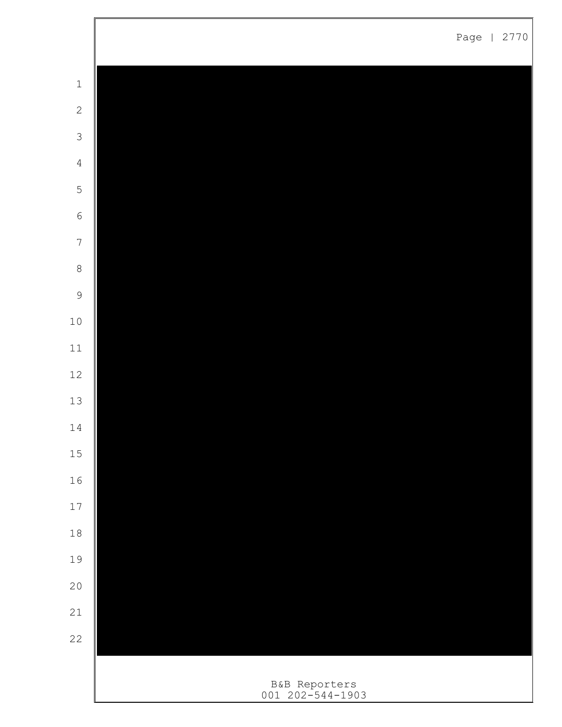|                 | Page   2770                       |
|-----------------|-----------------------------------|
| $\mathbf 1$     |                                   |
| $\overline{c}$  |                                   |
| $\overline{3}$  |                                   |
| $\overline{4}$  |                                   |
| $\overline{5}$  |                                   |
| $6\overline{6}$ |                                   |
| $\overline{7}$  |                                   |
| 8               |                                   |
| $\mathcal{G}$   |                                   |
| 10              |                                   |
| $11\,$          |                                   |
| 12              |                                   |
| 13              |                                   |
| 14              |                                   |
| 15              |                                   |
| $16$            |                                   |
| 17              |                                   |
| $1\,8$          |                                   |
| 19              |                                   |
| $20$            |                                   |
| 21              |                                   |
| 22              |                                   |
|                 | B&B Reporters<br>001 202-544-1903 |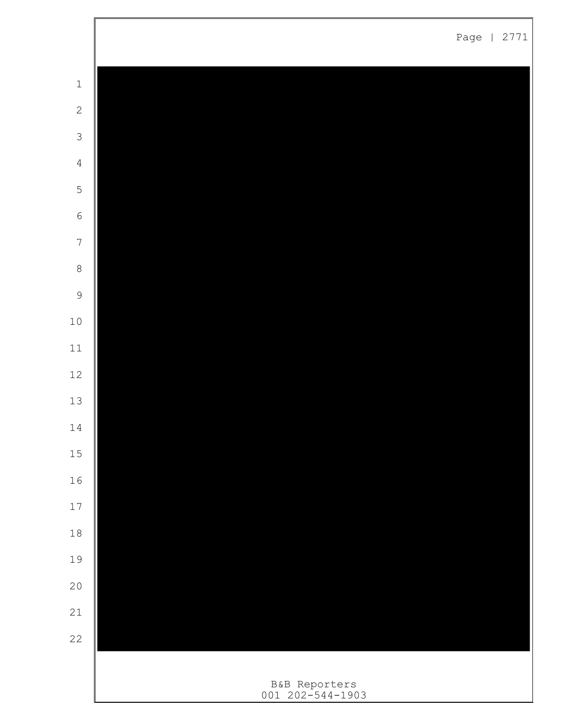|                | 2771<br>Page                      |
|----------------|-----------------------------------|
| $\mathbf 1$    |                                   |
| $\overline{c}$ |                                   |
| $\overline{3}$ |                                   |
| $\overline{4}$ |                                   |
| $\overline{5}$ |                                   |
| $\overline{6}$ |                                   |
| $\overline{7}$ |                                   |
| $\overline{8}$ |                                   |
| $\mathcal{G}$  |                                   |
| $10$           |                                   |
| $11\,$         |                                   |
| $12$           |                                   |
| 13             |                                   |
| $1\,4$         |                                   |
| $15\,$         |                                   |
| $16$           |                                   |
| $17\,$         |                                   |
| $1\,8$         |                                   |
| 19             |                                   |
| $20$           |                                   |
| $2\sqrt{1}$    |                                   |
| 22             |                                   |
|                |                                   |
|                | B&B Reporters<br>001 202-544-1903 |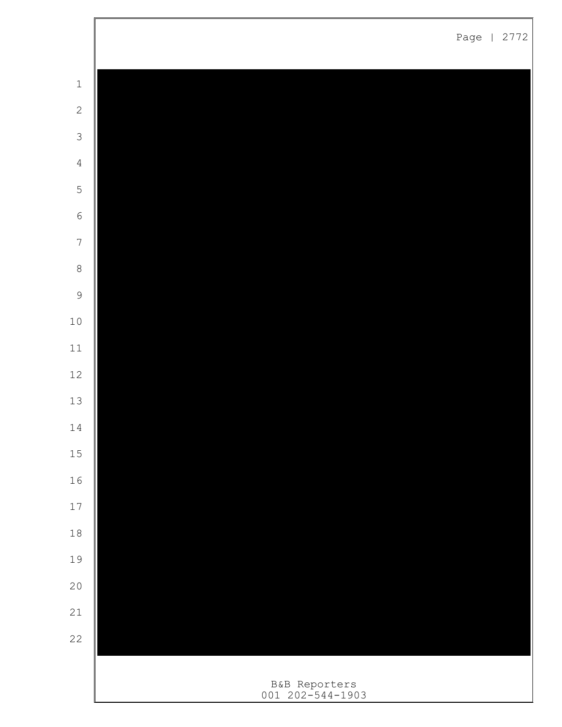|                | 2772<br>Page                      |
|----------------|-----------------------------------|
|                |                                   |
| $\mathbf 1$    |                                   |
| $\mathbf{2}$   |                                   |
| $\mathfrak{Z}$ |                                   |
| $\sqrt{4}$     |                                   |
| $\overline{5}$ |                                   |
| $\overline{6}$ |                                   |
| $\overline{7}$ |                                   |
| $\overline{8}$ |                                   |
| 9              |                                   |
| $10$           |                                   |
| $11\,$         |                                   |
| $12\,$         |                                   |
| 13             |                                   |
| $14$           |                                   |
| 15             |                                   |
| $16\,$         |                                   |
| $17\,$         |                                   |
| $1\,8$         |                                   |
| 19             |                                   |
| $20$           |                                   |
| $21\,$         |                                   |
| 22             |                                   |
|                |                                   |
|                | B&B Reporters<br>001 202-544-1903 |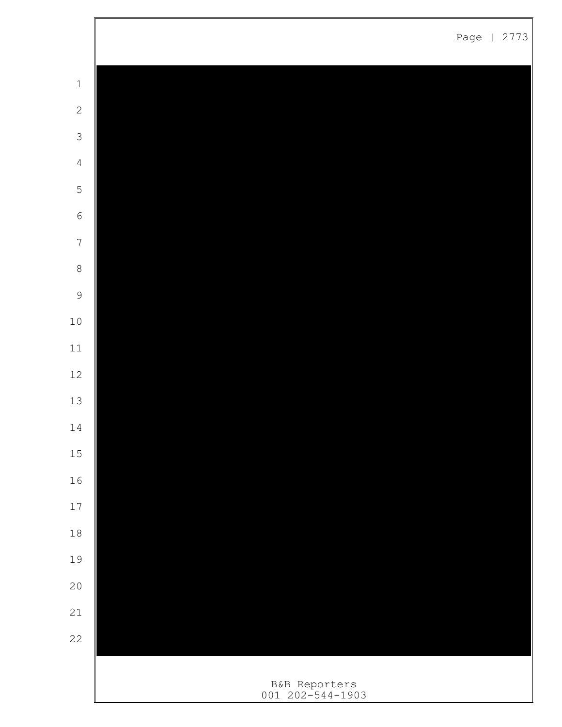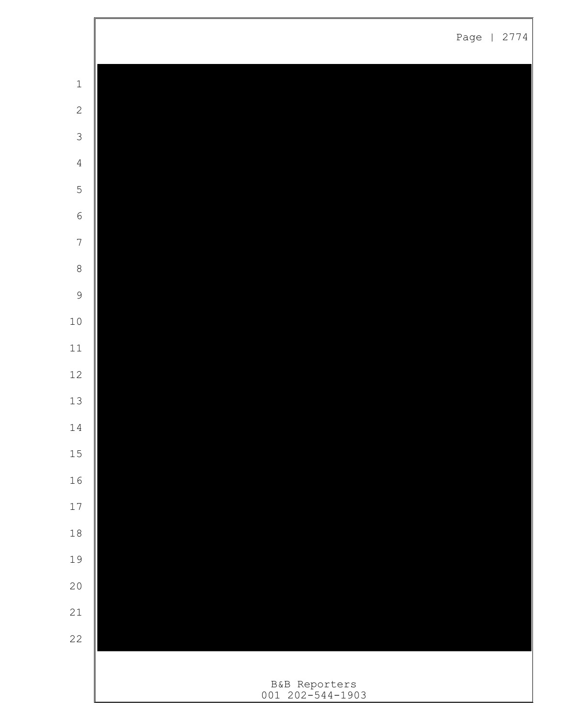|                 |                                   | Page | 2774 |
|-----------------|-----------------------------------|------|------|
| $\,1\,$         |                                   |      |      |
| $\overline{c}$  |                                   |      |      |
| $\overline{3}$  |                                   |      |      |
| $\overline{4}$  |                                   |      |      |
| $\overline{5}$  |                                   |      |      |
| $6\overline{6}$ |                                   |      |      |
| $\overline{7}$  |                                   |      |      |
| $\overline{8}$  |                                   |      |      |
| $\mathcal{G}$   |                                   |      |      |
| $10$            |                                   |      |      |
| $11$            |                                   |      |      |
| 12              |                                   |      |      |
| 13              |                                   |      |      |
| 14              |                                   |      |      |
| 15              |                                   |      |      |
| $16\,$          |                                   |      |      |
| $17$            |                                   |      |      |
| $1\,8$          |                                   |      |      |
| 19              |                                   |      |      |
| $20$            |                                   |      |      |
| $21\,$          |                                   |      |      |
| 22              |                                   |      |      |
|                 | B&B Reporters<br>001 202-544-1903 |      |      |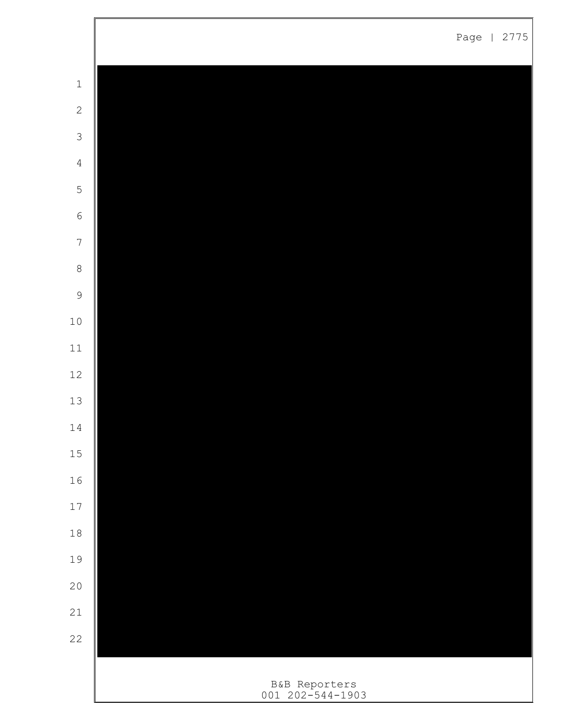|                 | Page   2775                       |
|-----------------|-----------------------------------|
| $\mathbf 1$     |                                   |
| $\overline{c}$  |                                   |
| $\overline{3}$  |                                   |
| $\overline{4}$  |                                   |
| $\overline{5}$  |                                   |
| $6\overline{6}$ |                                   |
| $\overline{7}$  |                                   |
| 8               |                                   |
| 9               |                                   |
| 10              |                                   |
| $11\,$          |                                   |
| 12              |                                   |
| 13              |                                   |
| 14              |                                   |
| 15              |                                   |
| $16$            |                                   |
| 17              |                                   |
| $1\,8$          |                                   |
| 19              |                                   |
| $20$            |                                   |
| $21\,$          |                                   |
| 22              |                                   |
|                 | B&B Reporters<br>001 202-544-1903 |
|                 |                                   |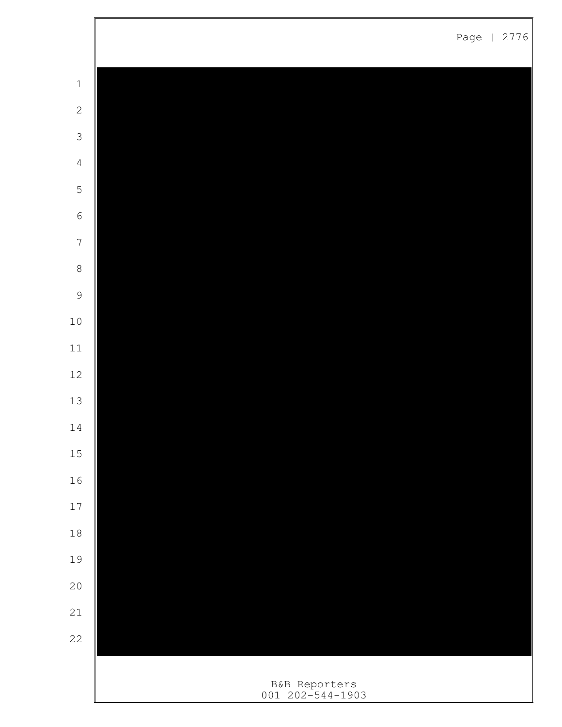|                 | Page   2776                       |
|-----------------|-----------------------------------|
| $\,1\,$         |                                   |
| $\overline{c}$  |                                   |
| $\overline{3}$  |                                   |
| $\overline{4}$  |                                   |
| $\overline{5}$  |                                   |
| $6\overline{6}$ |                                   |
| $\overline{7}$  |                                   |
| 8               |                                   |
| $\mathcal{G}$   |                                   |
| 10              |                                   |
| $11\,$          |                                   |
| $12$            |                                   |
| 13              |                                   |
| 14              |                                   |
| 15              |                                   |
| $16$            |                                   |
| 17              |                                   |
| $1\,8$          |                                   |
| 19              |                                   |
| $20$            |                                   |
| 21              |                                   |
| 22              |                                   |
|                 |                                   |
|                 | B&B Reporters<br>001 202-544-1903 |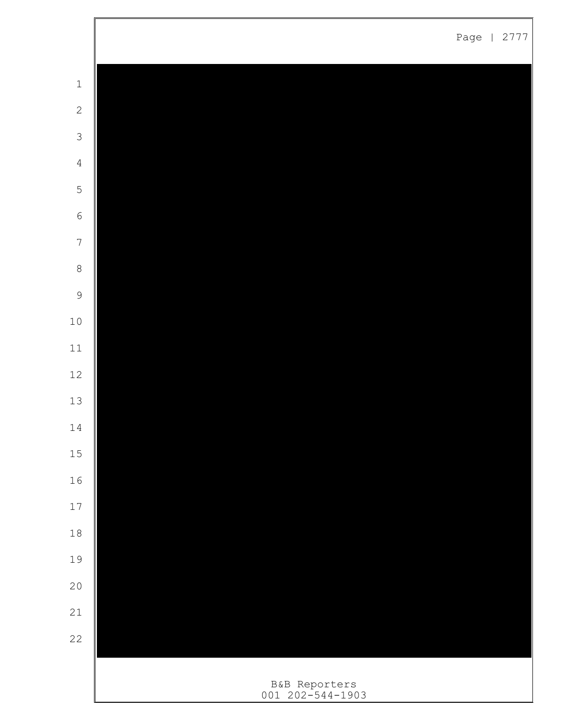|                | Page   2777                       |
|----------------|-----------------------------------|
| $\,1$          |                                   |
| $\overline{c}$ |                                   |
| $\overline{3}$ |                                   |
| $\overline{4}$ |                                   |
| $\overline{5}$ |                                   |
| $\overline{6}$ |                                   |
| $\overline{7}$ |                                   |
| $\overline{8}$ |                                   |
| $\mathcal{G}$  |                                   |
| $10$           |                                   |
| $11\,$         |                                   |
| $12$           |                                   |
| 13             |                                   |
| $14$           |                                   |
| 15             |                                   |
| $16\,$         |                                   |
| 17             |                                   |
| $1\,8$         |                                   |
| 19             |                                   |
| $2\,0$         |                                   |
| $21\,$         |                                   |
| 22             |                                   |
|                | B&B Reporters<br>001 202-544-1903 |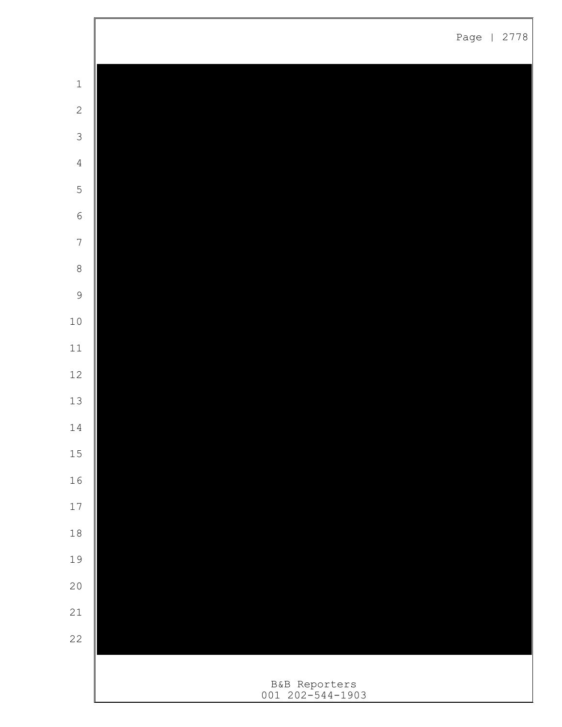|                | Page                              | 2778 |
|----------------|-----------------------------------|------|
| $\mathbf 1$    |                                   |      |
| $\overline{c}$ |                                   |      |
| $\mathfrak{Z}$ |                                   |      |
| $\overline{4}$ |                                   |      |
| $\overline{5}$ |                                   |      |
| $\overline{6}$ |                                   |      |
| $\overline{7}$ |                                   |      |
| $\overline{8}$ |                                   |      |
| 9              |                                   |      |
| $10$           |                                   |      |
| $11\,$         |                                   |      |
| $12\,$         |                                   |      |
| 13             |                                   |      |
| 14             |                                   |      |
| 15             |                                   |      |
| $16\,$         |                                   |      |
| 17             |                                   |      |
| $1\,8$         |                                   |      |
| 19             |                                   |      |
| $20$           |                                   |      |
| 21             |                                   |      |
| 22             |                                   |      |
|                | B&B Reporters<br>001 202-544-1903 |      |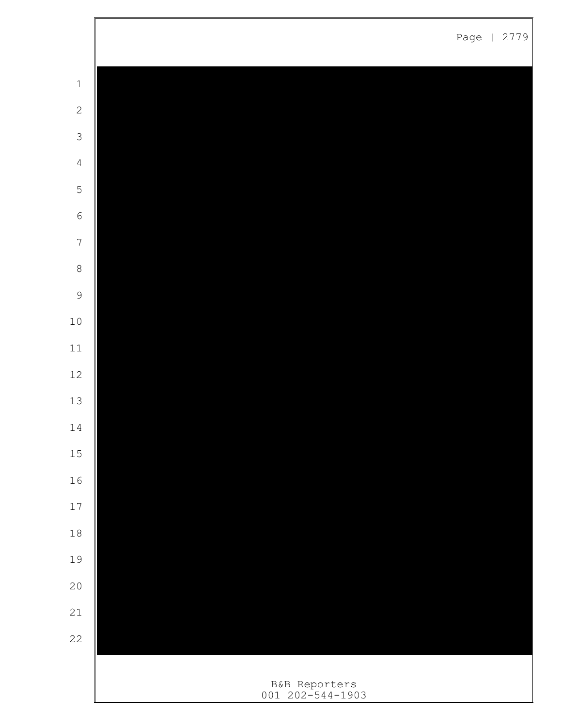|                 |                                   | Page   2779 |  |
|-----------------|-----------------------------------|-------------|--|
| $\mathbf 1$     |                                   |             |  |
| $\overline{c}$  |                                   |             |  |
| $\overline{3}$  |                                   |             |  |
| $\overline{4}$  |                                   |             |  |
| $\overline{5}$  |                                   |             |  |
| $6\overline{6}$ |                                   |             |  |
| $\overline{7}$  |                                   |             |  |
| 8               |                                   |             |  |
| $\mathcal{G}$   |                                   |             |  |
| 10              |                                   |             |  |
| $11\,$          |                                   |             |  |
| $12$            |                                   |             |  |
| 13              |                                   |             |  |
| 14              |                                   |             |  |
| 15              |                                   |             |  |
| $16$            |                                   |             |  |
| 17              |                                   |             |  |
| $1\,8$          |                                   |             |  |
| 19              |                                   |             |  |
| $20$            |                                   |             |  |
| 21              |                                   |             |  |
| 22              |                                   |             |  |
|                 | B&B Reporters<br>001 202-544-1903 |             |  |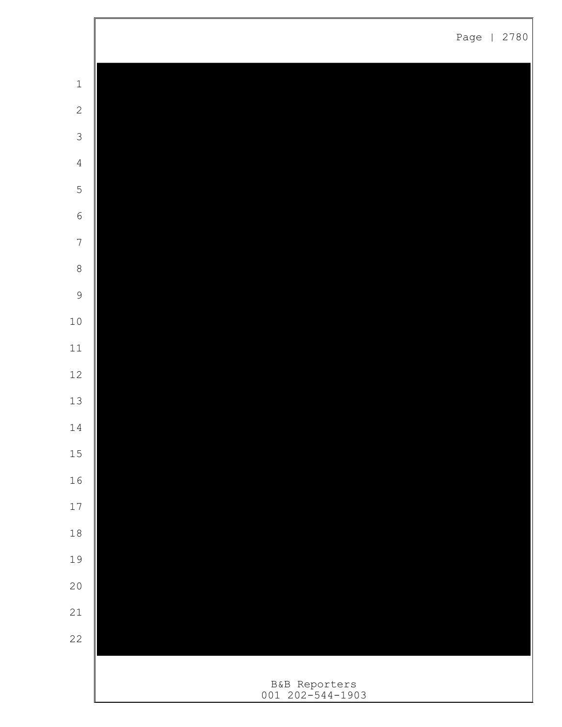|                | Page   2780                       |
|----------------|-----------------------------------|
| $\mathbf 1$    |                                   |
| $\overline{c}$ |                                   |
| $\mathfrak{Z}$ |                                   |
| $\overline{4}$ |                                   |
| $\overline{5}$ |                                   |
| $\overline{6}$ |                                   |
| $\overline{7}$ |                                   |
| $\,8\,$        |                                   |
| 9              |                                   |
| $10$           |                                   |
| $11\,$         |                                   |
| $12\,$         |                                   |
| 13             |                                   |
| $14$           |                                   |
| $15\,$         |                                   |
| $16\,$         |                                   |
| 17             |                                   |
| $1\,8$         |                                   |
| 19             |                                   |
| $20$           |                                   |
| $21\,$         |                                   |
| 22             |                                   |
|                | B&B Reporters<br>001 202-544-1903 |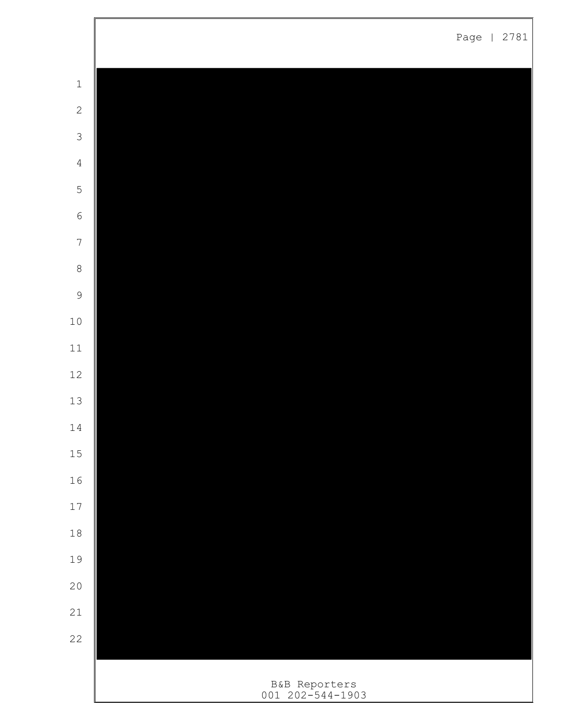|                | 2781<br>Page                      |
|----------------|-----------------------------------|
| $\mathbf 1$    |                                   |
| $\mathbf{2}$   |                                   |
| $\overline{3}$ |                                   |
| $\overline{4}$ |                                   |
| $\overline{5}$ |                                   |
| $6\phantom{a}$ |                                   |
| $\overline{7}$ |                                   |
| $\overline{8}$ |                                   |
| $\mathcal{G}$  |                                   |
| 10             |                                   |
| $11\,$         |                                   |
| $12$           |                                   |
| 13             |                                   |
| 14             |                                   |
| 15             |                                   |
| $16\,$         |                                   |
| $17\,$         |                                   |
| $1\,8$         |                                   |
| 19             |                                   |
| $2\,0$         |                                   |
| $21\,$         |                                   |
| 22             |                                   |
|                |                                   |
|                | B&B Reporters<br>001 202-544-1903 |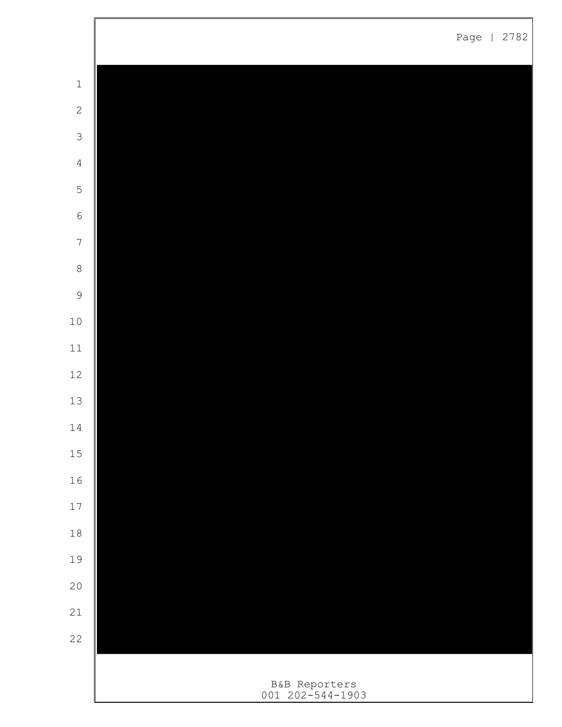|                | 2782<br>Page                      |
|----------------|-----------------------------------|
| $\,1$          |                                   |
| $\overline{c}$ |                                   |
| $\overline{3}$ |                                   |
| $\overline{4}$ |                                   |
| $\overline{5}$ |                                   |
| $\overline{6}$ |                                   |
| $\overline{7}$ |                                   |
| 8              |                                   |
| 9              |                                   |
| 10             |                                   |
| $11\,$         |                                   |
| 12             |                                   |
| 13             |                                   |
| $14$           |                                   |
| 15             |                                   |
| 16             |                                   |
| 17             |                                   |
| $1\,8$         |                                   |
| 19             |                                   |
| $20$           |                                   |
| $2\sqrt{1}$    |                                   |
| 22             |                                   |
|                |                                   |
|                | B&B Reporters<br>001 202-544-1903 |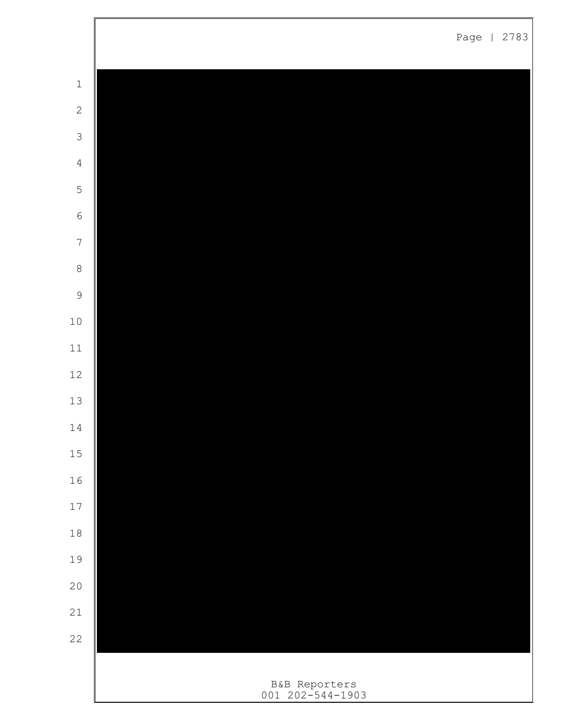|                                  |                                   | Page | 2783 |
|----------------------------------|-----------------------------------|------|------|
|                                  |                                   |      |      |
| $\mathbf 1$                      |                                   |      |      |
| $\overline{c}$<br>$\overline{3}$ |                                   |      |      |
|                                  |                                   |      |      |
| $\overline{4}$                   |                                   |      |      |
| $\overline{5}$                   |                                   |      |      |
| $6\overline{6}$                  |                                   |      |      |
| $\overline{7}$                   |                                   |      |      |
| 8                                |                                   |      |      |
| $\mathcal{G}$                    |                                   |      |      |
| 10                               |                                   |      |      |
| $11\,$                           |                                   |      |      |
| $12\,$                           |                                   |      |      |
| 13                               |                                   |      |      |
| 14                               |                                   |      |      |
| 15                               |                                   |      |      |
| $16$                             |                                   |      |      |
| $17\,$                           |                                   |      |      |
| $1\,8$                           |                                   |      |      |
| 19                               |                                   |      |      |
| $20$                             |                                   |      |      |
| $2\sqrt{1}$                      |                                   |      |      |
| 22                               |                                   |      |      |
|                                  |                                   |      |      |
|                                  | B&B Reporters<br>001 202-544-1903 |      |      |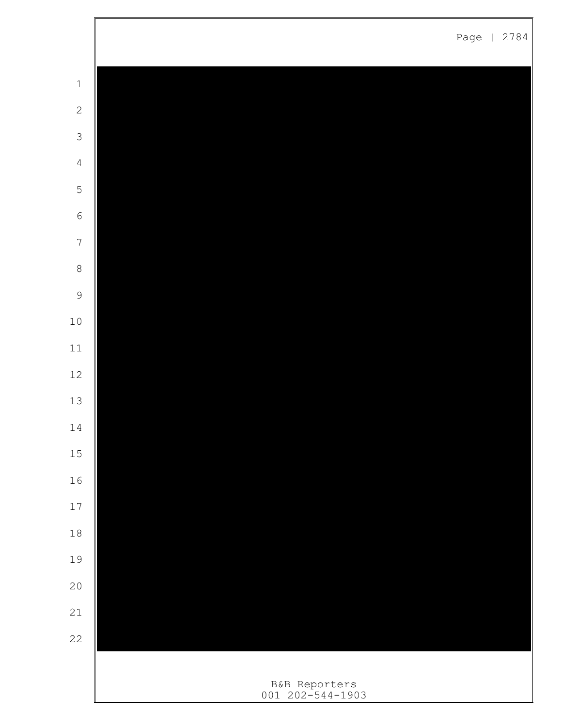|                | Page   2784                       |
|----------------|-----------------------------------|
| $\,1$          |                                   |
| $\overline{c}$ |                                   |
| $\overline{3}$ |                                   |
| $\overline{4}$ |                                   |
| $\overline{5}$ |                                   |
| $\overline{6}$ |                                   |
| $\overline{7}$ |                                   |
| 8              |                                   |
| 9              |                                   |
| $10$           |                                   |
| $11$           |                                   |
| $12$           |                                   |
| 13             |                                   |
| 14             |                                   |
| $15\,$         |                                   |
| $16\,$         |                                   |
| $17\,$         |                                   |
| $1\,8$         |                                   |
| 19             |                                   |
| $20$           |                                   |
| $21\,$         |                                   |
| 22             |                                   |
|                | B&B Reporters<br>001 202-544-1903 |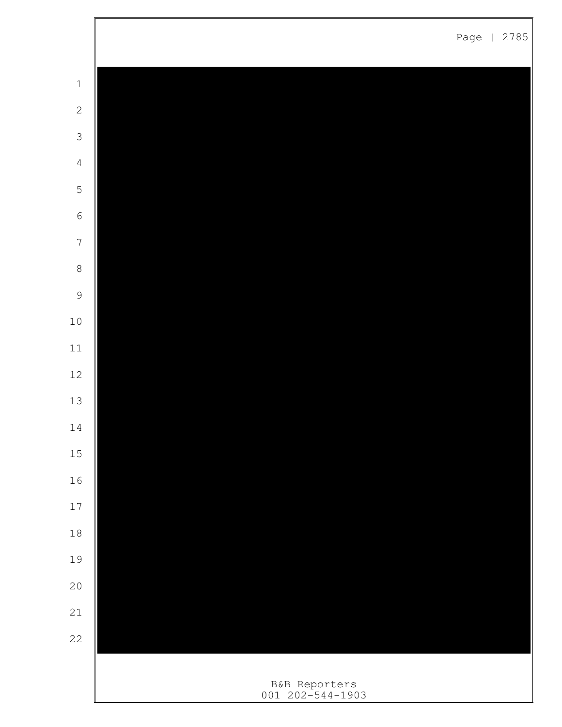|                |                                   | Page | 2785 |
|----------------|-----------------------------------|------|------|
| $\mathbf 1$    |                                   |      |      |
| $\overline{c}$ |                                   |      |      |
| $\overline{3}$ |                                   |      |      |
| $\overline{4}$ |                                   |      |      |
| $\overline{5}$ |                                   |      |      |
| $6\phantom{a}$ |                                   |      |      |
| $\overline{7}$ |                                   |      |      |
| $\overline{8}$ |                                   |      |      |
| $\overline{9}$ |                                   |      |      |
| $10$           |                                   |      |      |
| $11$           |                                   |      |      |
| 12             |                                   |      |      |
| 13             |                                   |      |      |
| $14\,$         |                                   |      |      |
| 15             |                                   |      |      |
| 16             |                                   |      |      |
| $17$           |                                   |      |      |
| $1\,8$         |                                   |      |      |
| 19             |                                   |      |      |
| $20$           |                                   |      |      |
| $21\,$         |                                   |      |      |
| 22             |                                   |      |      |
|                |                                   |      |      |
|                | B&B Reporters<br>001 202-544-1903 |      |      |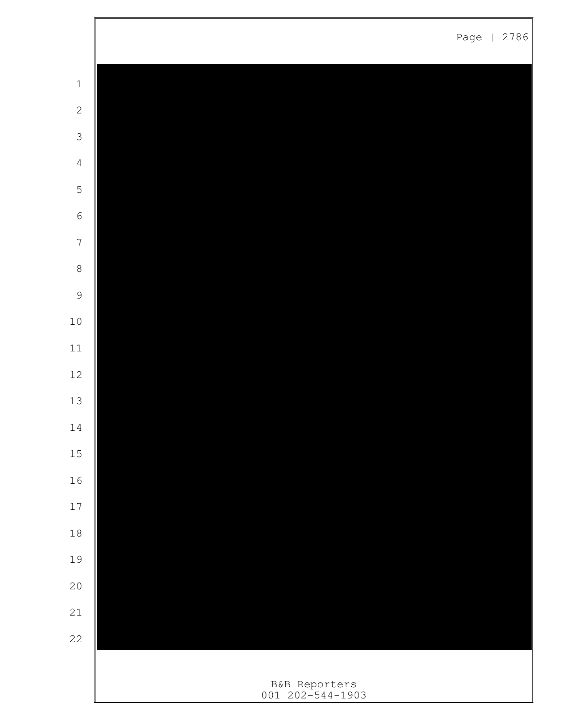|                |                                   | Page | 2786 |
|----------------|-----------------------------------|------|------|
| $\mathbf 1$    |                                   |      |      |
| $\overline{c}$ |                                   |      |      |
| $\overline{3}$ |                                   |      |      |
| $\overline{4}$ |                                   |      |      |
| $\overline{5}$ |                                   |      |      |
| $\overline{6}$ |                                   |      |      |
| $\overline{7}$ |                                   |      |      |
| $\overline{8}$ |                                   |      |      |
| 9              |                                   |      |      |
| $10$           |                                   |      |      |
| $11\,$         |                                   |      |      |
| 12             |                                   |      |      |
| 13             |                                   |      |      |
| 14             |                                   |      |      |
| 15             |                                   |      |      |
| $16\,$         |                                   |      |      |
| $17\,$         |                                   |      |      |
| $1\,8$         |                                   |      |      |
| 19             |                                   |      |      |
| $20$           |                                   |      |      |
| $2\sqrt{1}$    |                                   |      |      |
| 22             |                                   |      |      |
|                | B&B Reporters<br>001 202-544-1903 |      |      |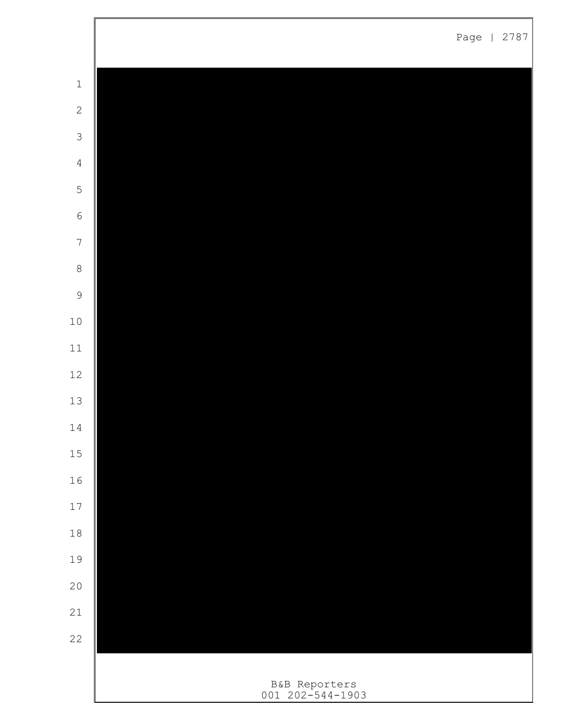|                |                                   | Page | 2787 |
|----------------|-----------------------------------|------|------|
| $\,1\,$        |                                   |      |      |
| $\overline{c}$ |                                   |      |      |
| $\overline{3}$ |                                   |      |      |
| $\overline{4}$ |                                   |      |      |
| $\overline{5}$ |                                   |      |      |
| $\overline{6}$ |                                   |      |      |
| $\overline{7}$ |                                   |      |      |
| 8              |                                   |      |      |
| $\mathcal{G}$  |                                   |      |      |
| 10             |                                   |      |      |
| $11\,$         |                                   |      |      |
| $12$           |                                   |      |      |
| 13             |                                   |      |      |
| 14             |                                   |      |      |
| 15             |                                   |      |      |
| $16\,$         |                                   |      |      |
| $17$           |                                   |      |      |
| $1\,8$         |                                   |      |      |
| 19             |                                   |      |      |
| $20$           |                                   |      |      |
| 21             |                                   |      |      |
| 22             |                                   |      |      |
|                |                                   |      |      |
|                | B&B Reporters<br>001 202-544-1903 |      |      |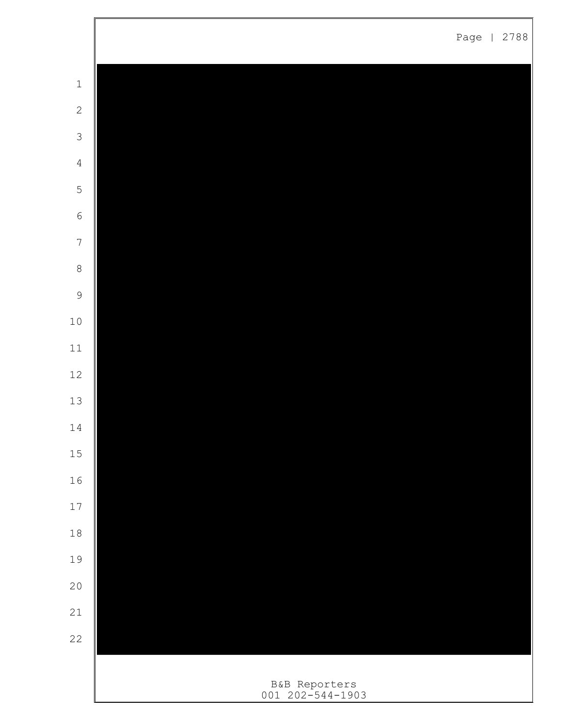|                                  | Page                              | 2788 |
|----------------------------------|-----------------------------------|------|
|                                  |                                   |      |
| $\mathbf 1$                      |                                   |      |
| $\overline{c}$<br>$\overline{3}$ |                                   |      |
| $\overline{4}$                   |                                   |      |
| $\overline{5}$                   |                                   |      |
| $6\overline{6}$                  |                                   |      |
| $\overline{7}$                   |                                   |      |
| $\overline{8}$                   |                                   |      |
| $\mathcal{G}$                    |                                   |      |
| $10$                             |                                   |      |
| $11\,$                           |                                   |      |
| 12                               |                                   |      |
| 13                               |                                   |      |
| 14                               |                                   |      |
| $15\,$                           |                                   |      |
| $16$                             |                                   |      |
| 17                               |                                   |      |
| $1\,8$                           |                                   |      |
| 19                               |                                   |      |
| $20$                             |                                   |      |
| $2\sqrt{1}$                      |                                   |      |
| $22$                             |                                   |      |
|                                  |                                   |      |
|                                  | B&B Reporters<br>001 202-544-1903 |      |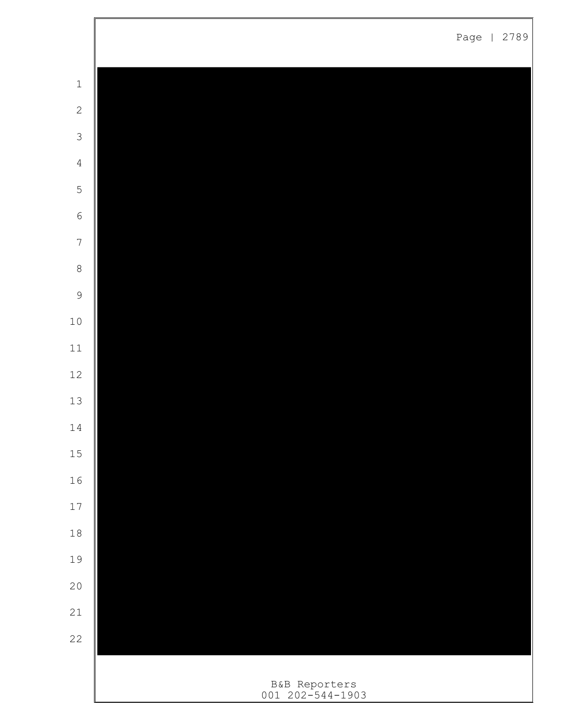|                |                                   | Page | 2789 |
|----------------|-----------------------------------|------|------|
| $\mathbf 1$    |                                   |      |      |
| $\overline{c}$ |                                   |      |      |
| $\overline{3}$ |                                   |      |      |
| $\overline{4}$ |                                   |      |      |
| $\overline{5}$ |                                   |      |      |
| $6\phantom{a}$ |                                   |      |      |
| $\overline{7}$ |                                   |      |      |
| $\overline{8}$ |                                   |      |      |
| 9              |                                   |      |      |
| $10$           |                                   |      |      |
| $11$           |                                   |      |      |
| 12             |                                   |      |      |
| 13             |                                   |      |      |
| 14             |                                   |      |      |
| 15             |                                   |      |      |
| 16             |                                   |      |      |
| $17$           |                                   |      |      |
| $1\,8$         |                                   |      |      |
| 19             |                                   |      |      |
| $20$           |                                   |      |      |
| $21\,$         |                                   |      |      |
| 22             |                                   |      |      |
|                |                                   |      |      |
|                | B&B Reporters<br>001 202-544-1903 |      |      |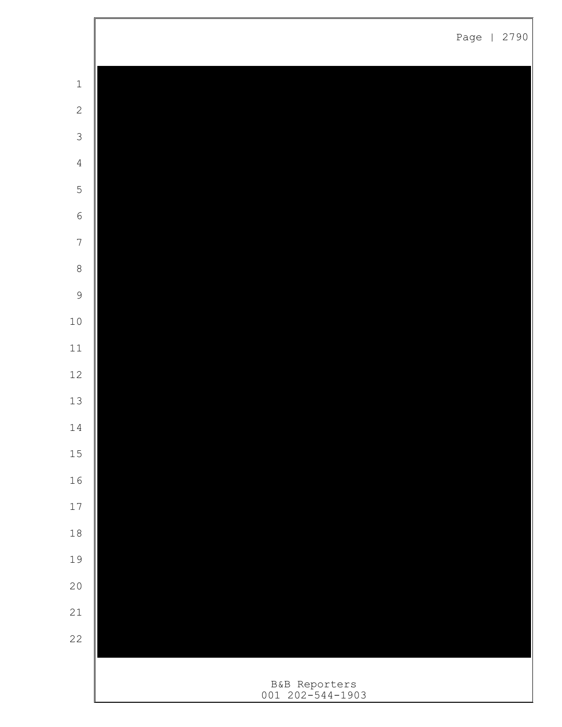|                | Page   2790                       |
|----------------|-----------------------------------|
| $\mathbf 1$    |                                   |
| $\overline{c}$ |                                   |
| $\overline{3}$ |                                   |
| $\overline{4}$ |                                   |
| $\overline{5}$ |                                   |
| $6\phantom{a}$ |                                   |
| $\overline{7}$ |                                   |
| $\overline{8}$ |                                   |
| $\mathcal{G}$  |                                   |
| 10             |                                   |
| $11$           |                                   |
| 12             |                                   |
| 13             |                                   |
| $14\,$         |                                   |
| 15             |                                   |
| $16\,$         |                                   |
| $17$           |                                   |
| $1\,8$         |                                   |
| 19             |                                   |
| $20$           |                                   |
| $21\,$         |                                   |
| 22             |                                   |
|                |                                   |
|                | B&B Reporters<br>001 202-544-1903 |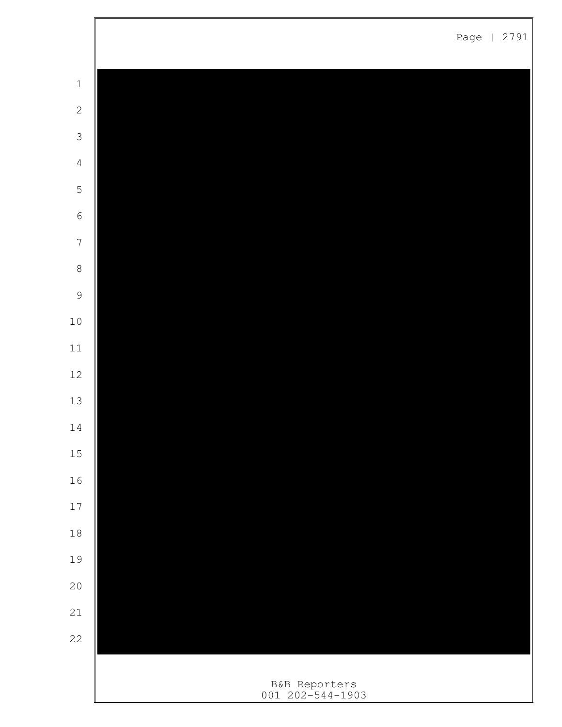|                                  | 2791<br>Page                      |
|----------------------------------|-----------------------------------|
|                                  |                                   |
| $\,1\,$                          |                                   |
| $\overline{c}$<br>$\overline{3}$ |                                   |
| $\overline{4}$                   |                                   |
| $\overline{5}$                   |                                   |
| $\overline{6}$                   |                                   |
| $\overline{7}$                   |                                   |
| 8                                |                                   |
| 9                                |                                   |
| $10$                             |                                   |
| $11\,$                           |                                   |
| $12$                             |                                   |
| 13                               |                                   |
| 14                               |                                   |
| 15                               |                                   |
| $16$                             |                                   |
| 17                               |                                   |
| $1\,8$                           |                                   |
| 19                               |                                   |
| $20$                             |                                   |
| 21                               |                                   |
| 22                               |                                   |
|                                  |                                   |
|                                  | B&B Reporters<br>001 202-544-1903 |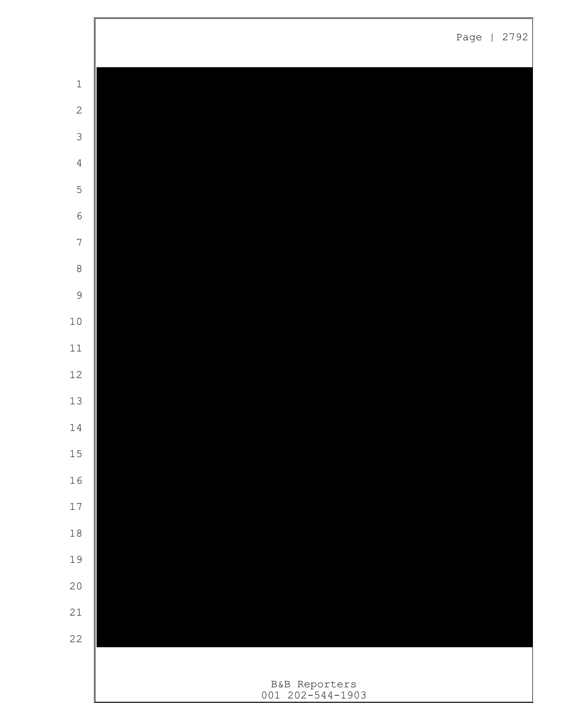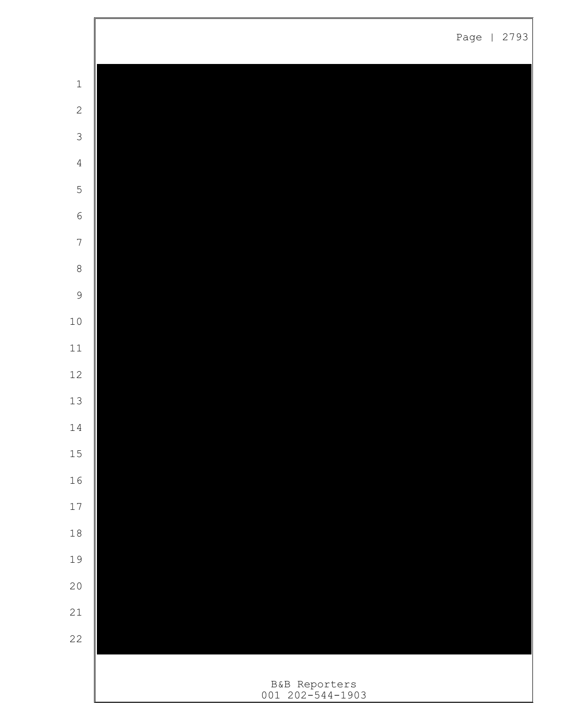|                 |                                   | Page   2793 |  |
|-----------------|-----------------------------------|-------------|--|
| $\mathbf 1$     |                                   |             |  |
| $\mathbf{2}$    |                                   |             |  |
| $\overline{3}$  |                                   |             |  |
| $\overline{4}$  |                                   |             |  |
| $\overline{5}$  |                                   |             |  |
| $6\overline{6}$ |                                   |             |  |
| $\overline{7}$  |                                   |             |  |
| 8               |                                   |             |  |
| $\mathcal{G}$   |                                   |             |  |
| 10              |                                   |             |  |
| $11\,$          |                                   |             |  |
| $12$            |                                   |             |  |
| 13              |                                   |             |  |
| 14              |                                   |             |  |
| 15              |                                   |             |  |
| $16$            |                                   |             |  |
| 17              |                                   |             |  |
| $1\,8$          |                                   |             |  |
| 19              |                                   |             |  |
| $20$            |                                   |             |  |
| 21<br>22        |                                   |             |  |
|                 |                                   |             |  |
|                 | B&B Reporters<br>001 202-544-1903 |             |  |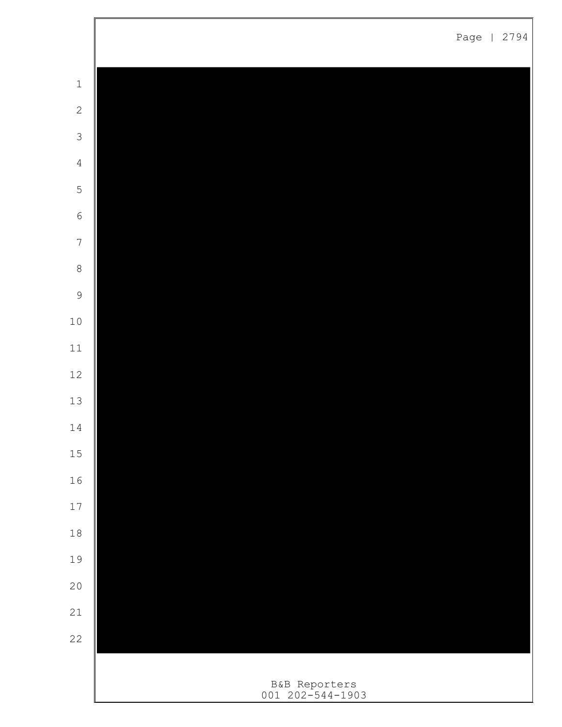|                |                                   | Page | 2794 |
|----------------|-----------------------------------|------|------|
| $\mathbf 1$    |                                   |      |      |
| $\overline{c}$ |                                   |      |      |
| $\overline{3}$ |                                   |      |      |
| $\overline{4}$ |                                   |      |      |
| $\overline{5}$ |                                   |      |      |
| $6\phantom{a}$ |                                   |      |      |
| $\overline{7}$ |                                   |      |      |
| $\overline{8}$ |                                   |      |      |
|                |                                   |      |      |
| $\mathcal{G}$  |                                   |      |      |
| 10             |                                   |      |      |
| $11$           |                                   |      |      |
| 12             |                                   |      |      |
| 13             |                                   |      |      |
| 14             |                                   |      |      |
| 15             |                                   |      |      |
| $16\,$         |                                   |      |      |
| $17\,$         |                                   |      |      |
| $1\,8$         |                                   |      |      |
| 19             |                                   |      |      |
| $20$           |                                   |      |      |
| 21             |                                   |      |      |
| 22             |                                   |      |      |
|                |                                   |      |      |
|                | B&B Reporters<br>001 202-544-1903 |      |      |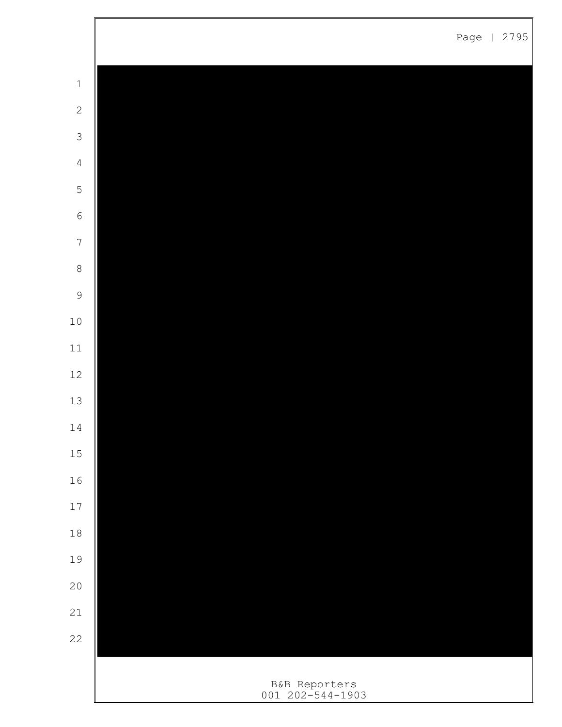|                | 2795<br>Page                      |
|----------------|-----------------------------------|
| $\,1$          |                                   |
| $\overline{c}$ |                                   |
| $\overline{3}$ |                                   |
| $\overline{4}$ |                                   |
| $\overline{5}$ |                                   |
| $\overline{6}$ |                                   |
| $\overline{7}$ |                                   |
| $\overline{8}$ |                                   |
| 9              |                                   |
| $10$           |                                   |
| $11\,$         |                                   |
| 12             |                                   |
| 13             |                                   |
| $14$           |                                   |
| 15             |                                   |
| 16             |                                   |
| 17             |                                   |
| $1\,8$         |                                   |
| 19             |                                   |
| $20$           |                                   |
| 21             |                                   |
| 22             |                                   |
|                | B&B Reporters<br>001 202-544-1903 |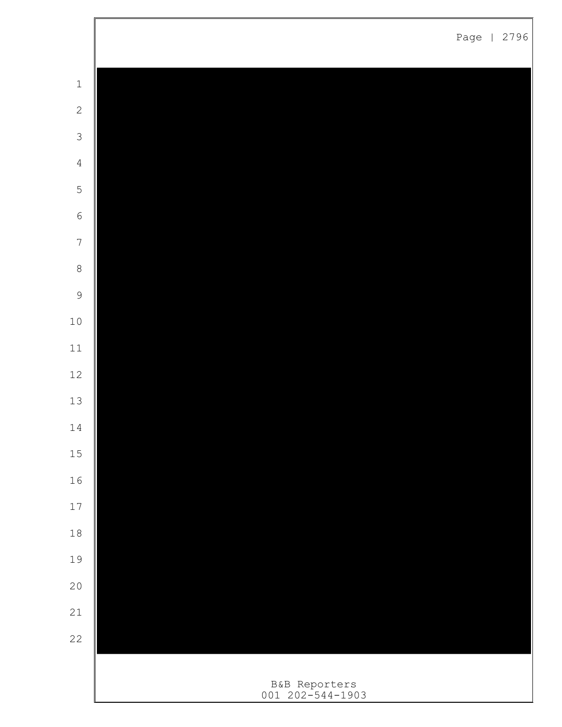|                 | 2796<br>Page                      |
|-----------------|-----------------------------------|
|                 |                                   |
| $\mathbf 1$     |                                   |
| $\overline{c}$  |                                   |
| $\overline{3}$  |                                   |
| $\overline{4}$  |                                   |
| $\overline{5}$  |                                   |
| $6\overline{6}$ |                                   |
| $\overline{7}$  |                                   |
| $\overline{8}$  |                                   |
| $\mathcal{G}$   |                                   |
| $10$            |                                   |
| $11$            |                                   |
| 12              |                                   |
| 13              |                                   |
| 14              |                                   |
| $15\,$          |                                   |
| $16$            |                                   |
| 17              |                                   |
| $1\,8$          |                                   |
| 19              |                                   |
| $20$            |                                   |
| $2\sqrt{1}$     |                                   |
| 22              |                                   |
|                 |                                   |
|                 | B&B Reporters<br>001 202-544-1903 |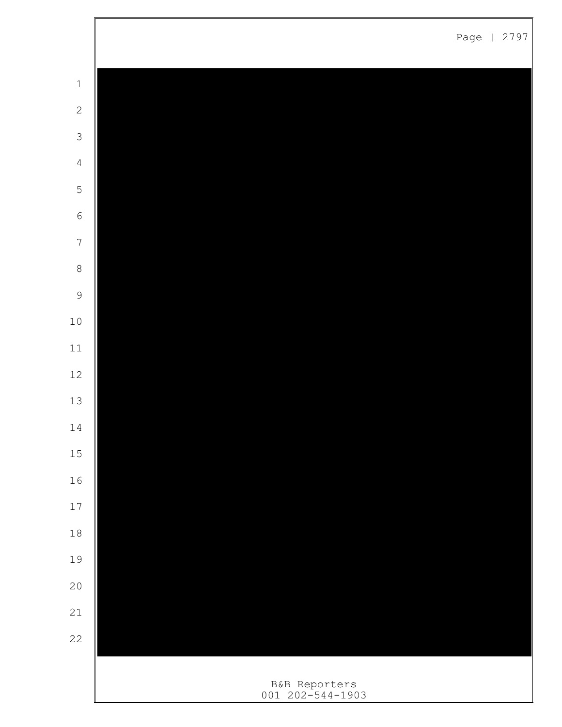|                 | 2797<br>Page                      |
|-----------------|-----------------------------------|
| $\mathbf 1$     |                                   |
| $\sqrt{2}$      |                                   |
| $\overline{3}$  |                                   |
| $\overline{4}$  |                                   |
| $\overline{5}$  |                                   |
| $6\overline{6}$ |                                   |
| $\overline{7}$  |                                   |
| 8               |                                   |
| 9               |                                   |
| $10$            |                                   |
| $11\,$          |                                   |
| 12              |                                   |
| 13              |                                   |
| $1\,4$          |                                   |
| 15              |                                   |
| 16              |                                   |
| 17              |                                   |
| $18\,$          |                                   |
| 19              |                                   |
| $20$            |                                   |
| 21              |                                   |
| 22              |                                   |
|                 |                                   |
|                 | B&B Reporters<br>001 202-544-1903 |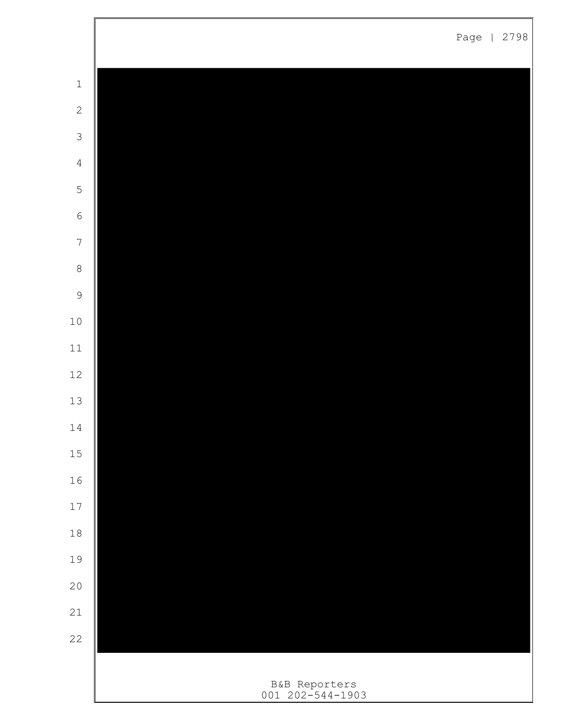|                |                                   | Page | 2798 |
|----------------|-----------------------------------|------|------|
|                |                                   |      |      |
| $\mathbbm{1}$  |                                   |      |      |
| $\overline{c}$ |                                   |      |      |
| $\overline{3}$ |                                   |      |      |
| $\overline{4}$ |                                   |      |      |
| $\overline{5}$ |                                   |      |      |
| $\overline{6}$ |                                   |      |      |
| $\overline{7}$ |                                   |      |      |
| 8              |                                   |      |      |
| 9              |                                   |      |      |
| $10$           |                                   |      |      |
| $11\,$         |                                   |      |      |
| $12$           |                                   |      |      |
| 13             |                                   |      |      |
| $14$           |                                   |      |      |
| 15             |                                   |      |      |
| $16\,$         |                                   |      |      |
| 17             |                                   |      |      |
| $1\,8$         |                                   |      |      |
| 19             |                                   |      |      |
| $20$           |                                   |      |      |
| $21\,$         |                                   |      |      |
| 22             |                                   |      |      |
|                |                                   |      |      |
|                | B&B Reporters<br>001 202-544-1903 |      |      |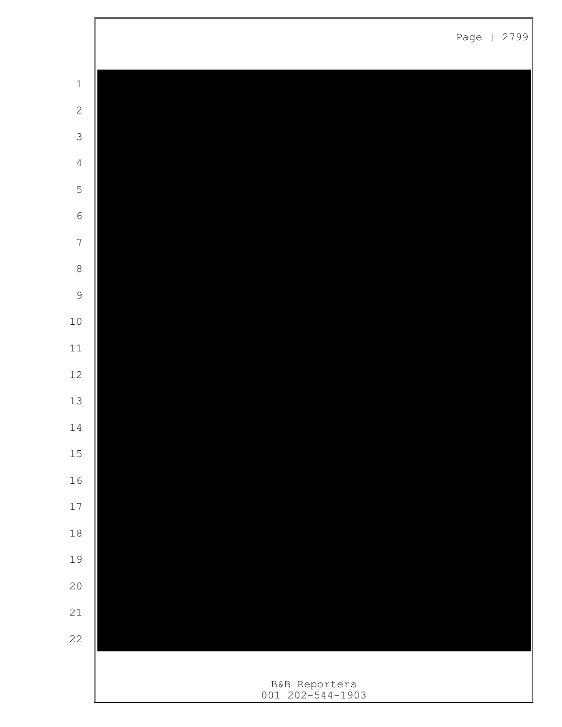|                | Page   2799                       |
|----------------|-----------------------------------|
| $\mathbbm{1}$  |                                   |
| $\overline{c}$ |                                   |
| $\overline{3}$ |                                   |
| $\overline{4}$ |                                   |
| $\overline{5}$ |                                   |
| $\overline{6}$ |                                   |
| $\overline{7}$ |                                   |
| $\theta$       |                                   |
| 9              |                                   |
| $10$           |                                   |
| $11\,$         |                                   |
| $12$           |                                   |
| 13             |                                   |
| 14             |                                   |
| $15\,$         |                                   |
| $16$           |                                   |
| $17\,$         |                                   |
| $1\,8$         |                                   |
| 19             |                                   |
| $20$           |                                   |
| $2\sqrt{1}$    |                                   |
| 22             |                                   |
|                |                                   |
|                | B&B Reporters<br>001 202-544-1903 |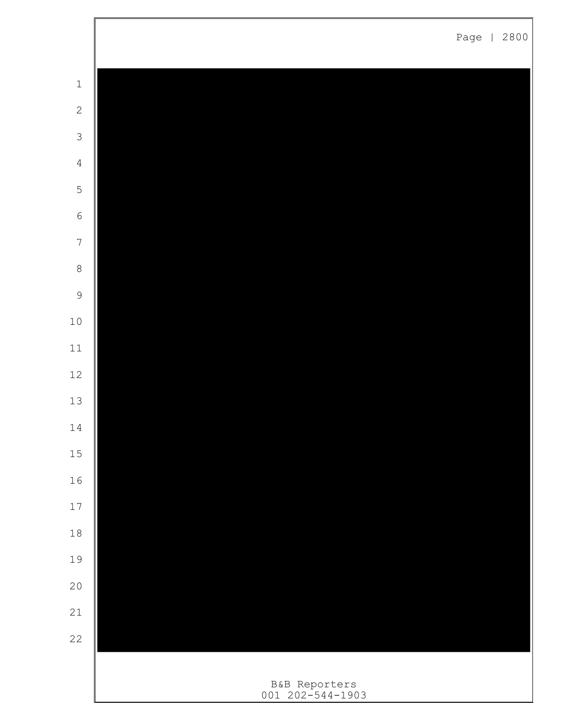|                |                                   | Page   2800 |  |
|----------------|-----------------------------------|-------------|--|
| $\,1\,$        |                                   |             |  |
| $\overline{c}$ |                                   |             |  |
| $\overline{3}$ |                                   |             |  |
| $\overline{4}$ |                                   |             |  |
| $\overline{5}$ |                                   |             |  |
| $\overline{6}$ |                                   |             |  |
| $\overline{7}$ |                                   |             |  |
| 8              |                                   |             |  |
| 9              |                                   |             |  |
| $10$           |                                   |             |  |
| $11\,$         |                                   |             |  |
| $12$           |                                   |             |  |
| 13             |                                   |             |  |
| 14             |                                   |             |  |
| 15             |                                   |             |  |
| $16$           |                                   |             |  |
| $17$           |                                   |             |  |
| $1\,8$         |                                   |             |  |
| 19             |                                   |             |  |
| $20$           |                                   |             |  |
| 21             |                                   |             |  |
| 22             |                                   |             |  |
|                |                                   |             |  |
|                | B&B Reporters<br>001 202-544-1903 |             |  |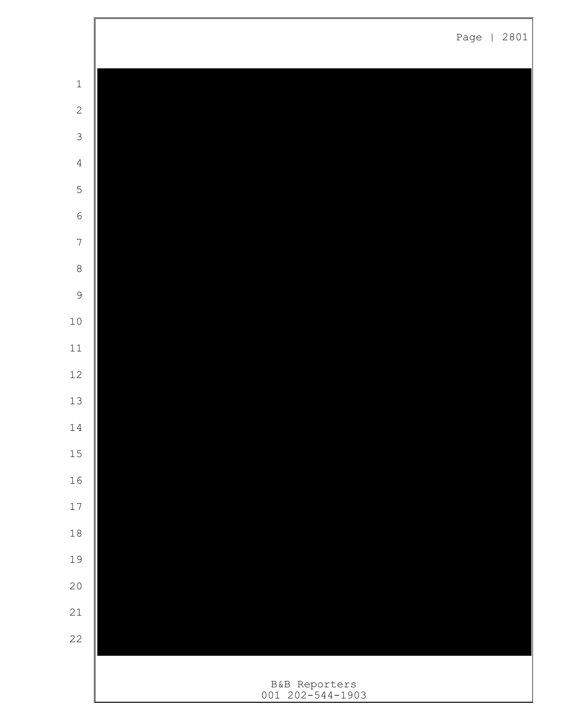|                | 2801<br>Page                      |
|----------------|-----------------------------------|
| $\,1$          |                                   |
| $\overline{c}$ |                                   |
| $\overline{3}$ |                                   |
| $\overline{4}$ |                                   |
| $\overline{5}$ |                                   |
| $\overline{6}$ |                                   |
| $\overline{7}$ |                                   |
| 8              |                                   |
| 9              |                                   |
| $10$           |                                   |
| $11\,$         |                                   |
| 12             |                                   |
| 13             |                                   |
| $14$           |                                   |
| $15\,$         |                                   |
| 16             |                                   |
| 17             |                                   |
| $1\,8$         |                                   |
| 19             |                                   |
| $20$           |                                   |
| 21             |                                   |
| 22             |                                   |
|                |                                   |
|                | B&B Reporters<br>001 202-544-1903 |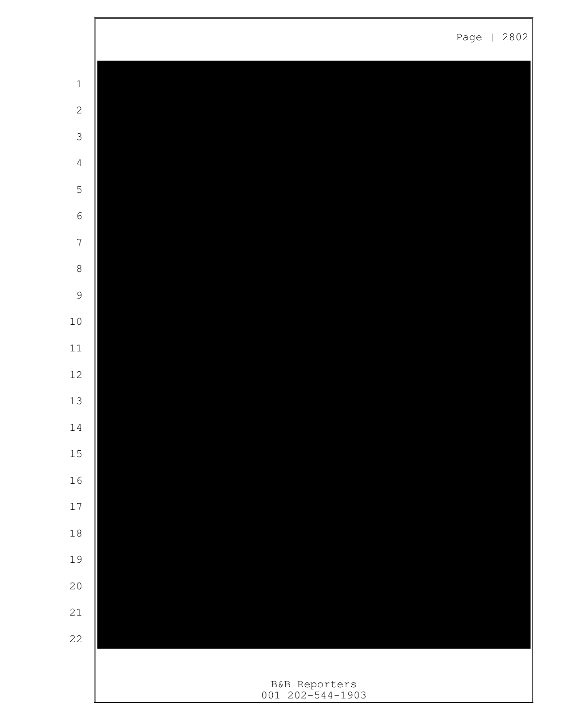|                |                                   | 2802<br>Page |
|----------------|-----------------------------------|--------------|
| $\mathbf 1$    |                                   |              |
| $\overline{c}$ |                                   |              |
| $\mathfrak{Z}$ |                                   |              |
| $\overline{4}$ |                                   |              |
| $\overline{5}$ |                                   |              |
| $\overline{6}$ |                                   |              |
| $\overline{7}$ |                                   |              |
| 8              |                                   |              |
| 9              |                                   |              |
| $10$           |                                   |              |
| $11\,$         |                                   |              |
| $12$           |                                   |              |
| 13             |                                   |              |
| 14             |                                   |              |
| 15             |                                   |              |
| 16             |                                   |              |
| 17             |                                   |              |
| $1\,8$         |                                   |              |
| 19             |                                   |              |
| $20$           |                                   |              |
| $21$           |                                   |              |
| 22             |                                   |              |
|                | B&B Reporters<br>001 202-544-1903 |              |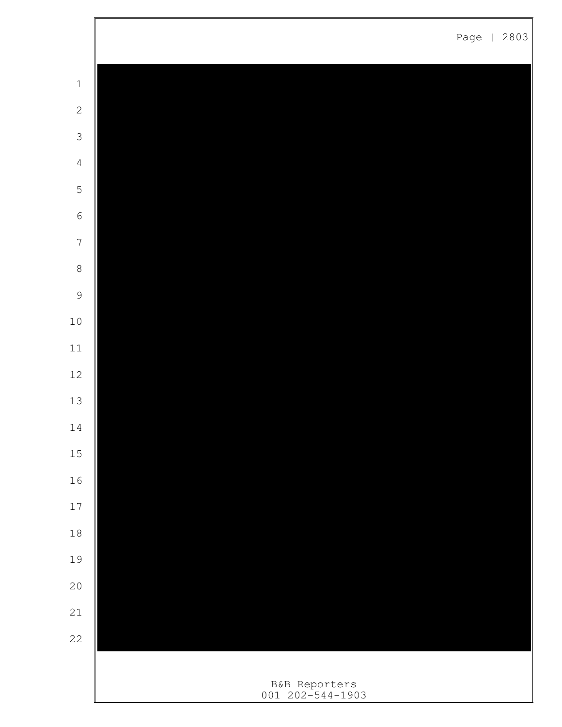|                 |                                   | Page   2803 |  |
|-----------------|-----------------------------------|-------------|--|
| $\,1\,$         |                                   |             |  |
| $\overline{c}$  |                                   |             |  |
| $\overline{3}$  |                                   |             |  |
| $\overline{4}$  |                                   |             |  |
| $\overline{5}$  |                                   |             |  |
| $6\overline{6}$ |                                   |             |  |
| $\overline{7}$  |                                   |             |  |
| 8               |                                   |             |  |
| 9               |                                   |             |  |
| 10              |                                   |             |  |
| $11$            |                                   |             |  |
| 12              |                                   |             |  |
| 13              |                                   |             |  |
| 14              |                                   |             |  |
| 15              |                                   |             |  |
| $16\,$          |                                   |             |  |
| $17$            |                                   |             |  |
| $1\,8$          |                                   |             |  |
| 19              |                                   |             |  |
| $20$            |                                   |             |  |
| $21\,$<br>22    |                                   |             |  |
|                 |                                   |             |  |
|                 | B&B Reporters<br>001 202-544-1903 |             |  |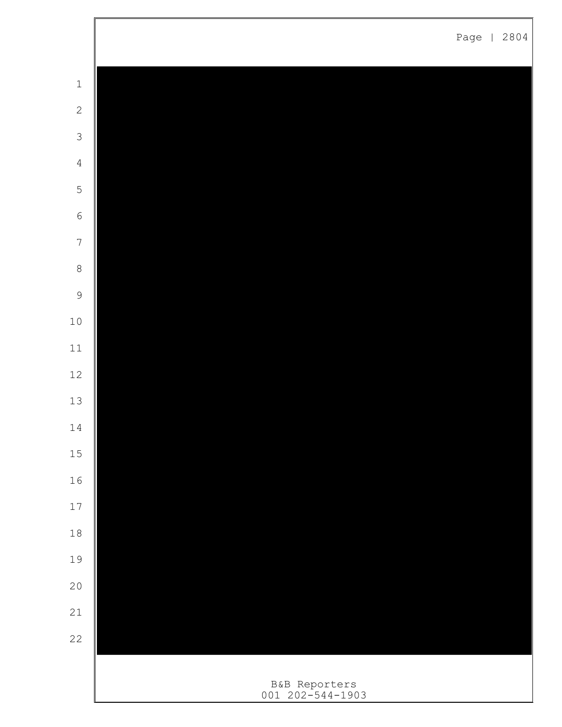|                |                                   | Page   2804 |  |
|----------------|-----------------------------------|-------------|--|
| $\mathbf 1$    |                                   |             |  |
| $\overline{c}$ |                                   |             |  |
| $\overline{3}$ |                                   |             |  |
| $\overline{4}$ |                                   |             |  |
| $\overline{5}$ |                                   |             |  |
| $\overline{6}$ |                                   |             |  |
| $\overline{7}$ |                                   |             |  |
| $\overline{8}$ |                                   |             |  |
| $\mathcal{G}$  |                                   |             |  |
| $10$           |                                   |             |  |
| $11$           |                                   |             |  |
| 12             |                                   |             |  |
| 13             |                                   |             |  |
| 14             |                                   |             |  |
| 15             |                                   |             |  |
| 16             |                                   |             |  |
| $17$           |                                   |             |  |
| $1\,8$         |                                   |             |  |
| 19             |                                   |             |  |
| $20$           |                                   |             |  |
| $21\,$         |                                   |             |  |
| 22             |                                   |             |  |
|                | B&B Reporters<br>001 202-544-1903 |             |  |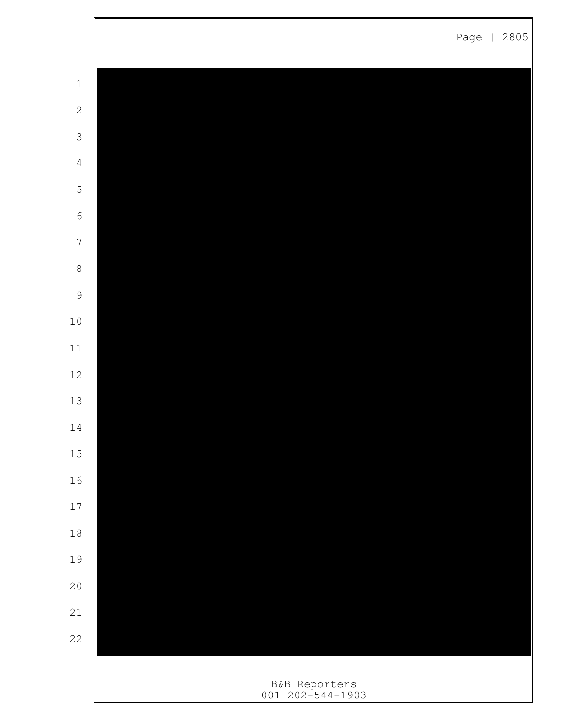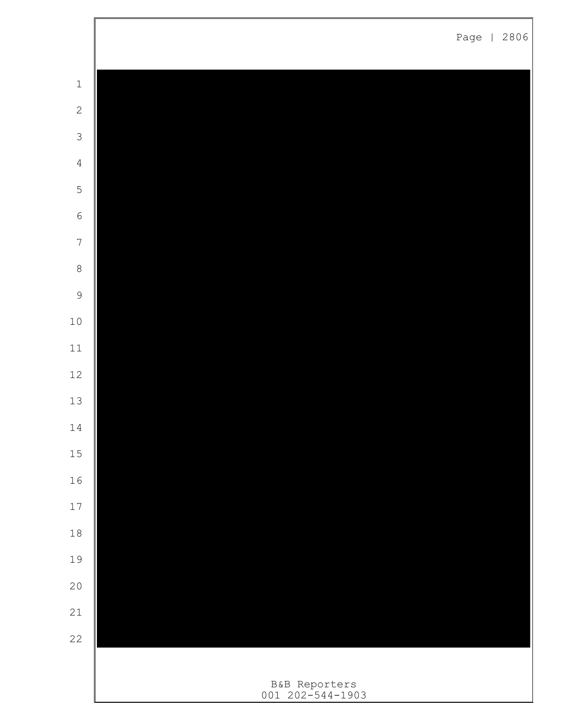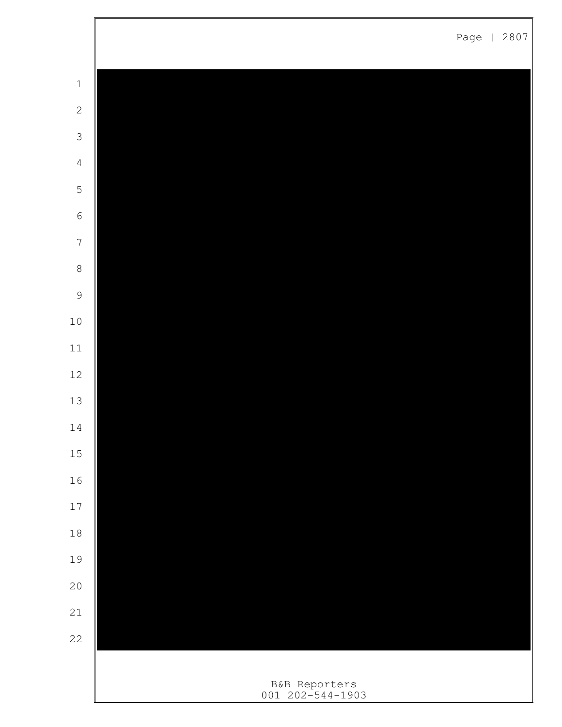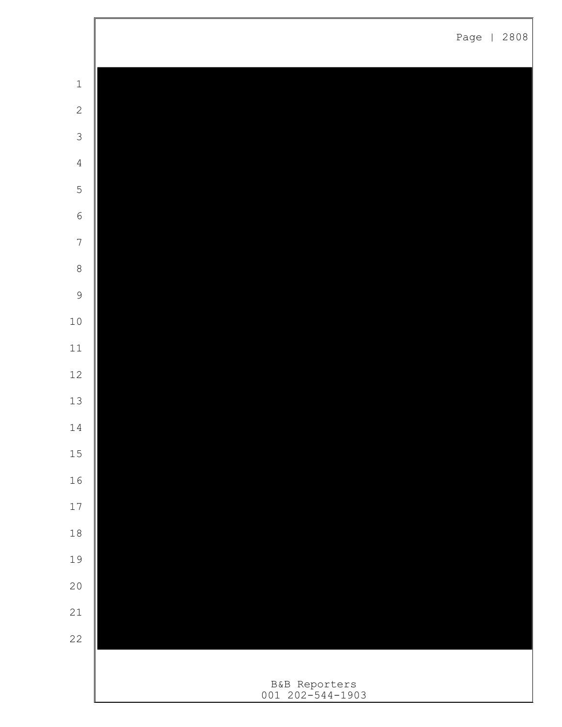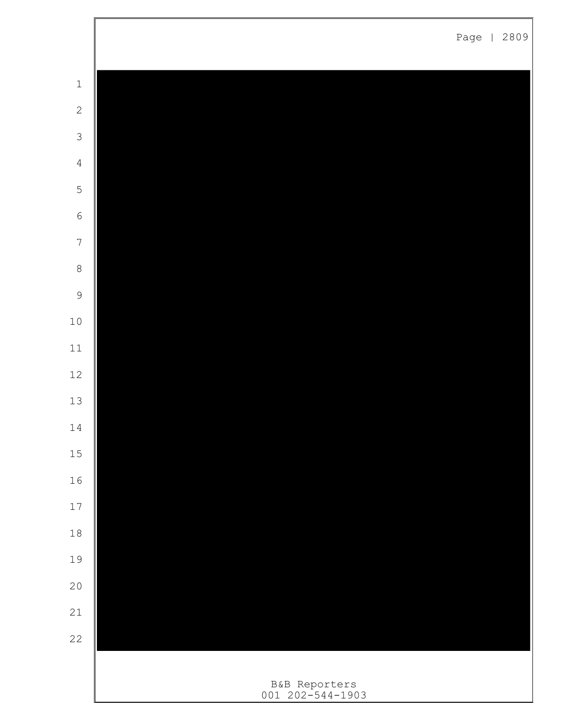|                                 |                                   | Page   2809 |
|---------------------------------|-----------------------------------|-------------|
|                                 |                                   |             |
| $\mathbf 1$<br>$\sqrt{2}$       |                                   |             |
| $\mathfrak{Z}$                  |                                   |             |
| $\overline{4}$                  |                                   |             |
| $\overline{5}$                  |                                   |             |
| $6\phantom{a}$                  |                                   |             |
| $\overline{7}$                  |                                   |             |
| $\begin{matrix} 8 \end{matrix}$ |                                   |             |
| 9                               |                                   |             |
| $10$                            |                                   |             |
| $11$                            |                                   |             |
| $12\,$                          |                                   |             |
| 13                              |                                   |             |
| $1\,4$                          |                                   |             |
| $15\,$                          |                                   |             |
| $16\,$                          |                                   |             |
| $17\,$                          |                                   |             |
| $1\,8$                          |                                   |             |
| 19                              |                                   |             |
| $20$                            |                                   |             |
| $21\,$                          |                                   |             |
| 22                              |                                   |             |
|                                 |                                   |             |
|                                 | B&B Reporters<br>001 202-544-1903 |             |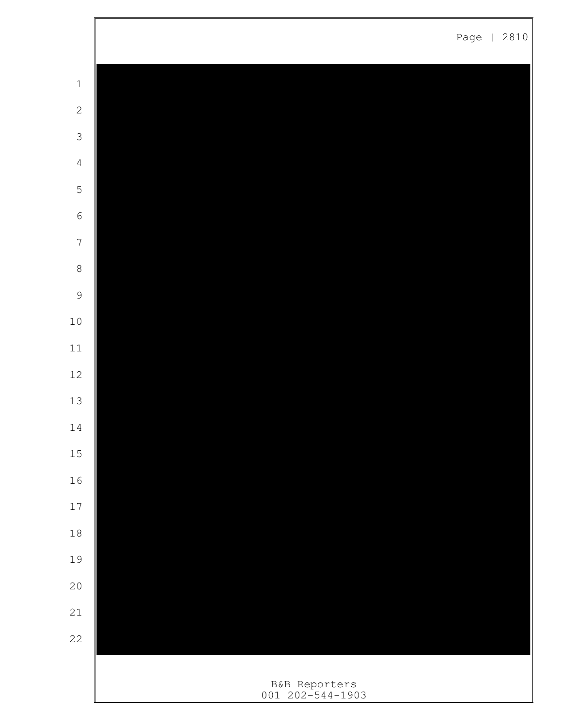|                                 |                                   | Page   2810 |  |
|---------------------------------|-----------------------------------|-------------|--|
| $\ensuremath{\mathbbm{1}}$      |                                   |             |  |
| $\overline{c}$                  |                                   |             |  |
| $\overline{3}$                  |                                   |             |  |
| $\overline{4}$                  |                                   |             |  |
| $\overline{5}$                  |                                   |             |  |
| $6\phantom{a}$                  |                                   |             |  |
| $\overline{7}$                  |                                   |             |  |
| $\begin{matrix} 8 \end{matrix}$ |                                   |             |  |
| $\mathcal{G}$                   |                                   |             |  |
| $10$                            |                                   |             |  |
| $11\,$                          |                                   |             |  |
| 12                              |                                   |             |  |
| 13                              |                                   |             |  |
| $14\,$                          |                                   |             |  |
| $15\,$                          |                                   |             |  |
| $16\,$                          |                                   |             |  |
| $17\,$                          |                                   |             |  |
| $1\,8$                          |                                   |             |  |
| 19                              |                                   |             |  |
| $20$                            |                                   |             |  |
| 21<br>22                        |                                   |             |  |
|                                 |                                   |             |  |
|                                 | B&B Reporters<br>001 202-544-1903 |             |  |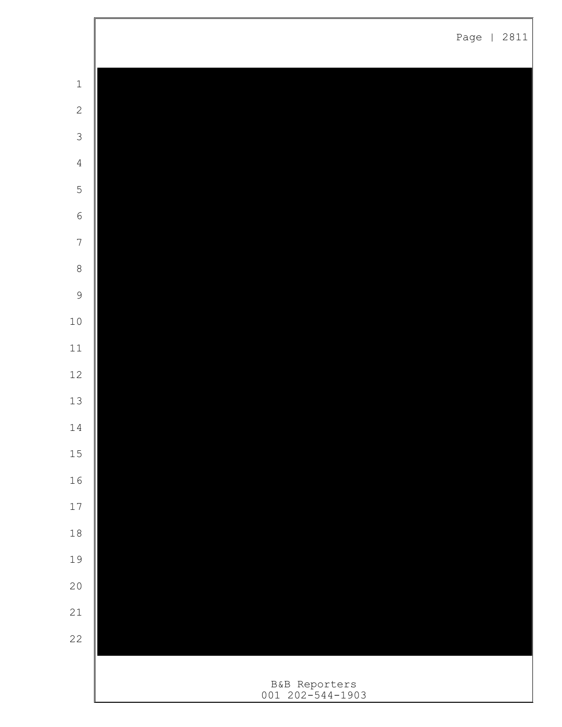|                | 2811<br>Page                      |
|----------------|-----------------------------------|
| $\mathbf{1}$   |                                   |
| $\overline{c}$ |                                   |
| $\overline{3}$ |                                   |
| $\overline{4}$ |                                   |
| $\overline{5}$ |                                   |
| $\overline{6}$ |                                   |
| $\overline{7}$ |                                   |
| 8              |                                   |
| $\overline{9}$ |                                   |
| 10             |                                   |
| $11$           |                                   |
| 12             |                                   |
| 13             |                                   |
| $14$           |                                   |
| 15             |                                   |
| 16             |                                   |
| 17             |                                   |
| $1\,8$         |                                   |
| 19             |                                   |
| $20$           |                                   |
| $2\sqrt{1}$    |                                   |
| 22             |                                   |
|                |                                   |
|                | B&B Reporters<br>001 202-544-1903 |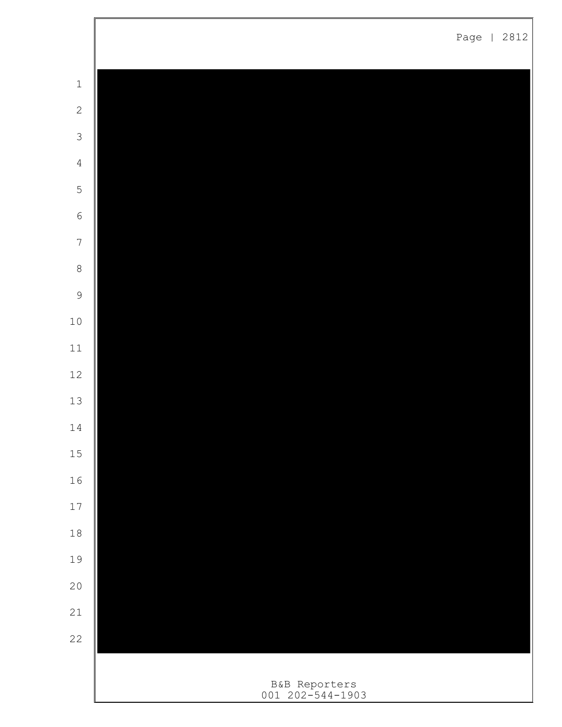|                |                                   | Page   2812 |  |
|----------------|-----------------------------------|-------------|--|
|                |                                   |             |  |
| $\,1\,$        |                                   |             |  |
| $\overline{c}$ |                                   |             |  |
| $\overline{3}$ |                                   |             |  |
| $\overline{4}$ |                                   |             |  |
| $\overline{5}$ |                                   |             |  |
| $\overline{6}$ |                                   |             |  |
| $\overline{7}$ |                                   |             |  |
| 8              |                                   |             |  |
| 9              |                                   |             |  |
| $10$           |                                   |             |  |
| $11$           |                                   |             |  |
| 12             |                                   |             |  |
| 13             |                                   |             |  |
| 14             |                                   |             |  |
| 15             |                                   |             |  |
| $16$           |                                   |             |  |
| $17$           |                                   |             |  |
| $1\,8$         |                                   |             |  |
| 19             |                                   |             |  |
| $20$           |                                   |             |  |
| 21             |                                   |             |  |
| 22             |                                   |             |  |
|                |                                   |             |  |
|                | B&B Reporters<br>001 202-544-1903 |             |  |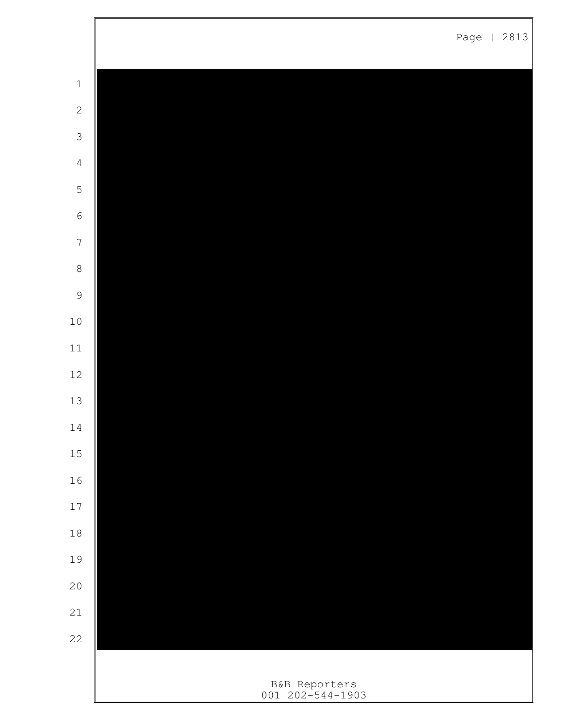| $\,1\,$<br>$\overline{c}$<br>$\overline{3}$<br>$\overline{4}$<br>$\overline{5}$<br>$\overline{6}$<br>$\overline{7}$<br>8<br>$\overline{9}$<br>$10$<br>$11\,$<br>12<br>13<br>14<br>15<br>$16\,$<br>$17\,$<br>$1\,8$ | Page   2813 |
|--------------------------------------------------------------------------------------------------------------------------------------------------------------------------------------------------------------------|-------------|
|                                                                                                                                                                                                                    |             |
|                                                                                                                                                                                                                    |             |
|                                                                                                                                                                                                                    |             |
|                                                                                                                                                                                                                    |             |
|                                                                                                                                                                                                                    |             |
|                                                                                                                                                                                                                    |             |
|                                                                                                                                                                                                                    |             |
|                                                                                                                                                                                                                    |             |
|                                                                                                                                                                                                                    |             |
|                                                                                                                                                                                                                    |             |
|                                                                                                                                                                                                                    |             |
|                                                                                                                                                                                                                    |             |
|                                                                                                                                                                                                                    |             |
|                                                                                                                                                                                                                    |             |
|                                                                                                                                                                                                                    |             |
|                                                                                                                                                                                                                    |             |
|                                                                                                                                                                                                                    |             |
|                                                                                                                                                                                                                    |             |
| 19<br>$20$                                                                                                                                                                                                         |             |
| $2\sqrt{1}$                                                                                                                                                                                                        |             |
| 22                                                                                                                                                                                                                 |             |
|                                                                                                                                                                                                                    |             |
| B&B Reporters<br>001 202-544-1903                                                                                                                                                                                  |             |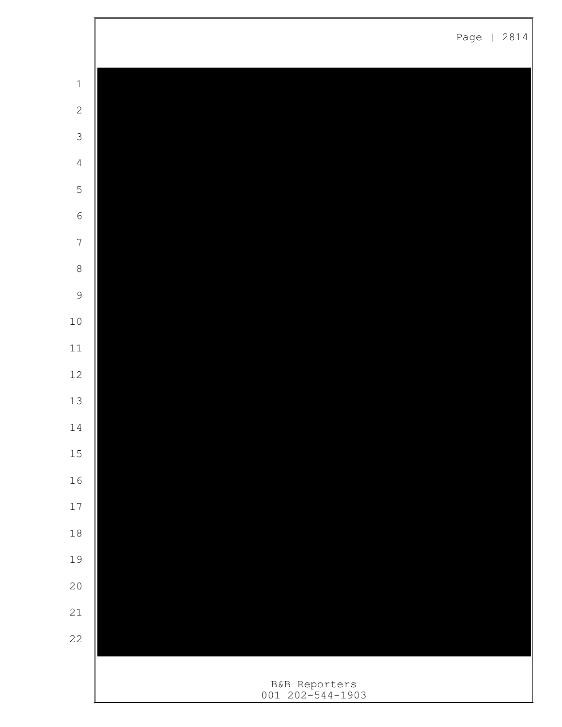|                | 2814<br>Page                      |
|----------------|-----------------------------------|
|                |                                   |
| $\mathbf 1$    |                                   |
| $\overline{c}$ |                                   |
| $\overline{3}$ |                                   |
| $\overline{4}$ |                                   |
| $\overline{5}$ |                                   |
| $\overline{6}$ |                                   |
| $\overline{7}$ |                                   |
| 8              |                                   |
| $\mathcal{G}$  |                                   |
| 10             |                                   |
| $11\,$         |                                   |
| 12             |                                   |
| 13             |                                   |
| 14             |                                   |
| 15             |                                   |
| 16             |                                   |
| 17             |                                   |
| $1\,8$         |                                   |
| 19             |                                   |
| $20$           |                                   |
| $21$           |                                   |
| 22             |                                   |
|                |                                   |
|                | B&B Reporters<br>001 202-544-1903 |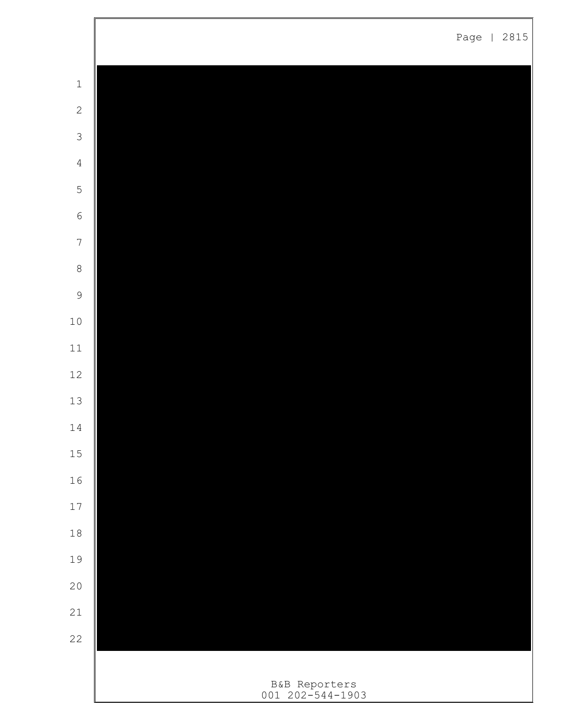|                     | 2815<br>Page                      |
|---------------------|-----------------------------------|
| $\,1\,$             |                                   |
| $\mathbf{2}$        |                                   |
| $\overline{3}$      |                                   |
| $\overline{4}$      |                                   |
| $\overline{5}$      |                                   |
| $6\overline{6}$     |                                   |
| $\overline{7}$      |                                   |
| 8                   |                                   |
| 9                   |                                   |
| $10$                |                                   |
| $11$                |                                   |
| 12                  |                                   |
| 13                  |                                   |
| $1\,4$              |                                   |
| $15\,$              |                                   |
| $16\,$              |                                   |
| $17\,$              |                                   |
| $1\,8$              |                                   |
| 19                  |                                   |
| $20$<br>$2\sqrt{1}$ |                                   |
| 22                  |                                   |
|                     |                                   |
|                     | B&B Reporters<br>001 202-544-1903 |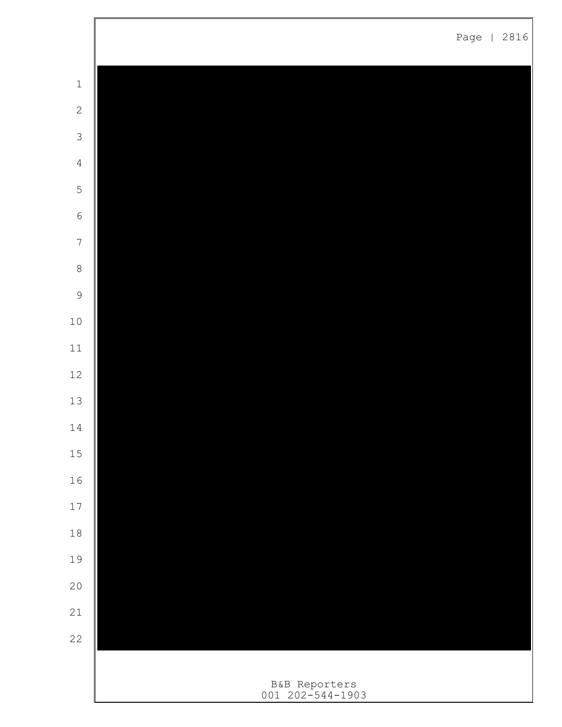|                 |                                   |  | Page   2816 |
|-----------------|-----------------------------------|--|-------------|
| $\mathbf{1}$    |                                   |  |             |
| $\overline{c}$  |                                   |  |             |
| $\overline{3}$  |                                   |  |             |
| $\overline{4}$  |                                   |  |             |
| $\overline{5}$  |                                   |  |             |
| $6\overline{6}$ |                                   |  |             |
| $\overline{7}$  |                                   |  |             |
| 8               |                                   |  |             |
| 9               |                                   |  |             |
| 10              |                                   |  |             |
| $11$            |                                   |  |             |
| 12              |                                   |  |             |
| 13              |                                   |  |             |
| 14              |                                   |  |             |
| 15              |                                   |  |             |
| 16              |                                   |  |             |
| 17              |                                   |  |             |
| $1\,8$          |                                   |  |             |
| 19              |                                   |  |             |
| $20$            |                                   |  |             |
| $21\,$          |                                   |  |             |
| 22              |                                   |  |             |
|                 |                                   |  |             |
|                 | B&B Reporters<br>001 202-544-1903 |  |             |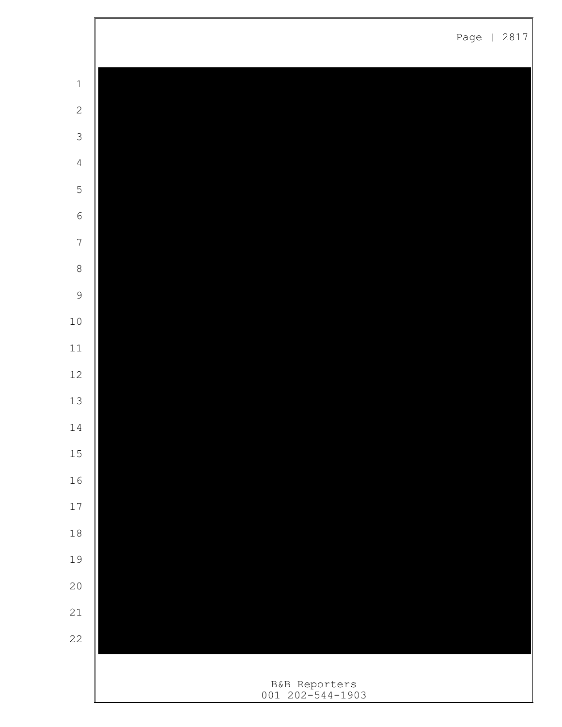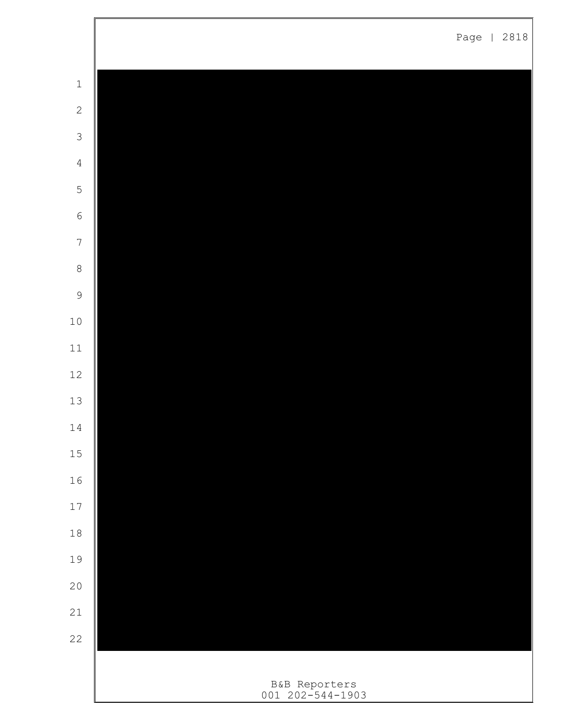|                 | Page   2818                       |
|-----------------|-----------------------------------|
| $\mathbf 1$     |                                   |
| $\overline{c}$  |                                   |
| $\overline{3}$  |                                   |
| $\overline{4}$  |                                   |
| $\overline{5}$  |                                   |
| $6\overline{6}$ |                                   |
| $\overline{7}$  |                                   |
| $\overline{8}$  |                                   |
| $\overline{9}$  |                                   |
| $10$            |                                   |
| $11$            |                                   |
| $12$            |                                   |
| 13              |                                   |
| 14              |                                   |
| $15\,$          |                                   |
| $16$            |                                   |
| $17$            |                                   |
| $1\,8$          |                                   |
| 19              |                                   |
| $2\,0$          |                                   |
| $21\,$          |                                   |
| 22              |                                   |
|                 |                                   |
|                 | B&B Reporters<br>001 202-544-1903 |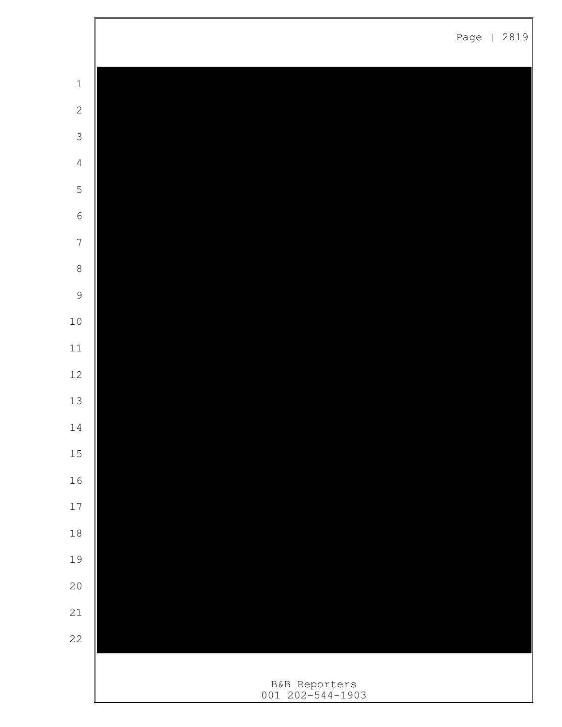|                 | Page   2819                       |
|-----------------|-----------------------------------|
| $\,1$           |                                   |
| $\overline{c}$  |                                   |
| $\overline{3}$  |                                   |
| $\overline{4}$  |                                   |
| $\overline{5}$  |                                   |
| $6\overline{6}$ |                                   |
| $\overline{7}$  |                                   |
| 8               |                                   |
| $\mathcal{G}$   |                                   |
| $10$            |                                   |
| $11$            |                                   |
| 12              |                                   |
| 13              |                                   |
| 14              |                                   |
| 15              |                                   |
| 16              |                                   |
| 17              |                                   |
| $1\,8$          |                                   |
| 19              |                                   |
| $20$            |                                   |
| $2\sqrt{1}$     |                                   |
| 22              |                                   |
|                 |                                   |
|                 | B&B Reporters<br>001 202-544-1903 |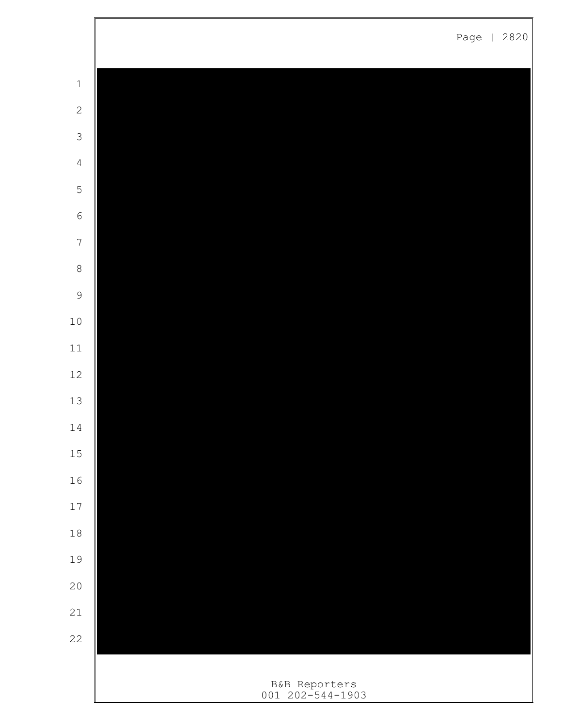|                | Page   2820                       |
|----------------|-----------------------------------|
| $\mathbbm{1}$  |                                   |
| $\sqrt{2}$     |                                   |
| $\overline{3}$ |                                   |
| $\overline{4}$ |                                   |
| $\overline{5}$ |                                   |
| $\overline{6}$ |                                   |
| $\overline{7}$ |                                   |
| 8              |                                   |
| 9              |                                   |
| 10             |                                   |
| $11\,$         |                                   |
| $12$           |                                   |
| 13             |                                   |
| $1\,4$         |                                   |
| $15\,$         |                                   |
| 16             |                                   |
| 17             |                                   |
| $1\,8$         |                                   |
| 19             |                                   |
| $20$           |                                   |
| 21             |                                   |
| 22             |                                   |
|                |                                   |
|                | B&B Reporters<br>001 202-544-1903 |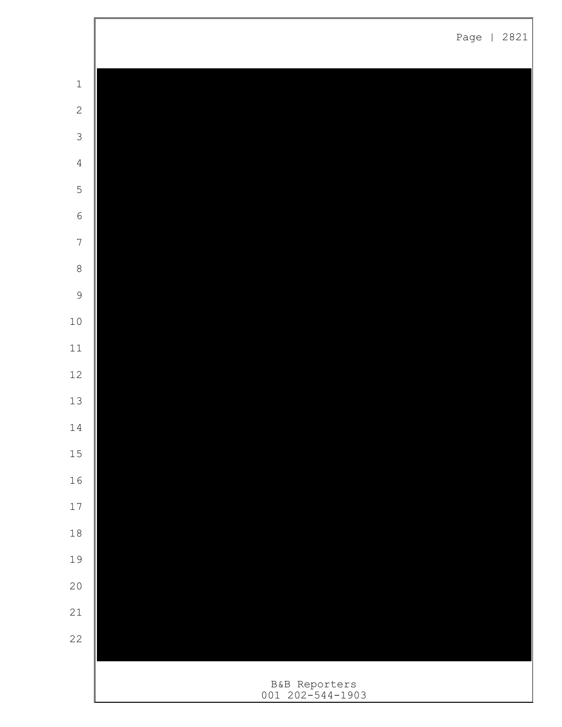|                | Page   2821                       |
|----------------|-----------------------------------|
| $\mathbbm{1}$  |                                   |
| $\overline{c}$ |                                   |
| $\overline{3}$ |                                   |
| $\overline{4}$ |                                   |
| $\overline{5}$ |                                   |
| $\overline{6}$ |                                   |
| $\overline{7}$ |                                   |
| 8              |                                   |
| 9              |                                   |
| $10$           |                                   |
| $11\,$         |                                   |
| $12$           |                                   |
| 13             |                                   |
| $1\,4$         |                                   |
| $15\,$         |                                   |
| 16             |                                   |
| 17             |                                   |
| $1\,8$         |                                   |
| 19             |                                   |
| $20$           |                                   |
| 21             |                                   |
| 22             |                                   |
|                |                                   |
|                | B&B Reporters<br>001 202-544-1903 |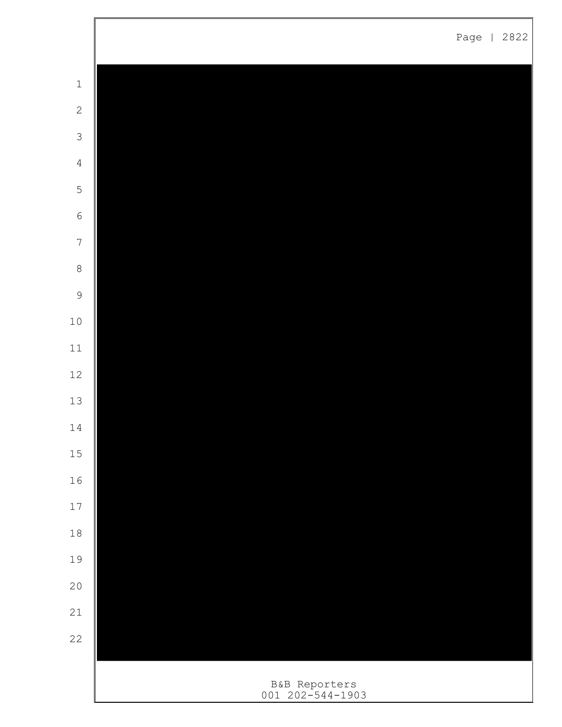|                |                                   | Page | 2822 |
|----------------|-----------------------------------|------|------|
| $\,1$          |                                   |      |      |
| $\overline{c}$ |                                   |      |      |
| $\overline{3}$ |                                   |      |      |
| $\overline{4}$ |                                   |      |      |
| $\overline{5}$ |                                   |      |      |
| $\overline{6}$ |                                   |      |      |
| $\overline{7}$ |                                   |      |      |
| $\overline{8}$ |                                   |      |      |
| $\mathcal{G}$  |                                   |      |      |
| $10$           |                                   |      |      |
| $11\,$         |                                   |      |      |
| 12             |                                   |      |      |
| 13             |                                   |      |      |
| $1\,4$         |                                   |      |      |
| $15\,$         |                                   |      |      |
| 16             |                                   |      |      |
| 17             |                                   |      |      |
| $1\,8$         |                                   |      |      |
| 19             |                                   |      |      |
| $20$           |                                   |      |      |
| $2\sqrt{1}$    |                                   |      |      |
| 22             |                                   |      |      |
|                | B&B Reporters<br>001 202-544-1903 |      |      |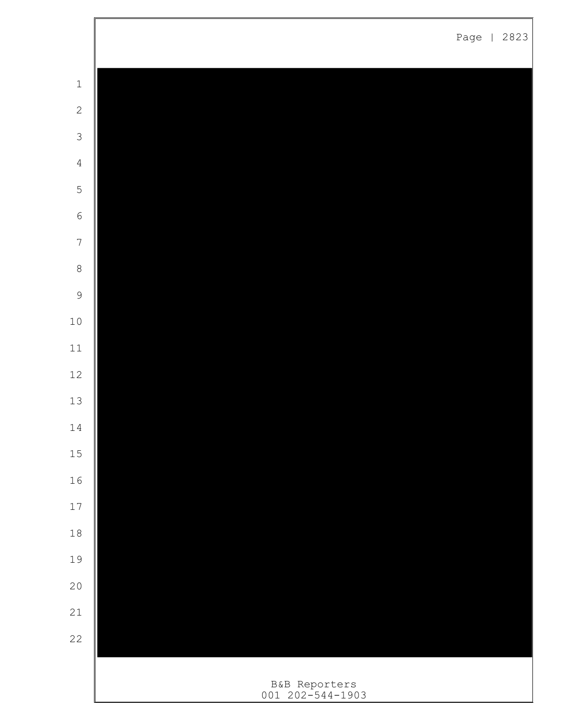|                | Page   2823                       |
|----------------|-----------------------------------|
| $\mathbf{1}$   |                                   |
| $\overline{c}$ |                                   |
| $\overline{3}$ |                                   |
| $\overline{4}$ |                                   |
| $\overline{5}$ |                                   |
| $\overline{6}$ |                                   |
| $\overline{7}$ |                                   |
| 8              |                                   |
| 9              |                                   |
| $10$           |                                   |
| $11\,$         |                                   |
| $12$           |                                   |
| 13             |                                   |
| 14             |                                   |
| 15             |                                   |
| 16             |                                   |
| 17             |                                   |
| $1\,8$         |                                   |
| 19             |                                   |
| $2\,0$         |                                   |
| 21             |                                   |
| 22             |                                   |
|                |                                   |
|                | B&B Reporters<br>001 202-544-1903 |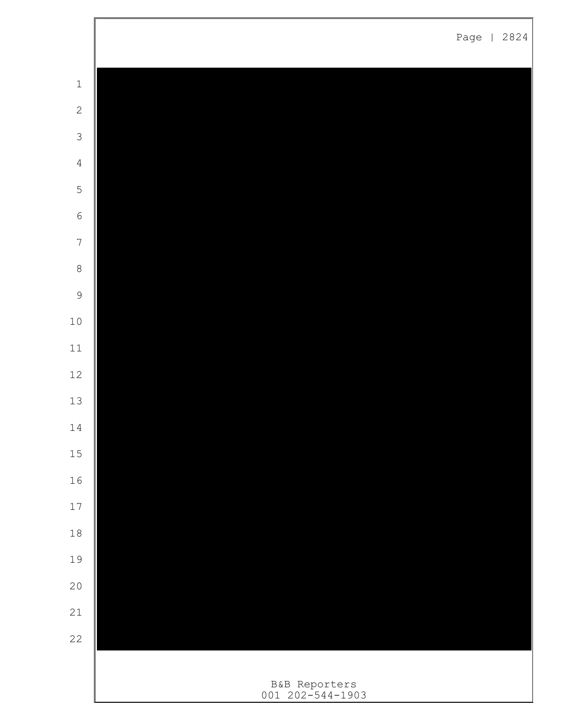|                | 2824<br>Page                      |
|----------------|-----------------------------------|
| $\,1\,$        |                                   |
| $\overline{c}$ |                                   |
| $\overline{3}$ |                                   |
| $\overline{4}$ |                                   |
| $\overline{5}$ |                                   |
| $\overline{6}$ |                                   |
| $\overline{7}$ |                                   |
| $\overline{8}$ |                                   |
| 9              |                                   |
| $10$           |                                   |
| $11\,$         |                                   |
| $12$           |                                   |
| 13             |                                   |
| 14             |                                   |
| 15             |                                   |
| $16\,$         |                                   |
| $17\,$         |                                   |
| $1\,8$         |                                   |
| 19             |                                   |
| $20$           |                                   |
| $2\sqrt{1}$    |                                   |
| 22             |                                   |
|                | B&B Reporters<br>001 202-544-1903 |
|                |                                   |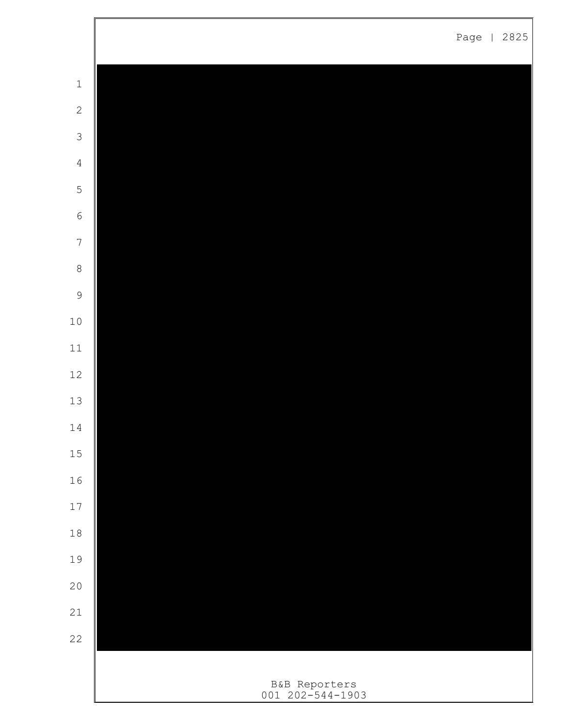|                  | Page   2825                       |  |
|------------------|-----------------------------------|--|
| $\,1\,$          |                                   |  |
| $\overline{c}$   |                                   |  |
| $\overline{3}$   |                                   |  |
| $\overline{4}$   |                                   |  |
| $\overline{5}$   |                                   |  |
| $\overline{6}$   |                                   |  |
| $\overline{7}$   |                                   |  |
| 8                |                                   |  |
| 9                |                                   |  |
| $10$             |                                   |  |
| $11\,$           |                                   |  |
| $12\,$           |                                   |  |
| 13               |                                   |  |
| 14               |                                   |  |
| 15               |                                   |  |
| $16\,$<br>$17\,$ |                                   |  |
| $1\,8$           |                                   |  |
| 19               |                                   |  |
| $20$             |                                   |  |
| $2\sqrt{1}$      |                                   |  |
| 22               |                                   |  |
|                  |                                   |  |
|                  | B&B Reporters<br>001 202-544-1903 |  |
|                  |                                   |  |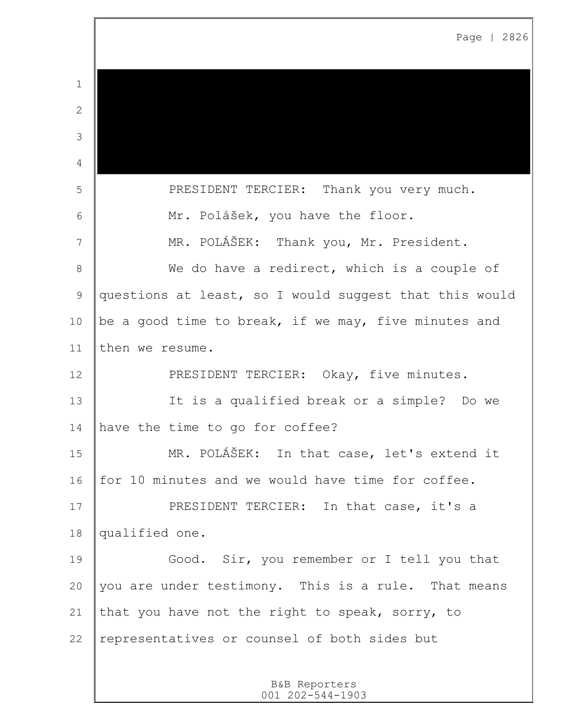|             | Page   2826                                            |
|-------------|--------------------------------------------------------|
| $\mathbf 1$ |                                                        |
| 2           |                                                        |
| 3           |                                                        |
| 4           |                                                        |
| 5           | PRESIDENT TERCIER: Thank you very much.                |
| 6           | Mr. Polášek, you have the floor.                       |
| 7           | MR. POLÁŠEK: Thank you, Mr. President.                 |
| $8\,$       | We do have a redirect, which is a couple of            |
| $\mathsf 9$ | questions at least, so I would suggest that this would |
| 10          | be a good time to break, if we may, five minutes and   |
| 11          | then we resume.                                        |
| 12          | PRESIDENT TERCIER: Okay, five minutes.                 |
| 13          | It is a qualified break or a simple? Do we             |
| 14          | have the time to go for coffee?                        |
| 15          | MR. POLÁŠEK: In that case, let's extend it             |
| 16          | for 10 minutes and we would have time for coffee.      |
| 17          | PRESIDENT TERCIER: In that case, it's a                |
| 18          | qualified one.                                         |
| 19          | Good. Sir, you remember or I tell you that             |
| 20          | you are under testimony. This is a rule. That means    |
| 21          | that you have not the right to speak, sorry, to        |
| 22          | representatives or counsel of both sides but           |
|             | B&B Reporters<br>001 202-544-1903                      |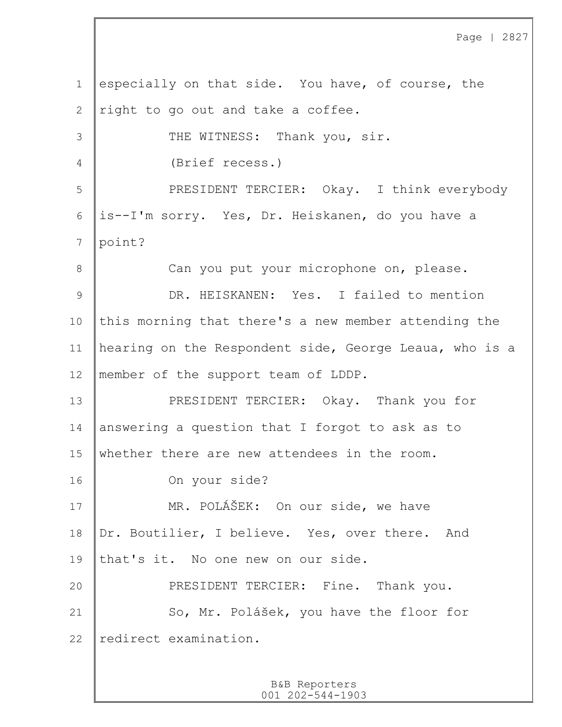Page | 2827 1 especially on that side. You have, of course, the 2  $\vert$ right to go out and take a coffee. 3 CHE WITNESS: Thank you, sir. 4 (Brief recess.) 5 | PRESIDENT TERCIER: Okay. I think everybody 6 is--I'm sorry. Yes, Dr. Heiskanen, do you have a 7 | point? 8 | Can you put your microphone on, please. 9 DR. HEISKANEN: Yes. I failed to mention 10 this morning that there's a new member attending the 11 hearing on the Respondent side, George Leaua, who is a 12 member of the support team of LDDP. 13 | PRESIDENT TERCIER: Okay. Thank you for 14 answering a question that I forgot to ask as to 15 whether there are new attendees in the room. 16 On your side? 17 | MR. POLÁŠEK: On our side, we have 18 | Dr. Boutilier, I believe. Yes, over there. And 19 that's it. No one new on our side. 20 **PRESIDENT TERCIER:** Fine. Thank you. 21 So, Mr. Polášek, you have the floor for 22 redirect examination.

## B&B Reporters 001 202-544-1903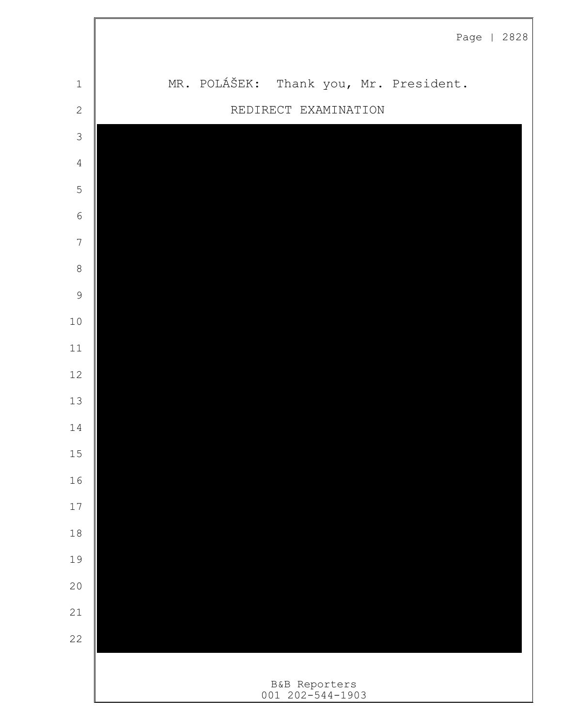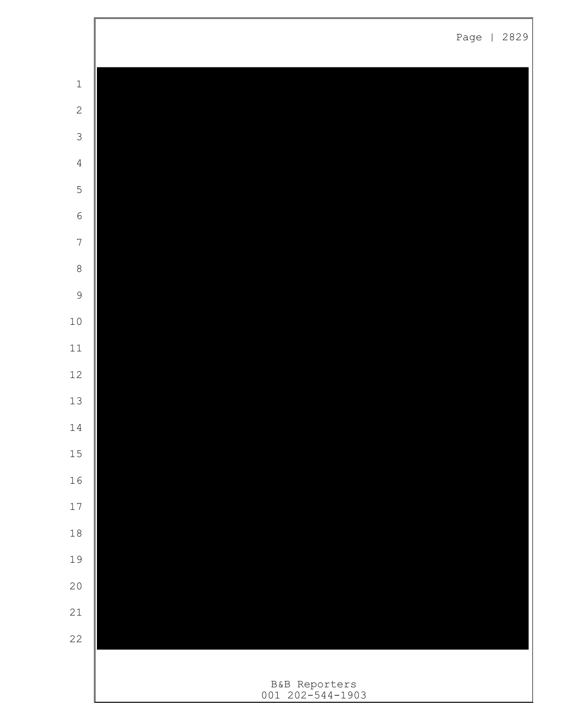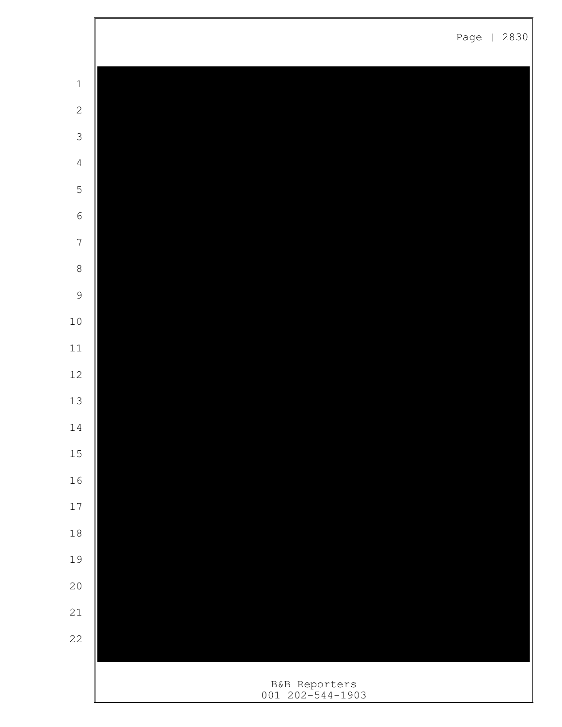|                | Page   2830                       |
|----------------|-----------------------------------|
| $\,1\,$        |                                   |
| $\overline{c}$ |                                   |
| $\overline{3}$ |                                   |
| $\overline{4}$ |                                   |
| $\overline{5}$ |                                   |
| $6\phantom{a}$ |                                   |
| $\overline{7}$ |                                   |
| 8              |                                   |
| $\mathcal{G}$  |                                   |
| $10$           |                                   |
| $11$           |                                   |
| 12             |                                   |
| 13             |                                   |
| 14             |                                   |
| 15             |                                   |
| 16             |                                   |
| $17$           |                                   |
| $1\,8$         |                                   |
| 19             |                                   |
| $20$           |                                   |
| $21\,$         |                                   |
| 22             |                                   |
|                | B&B Reporters<br>001 202-544-1903 |
|                |                                   |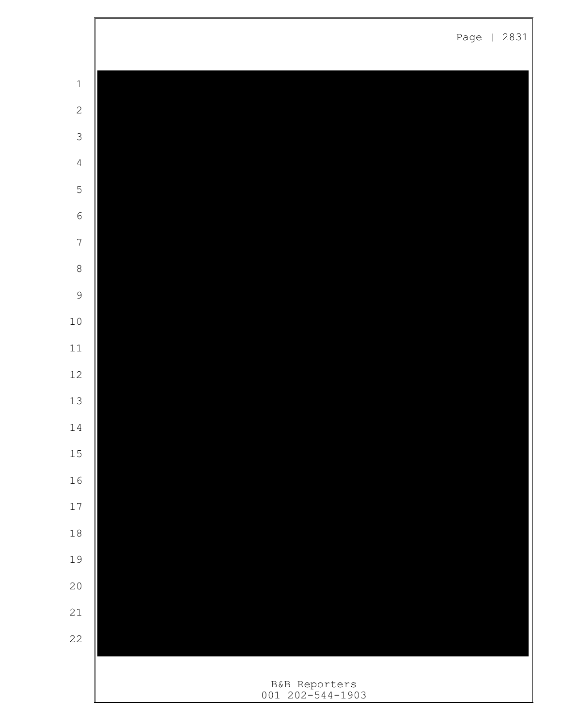|                | Page   2831                       |
|----------------|-----------------------------------|
| $\mathbbm{1}$  |                                   |
| $\overline{c}$ |                                   |
| $\overline{3}$ |                                   |
| $\overline{4}$ |                                   |
| $\overline{5}$ |                                   |
| $\overline{6}$ |                                   |
| $\overline{7}$ |                                   |
| $\theta$       |                                   |
| 9              |                                   |
| $10$           |                                   |
| $11$           |                                   |
| $12$           |                                   |
| 13             |                                   |
| $1\,4$         |                                   |
| $15\,$         |                                   |
| $16$           |                                   |
| $17\,$         |                                   |
| $1\,8$         |                                   |
| 19             |                                   |
| $20$           |                                   |
| $21\,$         |                                   |
| 22             |                                   |
|                |                                   |
|                | B&B Reporters<br>001 202-544-1903 |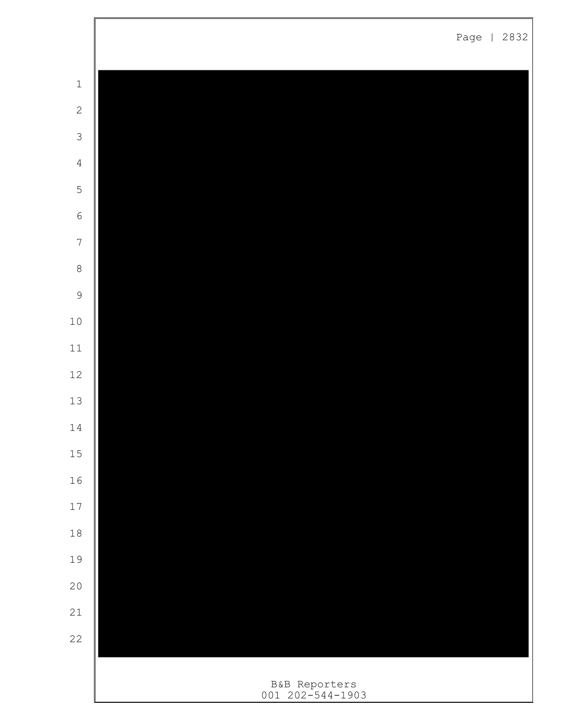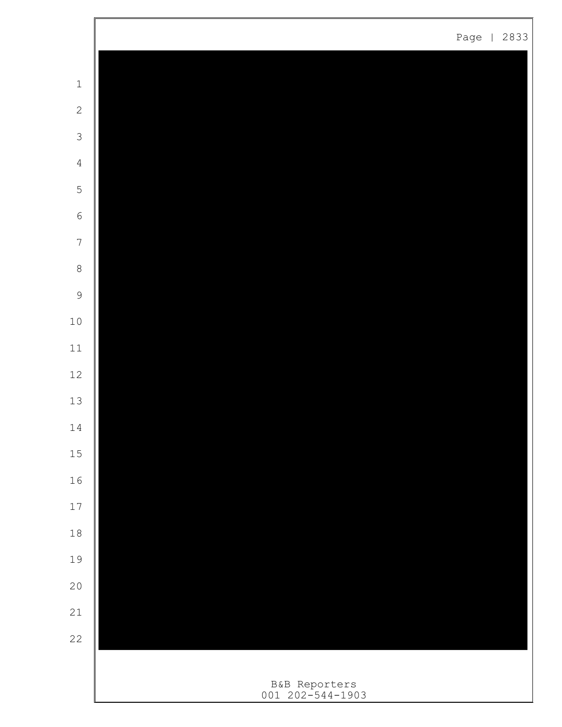|                          |                                   | Page   2833 |  |
|--------------------------|-----------------------------------|-------------|--|
| $\mathbf 1$              |                                   |             |  |
| $\overline{c}$           |                                   |             |  |
| $\mathfrak{Z}$           |                                   |             |  |
| $\sqrt{4}$               |                                   |             |  |
| $\overline{5}$           |                                   |             |  |
| $\sqrt{6}$               |                                   |             |  |
| $\overline{\mathcal{I}}$ |                                   |             |  |
| $\,8\,$                  |                                   |             |  |
| $\overline{9}$           |                                   |             |  |
| $10$                     |                                   |             |  |
| $11\,$                   |                                   |             |  |
| $12\,$                   |                                   |             |  |
| 13                       |                                   |             |  |
| $14\,$                   |                                   |             |  |
| $15\,$                   |                                   |             |  |
| 16<br>$17\,$             |                                   |             |  |
| $1\,8$                   |                                   |             |  |
| 19                       |                                   |             |  |
| $2\,0$                   |                                   |             |  |
| $21$                     |                                   |             |  |
| 22                       |                                   |             |  |
|                          |                                   |             |  |
|                          | B&B Reporters<br>001 202-544-1903 |             |  |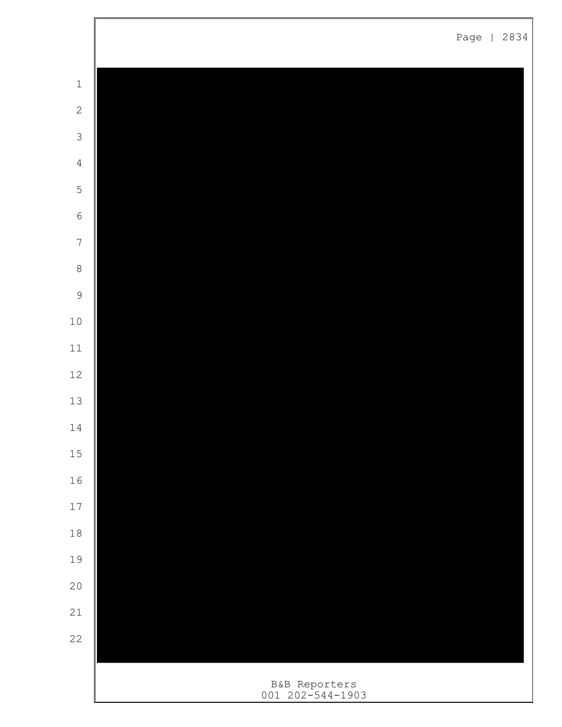|                                  |                                   | Page | 2834 |
|----------------------------------|-----------------------------------|------|------|
| $\mathbf 1$                      |                                   |      |      |
| $\overline{c}$                   |                                   |      |      |
| $\overline{3}$                   |                                   |      |      |
| $\overline{4}$                   |                                   |      |      |
| $\overline{5}$                   |                                   |      |      |
| $\sqrt{6}$                       |                                   |      |      |
| $\overline{7}$                   |                                   |      |      |
| $\begin{array}{c} 8 \end{array}$ |                                   |      |      |
| $\mathcal{G}$                    |                                   |      |      |
| $10$                             |                                   |      |      |
| $11$                             |                                   |      |      |
| $12$                             |                                   |      |      |
| 13                               |                                   |      |      |
| $14\,$                           |                                   |      |      |
| 15                               |                                   |      |      |
| $16\,$                           |                                   |      |      |
| $17\,$                           |                                   |      |      |
| $1\,8$                           |                                   |      |      |
| 19                               |                                   |      |      |
| $20$<br>$21\,$                   |                                   |      |      |
| 22                               |                                   |      |      |
|                                  |                                   |      |      |
|                                  | B&B Reporters<br>001 202-544-1903 |      |      |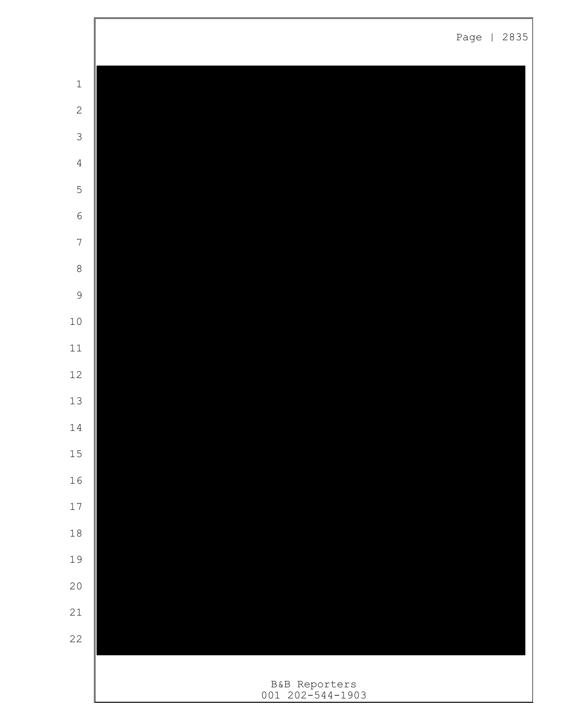|                 |                                   |  | Page   2835 |
|-----------------|-----------------------------------|--|-------------|
| $\mathbbm{1}$   |                                   |  |             |
| $\mathbf{2}$    |                                   |  |             |
| $\mathfrak{Z}$  |                                   |  |             |
| $\overline{4}$  |                                   |  |             |
| $\overline{5}$  |                                   |  |             |
| $6\overline{6}$ |                                   |  |             |
| $\overline{7}$  |                                   |  |             |
| $\,8\,$         |                                   |  |             |
| 9               |                                   |  |             |
| $10$            |                                   |  |             |
| $11\,$          |                                   |  |             |
| $12\,$          |                                   |  |             |
| 13              |                                   |  |             |
| $1\,4$          |                                   |  |             |
| $15\,$          |                                   |  |             |
| $16\,$          |                                   |  |             |
| $17\,$          |                                   |  |             |
| $1\,8$          |                                   |  |             |
| 19              |                                   |  |             |
| $20$            |                                   |  |             |
| $2\sqrt{1}$     |                                   |  |             |
| 22              |                                   |  |             |
|                 | B&B Reporters<br>001 202-544-1903 |  |             |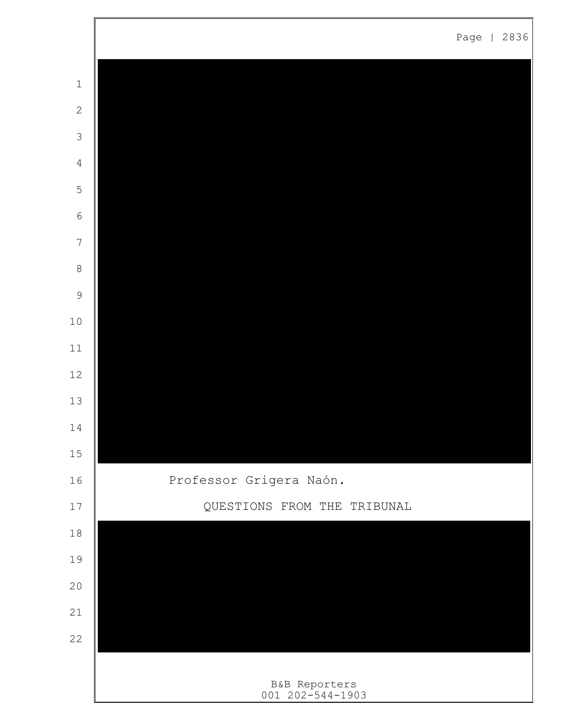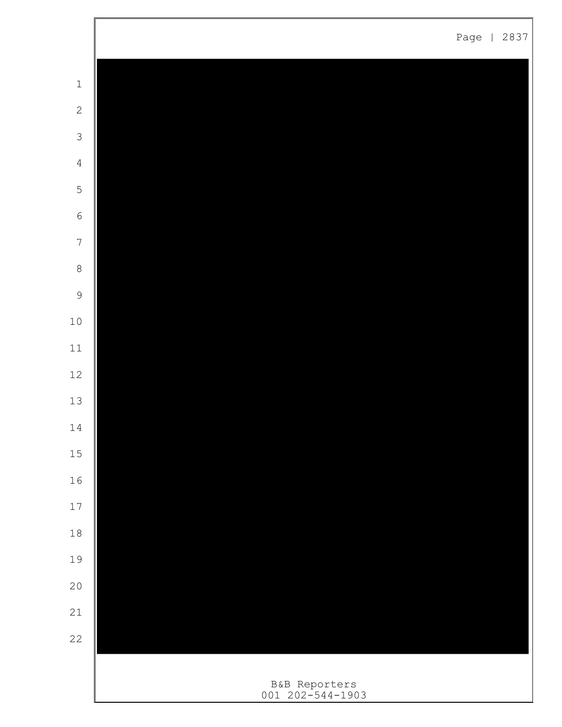|                |                                   | Page | 2837 |
|----------------|-----------------------------------|------|------|
| $\mathbf 1$    |                                   |      |      |
| $\overline{c}$ |                                   |      |      |
| $\mathfrak{Z}$ |                                   |      |      |
| $\sqrt{4}$     |                                   |      |      |
| $\overline{5}$ |                                   |      |      |
| $\overline{6}$ |                                   |      |      |
| $\overline{7}$ |                                   |      |      |
| $\,8\,$        |                                   |      |      |
| 9              |                                   |      |      |
| $10$           |                                   |      |      |
| $11\,$         |                                   |      |      |
| $12\,$         |                                   |      |      |
| 13             |                                   |      |      |
| $14$           |                                   |      |      |
| 15<br>$16\,$   |                                   |      |      |
| $17$           |                                   |      |      |
| $1\,8$         |                                   |      |      |
| 19             |                                   |      |      |
| $2\,0$         |                                   |      |      |
| $21$           |                                   |      |      |
| 22             |                                   |      |      |
|                |                                   |      |      |
|                | B&B Reporters<br>001 202-544-1903 |      |      |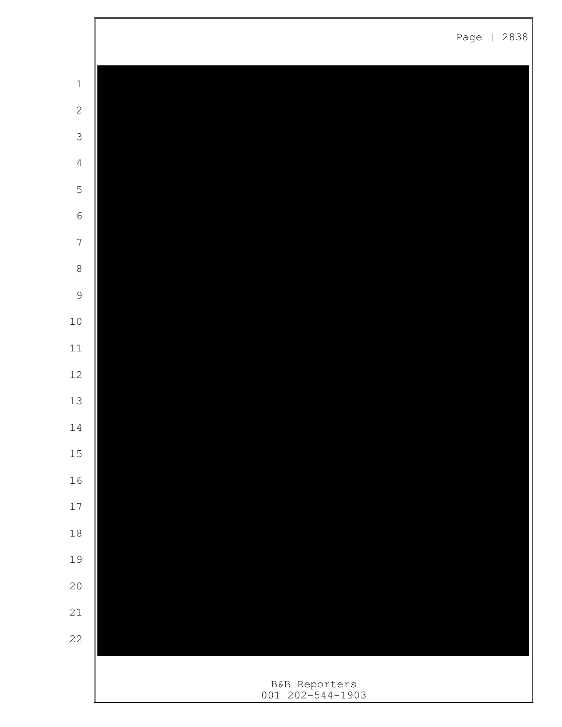|                |                                   | Page   2838 |  |
|----------------|-----------------------------------|-------------|--|
| $\mathbf 1$    |                                   |             |  |
| $\overline{c}$ |                                   |             |  |
| $\overline{3}$ |                                   |             |  |
| $\overline{4}$ |                                   |             |  |
| $\overline{5}$ |                                   |             |  |
| $6\phantom{a}$ |                                   |             |  |
| $\overline{7}$ |                                   |             |  |
| $\overline{8}$ |                                   |             |  |
| 9              |                                   |             |  |
| 10             |                                   |             |  |
| $11$           |                                   |             |  |
| 12             |                                   |             |  |
| 13             |                                   |             |  |
| 14             |                                   |             |  |
| 15             |                                   |             |  |
| $16\,$         |                                   |             |  |
| 17             |                                   |             |  |
| $1\,8$         |                                   |             |  |
| 19             |                                   |             |  |
| $20$           |                                   |             |  |
| $21\,$         |                                   |             |  |
| 22             |                                   |             |  |
|                | B&B Reporters<br>001 202-544-1903 |             |  |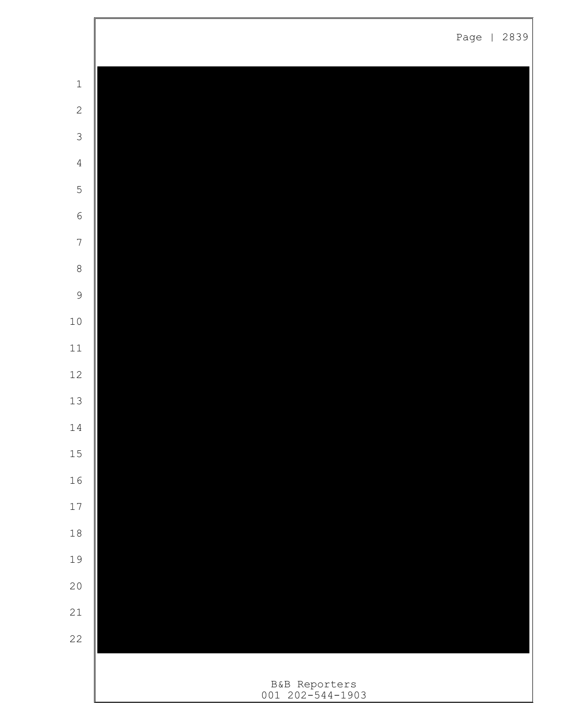|                 |                                   | Page   2839 |  |
|-----------------|-----------------------------------|-------------|--|
|                 |                                   |             |  |
| $\,1$           |                                   |             |  |
| $\mathbf{2}$    |                                   |             |  |
| $\mathfrak{Z}$  |                                   |             |  |
| $\overline{4}$  |                                   |             |  |
| $\overline{5}$  |                                   |             |  |
| $6\overline{6}$ |                                   |             |  |
| $\overline{7}$  |                                   |             |  |
| $\overline{8}$  |                                   |             |  |
| 9               |                                   |             |  |
| $10$            |                                   |             |  |
| $11$            |                                   |             |  |
| 12              |                                   |             |  |
| 13              |                                   |             |  |
| 14              |                                   |             |  |
| $15\,$          |                                   |             |  |
| 16              |                                   |             |  |
| $17$            |                                   |             |  |
| $1\,8$          |                                   |             |  |
| 19              |                                   |             |  |
| $20$            |                                   |             |  |
| $21\,$          |                                   |             |  |
| 22              |                                   |             |  |
|                 |                                   |             |  |
|                 | B&B Reporters<br>001 202-544-1903 |             |  |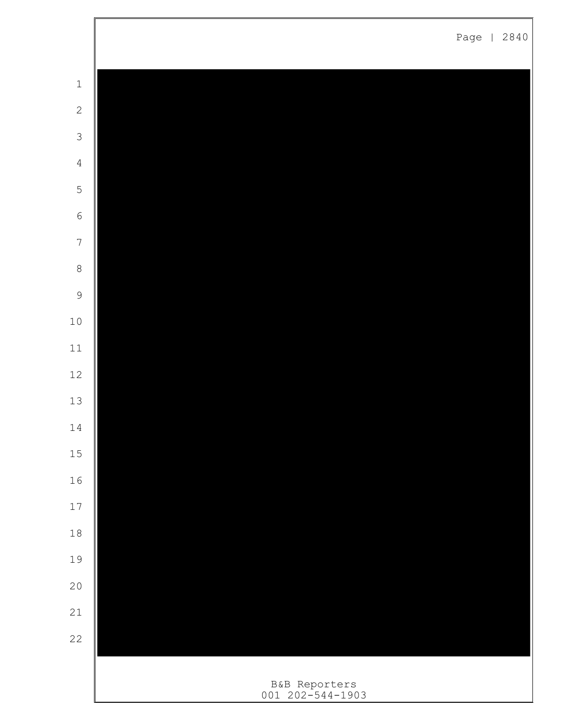|                | Page   2840                       |
|----------------|-----------------------------------|
|                |                                   |
| $\,1\,$        |                                   |
| $\overline{c}$ |                                   |
| $\overline{3}$ |                                   |
| $\overline{4}$ |                                   |
| $\overline{5}$ |                                   |
| $\overline{6}$ |                                   |
| $\overline{7}$ |                                   |
| 8              |                                   |
| 9              |                                   |
| $10$           |                                   |
| $11\,$         |                                   |
| $12$           |                                   |
| 13             |                                   |
| 14             |                                   |
| 15             |                                   |
| $16$           |                                   |
| 17             |                                   |
| $1\,8$         |                                   |
| 19             |                                   |
| $20$           |                                   |
| 21             |                                   |
| 22             |                                   |
|                |                                   |
|                | B&B Reporters<br>001 202-544-1903 |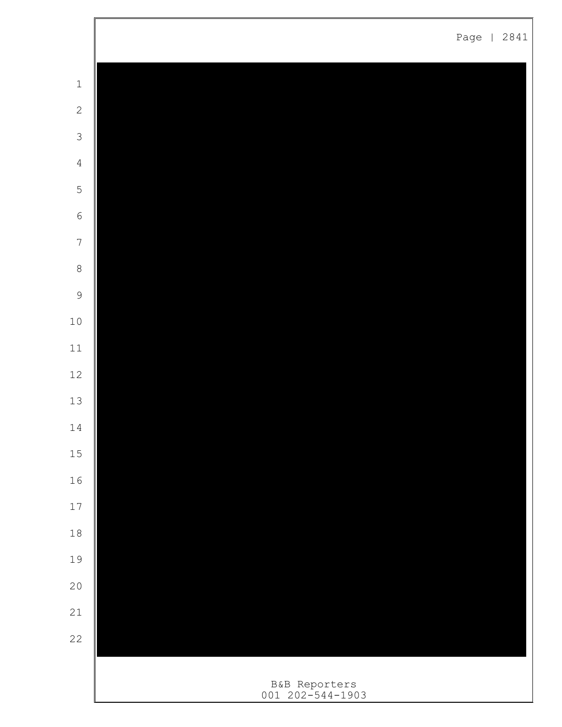|                |                                   | Page | 2841 |
|----------------|-----------------------------------|------|------|
| $\mathbbm{1}$  |                                   |      |      |
| $\overline{c}$ |                                   |      |      |
| $\overline{3}$ |                                   |      |      |
| $\overline{4}$ |                                   |      |      |
| $\overline{5}$ |                                   |      |      |
| $\overline{6}$ |                                   |      |      |
| $\overline{7}$ |                                   |      |      |
| $\overline{8}$ |                                   |      |      |
| 9              |                                   |      |      |
| $10$           |                                   |      |      |
| $11\,$         |                                   |      |      |
| $12$           |                                   |      |      |
| 13             |                                   |      |      |
| $14$           |                                   |      |      |
| 15             |                                   |      |      |
| $16\,$         |                                   |      |      |
| $17\,$         |                                   |      |      |
| $1\,8$<br>19   |                                   |      |      |
| $20$           |                                   |      |      |
| 21             |                                   |      |      |
| 22             |                                   |      |      |
|                |                                   |      |      |
|                | B&B Reporters<br>001 202-544-1903 |      |      |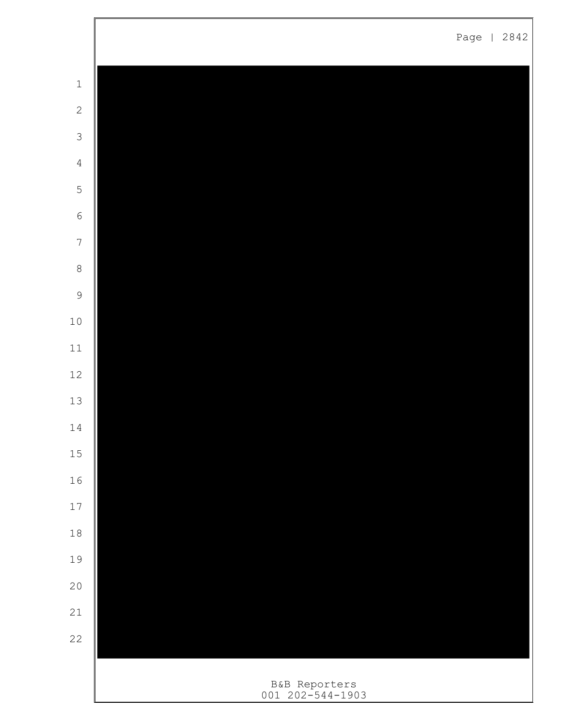|                | 2842<br>Page                      |
|----------------|-----------------------------------|
|                |                                   |
| $\mathbf 1$    |                                   |
| $\overline{c}$ |                                   |
| $\overline{3}$ |                                   |
| $\overline{4}$ |                                   |
| $\overline{5}$ |                                   |
| $\overline{6}$ |                                   |
| $\overline{7}$ |                                   |
| 8              |                                   |
| 9              |                                   |
| $10$           |                                   |
| $11$           |                                   |
| $12\,$         |                                   |
| 13             |                                   |
| $14$           |                                   |
| 15             |                                   |
| $16\,$         |                                   |
| $17\,$         |                                   |
| $18\,$         |                                   |
| 19             |                                   |
| $20$           |                                   |
| $21$           |                                   |
| $22$           |                                   |
|                |                                   |
|                | B&B Reporters<br>001 202-544-1903 |
|                |                                   |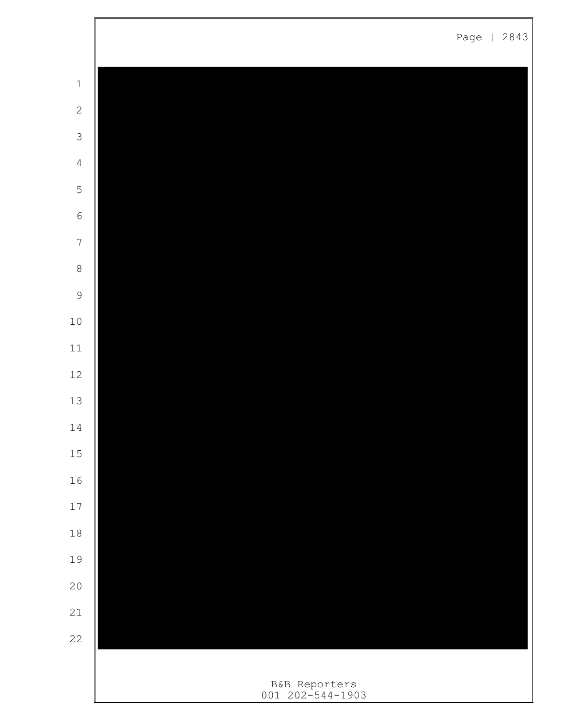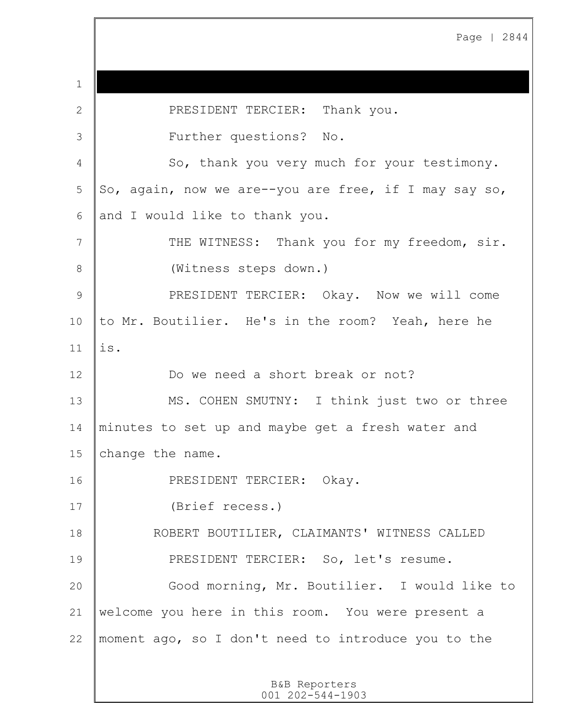Page | 2844 B&B Reporters 001 202-544-1903 1 2 CRESIDENT TERCIER: Thank you. 3 Further questions? No. 4 So, thank you very much for your testimony. 5 So, again, now we are--you are free, if I may say so, 6 and I would like to thank you. 7 THE WITNESS: Thank you for my freedom, sir. 8 | (Witness steps down.) 9 **PRESIDENT TERCIER:** Okay. Now we will come 10 to Mr. Boutilier. He's in the room? Yeah, here he  $11$  | is. 12 Do we need a short break or not? 13 | MS. COHEN SMUTNY: I think just two or three 14 | minutes to set up and maybe get a fresh water and 15  $|$  change the name. 16 RESIDENT TERCIER: Okay. 17 (Brief recess.) 18 | ROBERT BOUTILIER, CLAIMANTS' WITNESS CALLED 19 PRESIDENT TERCIER: So, let's resume. 20 Good morning, Mr. Boutilier. I would like to 21 | welcome you here in this room. You were present a 22 moment ago, so I don't need to introduce you to the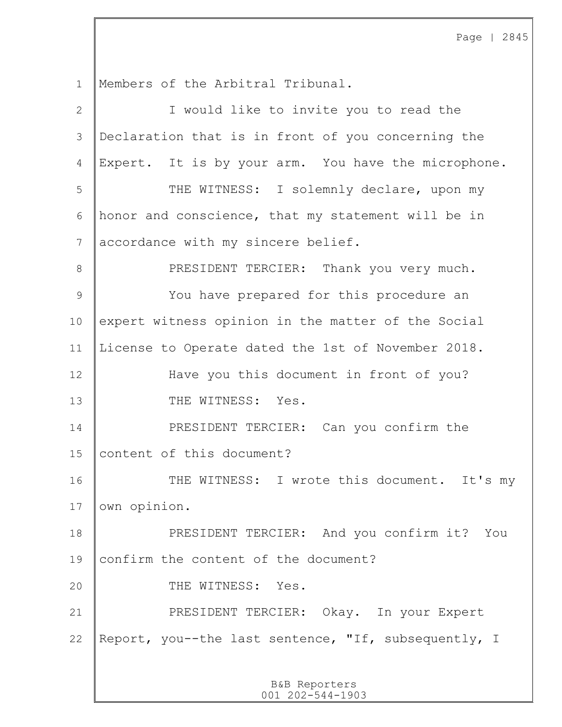1 Members of the Arbitral Tribunal.

| 2              | I would like to invite you to read the               |
|----------------|------------------------------------------------------|
| 3              | Declaration that is in front of you concerning the   |
| 4              | Expert. It is by your arm. You have the microphone.  |
| 5              | THE WITNESS: I solemnly declare, upon my             |
| 6              | honor and conscience, that my statement will be in   |
| $\overline{7}$ | accordance with my sincere belief.                   |
| $8\,$          | PRESIDENT TERCIER: Thank you very much.              |
| $\mathcal{G}$  | You have prepared for this procedure an              |
| 10             | expert witness opinion in the matter of the Social   |
| 11             | License to Operate dated the 1st of November 2018.   |
| 12             | Have you this document in front of you?              |
| 13             | THE WITNESS: Yes.                                    |
| 14             | PRESIDENT TERCIER: Can you confirm the               |
| 15             | content of this document?                            |
| 16             | THE WITNESS: I wrote this document. It's my          |
| 17             | own opinion.                                         |
| 18             | PRESIDENT TERCIER: And you confirm it? You           |
| 19             | confirm the content of the document?                 |
| 20             | THE WITNESS: Yes.                                    |
| 21             | PRESIDENT TERCIER: Okay. In your Expert              |
| 22             | Report, you--the last sentence, "If, subsequently, I |
|                |                                                      |
|                | B&B Reporters<br>001 202-544-1903                    |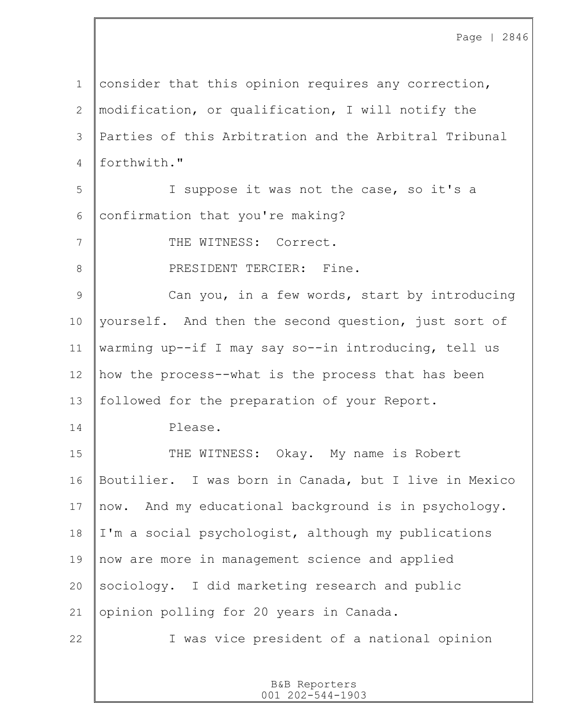| $\mathbf 1$    | consider that this opinion requires any correction,   |
|----------------|-------------------------------------------------------|
| 2              | modification, or qualification, I will notify the     |
| 3              | Parties of this Arbitration and the Arbitral Tribunal |
| $\overline{4}$ | forthwith."                                           |
| 5              | I suppose it was not the case, so it's a              |
| 6              | confirmation that you're making?                      |
| 7              | THE WITNESS: Correct.                                 |
| 8              | PRESIDENT TERCIER: Fine.                              |
| 9              | Can you, in a few words, start by introducing         |
| 10             | yourself. And then the second question, just sort of  |
| 11             | warming up--if I may say so--in introducing, tell us  |
| 12             | how the process--what is the process that has been    |
| 13             | followed for the preparation of your Report.          |
| 14             | Please.                                               |
| 15             | THE WITNESS: Okay. My name is Robert                  |
| 16             | Boutilier. I was born in Canada, but I live in Mexico |
| 17             | now. And my educational background is in psychology.  |
| 18             | I'm a social psychologist, although my publications   |
| 19             | now are more in management science and applied        |
| 20             | sociology. I did marketing research and public        |
| 21             | opinion polling for 20 years in Canada.               |
| 22             | I was vice president of a national opinion            |
|                |                                                       |
|                | B&B Reporters                                         |

## 001 202-544-1903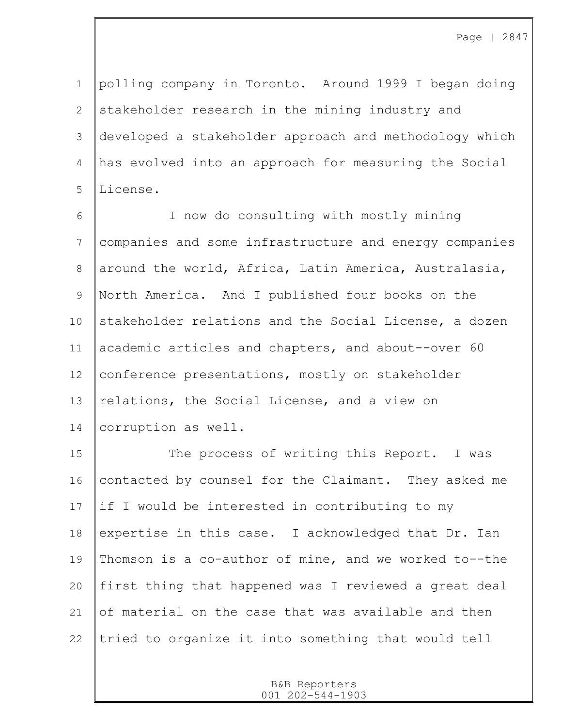1 polling company in Toronto. Around 1999 I began doing 2 stakeholder research in the mining industry and 3 developed a stakeholder approach and methodology which 4 has evolved into an approach for measuring the Social 5 License.

6 I now do consulting with mostly mining 7 companies and some infrastructure and energy companies 8 | around the world, Africa, Latin America, Australasia, 9 North America. And I published four books on the 10 stakeholder relations and the Social License, a dozen 11 academic articles and chapters, and about--over 60 12 conference presentations, mostly on stakeholder 13 relations, the Social License, and a view on 14 | corruption as well.

15 The process of writing this Report. I was 16 contacted by counsel for the Claimant. They asked me 17 | if I would be interested in contributing to my 18 expertise in this case. I acknowledged that Dr. Ian 19 Thomson is a co-author of mine, and we worked to--the 20 first thing that happened was I reviewed a great deal 21 of material on the case that was available and then 22 Itried to organize it into something that would tell

## B&B Reporters 001 202-544-1903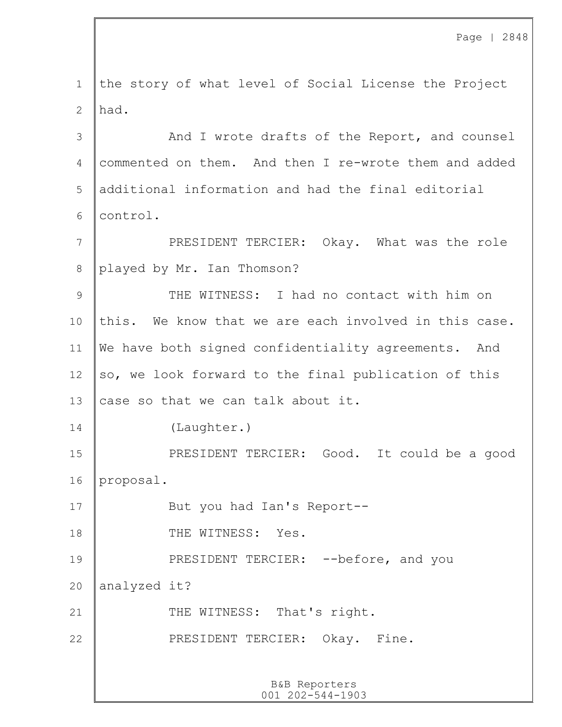| $\mathbf{1}$   | the story of what level of Social License the Project |
|----------------|-------------------------------------------------------|
| 2              | had.                                                  |
| 3              | And I wrote drafts of the Report, and counsel         |
| 4              | commented on them. And then I re-wrote them and added |
| 5              | additional information and had the final editorial    |
| 6              | control.                                              |
| $\overline{7}$ | PRESIDENT TERCIER: Okay. What was the role            |
| $8\,$          | played by Mr. Ian Thomson?                            |
| $\mathcal{G}$  | THE WITNESS: I had no contact with him on             |
| 10             | this. We know that we are each involved in this case. |
| 11             | We have both signed confidentiality agreements. And   |
| 12             | so, we look forward to the final publication of this  |
| 13             | case so that we can talk about it.                    |
| 14             | (Laughter.)                                           |
| 15             | PRESIDENT TERCIER: Good. It could be a good           |
| 16             | proposal.                                             |
| 17             | But you had Ian's Report--                            |
| 18             | THE WITNESS: Yes.                                     |
| 19             | PRESIDENT TERCIER: -- before, and you                 |
| 20             | analyzed it?                                          |
| 21             | THE WITNESS: That's right.                            |
| 22             | PRESIDENT TERCIER: Okay. Fine.                        |
|                |                                                       |
|                | B&B Reporters<br>001 202-544-1903                     |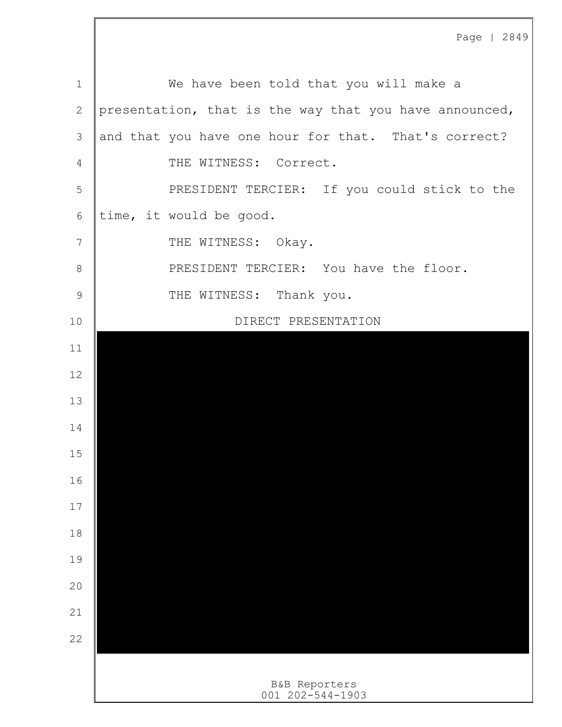Page | 2849 B&B Reporters 001 202-544-1903 1 | We have been told that you will make a 2 presentation, that is the way that you have announced,  $3$  and that you have one hour for that. That's correct? 4 THE WITNESS: Correct. 5 | PRESIDENT TERCIER: If you could stick to the 6 | time, it would be good. 7 THE WITNESS: Okay. 8 || PRESIDENT TERCIER: You have the floor. 9 CHE WITNESS: Thank you. 10 DIRECT PRESENTATION 11 12 13 14 15 16 17 18 19 20 21 22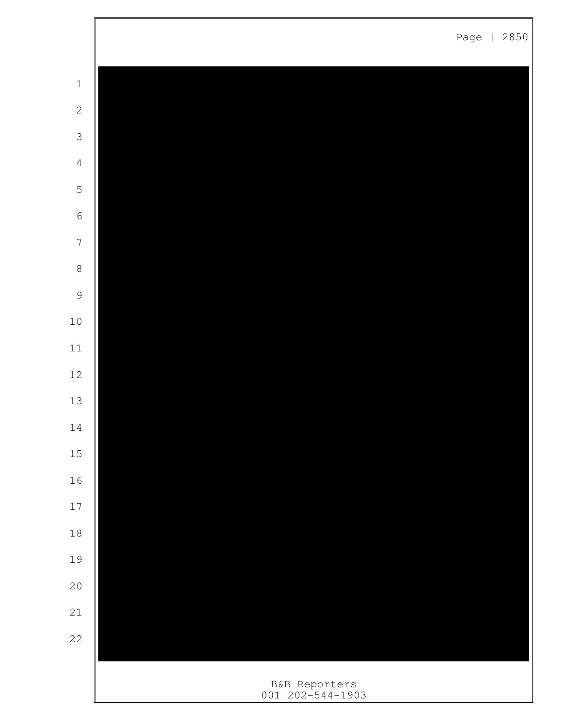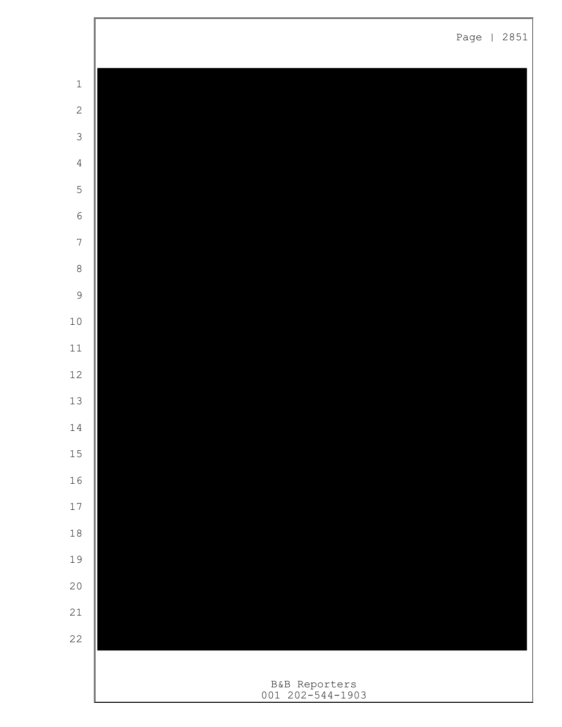|                                  |                                   | Page | 2851 |
|----------------------------------|-----------------------------------|------|------|
| $\mathbf 1$                      |                                   |      |      |
| $\sqrt{2}$                       |                                   |      |      |
| $\mathfrak{Z}$                   |                                   |      |      |
| $\overline{4}$                   |                                   |      |      |
| $\overline{5}$                   |                                   |      |      |
| $6\overline{6}$                  |                                   |      |      |
| $\overline{7}$                   |                                   |      |      |
| $\begin{array}{c} 8 \end{array}$ |                                   |      |      |
| 9                                |                                   |      |      |
| $10$                             |                                   |      |      |
| $11\,$                           |                                   |      |      |
| $12$                             |                                   |      |      |
| 13                               |                                   |      |      |
| 14                               |                                   |      |      |
| $15\,$                           |                                   |      |      |
| $16$                             |                                   |      |      |
| $17$                             |                                   |      |      |
| $1\,8$                           |                                   |      |      |
| 19                               |                                   |      |      |
| $20$                             |                                   |      |      |
| $21\,$                           |                                   |      |      |
| 22                               |                                   |      |      |
|                                  |                                   |      |      |
|                                  | B&B Reporters<br>001 202-544-1903 |      |      |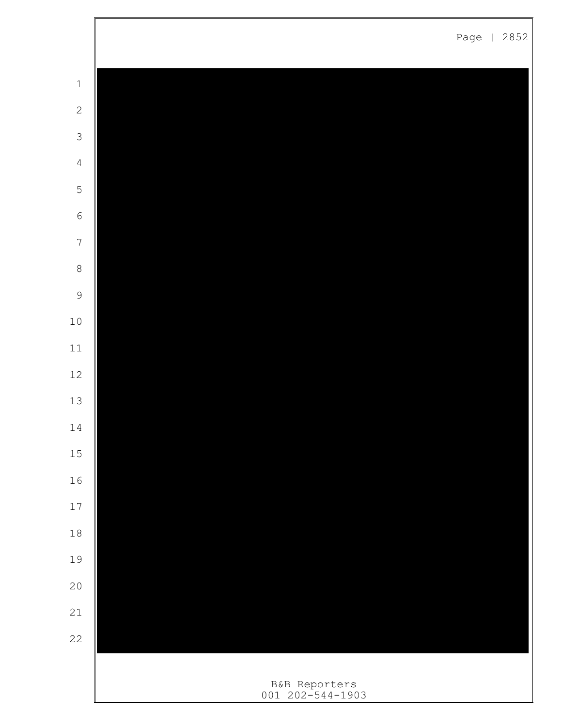|                                  |                                   | Page | 2852 |
|----------------------------------|-----------------------------------|------|------|
|                                  |                                   |      |      |
| $\,1$                            |                                   |      |      |
| $\overline{c}$<br>$\overline{3}$ |                                   |      |      |
| $\overline{4}$                   |                                   |      |      |
| $\overline{5}$                   |                                   |      |      |
| $6\overline{6}$                  |                                   |      |      |
| $\overline{7}$                   |                                   |      |      |
|                                  |                                   |      |      |
| $\overline{8}$<br>9              |                                   |      |      |
|                                  |                                   |      |      |
| $10$                             |                                   |      |      |
| $11$                             |                                   |      |      |
| $12$                             |                                   |      |      |
| 13                               |                                   |      |      |
| 14                               |                                   |      |      |
| $15\,$                           |                                   |      |      |
| $16\,$                           |                                   |      |      |
| $17\,$                           |                                   |      |      |
| $1\,8$                           |                                   |      |      |
| 19                               |                                   |      |      |
| $20$                             |                                   |      |      |
| 21                               |                                   |      |      |
| 22                               |                                   |      |      |
|                                  | B&B Reporters<br>001 202-544-1903 |      |      |

 $\overline{\mathbf{I}}$ 

 $\overline{r}$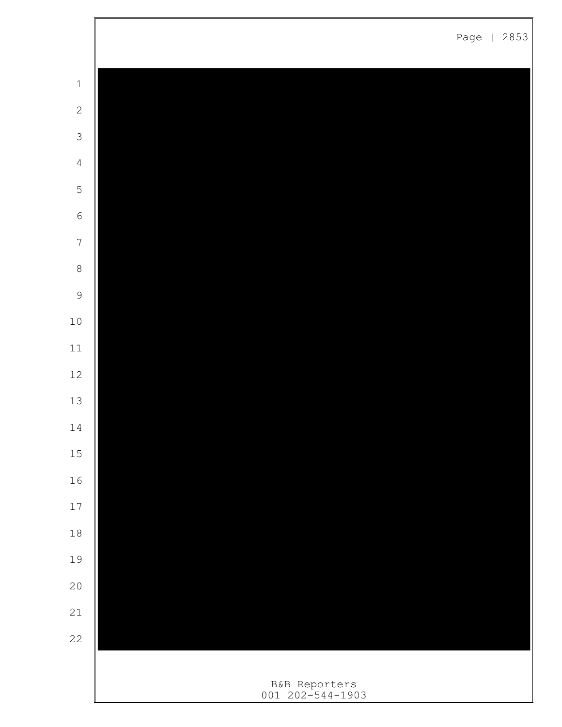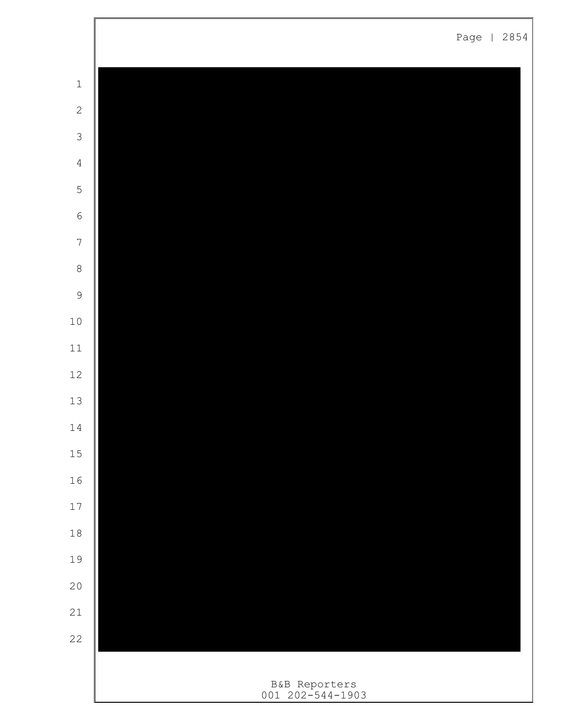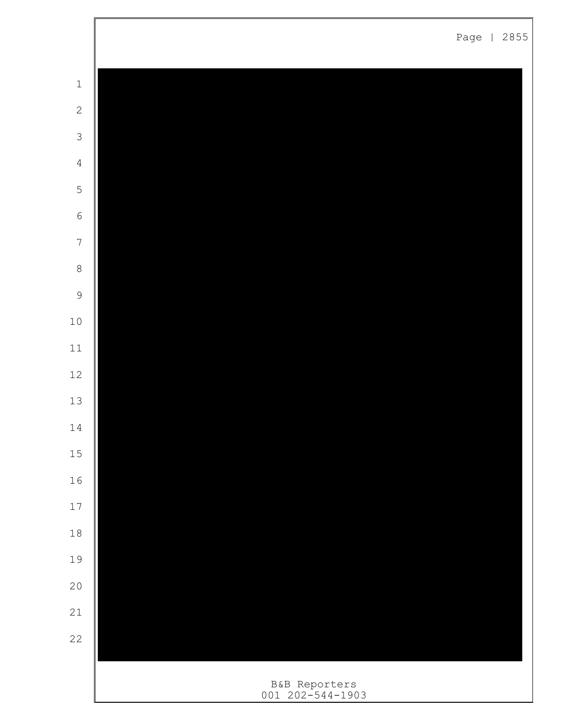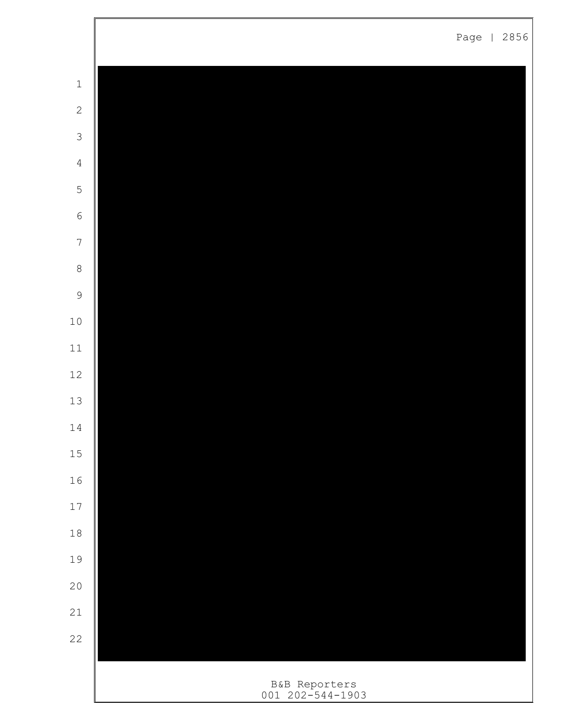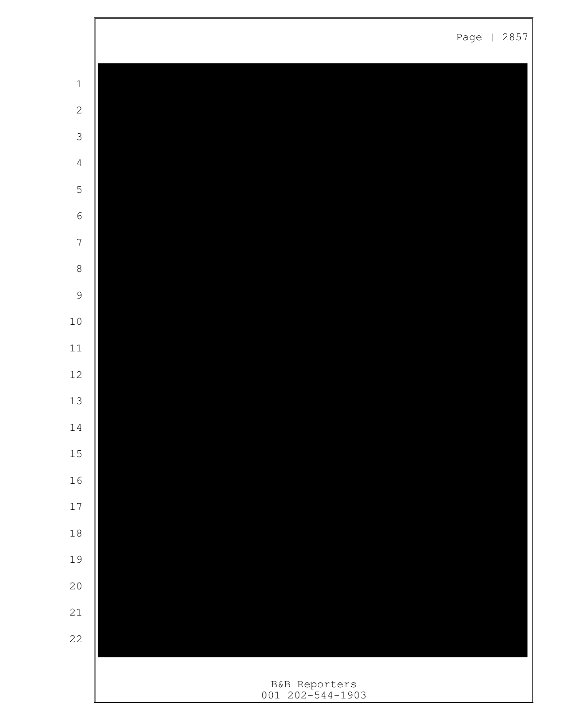|                |                                   | Page   2857 |  |
|----------------|-----------------------------------|-------------|--|
| $\,1\,$        |                                   |             |  |
| $\overline{c}$ |                                   |             |  |
| $\overline{3}$ |                                   |             |  |
| $\overline{4}$ |                                   |             |  |
| $\overline{5}$ |                                   |             |  |
| $6\phantom{a}$ |                                   |             |  |
| $\overline{7}$ |                                   |             |  |
| $\overline{8}$ |                                   |             |  |
| $\mathcal{G}$  |                                   |             |  |
| $10$           |                                   |             |  |
| $11$           |                                   |             |  |
| 12             |                                   |             |  |
| 13             |                                   |             |  |
| 14             |                                   |             |  |
| 15             |                                   |             |  |
| $16\,$         |                                   |             |  |
| $17\,$         |                                   |             |  |
| $1\,8$         |                                   |             |  |
| 19             |                                   |             |  |
| $20$<br>$21\,$ |                                   |             |  |
| 22             |                                   |             |  |
|                |                                   |             |  |
|                | B&B Reporters<br>001 202-544-1903 |             |  |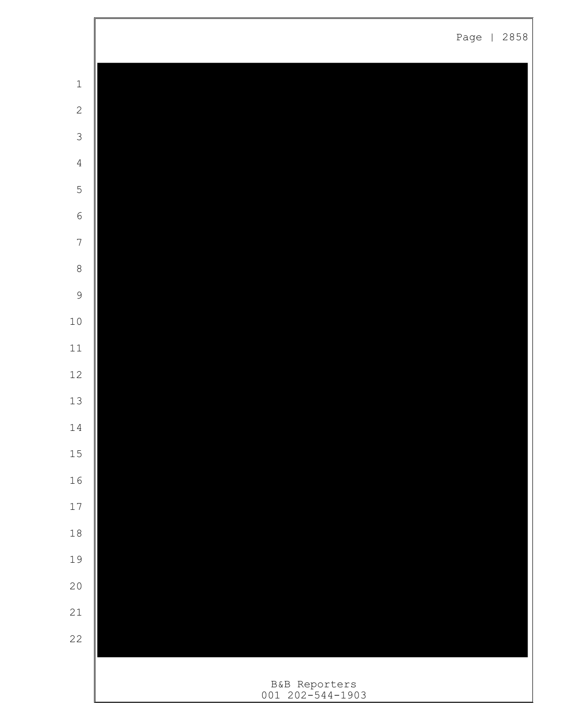|                |                                   | Page   2858 |  |
|----------------|-----------------------------------|-------------|--|
| $\mathbbm{1}$  |                                   |             |  |
| $\overline{c}$ |                                   |             |  |
| $\overline{3}$ |                                   |             |  |
| $\overline{4}$ |                                   |             |  |
| $\overline{5}$ |                                   |             |  |
| $\overline{6}$ |                                   |             |  |
| $\overline{7}$ |                                   |             |  |
| 8              |                                   |             |  |
| 9              |                                   |             |  |
| $10$           |                                   |             |  |
| $11\,$         |                                   |             |  |
| 12             |                                   |             |  |
| 13             |                                   |             |  |
| 14             |                                   |             |  |
| 15             |                                   |             |  |
| 16             |                                   |             |  |
| 17             |                                   |             |  |
| $1\,8$         |                                   |             |  |
| 19             |                                   |             |  |
| $20$           |                                   |             |  |
| $21\,$         |                                   |             |  |
| 22             |                                   |             |  |
|                |                                   |             |  |
|                | B&B Reporters<br>001 202-544-1903 |             |  |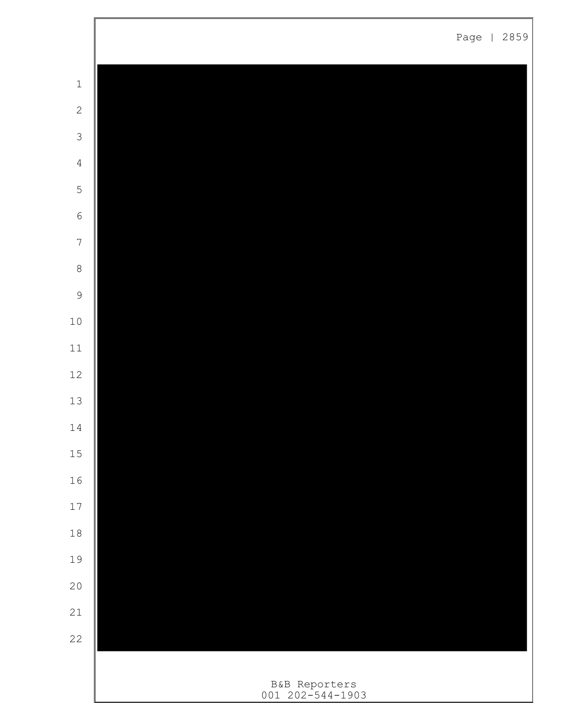|                |                                   | Page   2859 |  |
|----------------|-----------------------------------|-------------|--|
| $\mathbbm{1}$  |                                   |             |  |
| $\overline{c}$ |                                   |             |  |
| $\overline{3}$ |                                   |             |  |
| $\overline{4}$ |                                   |             |  |
| $\overline{5}$ |                                   |             |  |
| $\overline{6}$ |                                   |             |  |
| $\overline{7}$ |                                   |             |  |
| 8              |                                   |             |  |
| 9              |                                   |             |  |
| $10$           |                                   |             |  |
| $11$           |                                   |             |  |
| $12$           |                                   |             |  |
| 13             |                                   |             |  |
| 14             |                                   |             |  |
| 15             |                                   |             |  |
| $16\,$         |                                   |             |  |
| $17\,$         |                                   |             |  |
| $1\,8$         |                                   |             |  |
| 19             |                                   |             |  |
| $20$           |                                   |             |  |
| 21             |                                   |             |  |
| 22             |                                   |             |  |
|                | B&B Reporters<br>001 202-544-1903 |             |  |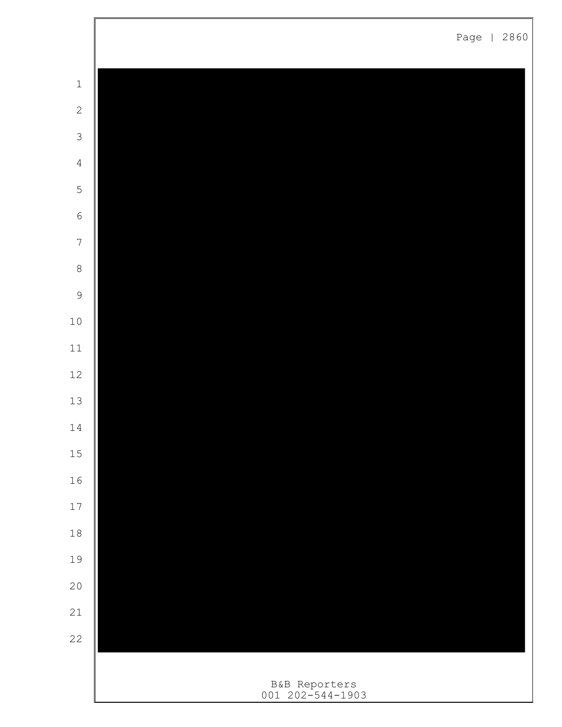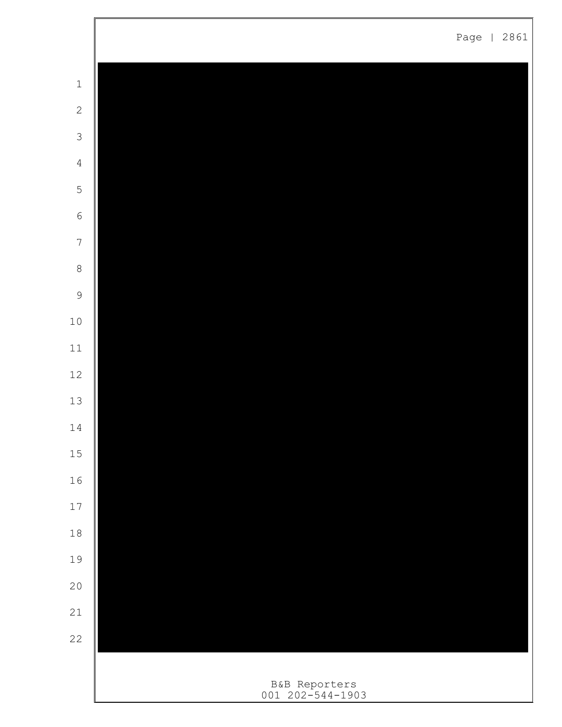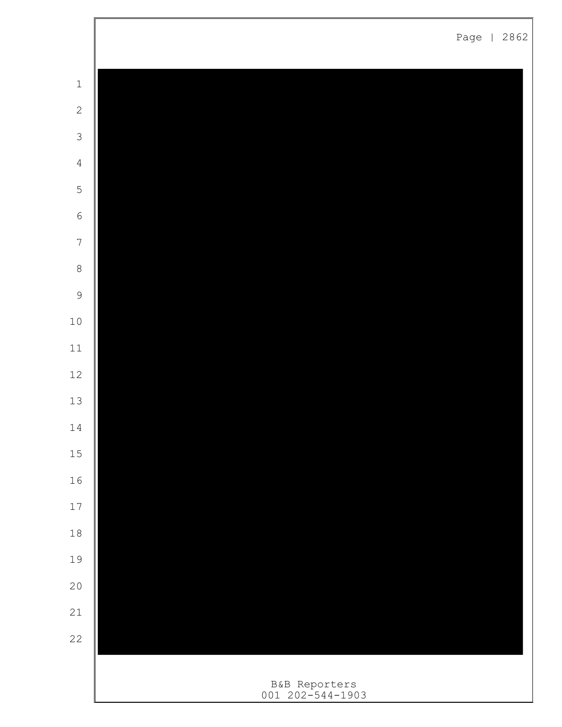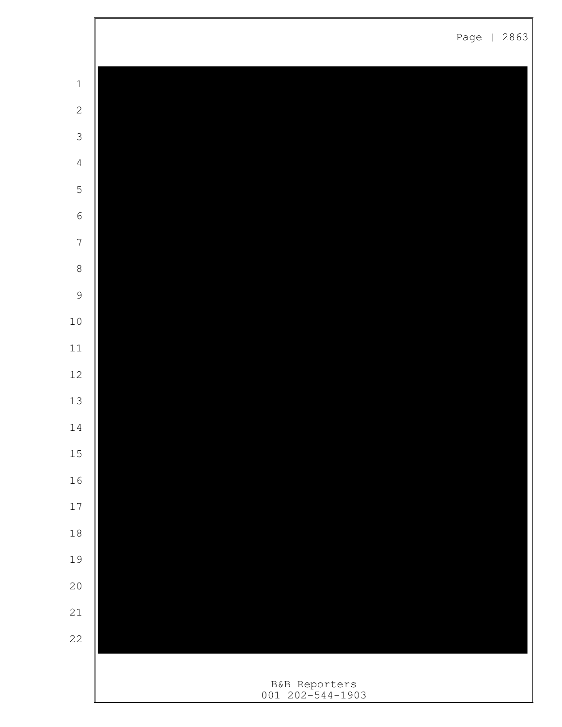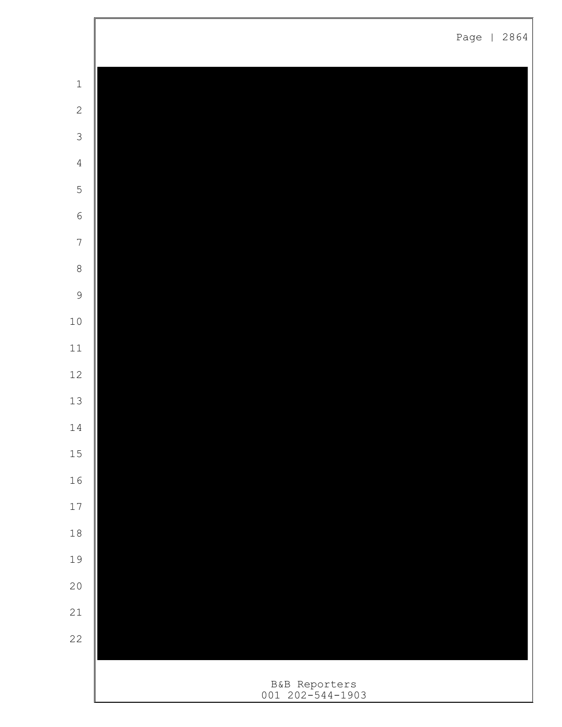|                               |                                   | Page   2864 |  |
|-------------------------------|-----------------------------------|-------------|--|
|                               |                                   |             |  |
| $\mathbf 1$<br>$\overline{c}$ |                                   |             |  |
| $\overline{3}$                |                                   |             |  |
| $\overline{4}$                |                                   |             |  |
| $\overline{5}$                |                                   |             |  |
| $\overline{6}$                |                                   |             |  |
| $\overline{7}$                |                                   |             |  |
| $\overline{8}$                |                                   |             |  |
| 9                             |                                   |             |  |
| $10$                          |                                   |             |  |
| $11$                          |                                   |             |  |
| $12\,$                        |                                   |             |  |
| 13                            |                                   |             |  |
| $1\,4$                        |                                   |             |  |
| $15\,$                        |                                   |             |  |
| $16\,$                        |                                   |             |  |
| $17\,$                        |                                   |             |  |
| $1\,8$                        |                                   |             |  |
| 19                            |                                   |             |  |
| $2\,0$                        |                                   |             |  |
| $21\,$                        |                                   |             |  |
| 22                            |                                   |             |  |
|                               |                                   |             |  |
|                               | B&B Reporters<br>001 202-544-1903 |             |  |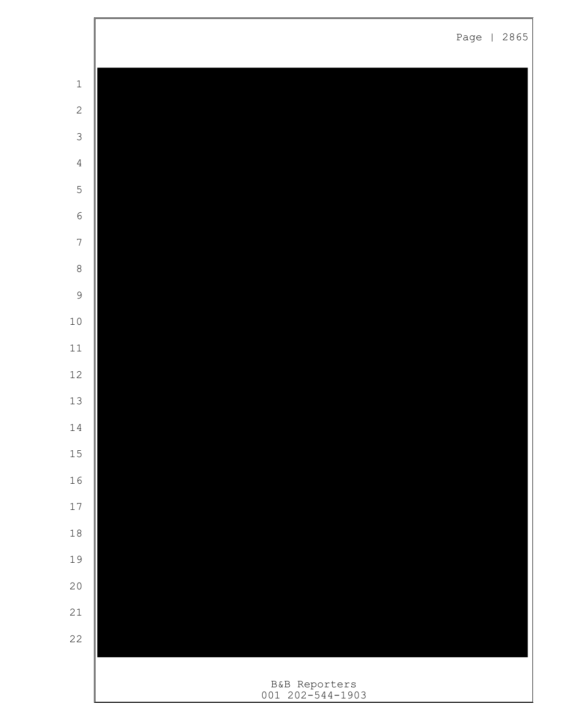|                            |                                   |  | Page   2865 |
|----------------------------|-----------------------------------|--|-------------|
| $\ensuremath{\mathbbm{1}}$ |                                   |  |             |
| $\overline{c}$             |                                   |  |             |
| $\overline{3}$             |                                   |  |             |
| $\overline{4}$             |                                   |  |             |
| $\overline{5}$             |                                   |  |             |
| $\overline{6}$             |                                   |  |             |
| $\overline{7}$             |                                   |  |             |
| $\overline{8}$             |                                   |  |             |
| 9                          |                                   |  |             |
| $10$                       |                                   |  |             |
| $11$                       |                                   |  |             |
| $12\,$                     |                                   |  |             |
| 13                         |                                   |  |             |
| $1\,4$                     |                                   |  |             |
| $15\,$                     |                                   |  |             |
| $16$                       |                                   |  |             |
| $17\,$                     |                                   |  |             |
| $1\,8$                     |                                   |  |             |
| 19                         |                                   |  |             |
| $20$                       |                                   |  |             |
| $2\sqrt{1}$                |                                   |  |             |
| 22                         |                                   |  |             |
|                            |                                   |  |             |
|                            | B&B Reporters<br>001 202-544-1903 |  |             |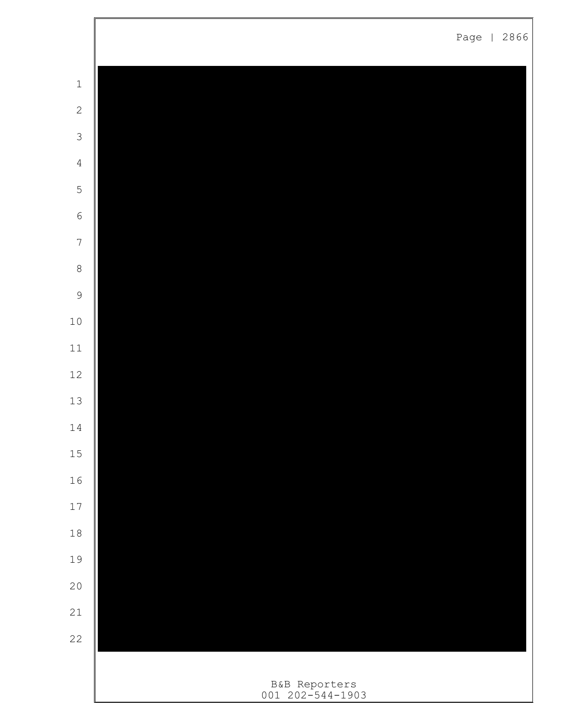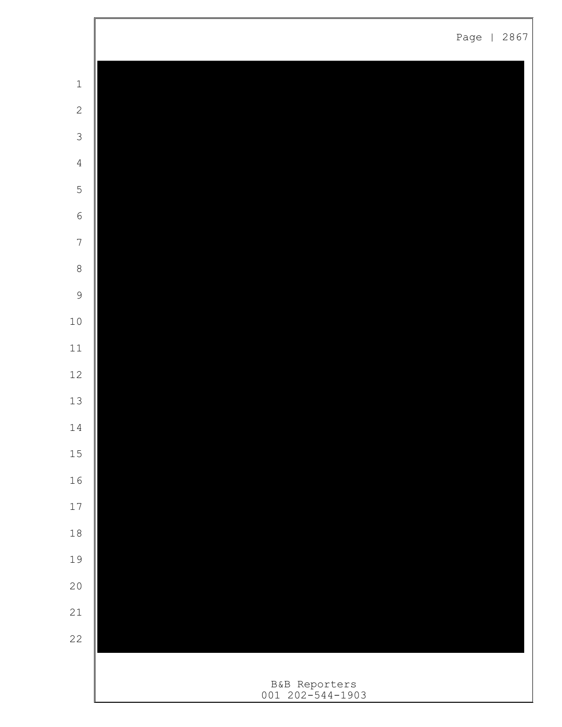|                |                                   | Page   2867 |  |
|----------------|-----------------------------------|-------------|--|
| $\mathbf 1$    |                                   |             |  |
| $\overline{c}$ |                                   |             |  |
| $\overline{3}$ |                                   |             |  |
| $\overline{4}$ |                                   |             |  |
| $\overline{5}$ |                                   |             |  |
| $\overline{6}$ |                                   |             |  |
| $\overline{7}$ |                                   |             |  |
| $\theta$       |                                   |             |  |
| 9              |                                   |             |  |
| $10$           |                                   |             |  |
| $11\,$         |                                   |             |  |
| $12\,$         |                                   |             |  |
| 13             |                                   |             |  |
| 14             |                                   |             |  |
| $15\,$         |                                   |             |  |
| 16             |                                   |             |  |
| $17\,$         |                                   |             |  |
| $1\,8$         |                                   |             |  |
| 19             |                                   |             |  |
| $20$           |                                   |             |  |
| $21\,$         |                                   |             |  |
| 22             |                                   |             |  |
|                | B&B Reporters<br>001 202-544-1903 |             |  |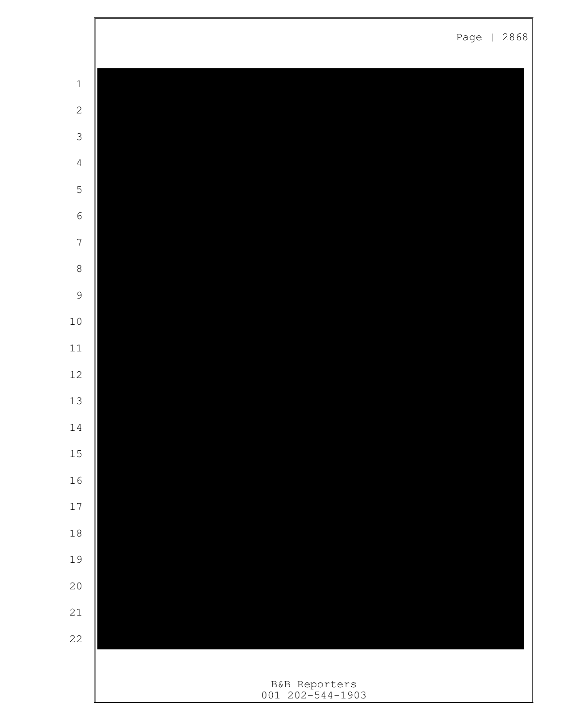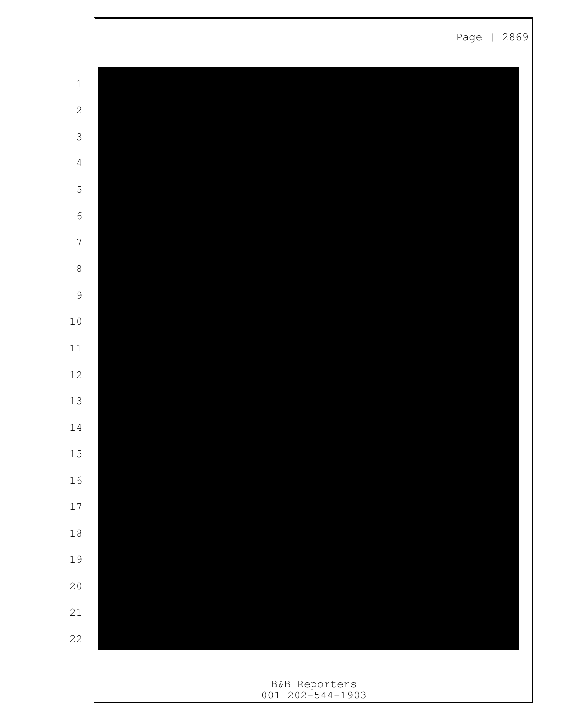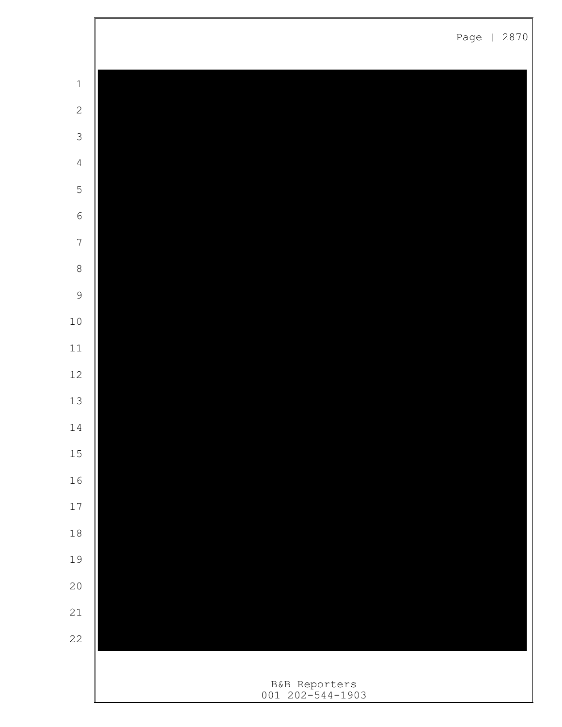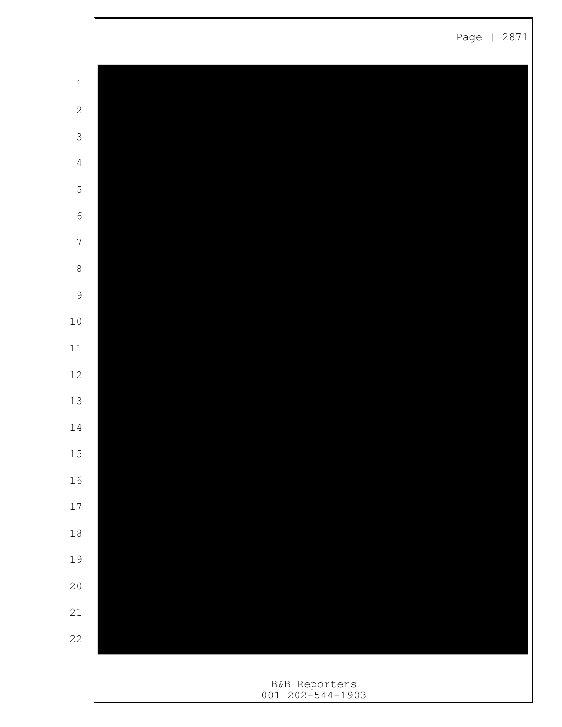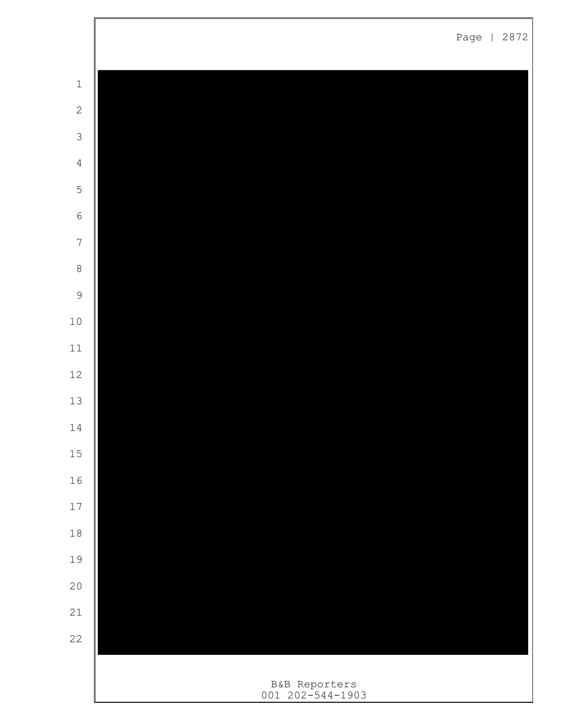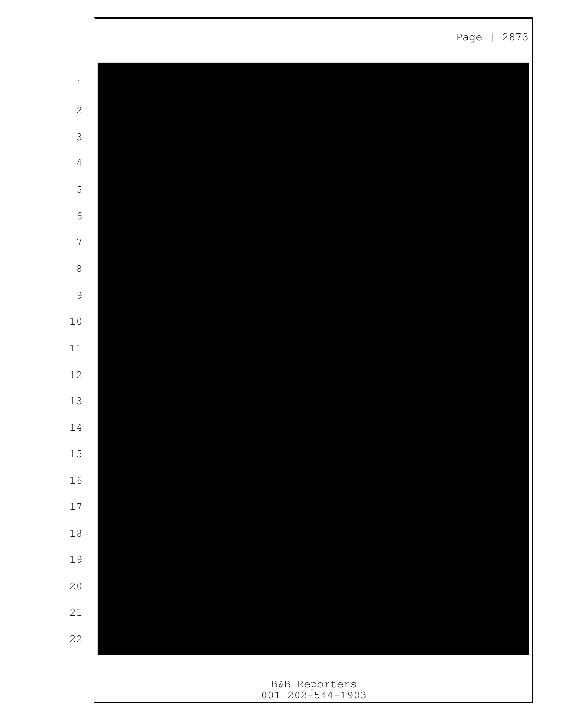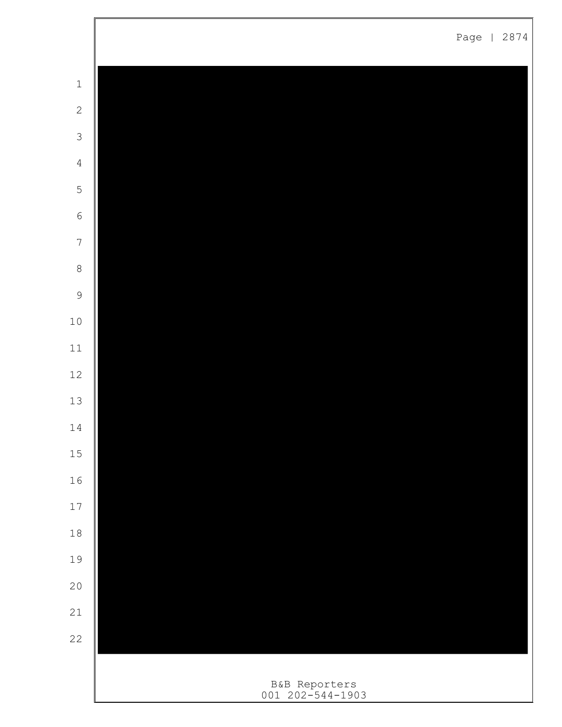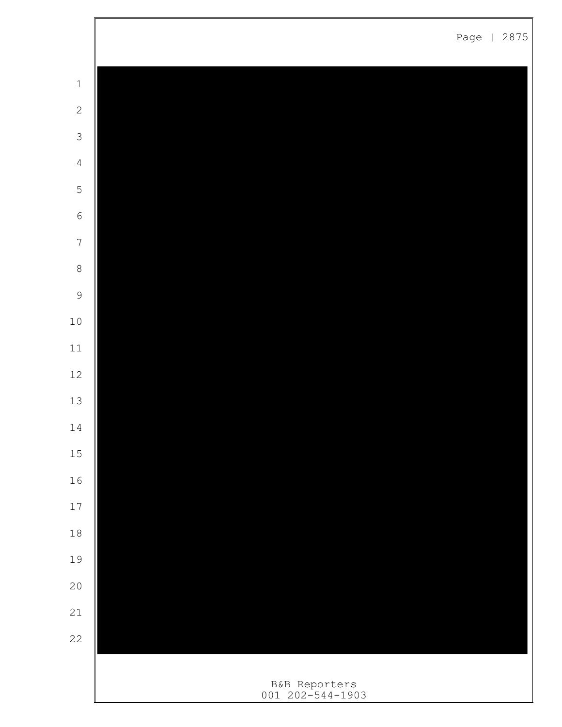|                                   | 2875 |
|-----------------------------------|------|
|                                   |      |
|                                   |      |
|                                   |      |
|                                   |      |
|                                   |      |
|                                   |      |
|                                   |      |
|                                   |      |
|                                   |      |
|                                   |      |
|                                   |      |
|                                   |      |
|                                   |      |
|                                   |      |
|                                   |      |
|                                   |      |
|                                   |      |
|                                   |      |
|                                   |      |
|                                   |      |
|                                   |      |
|                                   |      |
|                                   |      |
| B&B Reporters<br>001 202-544-1903 | Page |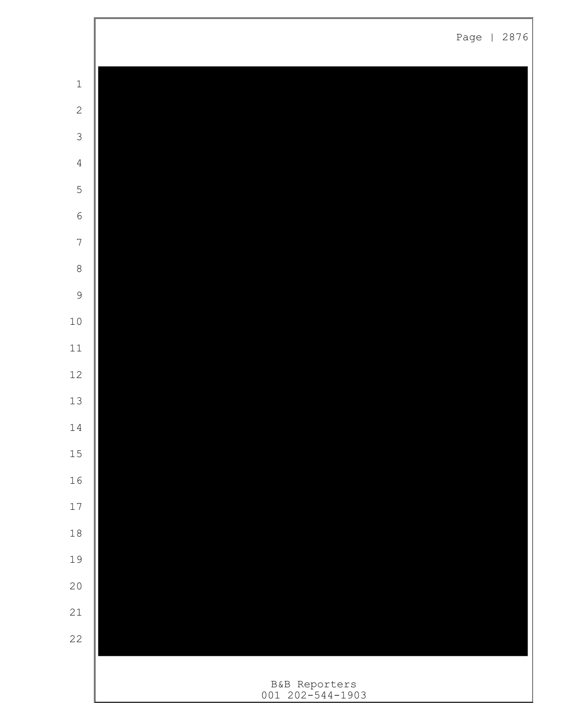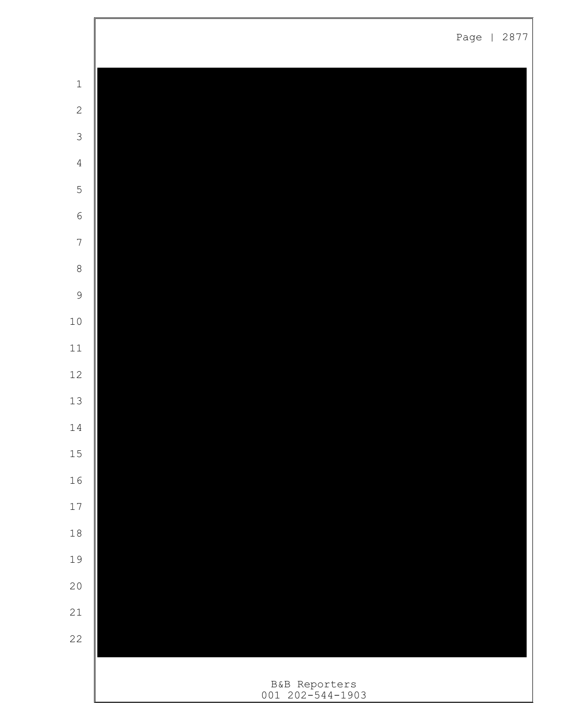|                                              |                                   | Page | 2877 |
|----------------------------------------------|-----------------------------------|------|------|
|                                              |                                   |      |      |
| $\ensuremath{\mathbbm{1}}$<br>$\overline{c}$ |                                   |      |      |
| $\mathfrak{Z}$                               |                                   |      |      |
| $\overline{4}$                               |                                   |      |      |
| $\overline{5}$                               |                                   |      |      |
| $6\phantom{a}$                               |                                   |      |      |
| $\overline{7}$                               |                                   |      |      |
| $\theta$                                     |                                   |      |      |
| 9                                            |                                   |      |      |
| $10$                                         |                                   |      |      |
| $11$                                         |                                   |      |      |
| $12$                                         |                                   |      |      |
| 13                                           |                                   |      |      |
| $1\,4$                                       |                                   |      |      |
| $15\,$                                       |                                   |      |      |
| $16$                                         |                                   |      |      |
| $17\,$                                       |                                   |      |      |
| $1\,8$                                       |                                   |      |      |
| 19                                           |                                   |      |      |
| $2\,0$                                       |                                   |      |      |
| $21\,$                                       |                                   |      |      |
| 22                                           |                                   |      |      |
|                                              |                                   |      |      |
|                                              | B&B Reporters<br>001 202-544-1903 |      |      |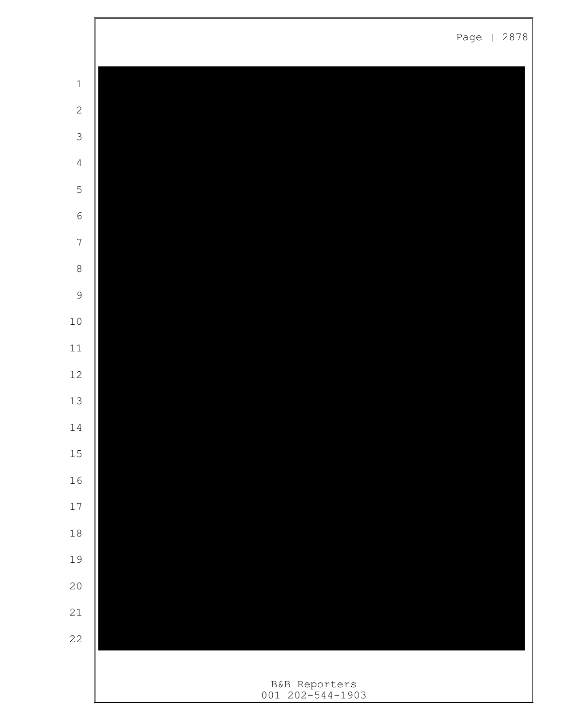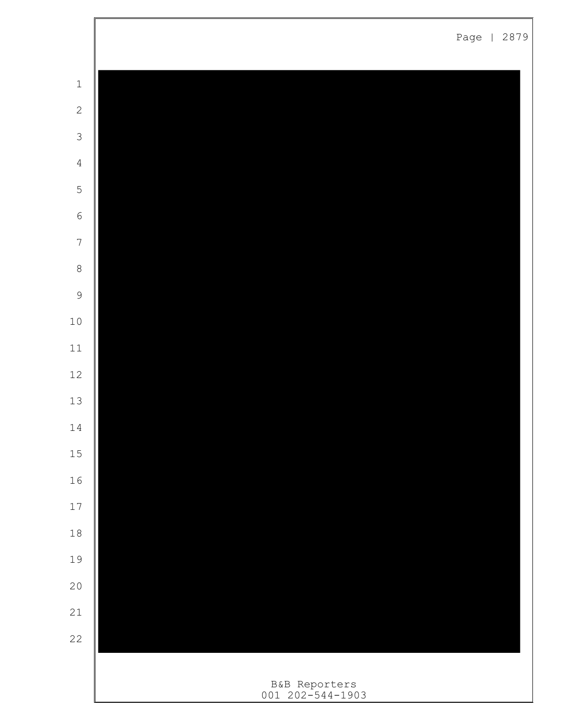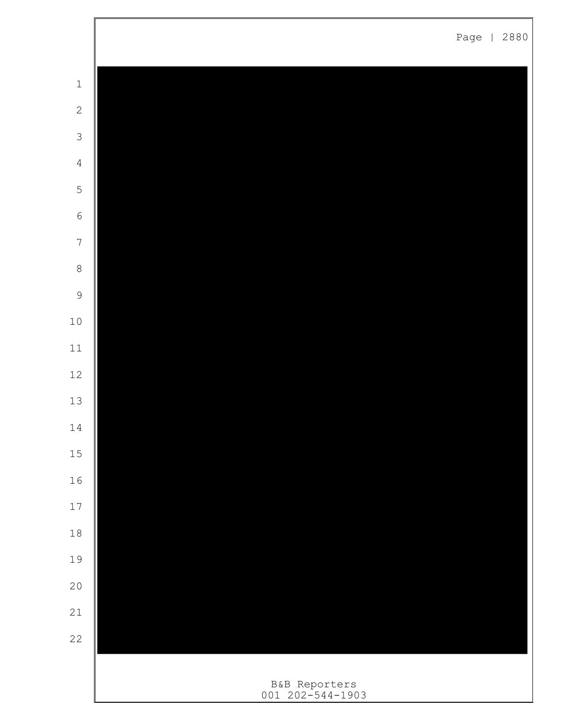|                                  |                                   | Page | 2880 |
|----------------------------------|-----------------------------------|------|------|
| $\mathbf 1$                      |                                   |      |      |
| $\overline{2}$                   |                                   |      |      |
| $\overline{3}$                   |                                   |      |      |
| $\overline{4}$                   |                                   |      |      |
| $\overline{5}$                   |                                   |      |      |
| $\overline{6}$                   |                                   |      |      |
| $\overline{7}$                   |                                   |      |      |
| $\begin{array}{c} 8 \end{array}$ |                                   |      |      |
| 9                                |                                   |      |      |
| $10$                             |                                   |      |      |
| $11$                             |                                   |      |      |
| $12\,$                           |                                   |      |      |
| 13                               |                                   |      |      |
| $1\,4$                           |                                   |      |      |
| $15\,$                           |                                   |      |      |
| $16\,$                           |                                   |      |      |
| $17\,$                           |                                   |      |      |
| $1\,8$                           |                                   |      |      |
| 19                               |                                   |      |      |
| $20$                             |                                   |      |      |
| $21$                             |                                   |      |      |
| 22                               |                                   |      |      |
|                                  | B&B Reporters<br>001 202-544-1903 |      |      |
|                                  |                                   |      |      |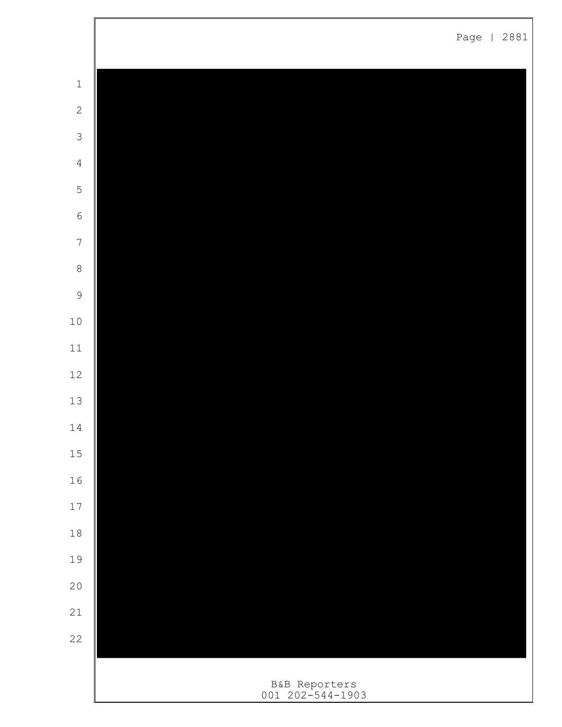|                           |                                   | Page   2881 |  |
|---------------------------|-----------------------------------|-------------|--|
|                           |                                   |             |  |
| $\,1\,$<br>$\overline{c}$ |                                   |             |  |
| $\overline{3}$            |                                   |             |  |
| $\overline{4}$            |                                   |             |  |
| $\overline{5}$            |                                   |             |  |
| $6\phantom{a}$            |                                   |             |  |
| $\overline{7}$            |                                   |             |  |
| $\overline{8}$            |                                   |             |  |
| 9                         |                                   |             |  |
| 10                        |                                   |             |  |
| $11$                      |                                   |             |  |
| $12$                      |                                   |             |  |
| 13                        |                                   |             |  |
| 14                        |                                   |             |  |
| 15                        |                                   |             |  |
| $16\,$                    |                                   |             |  |
| 17                        |                                   |             |  |
| $1\,8$                    |                                   |             |  |
| 19                        |                                   |             |  |
| $20$                      |                                   |             |  |
| $21$                      |                                   |             |  |
| 22                        |                                   |             |  |
|                           |                                   |             |  |
|                           | B&B Reporters<br>001 202-544-1903 |             |  |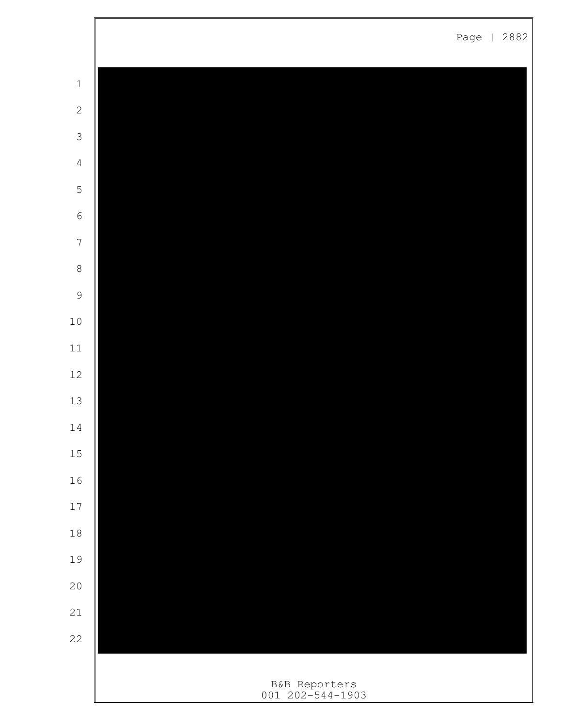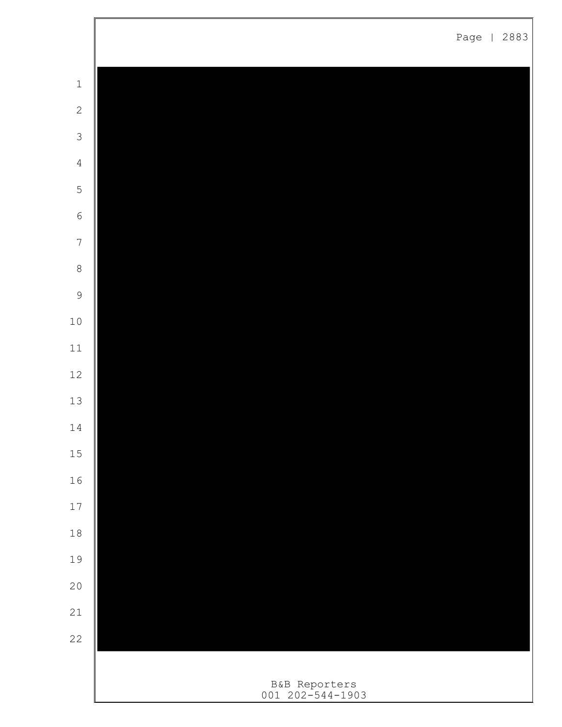|                |                                   | Page | 2883 |
|----------------|-----------------------------------|------|------|
| $\,1$          |                                   |      |      |
| $\overline{c}$ |                                   |      |      |
| $\overline{3}$ |                                   |      |      |
| $\overline{4}$ |                                   |      |      |
| $\overline{5}$ |                                   |      |      |
| $\overline{6}$ |                                   |      |      |
| $\overline{7}$ |                                   |      |      |
| 8              |                                   |      |      |
| 9              |                                   |      |      |
| $10$           |                                   |      |      |
| $11$           |                                   |      |      |
| 12             |                                   |      |      |
| 13             |                                   |      |      |
| 14             |                                   |      |      |
| $15\,$         |                                   |      |      |
| $16\,$         |                                   |      |      |
| $17$           |                                   |      |      |
| $1\,8$         |                                   |      |      |
| 19             |                                   |      |      |
| $20$           |                                   |      |      |
| 21             |                                   |      |      |
| 22             |                                   |      |      |
|                | B&B Reporters<br>001 202-544-1903 |      |      |
|                |                                   |      |      |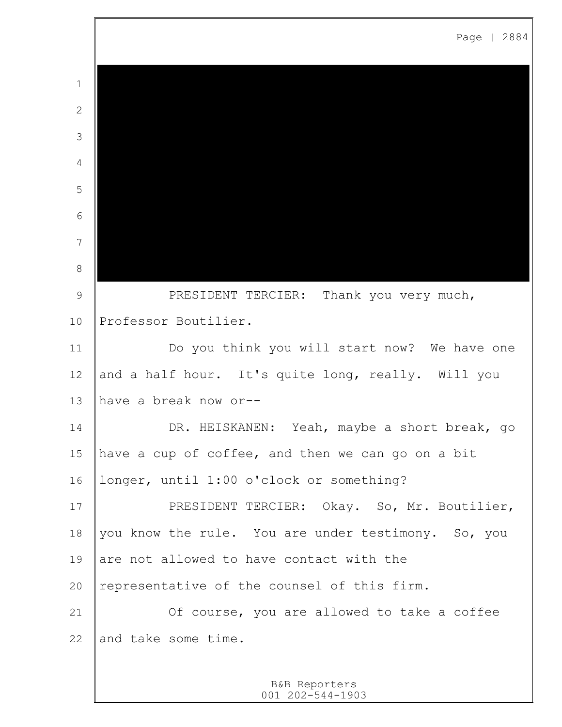|                | Page   2884                                         |
|----------------|-----------------------------------------------------|
| $\mathbf 1$    |                                                     |
| $\mathbf{2}$   |                                                     |
| 3              |                                                     |
| $\overline{4}$ |                                                     |
| 5              |                                                     |
| 6              |                                                     |
| 7              |                                                     |
| 8              |                                                     |
| 9              | PRESIDENT TERCIER: Thank you very much,             |
| 10             | Professor Boutilier.                                |
| 11             | Do you think you will start now? We have one        |
| 12             | and a half hour. It's quite long, really. Will you  |
| 13             | have a break now or--                               |
| 14             | DR. HEISKANEN: Yeah, maybe a short break, go        |
| 15             | have a cup of coffee, and then we can go on a bit   |
| 16             | longer, until 1:00 o'clock or something?            |
| 17             | PRESIDENT TERCIER: Okay. So, Mr. Boutilier,         |
| 18             | you know the rule. You are under testimony. So, you |
| 19             | are not allowed to have contact with the            |
| 20             | representative of the counsel of this firm.         |
| 21             | Of course, you are allowed to take a coffee         |
| 22             | and take some time.                                 |
|                | B&B Reporters                                       |

I

001 202-544-1903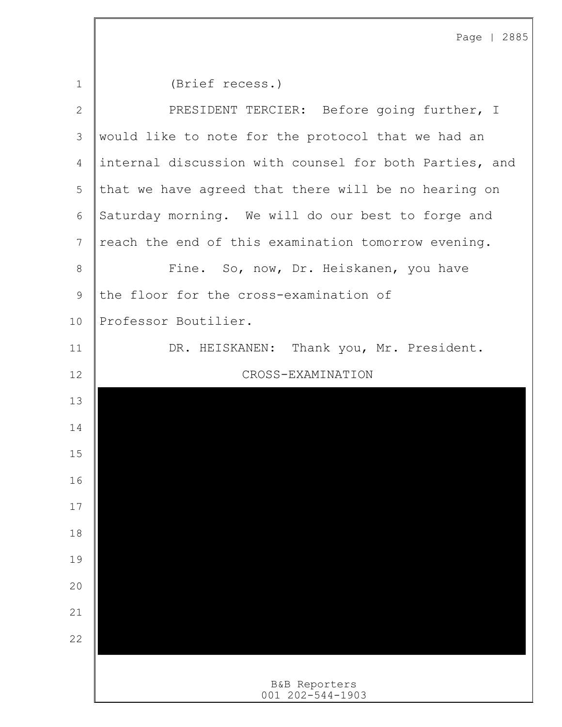| $\mathbf 1$    | (Brief recess.)                                        |
|----------------|--------------------------------------------------------|
| $\overline{2}$ | PRESIDENT TERCIER: Before going further, I             |
| $\mathfrak{Z}$ | would like to note for the protocol that we had an     |
| 4              | internal discussion with counsel for both Parties, and |
| 5              | that we have agreed that there will be no hearing on   |
| $6\,$          | Saturday morning. We will do our best to forge and     |
| $\overline{7}$ | reach the end of this examination tomorrow evening.    |
| $\,8\,$        | Fine. So, now, Dr. Heiskanen, you have                 |
| $\mathcal{G}$  | the floor for the cross-examination of                 |
| 10             | Professor Boutilier.                                   |
| 11             | DR. HEISKANEN: Thank you, Mr. President.               |
| 12             | CROSS-EXAMINATION                                      |
| 13             |                                                        |
| 14             |                                                        |
| 15             |                                                        |
| 16             |                                                        |
| 17             |                                                        |
| 18             |                                                        |
| 19             |                                                        |
| 20             |                                                        |
| 21             |                                                        |
| 22             |                                                        |
|                |                                                        |
|                | B&B Reporters<br>001 202-544-1903                      |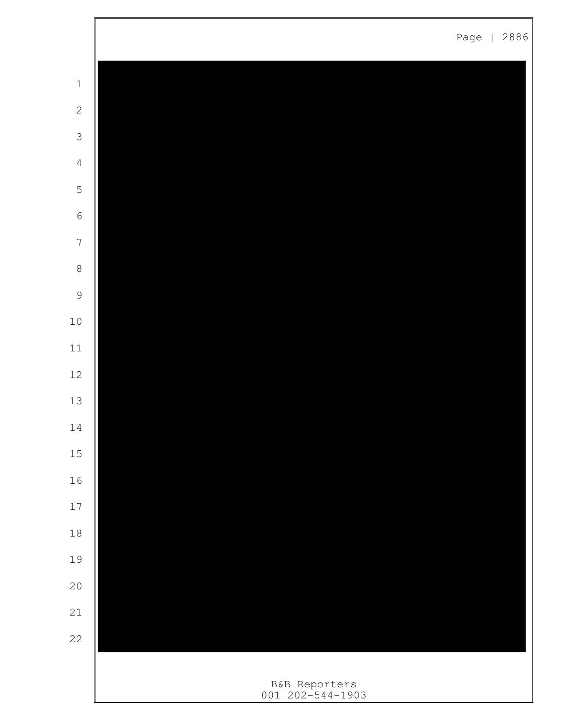|                |                                   | Page   2886 |  |
|----------------|-----------------------------------|-------------|--|
| $\mathbbm{1}$  |                                   |             |  |
| $\overline{c}$ |                                   |             |  |
| $\overline{3}$ |                                   |             |  |
| $\overline{4}$ |                                   |             |  |
| $\overline{5}$ |                                   |             |  |
| $\overline{6}$ |                                   |             |  |
| $\overline{7}$ |                                   |             |  |
| 8              |                                   |             |  |
| $\mathcal{G}$  |                                   |             |  |
| $10$           |                                   |             |  |
| $11\,$         |                                   |             |  |
| $12$           |                                   |             |  |
| 13             |                                   |             |  |
| $1\,4$         |                                   |             |  |
| $15\,$         |                                   |             |  |
| 16             |                                   |             |  |
| $17\,$         |                                   |             |  |
| $1\,8$         |                                   |             |  |
| 19             |                                   |             |  |
| $20$           |                                   |             |  |
| 21             |                                   |             |  |
| 22             |                                   |             |  |
|                | B&B Reporters<br>001 202-544-1903 |             |  |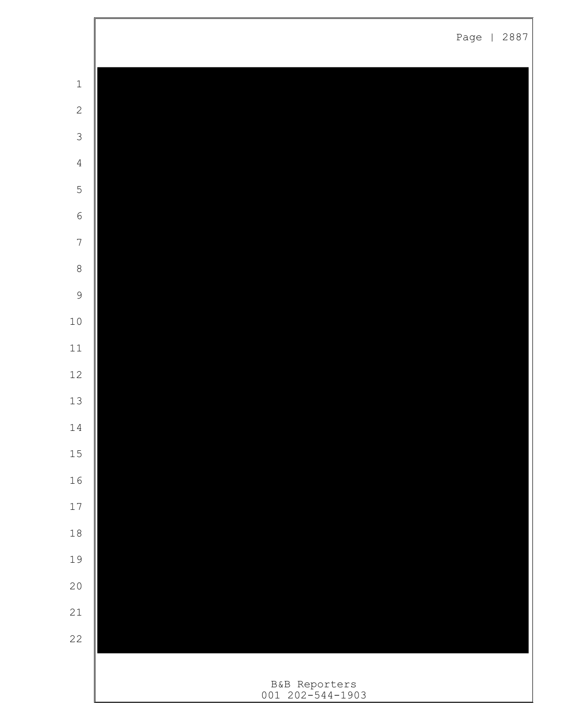|                                  |                                   |  | Page   2887 |
|----------------------------------|-----------------------------------|--|-------------|
|                                  |                                   |  |             |
| $\mathbf 1$                      |                                   |  |             |
| $\overline{c}$<br>$\overline{3}$ |                                   |  |             |
| $\overline{4}$                   |                                   |  |             |
| $\overline{5}$                   |                                   |  |             |
| $\overline{6}$                   |                                   |  |             |
| $\overline{7}$                   |                                   |  |             |
| $\theta$                         |                                   |  |             |
| 9                                |                                   |  |             |
|                                  |                                   |  |             |
| $10$                             |                                   |  |             |
| $11$                             |                                   |  |             |
| $12\,$                           |                                   |  |             |
| 13                               |                                   |  |             |
| $1\,4$                           |                                   |  |             |
| $15\,$                           |                                   |  |             |
| $16\,$                           |                                   |  |             |
| $17\,$                           |                                   |  |             |
| $1\,8$                           |                                   |  |             |
| 19                               |                                   |  |             |
| $2\,0$                           |                                   |  |             |
| $21\,$                           |                                   |  |             |
| 22                               |                                   |  |             |
|                                  | B&B Reporters<br>001 202-544-1903 |  |             |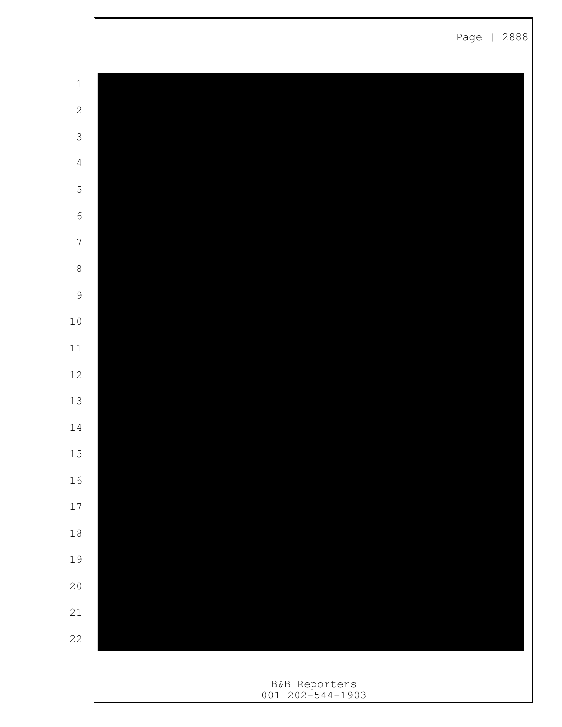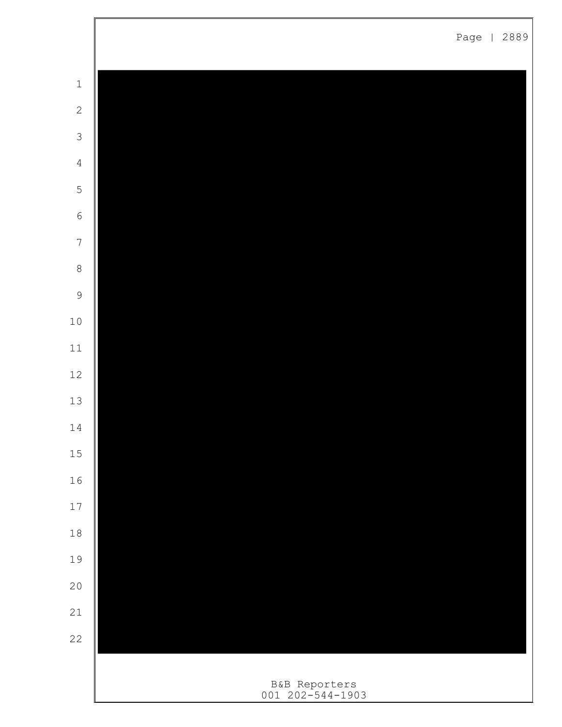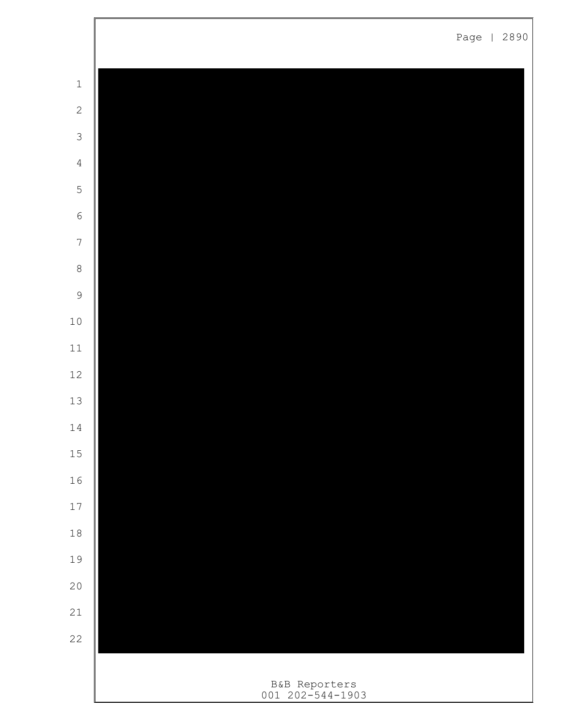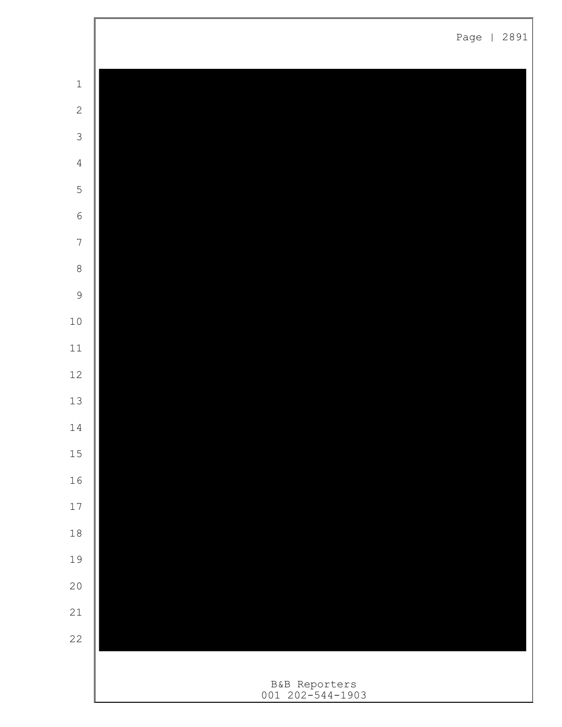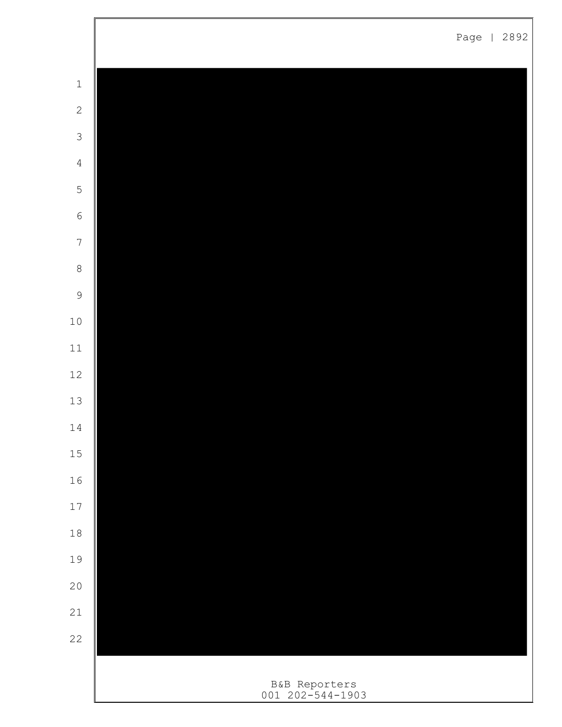|                |                                   | Page   2892 |  |
|----------------|-----------------------------------|-------------|--|
| $\mathbf 1$    |                                   |             |  |
| $\sqrt{2}$     |                                   |             |  |
| $\mathfrak{Z}$ |                                   |             |  |
| $\overline{4}$ |                                   |             |  |
| $\overline{5}$ |                                   |             |  |
| $6\phantom{a}$ |                                   |             |  |
| $\overline{7}$ |                                   |             |  |
| $\overline{8}$ |                                   |             |  |
| 9              |                                   |             |  |
| $10$           |                                   |             |  |
| $11$           |                                   |             |  |
| $12$           |                                   |             |  |
| 13             |                                   |             |  |
| 14             |                                   |             |  |
| $15\,$         |                                   |             |  |
| 16             |                                   |             |  |
| $17\,$         |                                   |             |  |
| $1\,8$         |                                   |             |  |
| 19             |                                   |             |  |
| $20$           |                                   |             |  |
| $21$           |                                   |             |  |
| 22             |                                   |             |  |
|                |                                   |             |  |
|                | B&B Reporters<br>001 202-544-1903 |             |  |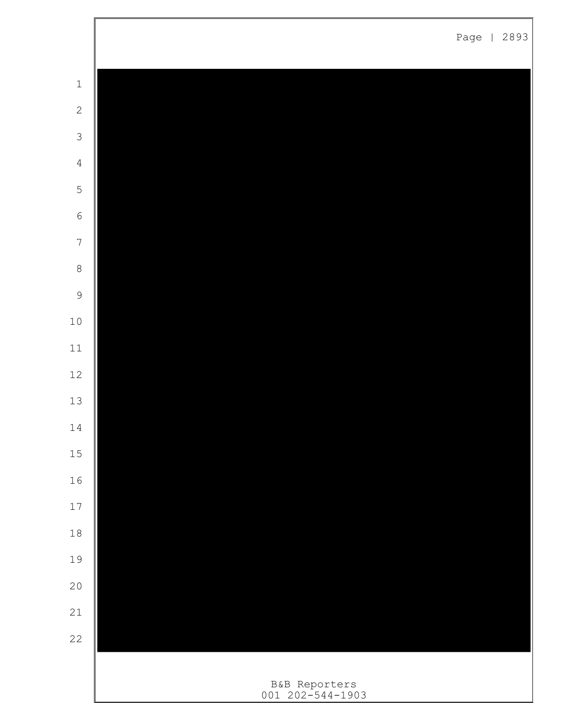|                 | Page   2893                       |
|-----------------|-----------------------------------|
| $\mathbf 1$     |                                   |
| $\overline{c}$  |                                   |
| $\overline{3}$  |                                   |
| $\overline{4}$  |                                   |
| $\overline{5}$  |                                   |
| $6\overline{6}$ |                                   |
| $\overline{7}$  |                                   |
| 8               |                                   |
| 9               |                                   |
| 10              |                                   |
| $11\,$          |                                   |
| $12$            |                                   |
| 13              |                                   |
| 14              |                                   |
| 15              |                                   |
| $16$            |                                   |
| $17\,$          |                                   |
| $1\,8$          |                                   |
| 19              |                                   |
| $20$            |                                   |
| $2\sqrt{1}$     |                                   |
| 22              |                                   |
|                 |                                   |
|                 | B&B Reporters<br>001 202-544-1903 |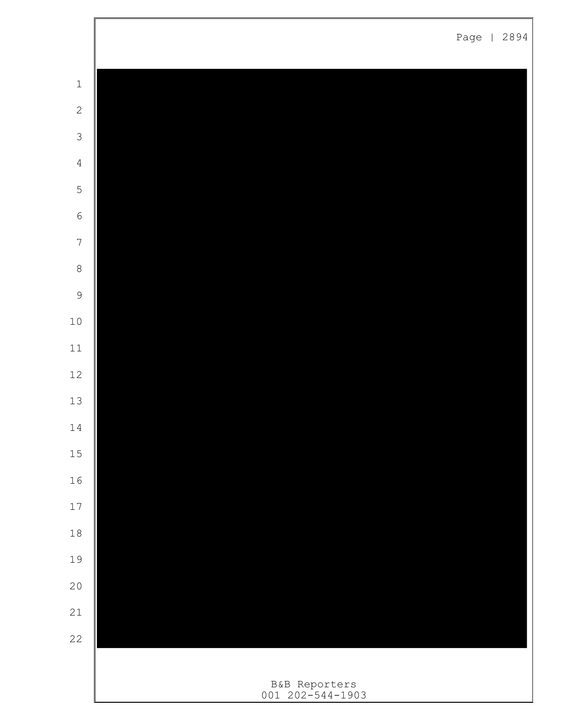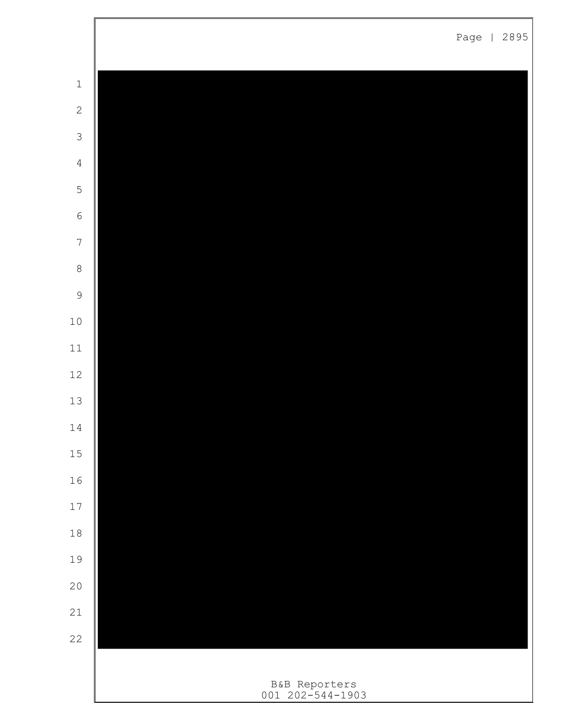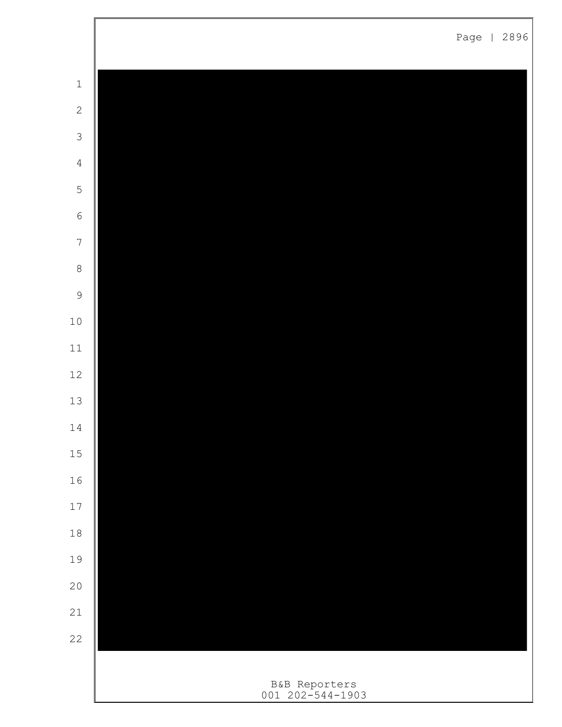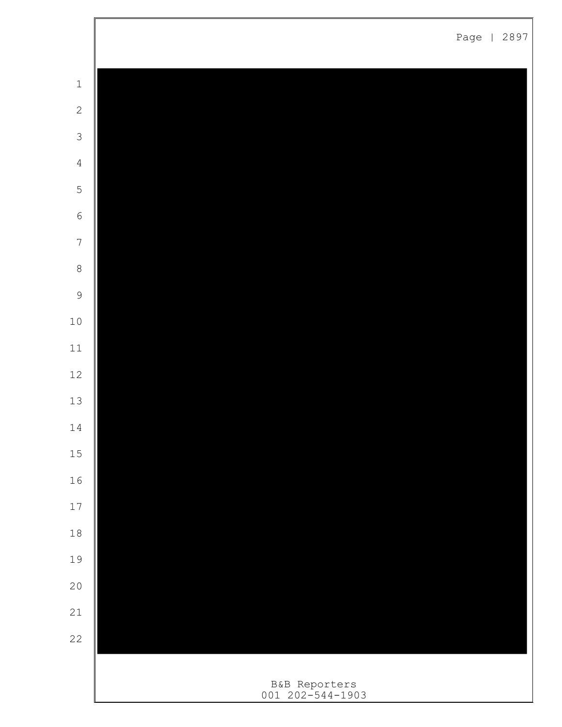|                                  |                                   | Page   2897 |  |
|----------------------------------|-----------------------------------|-------------|--|
| $\mathbf 1$                      |                                   |             |  |
| $\sqrt{2}$                       |                                   |             |  |
| $\mathfrak{Z}$                   |                                   |             |  |
| $\overline{4}$                   |                                   |             |  |
| $\overline{5}$                   |                                   |             |  |
| $6\overline{6}$                  |                                   |             |  |
| $\overline{7}$                   |                                   |             |  |
| $\begin{array}{c} 8 \end{array}$ |                                   |             |  |
| 9                                |                                   |             |  |
| $10$                             |                                   |             |  |
| $11\,$                           |                                   |             |  |
| $12$                             |                                   |             |  |
| 13                               |                                   |             |  |
| 14                               |                                   |             |  |
| $15\,$                           |                                   |             |  |
| 16                               |                                   |             |  |
| $17\,$                           |                                   |             |  |
| $1\,8$                           |                                   |             |  |
| 19                               |                                   |             |  |
| $20$                             |                                   |             |  |
| $21\,$                           |                                   |             |  |
| $22$                             |                                   |             |  |
|                                  |                                   |             |  |
|                                  | B&B Reporters<br>001 202-544-1903 |             |  |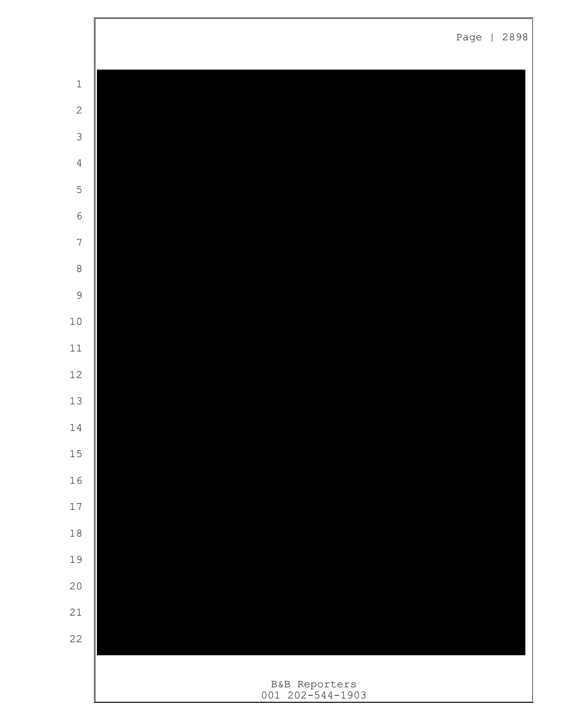|                                  | Page                              |  | 2898 |
|----------------------------------|-----------------------------------|--|------|
|                                  |                                   |  |      |
| $\mathbf 1$<br>$\sqrt{2}$        |                                   |  |      |
| $\mathfrak{Z}$                   |                                   |  |      |
| $\overline{4}$                   |                                   |  |      |
| $\overline{5}$                   |                                   |  |      |
| $6\phantom{a}$                   |                                   |  |      |
| $\overline{7}$                   |                                   |  |      |
| $\begin{array}{c} 8 \end{array}$ |                                   |  |      |
| 9                                |                                   |  |      |
| $10$                             |                                   |  |      |
| $11$                             |                                   |  |      |
| $12\,$                           |                                   |  |      |
| 13                               |                                   |  |      |
| $1\,4$                           |                                   |  |      |
| $15\,$                           |                                   |  |      |
| $16$                             |                                   |  |      |
| $17\,$                           |                                   |  |      |
| $1\,8$                           |                                   |  |      |
| 19                               |                                   |  |      |
| $20$                             |                                   |  |      |
| $21\,$                           |                                   |  |      |
| 22                               |                                   |  |      |
|                                  |                                   |  |      |
|                                  | B&B Reporters<br>001 202-544-1903 |  |      |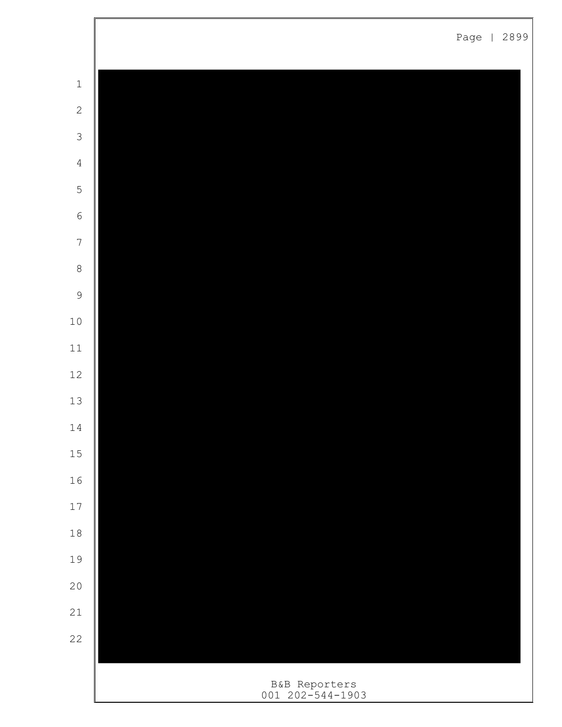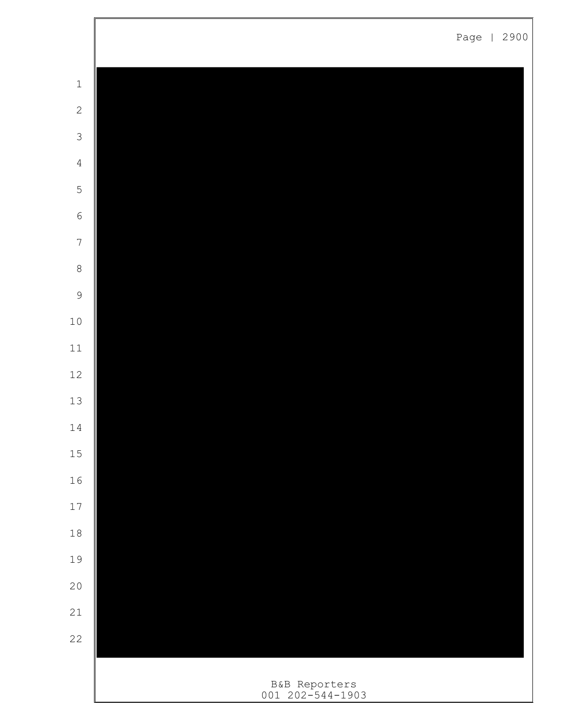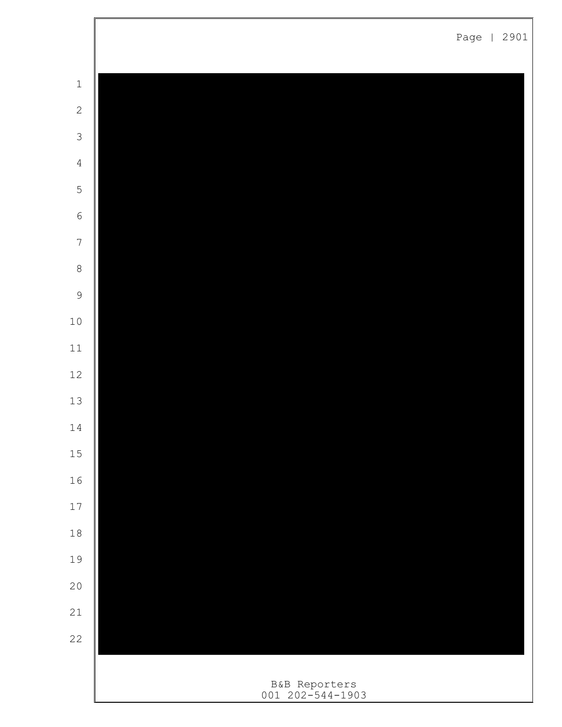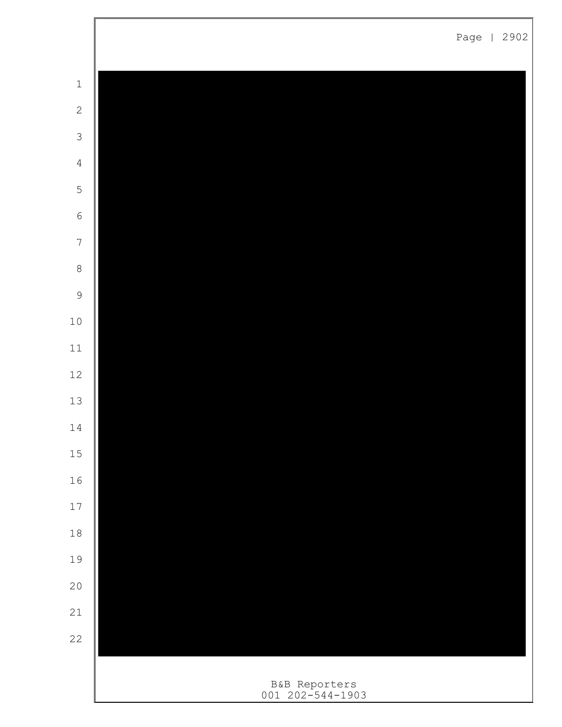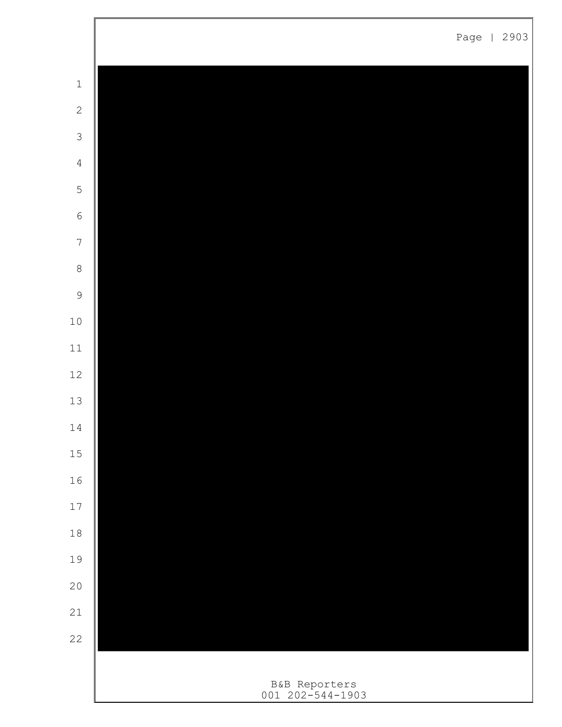|                |                                   | Page   2903 |  |
|----------------|-----------------------------------|-------------|--|
| $\mathbbm{1}$  |                                   |             |  |
| $\overline{c}$ |                                   |             |  |
| $\mathfrak{Z}$ |                                   |             |  |
| $\overline{4}$ |                                   |             |  |
| $\overline{5}$ |                                   |             |  |
| $\overline{6}$ |                                   |             |  |
| $\overline{7}$ |                                   |             |  |
| 8              |                                   |             |  |
| 9              |                                   |             |  |
| $10$           |                                   |             |  |
| $11\,$         |                                   |             |  |
| $12$           |                                   |             |  |
| 13             |                                   |             |  |
| $1\,4$         |                                   |             |  |
| $15\,$         |                                   |             |  |
| 16             |                                   |             |  |
| $17\,$         |                                   |             |  |
| $1\,8$         |                                   |             |  |
| 19             |                                   |             |  |
| $20\,$         |                                   |             |  |
| 21             |                                   |             |  |
| 22             |                                   |             |  |
|                | B&B Reporters<br>001 202-544-1903 |             |  |

 $\overline{\mathbf{I}}$ 

 $\overline{r}$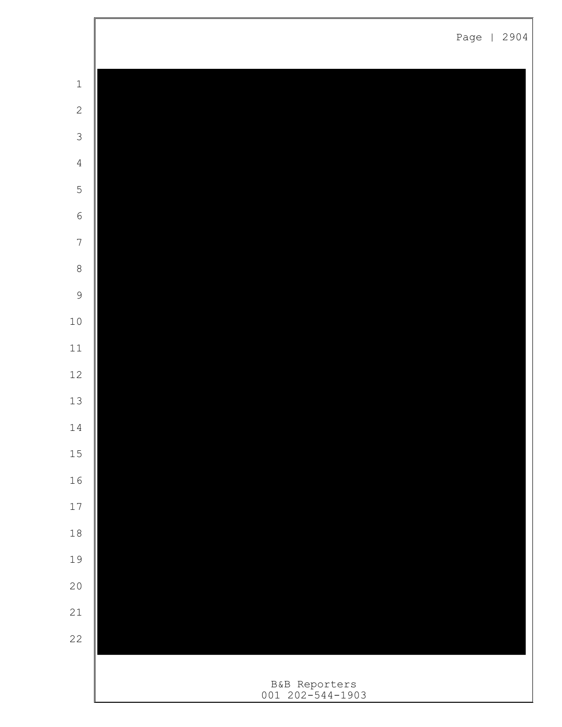|                |                                   | Page | 2904 |
|----------------|-----------------------------------|------|------|
| $\mathbf 1$    |                                   |      |      |
| $\overline{c}$ |                                   |      |      |
| $\overline{3}$ |                                   |      |      |
| $\overline{4}$ |                                   |      |      |
| $\overline{5}$ |                                   |      |      |
| $\overline{6}$ |                                   |      |      |
| $\overline{7}$ |                                   |      |      |
| $\theta$       |                                   |      |      |
| 9              |                                   |      |      |
| $10$           |                                   |      |      |
| $11\,$         |                                   |      |      |
| 12             |                                   |      |      |
| 13             |                                   |      |      |
| 14             |                                   |      |      |
| $15\,$         |                                   |      |      |
| 16             |                                   |      |      |
| $17\,$         |                                   |      |      |
| $1\,8$         |                                   |      |      |
| 19             |                                   |      |      |
| $20$           |                                   |      |      |
| $21$           |                                   |      |      |
| 22             |                                   |      |      |
|                |                                   |      |      |
|                | B&B Reporters<br>001 202-544-1903 |      |      |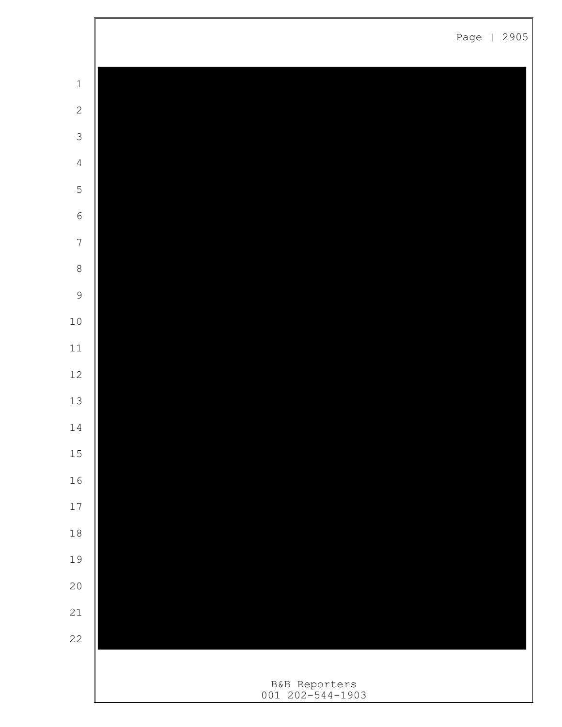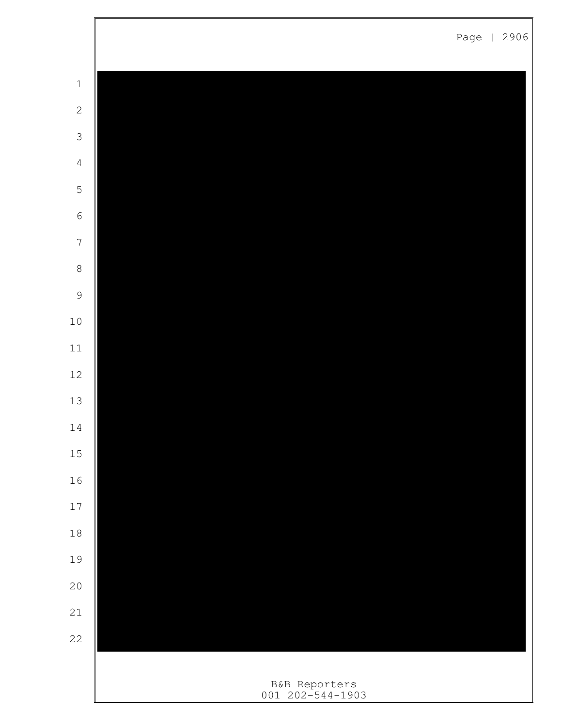|                                  |                                   |  | Page   2906 |
|----------------------------------|-----------------------------------|--|-------------|
|                                  |                                   |  |             |
| $\mathbbm{1}$                    |                                   |  |             |
| $\overline{c}$                   |                                   |  |             |
| $\mathfrak{Z}$                   |                                   |  |             |
| $\overline{4}$                   |                                   |  |             |
| $\overline{5}$                   |                                   |  |             |
| $\overline{6}$                   |                                   |  |             |
| $\overline{7}$                   |                                   |  |             |
| $\begin{array}{c} 8 \end{array}$ |                                   |  |             |
| 9                                |                                   |  |             |
| $10$                             |                                   |  |             |
| 11                               |                                   |  |             |
| $12$                             |                                   |  |             |
| 13                               |                                   |  |             |
| 14                               |                                   |  |             |
| $15\,$                           |                                   |  |             |
| $16\,$                           |                                   |  |             |
| $17\,$                           |                                   |  |             |
| $1\,8$                           |                                   |  |             |
| 19                               |                                   |  |             |
| $20$                             |                                   |  |             |
| $21\,$                           |                                   |  |             |
| 22                               |                                   |  |             |
|                                  |                                   |  |             |
|                                  | B&B Reporters<br>001 202-544-1903 |  |             |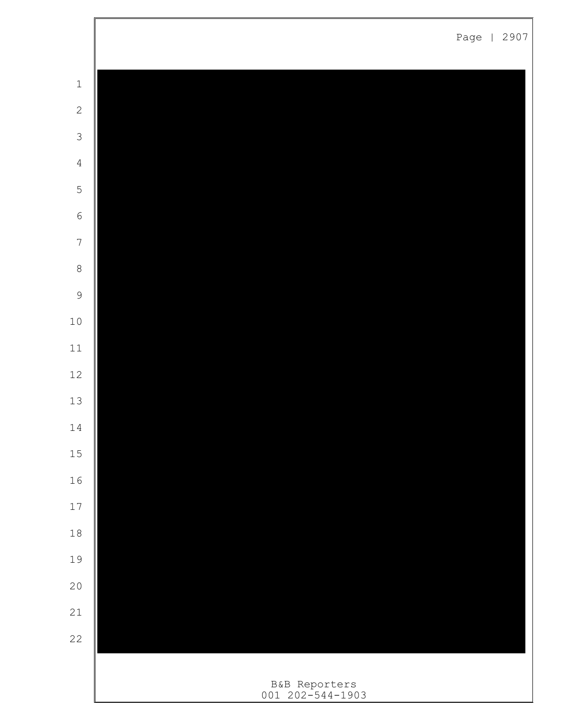|                            |                                   | Page   2907 |  |
|----------------------------|-----------------------------------|-------------|--|
| $\ensuremath{\mathbbm{1}}$ |                                   |             |  |
| $\overline{c}$             |                                   |             |  |
| $\overline{3}$             |                                   |             |  |
| $\overline{4}$             |                                   |             |  |
| $\overline{5}$             |                                   |             |  |
| $6\phantom{a}$             |                                   |             |  |
| $\overline{7}$             |                                   |             |  |
| $\theta$                   |                                   |             |  |
| 9                          |                                   |             |  |
| $10$                       |                                   |             |  |
| $11$                       |                                   |             |  |
| 12                         |                                   |             |  |
| 13                         |                                   |             |  |
| $14\,$                     |                                   |             |  |
| 15                         |                                   |             |  |
| $16$                       |                                   |             |  |
| $17$                       |                                   |             |  |
| $1\,8$                     |                                   |             |  |
| 19                         |                                   |             |  |
| $2\,0$                     |                                   |             |  |
| $21\,$                     |                                   |             |  |
| 22                         |                                   |             |  |
|                            |                                   |             |  |
|                            | B&B Reporters<br>001 202-544-1903 |             |  |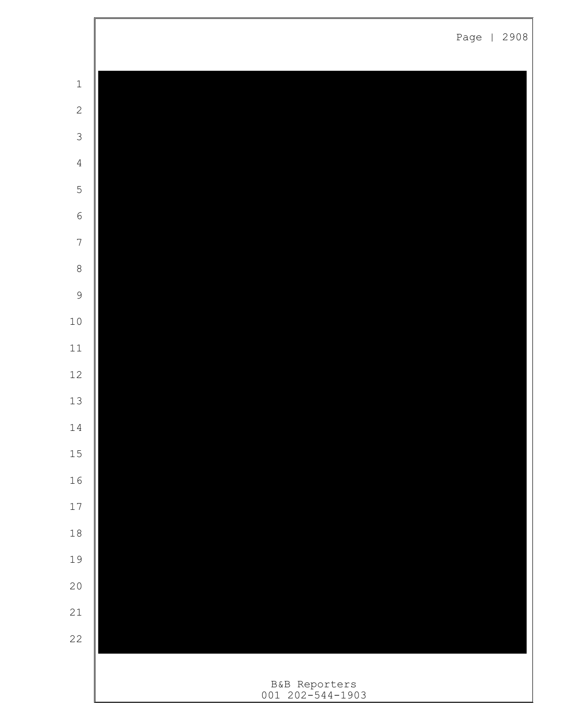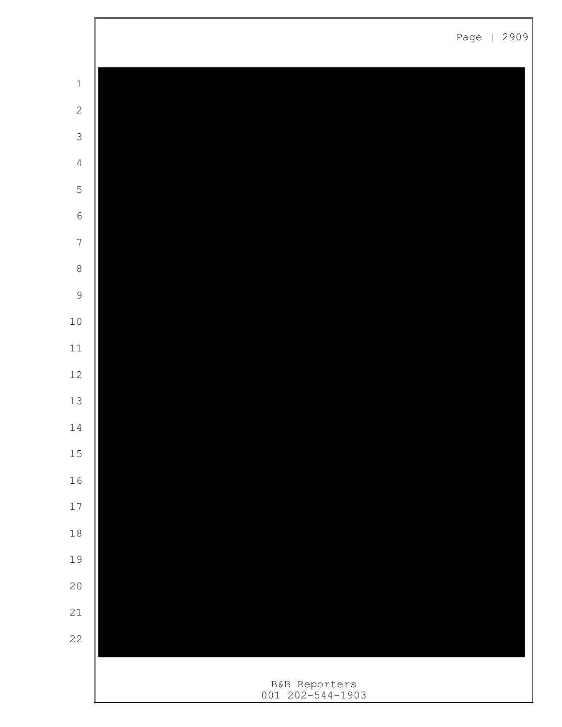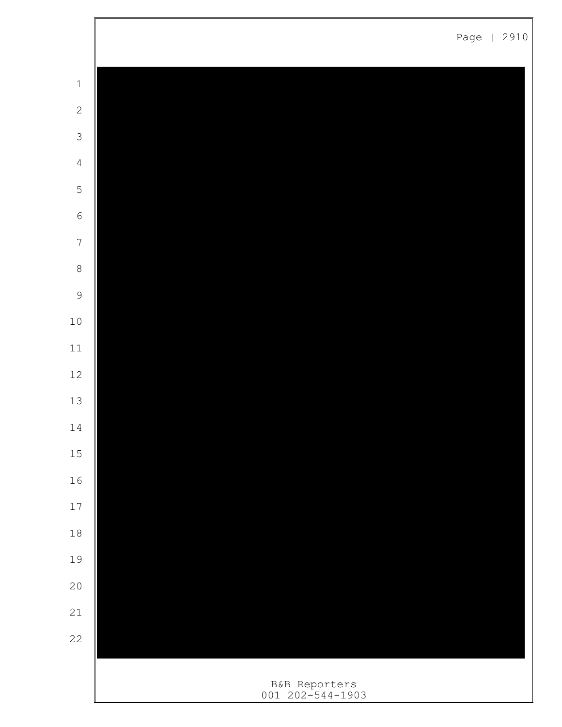|                 |                                   | Page | 2910 |
|-----------------|-----------------------------------|------|------|
| $\mathbbm{1}$   |                                   |      |      |
| $\overline{c}$  |                                   |      |      |
| $\overline{3}$  |                                   |      |      |
| $\overline{4}$  |                                   |      |      |
| $\overline{5}$  |                                   |      |      |
| $6\overline{6}$ |                                   |      |      |
| $\overline{7}$  |                                   |      |      |
| $\overline{8}$  |                                   |      |      |
| 9               |                                   |      |      |
| $10$            |                                   |      |      |
| $11$            |                                   |      |      |
| $12\,$          |                                   |      |      |
| 13              |                                   |      |      |
| $1\,4$          |                                   |      |      |
| $15\,$          |                                   |      |      |
| $16$            |                                   |      |      |
| $17\,$          |                                   |      |      |
| $1\,8$          |                                   |      |      |
| 19              |                                   |      |      |
| $20$            |                                   |      |      |
| $21$            |                                   |      |      |
| 22              |                                   |      |      |
|                 |                                   |      |      |
|                 | B&B Reporters<br>001 202-544-1903 |      |      |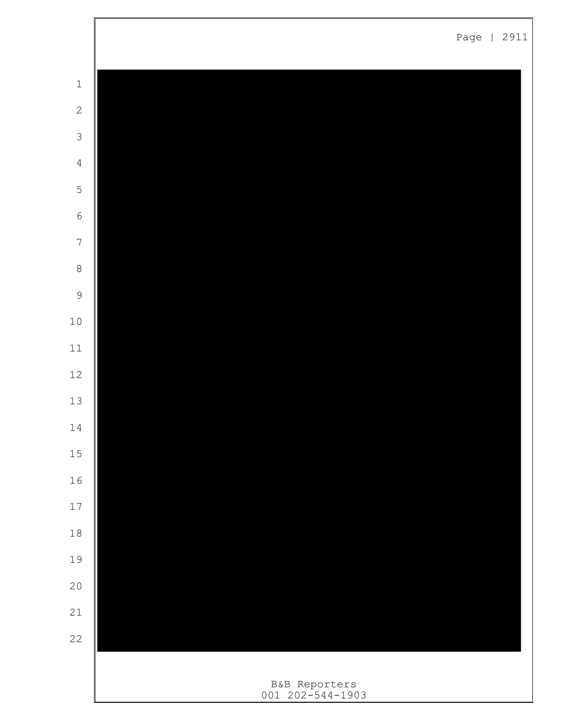|                 |                                   | Page | 2911 |
|-----------------|-----------------------------------|------|------|
| $\mathbf 1$     |                                   |      |      |
| $\overline{c}$  |                                   |      |      |
| $\overline{3}$  |                                   |      |      |
| $\overline{4}$  |                                   |      |      |
| $\overline{5}$  |                                   |      |      |
| $6\overline{6}$ |                                   |      |      |
| $\overline{7}$  |                                   |      |      |
| 8               |                                   |      |      |
| 9               |                                   |      |      |
| $10$            |                                   |      |      |
| $11\,$          |                                   |      |      |
| 12              |                                   |      |      |
| 13              |                                   |      |      |
| 14              |                                   |      |      |
| $15\,$          |                                   |      |      |
| $16$            |                                   |      |      |
| $17\,$          |                                   |      |      |
| $1\,8$          |                                   |      |      |
| 19              |                                   |      |      |
| $20$            |                                   |      |      |
| $21\,$          |                                   |      |      |
| 22              |                                   |      |      |
|                 |                                   |      |      |
|                 | B&B Reporters<br>001 202-544-1903 |      |      |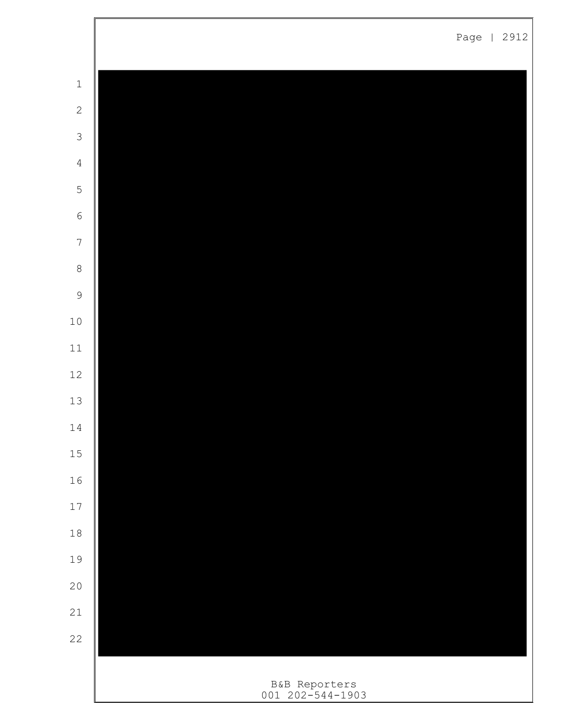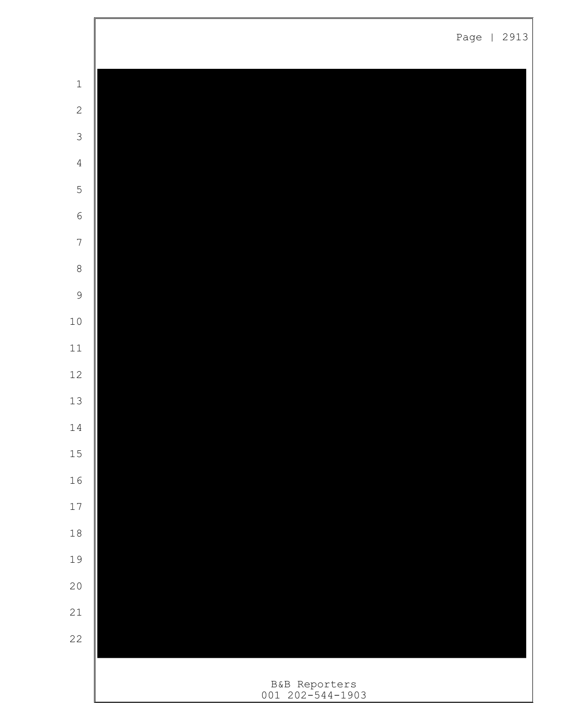|                |                                   | Page   2913 |  |
|----------------|-----------------------------------|-------------|--|
|                |                                   |             |  |
| $\mathbf{1}$   |                                   |             |  |
| $\overline{c}$ |                                   |             |  |
| $\overline{3}$ |                                   |             |  |
| $\overline{4}$ |                                   |             |  |
| $\overline{5}$ |                                   |             |  |
| $\overline{6}$ |                                   |             |  |
| $\overline{7}$ |                                   |             |  |
| $\overline{8}$ |                                   |             |  |
| 9              |                                   |             |  |
| 10             |                                   |             |  |
| $11$           |                                   |             |  |
| 12             |                                   |             |  |
| 13             |                                   |             |  |
| 14             |                                   |             |  |
| 15             |                                   |             |  |
| 16             |                                   |             |  |
| 17             |                                   |             |  |
| $18\,$         |                                   |             |  |
| 19             |                                   |             |  |
| $20$           |                                   |             |  |
| 21             |                                   |             |  |
| 22             |                                   |             |  |
|                |                                   |             |  |
|                | B&B Reporters<br>001 202-544-1903 |             |  |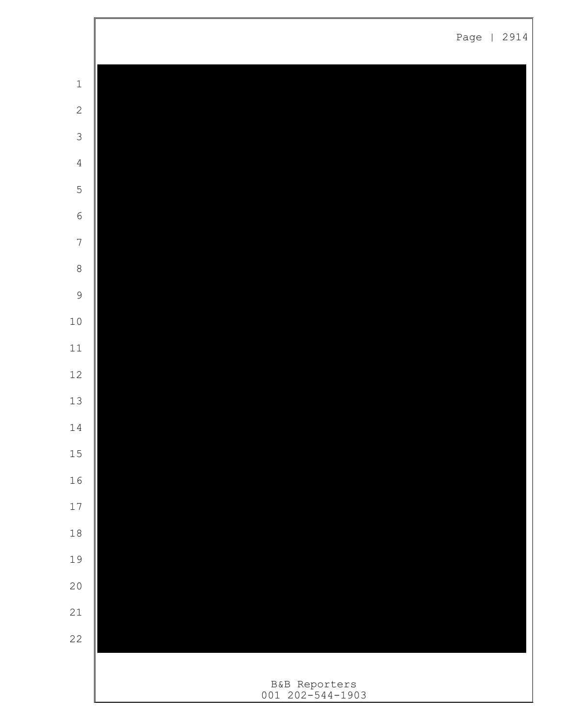|                |                                   | Page   2914 |  |
|----------------|-----------------------------------|-------------|--|
| $\mathbf 1$    |                                   |             |  |
| $\overline{c}$ |                                   |             |  |
| $\overline{3}$ |                                   |             |  |
| $\overline{4}$ |                                   |             |  |
| $\overline{5}$ |                                   |             |  |
| $\overline{6}$ |                                   |             |  |
| $\overline{7}$ |                                   |             |  |
| $\overline{8}$ |                                   |             |  |
| 9              |                                   |             |  |
| $10$           |                                   |             |  |
| $11\,$         |                                   |             |  |
| 12             |                                   |             |  |
| 13             |                                   |             |  |
| 14             |                                   |             |  |
| 15             |                                   |             |  |
| $16$           |                                   |             |  |
| 17             |                                   |             |  |
| $1\,8$         |                                   |             |  |
| 19             |                                   |             |  |
| $20$           |                                   |             |  |
| $21\,$         |                                   |             |  |
| 22             |                                   |             |  |
|                | B&B Reporters<br>001 202-544-1903 |             |  |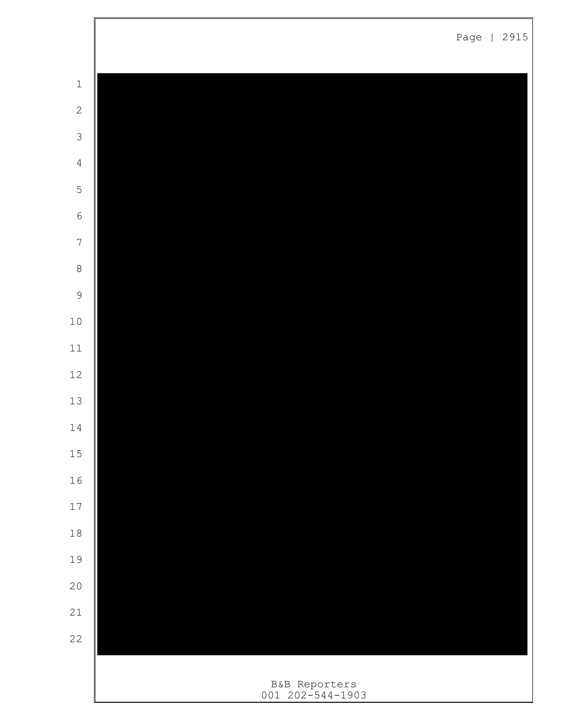|                |                                   | Page | 2915 |
|----------------|-----------------------------------|------|------|
|                |                                   |      |      |
| $\mathbf 1$    |                                   |      |      |
| $\overline{c}$ |                                   |      |      |
| $\overline{3}$ |                                   |      |      |
| $\overline{4}$ |                                   |      |      |
| $\overline{5}$ |                                   |      |      |
| $\overline{6}$ |                                   |      |      |
| $\overline{7}$ |                                   |      |      |
| $\theta$       |                                   |      |      |
| $\mathcal{G}$  |                                   |      |      |
| $10$           |                                   |      |      |
| $11$           |                                   |      |      |
| $12$           |                                   |      |      |
| 13             |                                   |      |      |
| $1\,4$         |                                   |      |      |
| 15             |                                   |      |      |
| $16\,$         |                                   |      |      |
| $17\,$         |                                   |      |      |
| $1\,8$         |                                   |      |      |
| 19             |                                   |      |      |
| $20$           |                                   |      |      |
| $21$           |                                   |      |      |
| $22$           |                                   |      |      |
|                |                                   |      |      |
|                | B&B Reporters<br>001 202-544-1903 |      |      |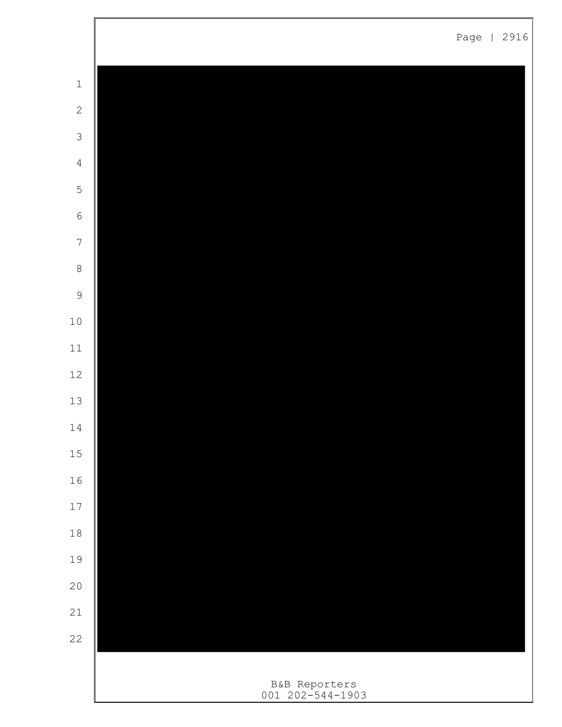|                                  |                                   | Page | 2916 |
|----------------------------------|-----------------------------------|------|------|
| $\mathbbm{1}$                    |                                   |      |      |
| $\overline{c}$                   |                                   |      |      |
| $\mathfrak{Z}$                   |                                   |      |      |
| $\overline{4}$                   |                                   |      |      |
| $\overline{5}$                   |                                   |      |      |
| $6\phantom{a}$                   |                                   |      |      |
| $\overline{7}$                   |                                   |      |      |
| $\begin{array}{c} 8 \end{array}$ |                                   |      |      |
| 9                                |                                   |      |      |
| $10$                             |                                   |      |      |
| $11$                             |                                   |      |      |
| 12                               |                                   |      |      |
| 13                               |                                   |      |      |
| 14                               |                                   |      |      |
| 15                               |                                   |      |      |
| $16\,$                           |                                   |      |      |
| $17$                             |                                   |      |      |
| $1\,8$                           |                                   |      |      |
| 19                               |                                   |      |      |
| $20$                             |                                   |      |      |
| $21\,$                           |                                   |      |      |
| 22                               |                                   |      |      |
|                                  |                                   |      |      |
|                                  | B&B Reporters<br>001 202-544-1903 |      |      |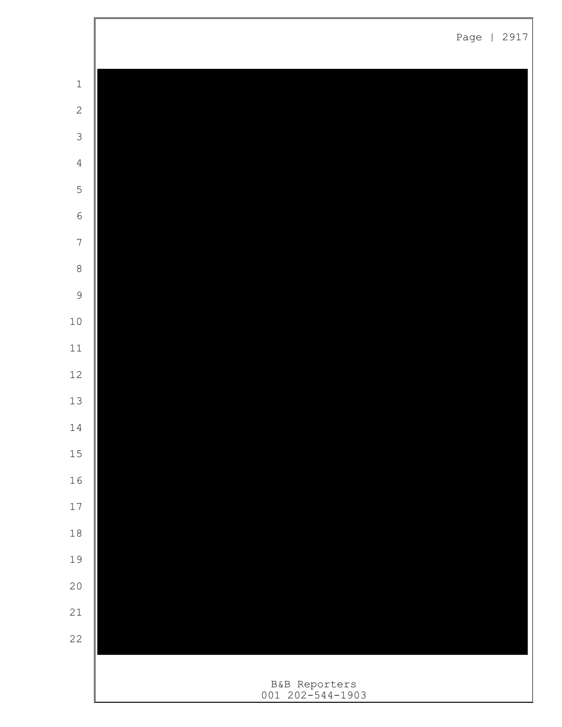|                                  |                                   | Page | 2917 |
|----------------------------------|-----------------------------------|------|------|
|                                  |                                   |      |      |
| $\mathbbm{1}$                    |                                   |      |      |
| $\overline{c}$<br>$\overline{3}$ |                                   |      |      |
| $\overline{4}$                   |                                   |      |      |
| $\overline{5}$                   |                                   |      |      |
| $6\phantom{a}$                   |                                   |      |      |
| $\overline{7}$                   |                                   |      |      |
| $\overline{8}$                   |                                   |      |      |
| $\mathcal{G}$                    |                                   |      |      |
| 10                               |                                   |      |      |
| $11$                             |                                   |      |      |
| $12$                             |                                   |      |      |
| 13                               |                                   |      |      |
| 14                               |                                   |      |      |
| 15                               |                                   |      |      |
| $16\,$                           |                                   |      |      |
| $17$                             |                                   |      |      |
| $1\,8$                           |                                   |      |      |
| 19                               |                                   |      |      |
| $20$                             |                                   |      |      |
| 21                               |                                   |      |      |
| 22                               |                                   |      |      |
|                                  |                                   |      |      |
|                                  | B&B Reporters<br>001 202-544-1903 |      |      |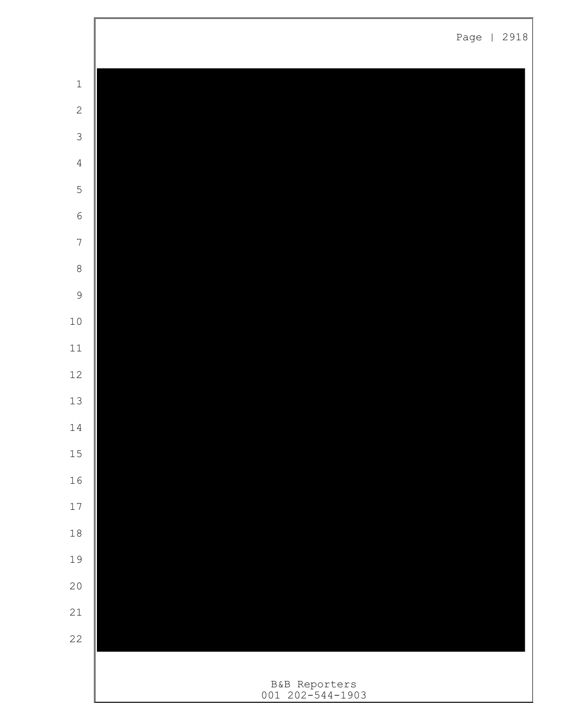|                            |                                   | Page | 2918 |
|----------------------------|-----------------------------------|------|------|
| $\ensuremath{\mathbbm{1}}$ |                                   |      |      |
| $\mathbf{2}$               |                                   |      |      |
| $\overline{3}$             |                                   |      |      |
| $\overline{4}$             |                                   |      |      |
| $\overline{5}$             |                                   |      |      |
| $6\overline{6}$            |                                   |      |      |
| $\overline{7}$             |                                   |      |      |
| $\overline{8}$             |                                   |      |      |
| 9                          |                                   |      |      |
| $10$                       |                                   |      |      |
| $11\,$                     |                                   |      |      |
| $12\,$                     |                                   |      |      |
| 13                         |                                   |      |      |
| $1\,4$                     |                                   |      |      |
| 15                         |                                   |      |      |
| $16$                       |                                   |      |      |
| $17$                       |                                   |      |      |
| $1\,8$                     |                                   |      |      |
| 19                         |                                   |      |      |
| $20$                       |                                   |      |      |
| $21\,$                     |                                   |      |      |
| 22                         |                                   |      |      |
|                            |                                   |      |      |
|                            | B&B Reporters<br>001 202-544-1903 |      |      |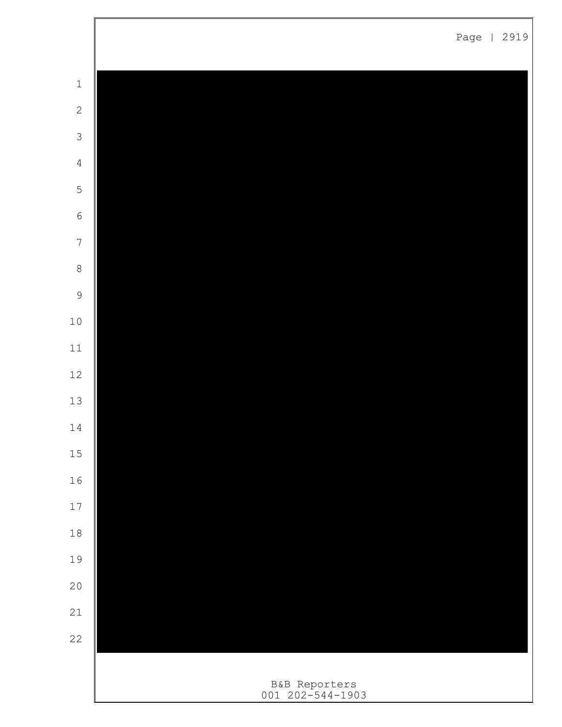|                |                                   | Page | 2919 |
|----------------|-----------------------------------|------|------|
|                |                                   |      |      |
| $\mathbbm{1}$  |                                   |      |      |
| $\overline{c}$ |                                   |      |      |
| $\overline{3}$ |                                   |      |      |
| $\overline{4}$ |                                   |      |      |
| $\overline{5}$ |                                   |      |      |
| $\sqrt{6}$     |                                   |      |      |
| $\overline{7}$ |                                   |      |      |
| $\theta$       |                                   |      |      |
| 9              |                                   |      |      |
| 10             |                                   |      |      |
| $11$           |                                   |      |      |
| $12$           |                                   |      |      |
| 13             |                                   |      |      |
| 14             |                                   |      |      |
| 15             |                                   |      |      |
| $16\,$         |                                   |      |      |
| $17$           |                                   |      |      |
| $1\,8$         |                                   |      |      |
| 19             |                                   |      |      |
| $20$           |                                   |      |      |
| 21             |                                   |      |      |
| 22             |                                   |      |      |
|                |                                   |      |      |
|                | B&B Reporters<br>001 202-544-1903 |      |      |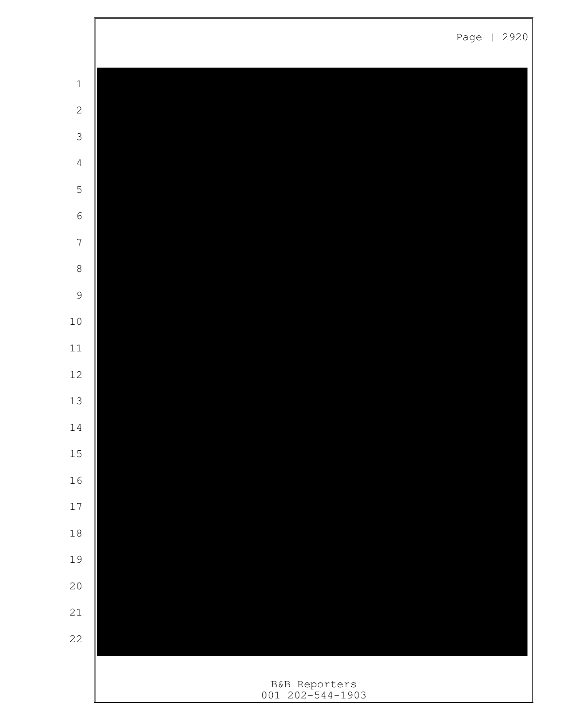|                |                                   | Page   2920 |  |
|----------------|-----------------------------------|-------------|--|
| $\,1$          |                                   |             |  |
| $\overline{c}$ |                                   |             |  |
| $\overline{3}$ |                                   |             |  |
| $\overline{4}$ |                                   |             |  |
| $\overline{5}$ |                                   |             |  |
| $\overline{6}$ |                                   |             |  |
| $\overline{7}$ |                                   |             |  |
| $\overline{8}$ |                                   |             |  |
| $\overline{9}$ |                                   |             |  |
| $10$           |                                   |             |  |
| $11$           |                                   |             |  |
| $12$           |                                   |             |  |
| 13             |                                   |             |  |
| 14             |                                   |             |  |
| 15             |                                   |             |  |
| $16\,$         |                                   |             |  |
| $17\,$         |                                   |             |  |
| $1\,8$         |                                   |             |  |
| 19             |                                   |             |  |
| $20$           |                                   |             |  |
| $21\,$         |                                   |             |  |
| 22             |                                   |             |  |
|                |                                   |             |  |
|                | B&B Reporters<br>001 202-544-1903 |             |  |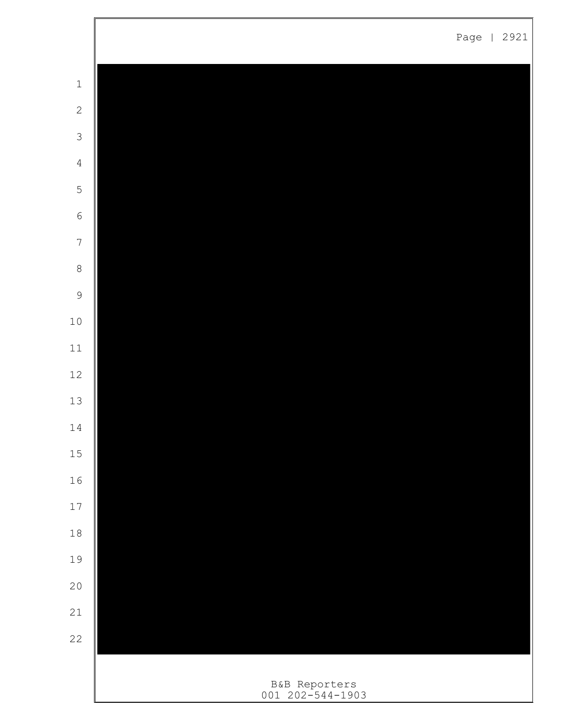|                 |                                   | Page   2921 |  |
|-----------------|-----------------------------------|-------------|--|
| $\mathbf 1$     |                                   |             |  |
| $\mathbf{2}$    |                                   |             |  |
| $\mathfrak{Z}$  |                                   |             |  |
| $\overline{4}$  |                                   |             |  |
| $\overline{5}$  |                                   |             |  |
| $6\overline{6}$ |                                   |             |  |
| $\overline{7}$  |                                   |             |  |
| $\overline{8}$  |                                   |             |  |
| 9               |                                   |             |  |
| 10              |                                   |             |  |
| $11\,$          |                                   |             |  |
| 12              |                                   |             |  |
| 13              |                                   |             |  |
| 14              |                                   |             |  |
| 15              |                                   |             |  |
| $16$            |                                   |             |  |
| 17              |                                   |             |  |
| $1\,8$          |                                   |             |  |
| 19              |                                   |             |  |
| $20$            |                                   |             |  |
| $21\,$          |                                   |             |  |
| 22              |                                   |             |  |
|                 | B&B Reporters<br>001 202-544-1903 |             |  |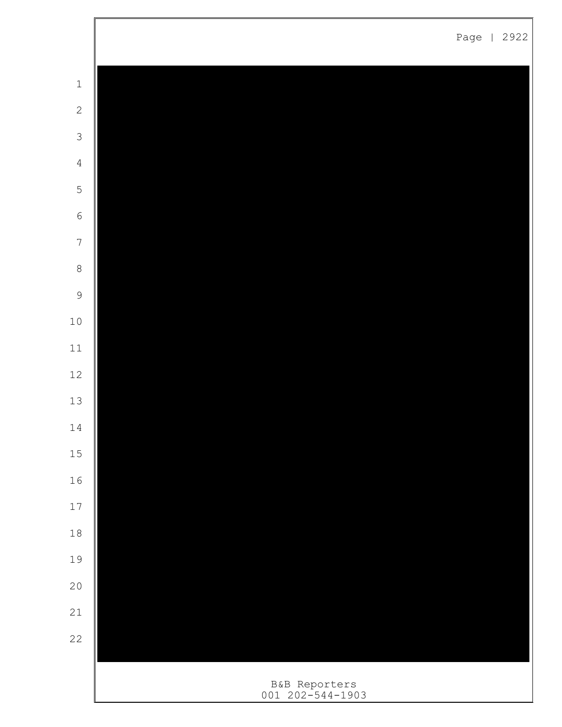|                | Page   2922                       |  |
|----------------|-----------------------------------|--|
| $\,1\,$        |                                   |  |
| $\overline{c}$ |                                   |  |
| $\overline{3}$ |                                   |  |
| $\overline{4}$ |                                   |  |
| $\overline{5}$ |                                   |  |
| $6\phantom{a}$ |                                   |  |
| $\overline{7}$ |                                   |  |
| $\overline{8}$ |                                   |  |
| $\mathcal{G}$  |                                   |  |
| 10             |                                   |  |
| $11$           |                                   |  |
| 12             |                                   |  |
| 13             |                                   |  |
| 14             |                                   |  |
| 15             |                                   |  |
| $16\,$         |                                   |  |
| 17             |                                   |  |
| $1\,8$         |                                   |  |
| 19             |                                   |  |
| $20$           |                                   |  |
| $21\,$<br>22   |                                   |  |
|                |                                   |  |
|                | B&B Reporters<br>001 202-544-1903 |  |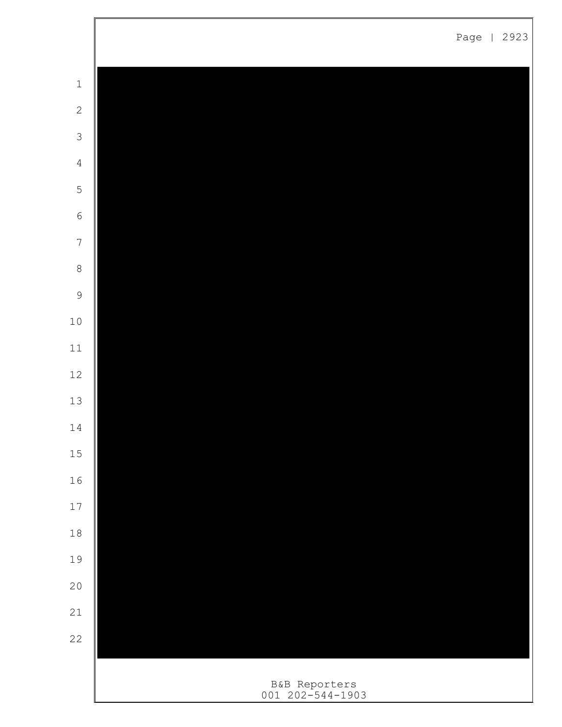|                                 |                                   | Page   2923 |  |
|---------------------------------|-----------------------------------|-------------|--|
|                                 |                                   |             |  |
| $\mathbbm{1}$<br>$\overline{c}$ |                                   |             |  |
| $\mathfrak{Z}$                  |                                   |             |  |
| $\overline{4}$                  |                                   |             |  |
| $\overline{5}$                  |                                   |             |  |
| $\overline{6}$                  |                                   |             |  |
| $\overline{7}$                  |                                   |             |  |
| 8                               |                                   |             |  |
| 9                               |                                   |             |  |
| $10$                            |                                   |             |  |
| $11$                            |                                   |             |  |
| $12$                            |                                   |             |  |
| 13                              |                                   |             |  |
| 14                              |                                   |             |  |
| $15\,$                          |                                   |             |  |
| 16                              |                                   |             |  |
| $17\,$                          |                                   |             |  |
| $1\,8$                          |                                   |             |  |
| 19                              |                                   |             |  |
| $20$                            |                                   |             |  |
| 21                              |                                   |             |  |
| 22                              |                                   |             |  |
|                                 |                                   |             |  |
|                                 | B&B Reporters<br>001 202-544-1903 |             |  |

 $\overline{\mathbf{I}}$ 

 $\overline{r}$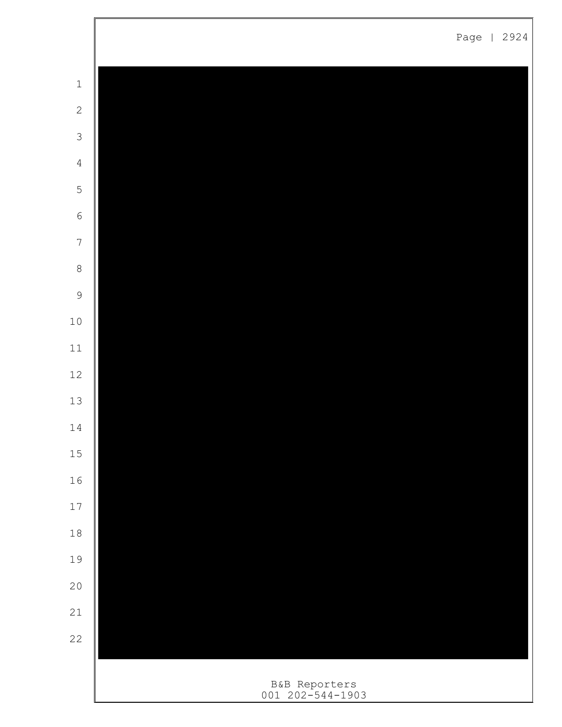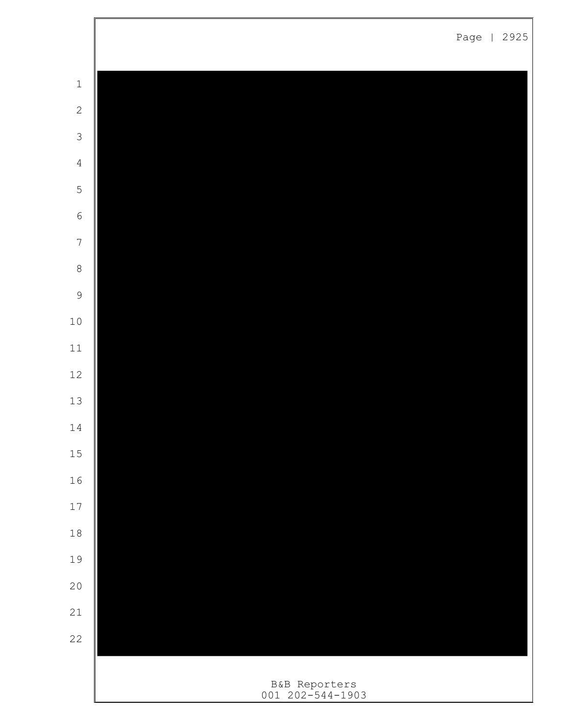|                                  |                                   | Page | 2925 |  |
|----------------------------------|-----------------------------------|------|------|--|
|                                  |                                   |      |      |  |
| $\ensuremath{\mathbbm{1}}$       |                                   |      |      |  |
| $\overline{c}$<br>$\overline{3}$ |                                   |      |      |  |
| $\overline{4}$                   |                                   |      |      |  |
| $\overline{5}$                   |                                   |      |      |  |
| $6\phantom{a}$                   |                                   |      |      |  |
| $\overline{7}$                   |                                   |      |      |  |
| $\theta$                         |                                   |      |      |  |
| 9                                |                                   |      |      |  |
| $10$                             |                                   |      |      |  |
| $11\,$                           |                                   |      |      |  |
| 12                               |                                   |      |      |  |
| 13                               |                                   |      |      |  |
| $1\,4$                           |                                   |      |      |  |
| $15\,$                           |                                   |      |      |  |
| $16$                             |                                   |      |      |  |
| $17\,$                           |                                   |      |      |  |
| $1\,8$                           |                                   |      |      |  |
| 19                               |                                   |      |      |  |
| $20$                             |                                   |      |      |  |
| $21\,$                           |                                   |      |      |  |
| 22                               |                                   |      |      |  |
|                                  |                                   |      |      |  |
|                                  | B&B Reporters<br>001 202-544-1903 |      |      |  |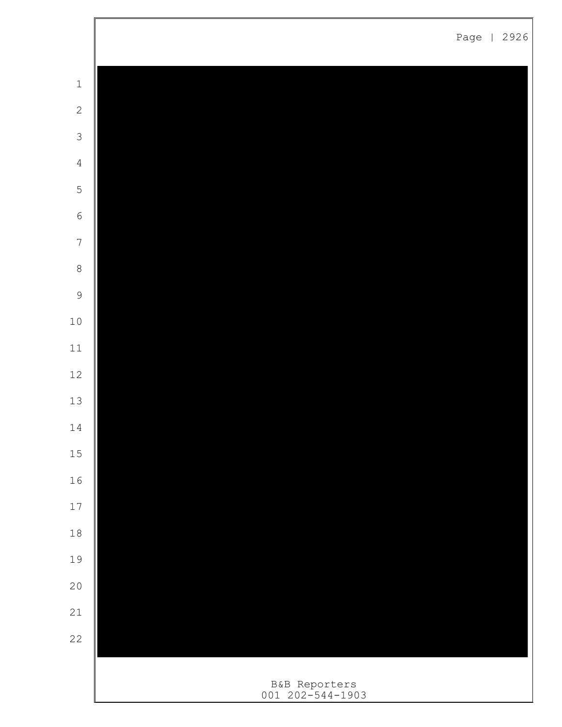|                            |                                   |  | Page   2926 |
|----------------------------|-----------------------------------|--|-------------|
|                            |                                   |  |             |
| $\ensuremath{\mathbbm{1}}$ |                                   |  |             |
| $\overline{c}$             |                                   |  |             |
| $\overline{3}$             |                                   |  |             |
| $\overline{4}$             |                                   |  |             |
| $\overline{5}$             |                                   |  |             |
| $\overline{6}$             |                                   |  |             |
| $\overline{7}$             |                                   |  |             |
| $\theta$                   |                                   |  |             |
| $\mathcal{G}$              |                                   |  |             |
| $10$                       |                                   |  |             |
| $11$                       |                                   |  |             |
| $12\,$                     |                                   |  |             |
| 13                         |                                   |  |             |
| $1\,4$                     |                                   |  |             |
| $15\,$                     |                                   |  |             |
| $16\,$                     |                                   |  |             |
| $17\,$                     |                                   |  |             |
| $1\,8$                     |                                   |  |             |
| 19                         |                                   |  |             |
| $20$                       |                                   |  |             |
| $2\sqrt{1}$                |                                   |  |             |
| 22                         |                                   |  |             |
|                            |                                   |  |             |
|                            | B&B Reporters<br>001 202-544-1903 |  |             |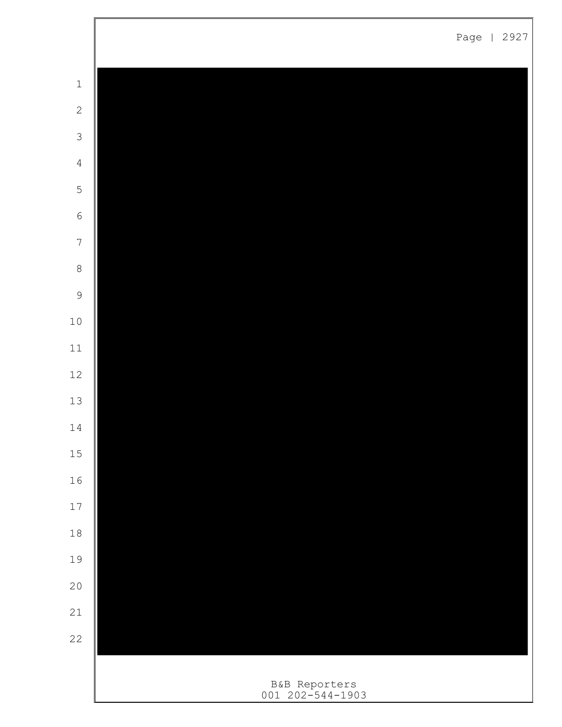|                |                                   | Page   2927 |  |
|----------------|-----------------------------------|-------------|--|
|                |                                   |             |  |
| $\mathbbm{1}$  |                                   |             |  |
| $\overline{c}$ |                                   |             |  |
| $\overline{3}$ |                                   |             |  |
| $\overline{4}$ |                                   |             |  |
| $\overline{5}$ |                                   |             |  |
| $\overline{6}$ |                                   |             |  |
| $\overline{7}$ |                                   |             |  |
| $\overline{8}$ |                                   |             |  |
| 9              |                                   |             |  |
| $10$           |                                   |             |  |
| $11$           |                                   |             |  |
| $12$           |                                   |             |  |
| 13             |                                   |             |  |
| 14             |                                   |             |  |
| $15\,$         |                                   |             |  |
| $16\,$         |                                   |             |  |
| $17\,$         |                                   |             |  |
| $1\,8$         |                                   |             |  |
| 19             |                                   |             |  |
| $20$           |                                   |             |  |
| $21\,$         |                                   |             |  |
| 22             |                                   |             |  |
|                |                                   |             |  |
|                | B&B Reporters<br>001 202-544-1903 |             |  |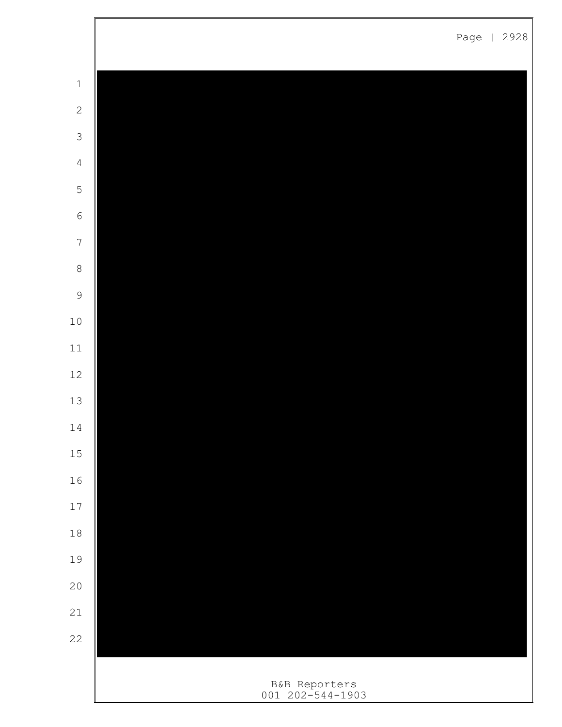|                                  |                                   | Page | 2928 |
|----------------------------------|-----------------------------------|------|------|
|                                  |                                   |      |      |
| $\mathbbm{1}$                    |                                   |      |      |
| $\overline{c}$                   |                                   |      |      |
| $\overline{3}$                   |                                   |      |      |
| $\overline{4}$<br>$\overline{5}$ |                                   |      |      |
| $\overline{6}$                   |                                   |      |      |
| $\overline{7}$                   |                                   |      |      |
| $\overline{8}$                   |                                   |      |      |
| 9                                |                                   |      |      |
| $10$                             |                                   |      |      |
| $11\,$                           |                                   |      |      |
| $12\,$                           |                                   |      |      |
| 13                               |                                   |      |      |
| $1\,4$                           |                                   |      |      |
| $15\,$                           |                                   |      |      |
| $16$                             |                                   |      |      |
| $17$                             |                                   |      |      |
| $1\,8$                           |                                   |      |      |
| 19                               |                                   |      |      |
| $20$                             |                                   |      |      |
| $21$                             |                                   |      |      |
| 22                               |                                   |      |      |
|                                  |                                   |      |      |
|                                  | B&B Reporters<br>001 202-544-1903 |      |      |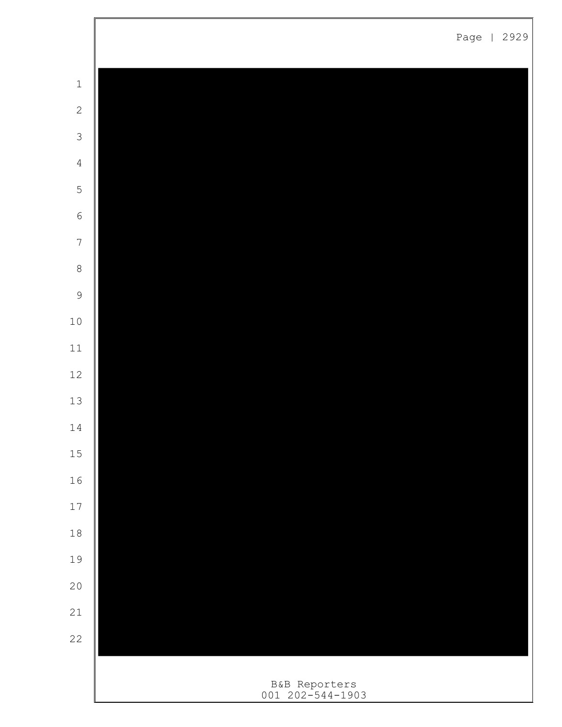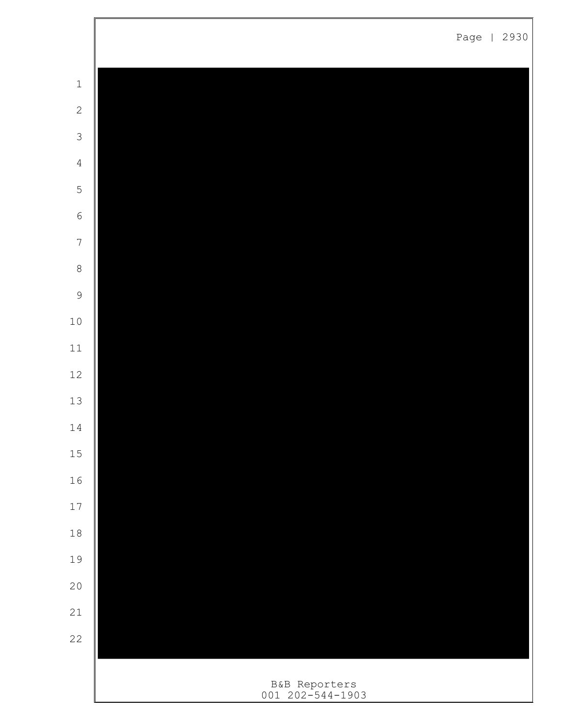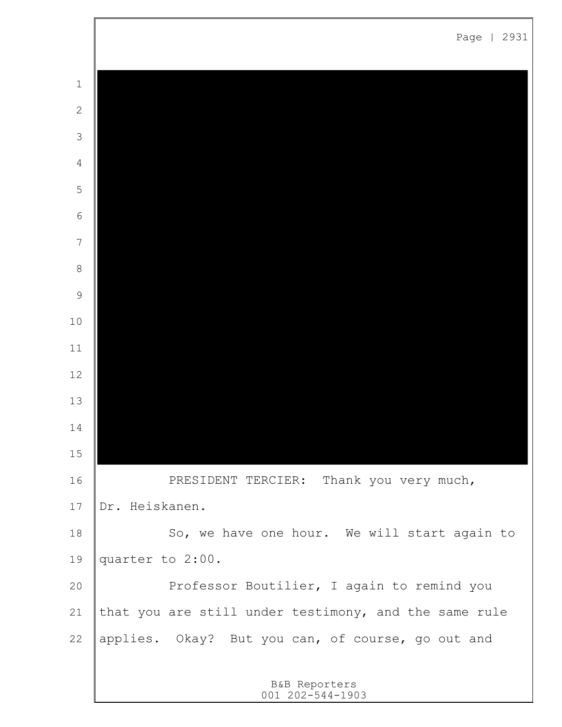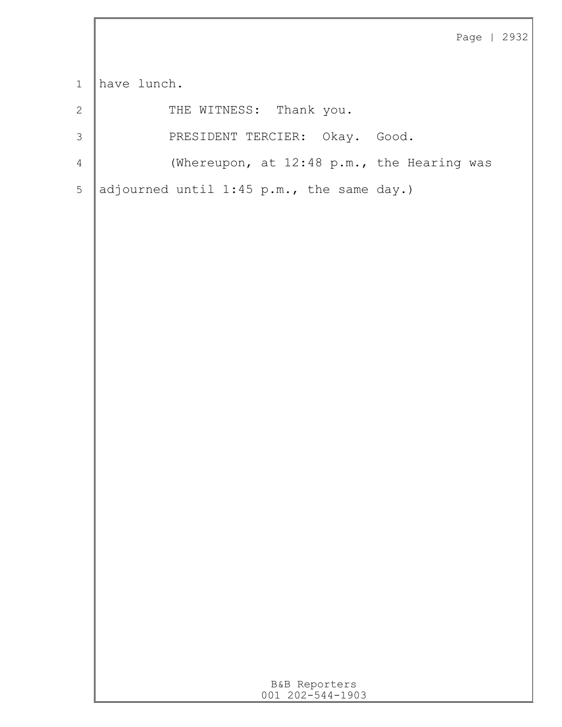|             | Page   2932                                |
|-------------|--------------------------------------------|
| $\mathbf 1$ | have lunch.                                |
| 2           | THE WITNESS: Thank you.                    |
| 3           | PRESIDENT TERCIER: Okay.<br>Good.          |
| 4           | (Whereupon, at 12:48 p.m., the Hearing was |
| 5           | adjourned until 1:45 p.m., the same day.)  |

I

| B&B Reporters    |  |
|------------------|--|
| 001 202-544-1903 |  |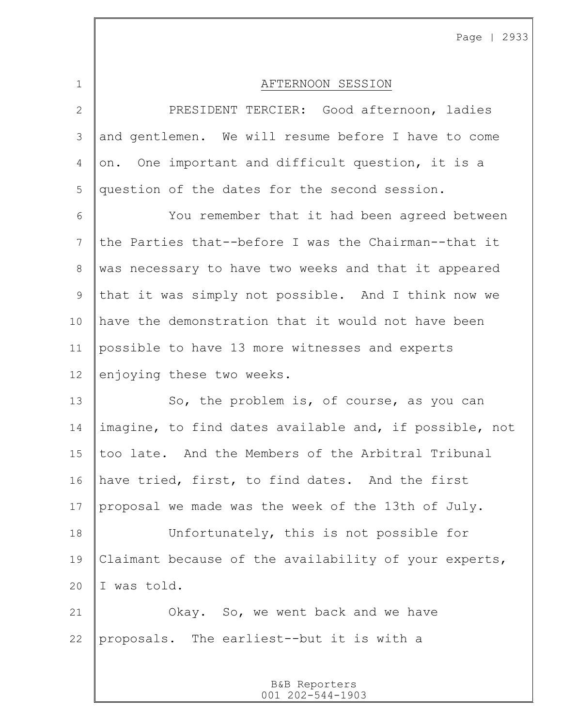Page | 2933 B&B Reporters 1 | AFTERNOON SESSION 2 PRESIDENT TERCIER: Good afternoon, ladies 3 and gentlemen. We will resume before I have to come 4  $\vert$  on. One important and difficult question, it is a 5 question of the dates for the second session. 6 You remember that it had been agreed between 7 Ithe Parties that--before I was the Chairman--that it 8 | was necessary to have two weeks and that it appeared 9 that it was simply not possible. And I think now we 10 have the demonstration that it would not have been 11 possible to have 13 more witnesses and experts 12 enjoying these two weeks. 13 So, the problem is, of course, as you can 14 | imagine, to find dates available and, if possible, not 15 too late. And the Members of the Arbitral Tribunal 16 have tried, first, to find dates. And the first 17  $\parallel$  proposal we made was the week of the 13th of July. 18 Unfortunately, this is not possible for 19 Claimant because of the availability of your experts, 20  $\mathbb{I}$  was told. 21 **Okay.** So, we went back and we have 22 proposals. The earliest--but it is with a

001 202-544-1903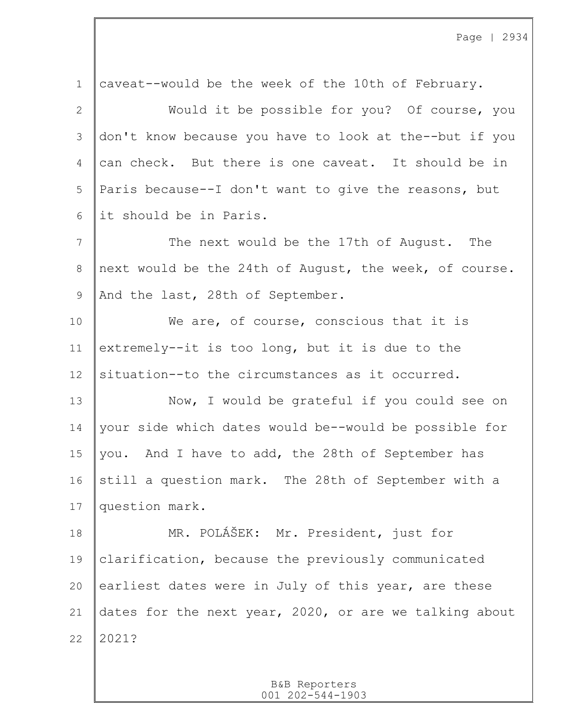Page | 2934

| $\mathbf 1$  | caveat--would be the week of the 10th of February.     |
|--------------|--------------------------------------------------------|
| $\mathbf{2}$ | Would it be possible for you? Of course, you           |
| 3            | don't know because you have to look at the--but if you |
| 4            | can check. But there is one caveat. It should be in    |
| 5            | Paris because--I don't want to give the reasons, but   |
| 6            | it should be in Paris.                                 |
| 7            | The next would be the 17th of August. The              |
| $8\,$        | next would be the 24th of August, the week, of course. |
| 9            | And the last, 28th of September.                       |
| 10           | We are, of course, conscious that it is                |
| 11           | extremely--it is too long, but it is due to the        |
| 12           | situation--to the circumstances as it occurred.        |
| 13           | Now, I would be grateful if you could see on           |
| 14           | your side which dates would be--would be possible for  |
| 15           | And I have to add, the 28th of September has<br>you.   |
| 16           | still a question mark. The 28th of September with a    |
| 17           | question mark.                                         |
| 18           | MR. POLÁŠEK: Mr. President, just for                   |
| 19           | clarification, because the previously communicated     |
| 20           | earliest dates were in July of this year, are these    |
| 21           | dates for the next year, 2020, or are we talking about |
| 22           | 2021?                                                  |
|              |                                                        |
|              | B&B Reporters                                          |

## 001 202-544-1903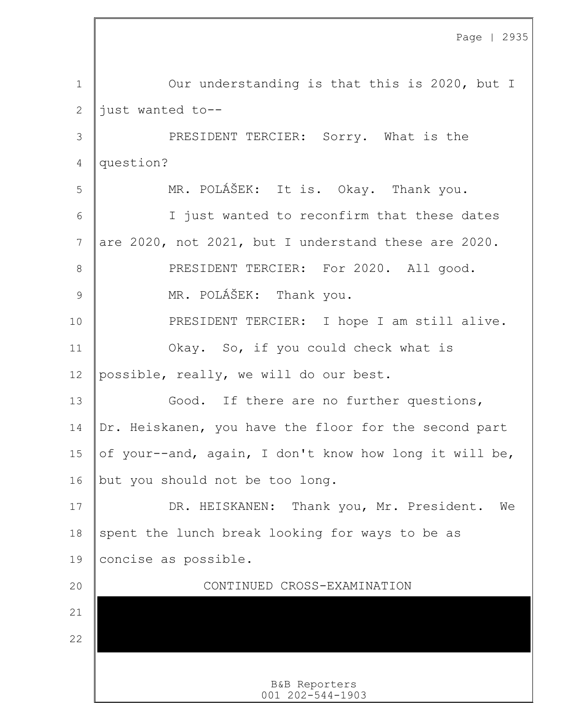B&B Reporters 001 202-544-1903 1 | Our understanding is that this is 2020, but I 2  $\parallel$  just wanted to--3 Next PRESIDENT TERCIER: Sorry. What is the 4 question? 5 MR. POLÁŠEK: It is. Okay. Thank you. 6 I just wanted to reconfirm that these dates 7 are 2020, not 2021, but I understand these are 2020. 8 **PRESIDENT TERCIER:** For 2020. All good. 9 MR. POLÁŠEK: Thank you. 10 PRESIDENT TERCIER: I hope I am still alive. 11 **Okay.** So, if you could check what is 12 possible, really, we will do our best. 13 Good. If there are no further questions, 14 | Dr. Heiskanen, you have the floor for the second part 15 of your--and, again, I don't know how long it will be, 16 | but you should not be too long. 17 DR. HEISKANEN: Thank you, Mr. President. We 18 spent the lunch break looking for ways to be as 19 | concise as possible. 20 CONTINUED CROSS-EXAMINATION 21 22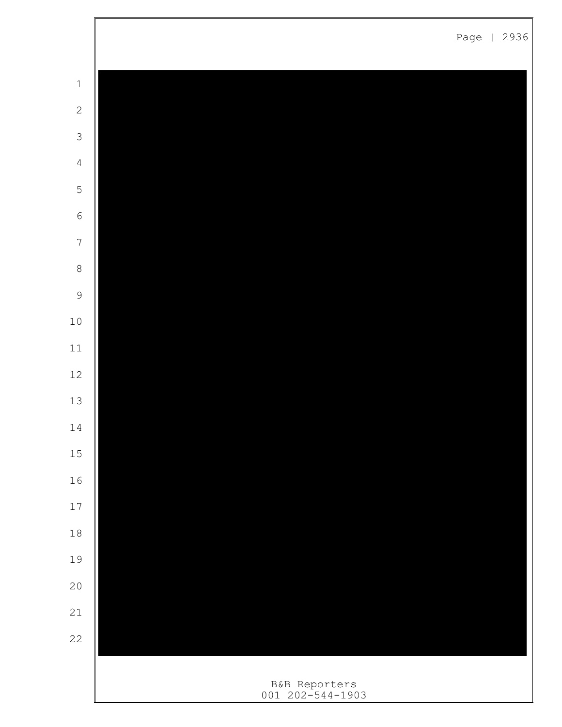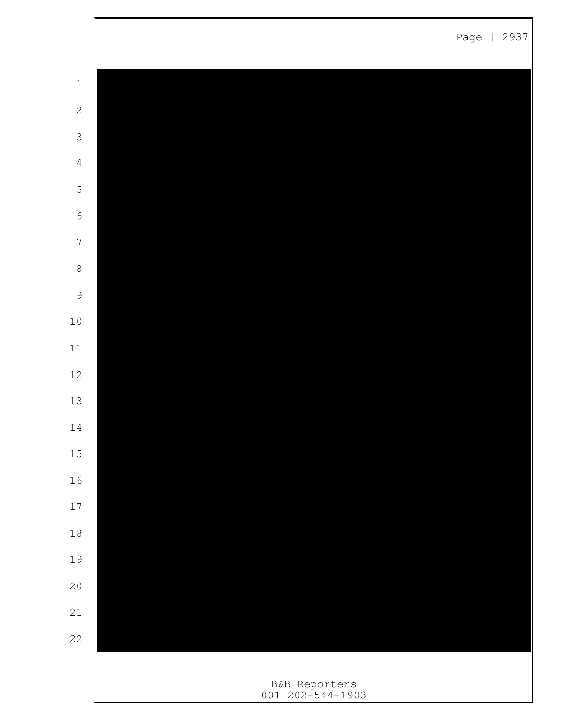|                |                                   | Page   2937 |
|----------------|-----------------------------------|-------------|
|                |                                   |             |
| $\mathbf 1$    |                                   |             |
| $\overline{c}$ |                                   |             |
| $\overline{3}$ |                                   |             |
| $\overline{4}$ |                                   |             |
| $\overline{5}$ |                                   |             |
| $\overline{6}$ |                                   |             |
| $\overline{7}$ |                                   |             |
| $\delta$       |                                   |             |
| $\mathcal{G}$  |                                   |             |
| $10$           |                                   |             |
| $11\,$         |                                   |             |
| $12\,$         |                                   |             |
| 13             |                                   |             |
| $14$           |                                   |             |
| $15\,$         |                                   |             |
| $16\,$         |                                   |             |
| $17\,$         |                                   |             |
| $1\,8$         |                                   |             |
| 19             |                                   |             |
| $20$           |                                   |             |
|                |                                   |             |
| $21\,$         |                                   |             |
| 22             |                                   |             |
|                |                                   |             |
|                | B&B Reporters<br>001 202-544-1903 |             |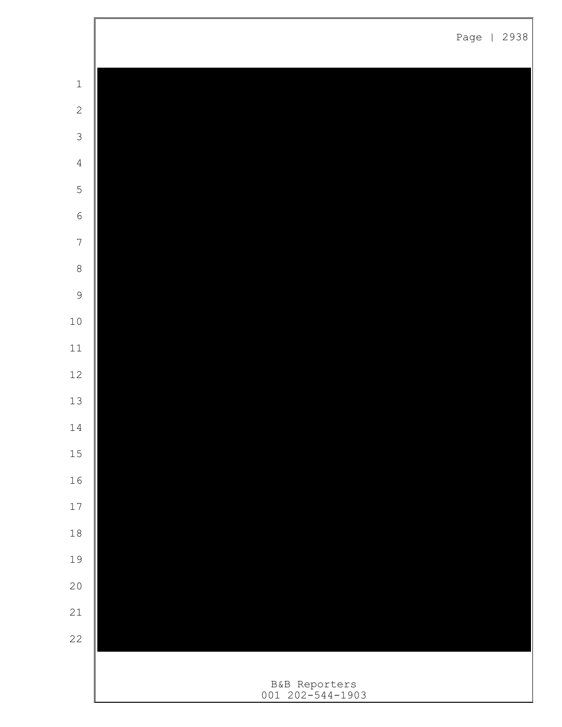|                 | Page   2938                       |  |  |
|-----------------|-----------------------------------|--|--|
| $\,1\,$         |                                   |  |  |
| $\overline{c}$  |                                   |  |  |
| $\overline{3}$  |                                   |  |  |
| $\overline{4}$  |                                   |  |  |
| $\overline{5}$  |                                   |  |  |
| $6\overline{6}$ |                                   |  |  |
| $\overline{7}$  |                                   |  |  |
| 8               |                                   |  |  |
| 9               |                                   |  |  |
| 10              |                                   |  |  |
| $11\,$          |                                   |  |  |
| 12              |                                   |  |  |
| 13              |                                   |  |  |
| 14              |                                   |  |  |
| 15              |                                   |  |  |
| $16$            |                                   |  |  |
| 17              |                                   |  |  |
| $1\,8$          |                                   |  |  |
| 19              |                                   |  |  |
| $20$            |                                   |  |  |
| $21\,$          |                                   |  |  |
| 22              |                                   |  |  |
|                 |                                   |  |  |
|                 | B&B Reporters<br>001 202-544-1903 |  |  |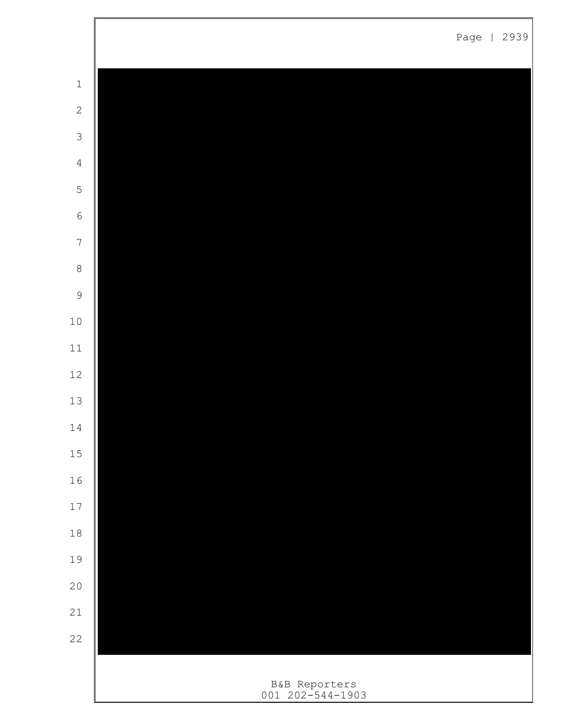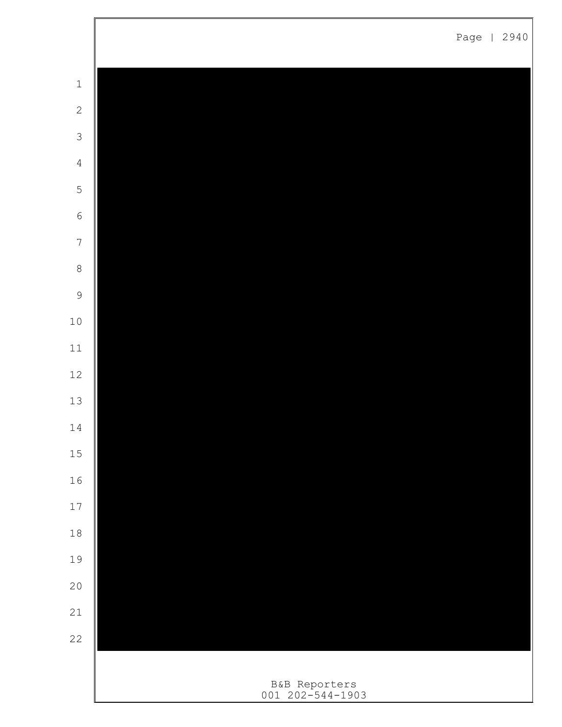|                | Page   2940                       |
|----------------|-----------------------------------|
| $\,1\,$        |                                   |
| $\overline{c}$ |                                   |
| $\overline{3}$ |                                   |
| $\overline{4}$ |                                   |
| $\overline{5}$ |                                   |
| $\overline{6}$ |                                   |
| $\overline{7}$ |                                   |
| 8              |                                   |
| 9              |                                   |
| 10             |                                   |
| $11$           |                                   |
| $12$           |                                   |
| 13             |                                   |
| 14             |                                   |
| 15             |                                   |
| $16\,$         |                                   |
| $17\,$         |                                   |
| $1\,8$         |                                   |
| 19             |                                   |
| $20$           |                                   |
| $2\sqrt{1}$    |                                   |
| 22             |                                   |
|                | B&B Reporters<br>001 202-544-1903 |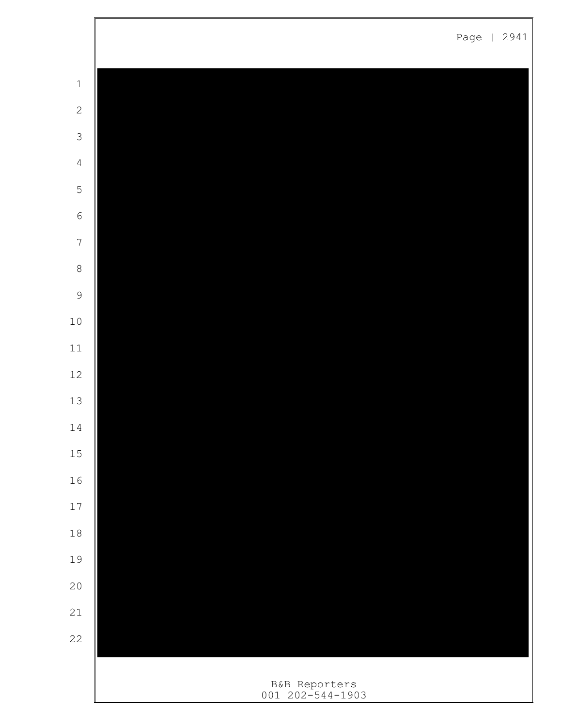|                 |                                   | Page   2941 |  |
|-----------------|-----------------------------------|-------------|--|
| $\,1\,$         |                                   |             |  |
| $\overline{c}$  |                                   |             |  |
| $\overline{3}$  |                                   |             |  |
| $\overline{4}$  |                                   |             |  |
| $\overline{5}$  |                                   |             |  |
| $6\overline{6}$ |                                   |             |  |
| $\overline{7}$  |                                   |             |  |
| 8               |                                   |             |  |
| 9               |                                   |             |  |
| $10$            |                                   |             |  |
| $11\,$          |                                   |             |  |
| 12              |                                   |             |  |
| 13              |                                   |             |  |
| 14              |                                   |             |  |
| 15              |                                   |             |  |
| $16$            |                                   |             |  |
| 17              |                                   |             |  |
| $1\,8$          |                                   |             |  |
| 19              |                                   |             |  |
| $20$            |                                   |             |  |
| $21\,$          |                                   |             |  |
| 22              |                                   |             |  |
|                 |                                   |             |  |
|                 | B&B Reporters<br>001 202-544-1903 |             |  |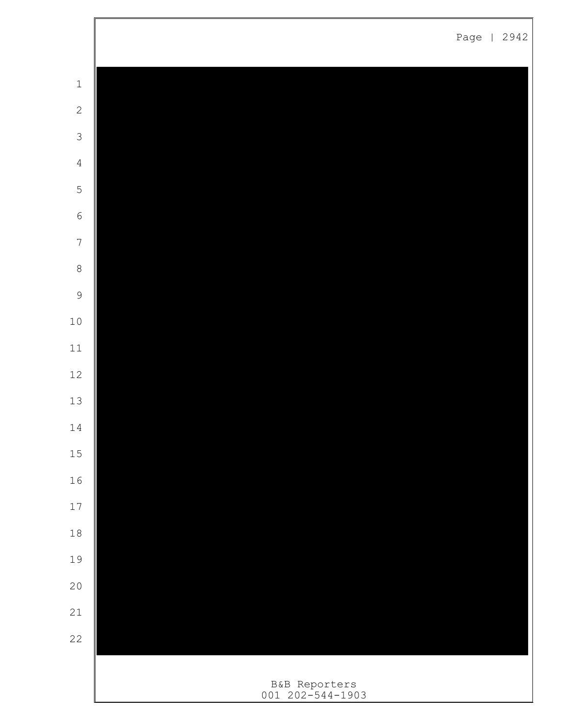|                                  |                                   | Page   2942 |
|----------------------------------|-----------------------------------|-------------|
|                                  |                                   |             |
| $\mathbf 1$                      |                                   |             |
| $\mathbf{2}$<br>$\mathfrak{Z}$   |                                   |             |
| $\overline{4}$                   |                                   |             |
| $\overline{5}$                   |                                   |             |
| $6\phantom{a}$                   |                                   |             |
| $\overline{\mathcal{I}}$         |                                   |             |
| $\begin{array}{c} 8 \end{array}$ |                                   |             |
| $\overline{9}$                   |                                   |             |
| $10$                             |                                   |             |
| $11$                             |                                   |             |
| $12\,$                           |                                   |             |
| 13                               |                                   |             |
| $1\,4$                           |                                   |             |
| $15\,$                           |                                   |             |
| $16\,$                           |                                   |             |
| $17$                             |                                   |             |
| $1\,8$                           |                                   |             |
| 19                               |                                   |             |
| $20$                             |                                   |             |
| $21$                             |                                   |             |
| 22                               |                                   |             |
|                                  |                                   |             |
|                                  | B&B Reporters<br>001 202-544-1903 |             |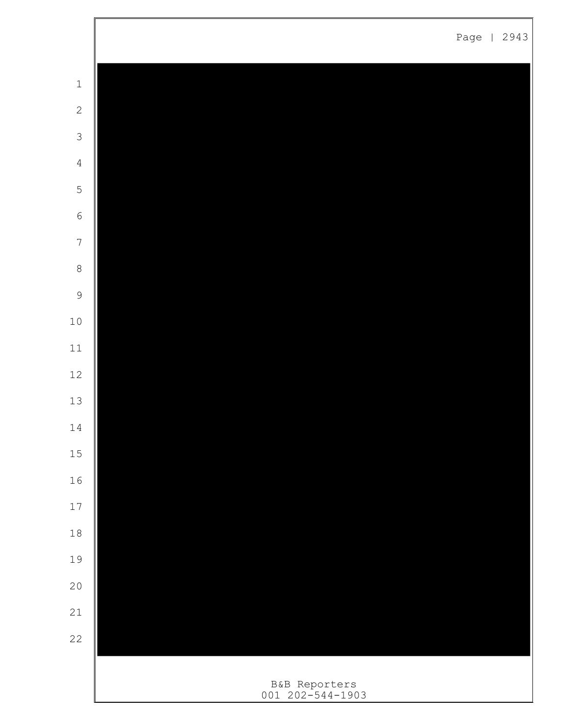|                               | 2943<br>Page                      |
|-------------------------------|-----------------------------------|
|                               |                                   |
| $\mathbf 1$<br>$\overline{c}$ |                                   |
| $\mathfrak{Z}$                |                                   |
| $\sqrt{4}$                    |                                   |
| $\overline{5}$                |                                   |
| $\overline{6}$                |                                   |
| $\overline{7}$                |                                   |
| $\overline{8}$                |                                   |
| 9                             |                                   |
| $10$                          |                                   |
| $11\,$                        |                                   |
| $12\,$                        |                                   |
| 13                            |                                   |
| $14$                          |                                   |
| 15                            |                                   |
| 16                            |                                   |
| $17$                          |                                   |
| $1\,8$                        |                                   |
| 19                            |                                   |
| $20$                          |                                   |
| 21                            |                                   |
| 22                            |                                   |
|                               | B&B Reporters<br>001 202-544-1903 |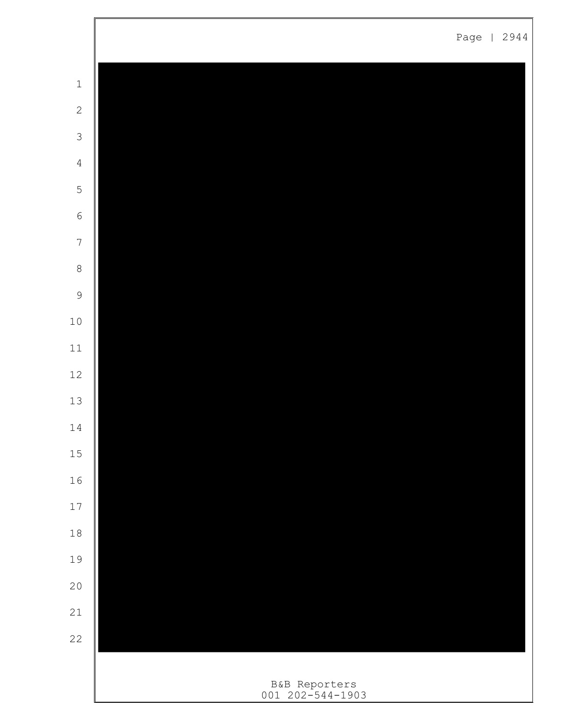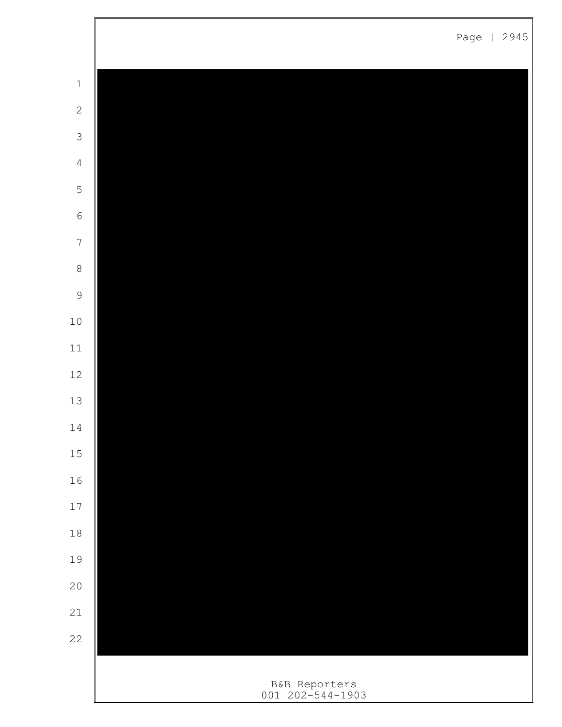|                            |                                   | Page   2945 |  |
|----------------------------|-----------------------------------|-------------|--|
| $\ensuremath{\mathbbm{1}}$ |                                   |             |  |
| $\overline{c}$             |                                   |             |  |
| $\overline{3}$             |                                   |             |  |
| $\overline{4}$             |                                   |             |  |
| $\overline{5}$             |                                   |             |  |
| $6\phantom{a}$             |                                   |             |  |
| $\overline{7}$             |                                   |             |  |
| $\overline{8}$             |                                   |             |  |
| 9                          |                                   |             |  |
| $10$                       |                                   |             |  |
| $11$                       |                                   |             |  |
| $12$                       |                                   |             |  |
| 13                         |                                   |             |  |
| $14\,$                     |                                   |             |  |
| $15\,$                     |                                   |             |  |
| $16$                       |                                   |             |  |
| $17$                       |                                   |             |  |
| $1\,8$                     |                                   |             |  |
| 19                         |                                   |             |  |
| $2\,0$                     |                                   |             |  |
| $21\,$                     |                                   |             |  |
| 22                         |                                   |             |  |
|                            |                                   |             |  |
|                            | B&B Reporters<br>001 202-544-1903 |             |  |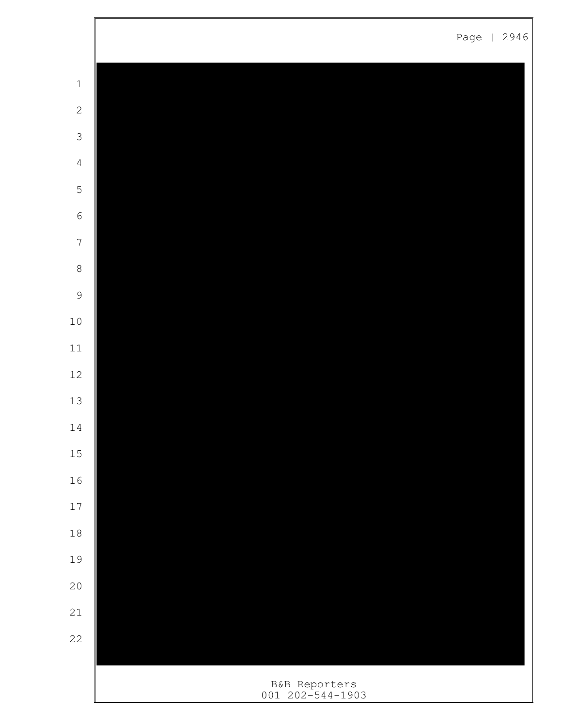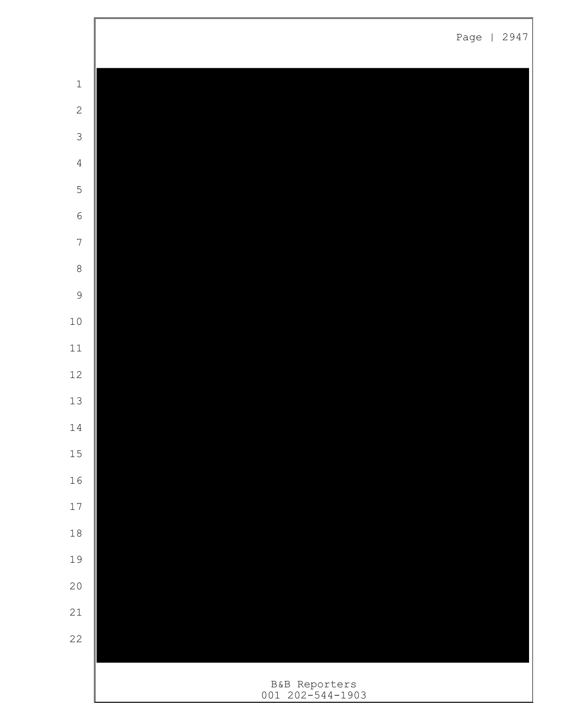|                            |                                   | Page   2947 |
|----------------------------|-----------------------------------|-------------|
| $\ensuremath{\mathbbm{1}}$ |                                   |             |
| $\sqrt{2}$                 |                                   |             |
| $\overline{3}$             |                                   |             |
| $\overline{4}$             |                                   |             |
| $\overline{5}$             |                                   |             |
| $6\overline{6}$            |                                   |             |
| $\overline{7}$             |                                   |             |
| $\overline{8}$             |                                   |             |
| $\mathcal{G}$              |                                   |             |
| $10$                       |                                   |             |
| $11\,$                     |                                   |             |
| 12                         |                                   |             |
| 13                         |                                   |             |
| $14$                       |                                   |             |
| $15\,$                     |                                   |             |
| $16\,$                     |                                   |             |
| $17\,$                     |                                   |             |
| $1\,8$                     |                                   |             |
| 19                         |                                   |             |
| $20$                       |                                   |             |
| $21\,$                     |                                   |             |
| 22                         |                                   |             |
|                            |                                   |             |
|                            | B&B Reporters<br>001 202-544-1903 |             |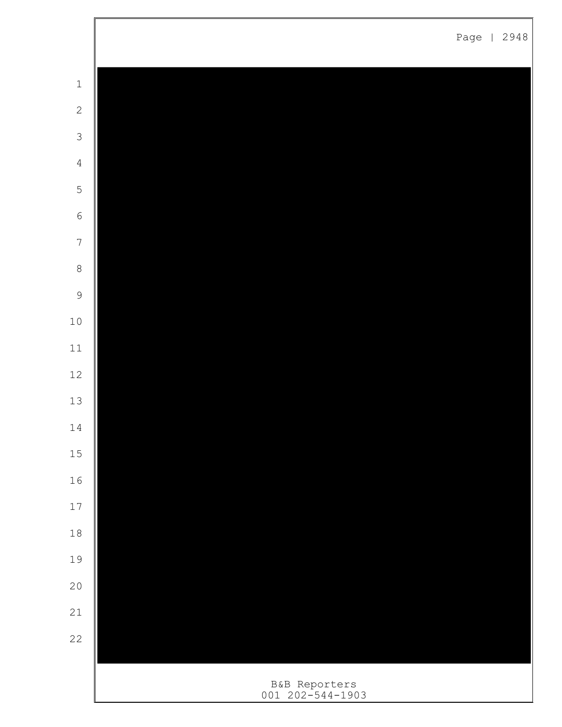|                                  | 2948<br>Page                      |
|----------------------------------|-----------------------------------|
| $\,1\,$                          |                                   |
| $\overline{c}$                   |                                   |
| $\mathfrak{Z}$                   |                                   |
| $\overline{4}$                   |                                   |
| $\overline{5}$                   |                                   |
| $\overline{6}$                   |                                   |
| $\overline{7}$                   |                                   |
| $\begin{array}{c} 8 \end{array}$ |                                   |
| 9                                |                                   |
| $10$                             |                                   |
| 11                               |                                   |
| 12                               |                                   |
| 13                               |                                   |
| 14                               |                                   |
| 15                               |                                   |
| 16                               |                                   |
| 17                               |                                   |
| $1\,8$                           |                                   |
| 19                               |                                   |
| $20$                             |                                   |
| $21$                             |                                   |
| 22                               |                                   |
|                                  | B&B Reporters<br>001 202-544-1903 |
|                                  |                                   |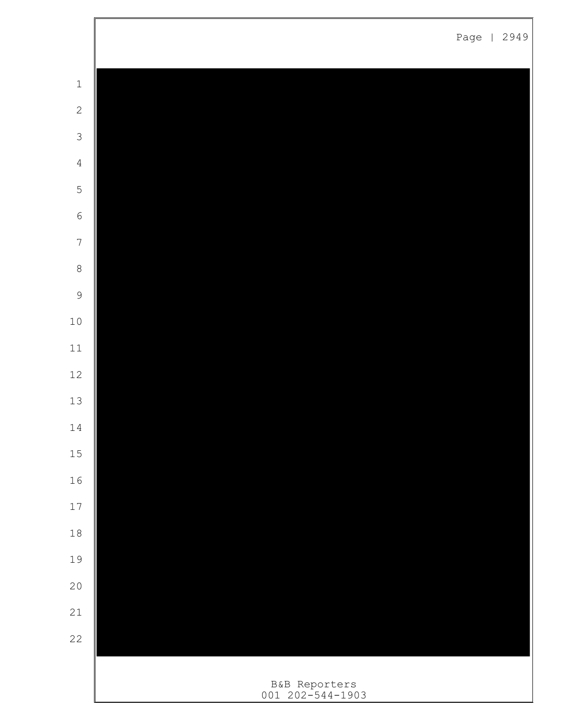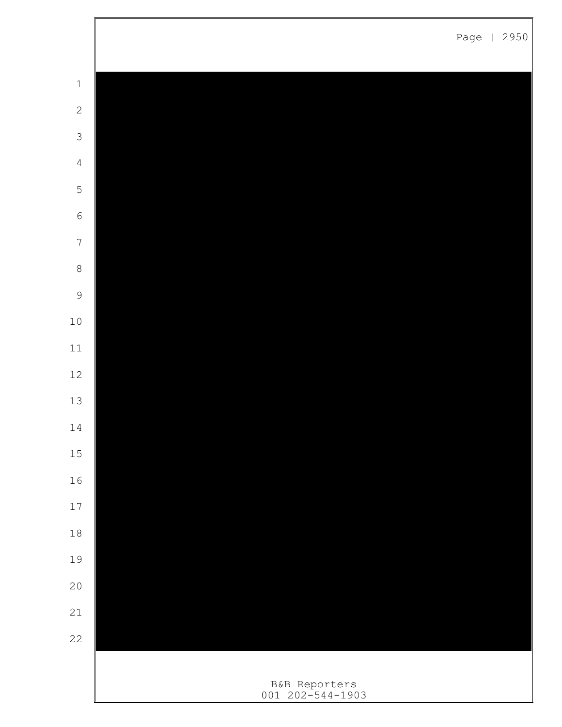|                                 |                                   | Page | 2950 |
|---------------------------------|-----------------------------------|------|------|
|                                 |                                   |      |      |
| $\mathbf 1$                     |                                   |      |      |
| $\mathbf{2}$                    |                                   |      |      |
| $\mathfrak{Z}$                  |                                   |      |      |
| $\overline{4}$                  |                                   |      |      |
| $\overline{5}$                  |                                   |      |      |
| $\sqrt{6}$                      |                                   |      |      |
| $\boldsymbol{7}$                |                                   |      |      |
| $\begin{matrix} 8 \end{matrix}$ |                                   |      |      |
| $\mathcal{G}$                   |                                   |      |      |
| $10$                            |                                   |      |      |
| $11$                            |                                   |      |      |
| $12$                            |                                   |      |      |
| 13                              |                                   |      |      |
| $1\,4$                          |                                   |      |      |
| 15                              |                                   |      |      |
| 16                              |                                   |      |      |
| $17\,$                          |                                   |      |      |
| $1\,8$                          |                                   |      |      |
| 19                              |                                   |      |      |
| $20$                            |                                   |      |      |
| 21                              |                                   |      |      |
| 22                              |                                   |      |      |
|                                 |                                   |      |      |
|                                 | B&B Reporters<br>001 202-544-1903 |      |      |
|                                 |                                   |      |      |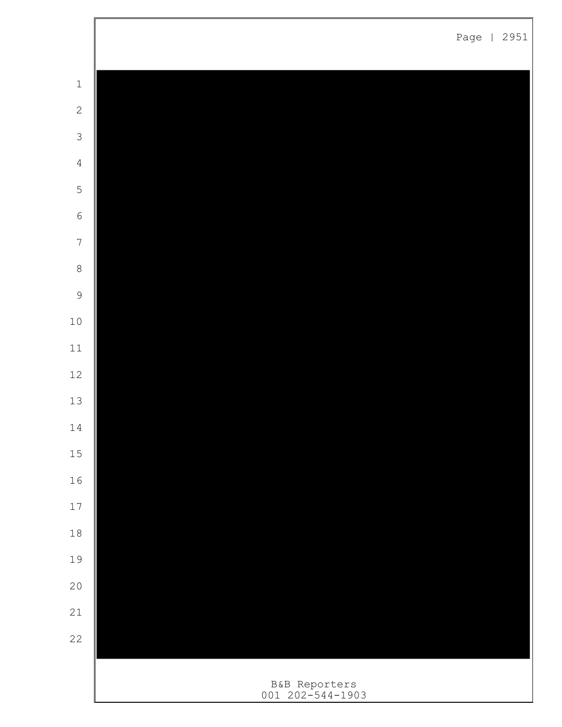|                |                                   | Page | 2951 |
|----------------|-----------------------------------|------|------|
|                |                                   |      |      |
| $\mathbf 1$    |                                   |      |      |
| $\overline{c}$ |                                   |      |      |
| $\overline{3}$ |                                   |      |      |
| $\overline{4}$ |                                   |      |      |
| $\overline{5}$ |                                   |      |      |
| $6\phantom{a}$ |                                   |      |      |
| $\overline{7}$ |                                   |      |      |
| 8              |                                   |      |      |
| $\mathcal{G}$  |                                   |      |      |
| $10$           |                                   |      |      |
| $11\,$         |                                   |      |      |
| 12             |                                   |      |      |
| 13             |                                   |      |      |
| 14             |                                   |      |      |
| 15             |                                   |      |      |
| $16\,$         |                                   |      |      |
| $17\,$         |                                   |      |      |
| $1\,8$         |                                   |      |      |
| 19             |                                   |      |      |
| $20$           |                                   |      |      |
| $2\sqrt{1}$    |                                   |      |      |
| 22             |                                   |      |      |
|                |                                   |      |      |
|                | B&B Reporters<br>001 202-544-1903 |      |      |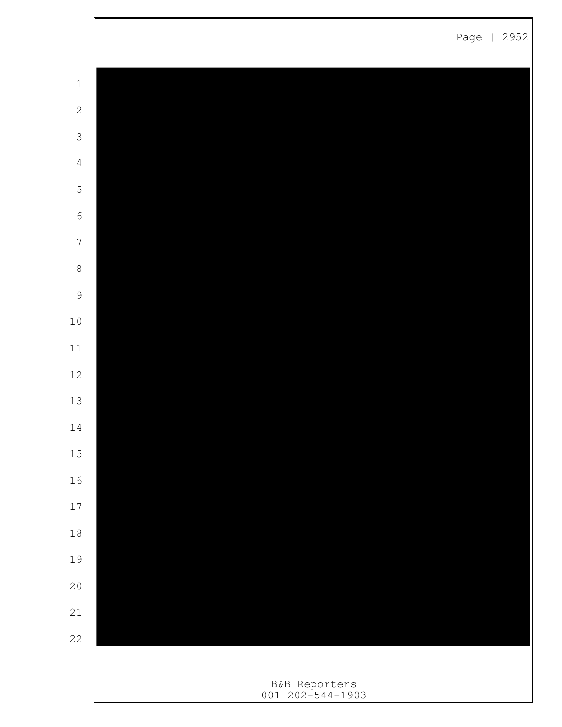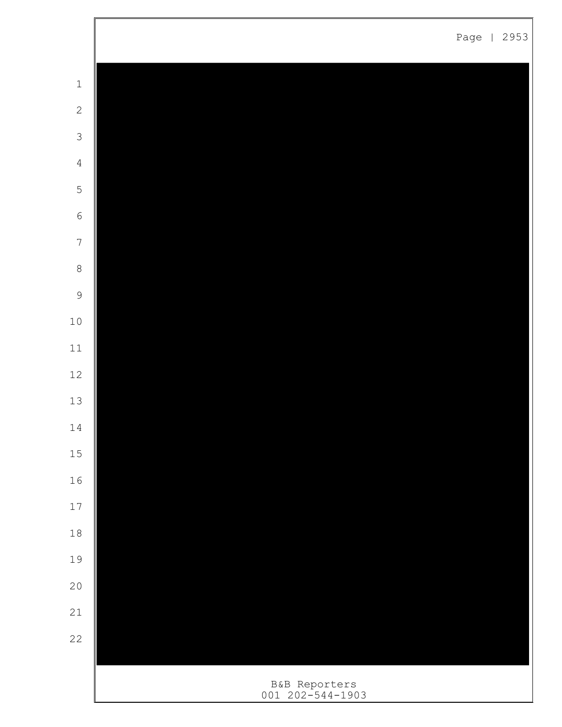|                  |                                   | Page | 2953 |
|------------------|-----------------------------------|------|------|
| $\,1\,$          |                                   |      |      |
| $\overline{c}$   |                                   |      |      |
| $\mathfrak{Z}$   |                                   |      |      |
| $\overline{4}$   |                                   |      |      |
| $\overline{5}$   |                                   |      |      |
| $\overline{6}$   |                                   |      |      |
| $\overline{7}$   |                                   |      |      |
| $\overline{8}$   |                                   |      |      |
| $\mathcal{G}$    |                                   |      |      |
| $10$             |                                   |      |      |
| 11               |                                   |      |      |
| 12               |                                   |      |      |
| 13               |                                   |      |      |
| 14               |                                   |      |      |
| 15               |                                   |      |      |
| $16\,$<br>$17\,$ |                                   |      |      |
| $1\,8$           |                                   |      |      |
| 19               |                                   |      |      |
| $20$             |                                   |      |      |
| $21$             |                                   |      |      |
| 22               |                                   |      |      |
|                  |                                   |      |      |
|                  | B&B Reporters<br>001 202-544-1903 |      |      |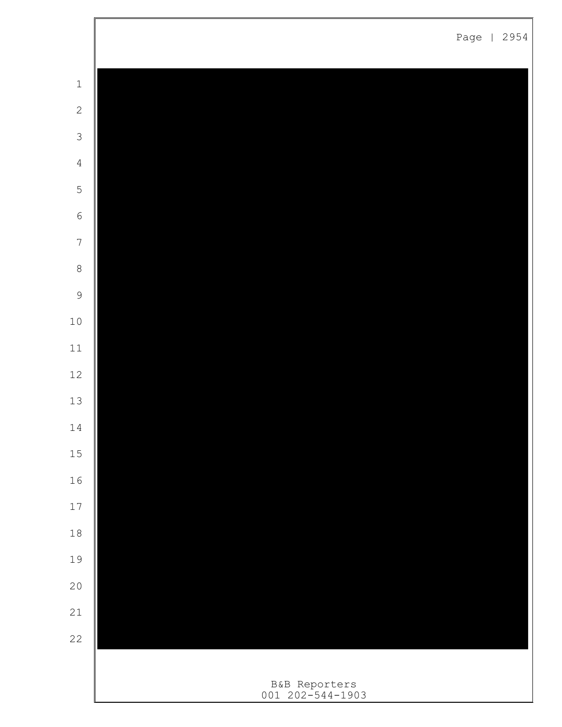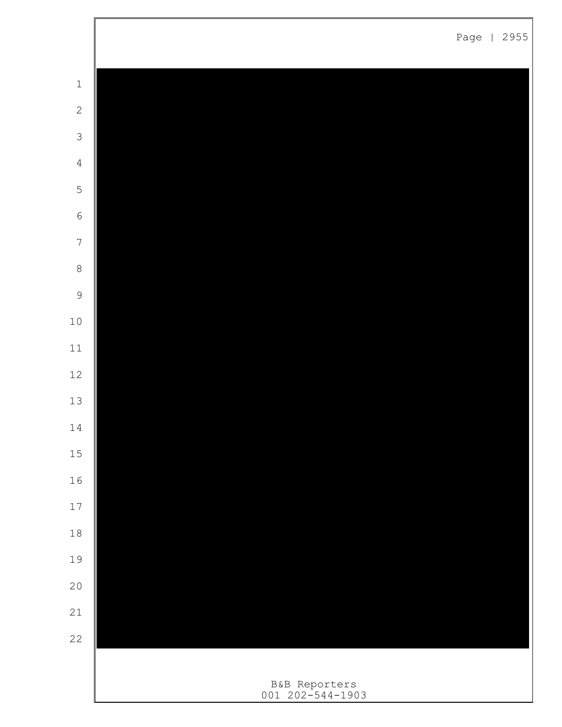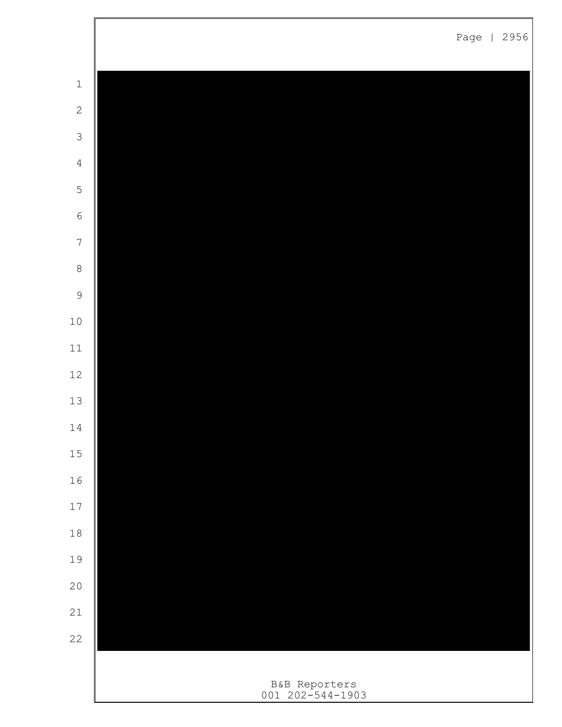|                            |                                   | Page   2956 |
|----------------------------|-----------------------------------|-------------|
|                            |                                   |             |
| $\ensuremath{\mathbbm{1}}$ |                                   |             |
| $\overline{c}$             |                                   |             |
| $\overline{3}$             |                                   |             |
| $\overline{4}$             |                                   |             |
| $\overline{5}$             |                                   |             |
| $\overline{6}$             |                                   |             |
| $\overline{7}$             |                                   |             |
| $\overline{8}$             |                                   |             |
| $\mathcal{G}$              |                                   |             |
| $10$                       |                                   |             |
| $11$                       |                                   |             |
| $12$                       |                                   |             |
| 13                         |                                   |             |
| $1\,4$                     |                                   |             |
| $15\,$                     |                                   |             |
| $16\,$                     |                                   |             |
| $17\,$                     |                                   |             |
| $1\,8$                     |                                   |             |
| 19                         |                                   |             |
| $20$                       |                                   |             |
| 21                         |                                   |             |
| 22                         |                                   |             |
|                            |                                   |             |
|                            | B&B Reporters<br>001 202-544-1903 |             |
|                            |                                   |             |

Г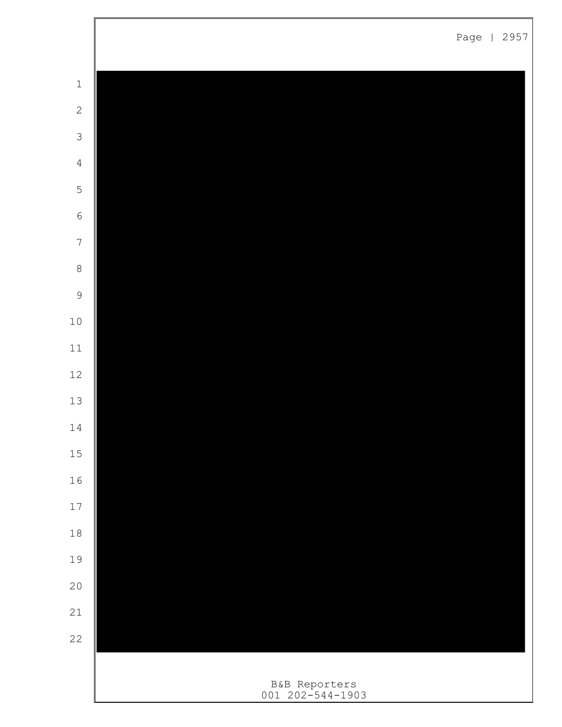|                                  | Page                              |  | 2957 |
|----------------------------------|-----------------------------------|--|------|
|                                  |                                   |  |      |
| $\ensuremath{\mathbbm{1}}$       |                                   |  |      |
| $\mathbf{2}$                     |                                   |  |      |
| $\mathfrak{Z}$                   |                                   |  |      |
| $\overline{4}$                   |                                   |  |      |
| $\overline{5}$                   |                                   |  |      |
| $6\overline{6}$                  |                                   |  |      |
| $\overline{7}$                   |                                   |  |      |
| $\begin{array}{c} 8 \end{array}$ |                                   |  |      |
| $\mathcal{G}$                    |                                   |  |      |
| $10$                             |                                   |  |      |
| $11\,$                           |                                   |  |      |
| 12                               |                                   |  |      |
| 13                               |                                   |  |      |
| $1\,4$                           |                                   |  |      |
| $15\,$                           |                                   |  |      |
| $16$                             |                                   |  |      |
| $17\,$                           |                                   |  |      |
| $1\,8$                           |                                   |  |      |
| 19                               |                                   |  |      |
| $20$                             |                                   |  |      |
| $2\sqrt{1}$                      |                                   |  |      |
| 22                               |                                   |  |      |
|                                  |                                   |  |      |
|                                  | B&B Reporters<br>001 202-544-1903 |  |      |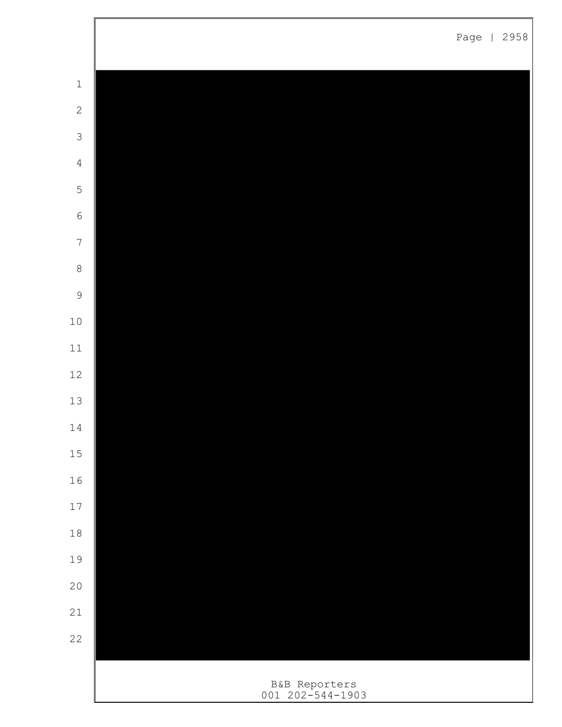|                  |                                   | Page | 2958 |
|------------------|-----------------------------------|------|------|
|                  |                                   |      |      |
| $\mathbf 1$      |                                   |      |      |
| $\sqrt{2}$       |                                   |      |      |
| $\mathfrak{Z}$   |                                   |      |      |
| $\overline{4}$   |                                   |      |      |
| $\overline{5}$   |                                   |      |      |
| $\sqrt{6}$       |                                   |      |      |
| $\boldsymbol{7}$ |                                   |      |      |
| $\,8\,$          |                                   |      |      |
| $\mathcal{G}$    |                                   |      |      |
| $10$             |                                   |      |      |
| $11$             |                                   |      |      |
| $12$             |                                   |      |      |
| 13               |                                   |      |      |
| 14               |                                   |      |      |
| $15\,$           |                                   |      |      |
| $16\,$           |                                   |      |      |
| $17\,$           |                                   |      |      |
| $1\,8$           |                                   |      |      |
| 19               |                                   |      |      |
| $20$             |                                   |      |      |
| 21               |                                   |      |      |
| 22               |                                   |      |      |
|                  |                                   |      |      |
|                  | B&B Reporters<br>001 202-544-1903 |      |      |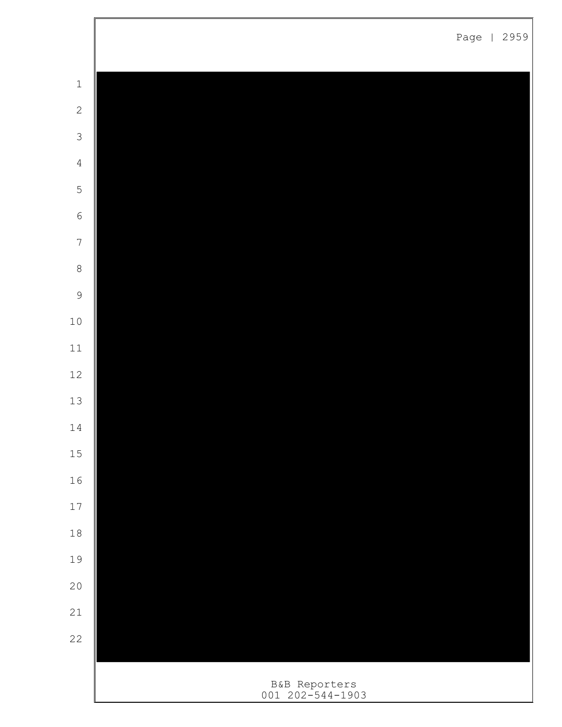|                                   | Page   2959                       |
|-----------------------------------|-----------------------------------|
|                                   |                                   |
| $\mathbf 1$                       |                                   |
| $\mathbf{2}$                      |                                   |
| $\mathfrak{Z}$                    |                                   |
| $\overline{4}$                    |                                   |
| $\overline{5}$<br>$6\overline{6}$ |                                   |
| $\overline{7}$                    |                                   |
| $\begin{array}{c} 8 \end{array}$  |                                   |
| 9                                 |                                   |
| $10$                              |                                   |
| $11$                              |                                   |
| $12\,$                            |                                   |
| 13                                |                                   |
| 14                                |                                   |
| $15\,$                            |                                   |
| 16                                |                                   |
| $17\,$                            |                                   |
| $1\,8$                            |                                   |
| 19                                |                                   |
| $20$                              |                                   |
| $21\,$                            |                                   |
| 22                                |                                   |
|                                   |                                   |
|                                   | B&B Reporters<br>001 202-544-1903 |

 $\overline{\mathbf{I}}$ 

 $\overline{r}$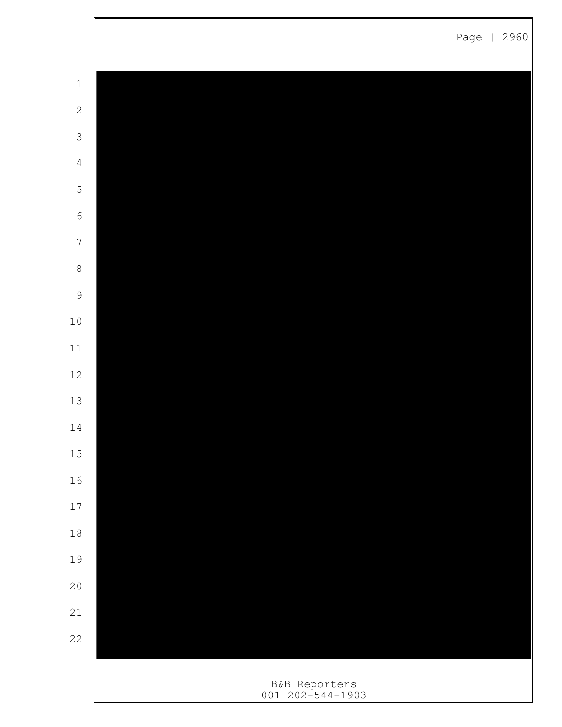|                                | Page   2960                       |
|--------------------------------|-----------------------------------|
| $\mathbf 1$                    |                                   |
|                                |                                   |
| $\mathbf{2}$<br>$\overline{3}$ |                                   |
|                                |                                   |
| $\overline{4}$                 |                                   |
| $\overline{5}$                 |                                   |
| $6\phantom{a}$                 |                                   |
| $\overline{7}$                 |                                   |
| $\overline{8}$                 |                                   |
| $\mathcal{G}$                  |                                   |
| 10                             |                                   |
| $11\,$                         |                                   |
| $12$                           |                                   |
| 13                             |                                   |
| $1\,4$                         |                                   |
| 15                             |                                   |
| $16\,$                         |                                   |
| $17\,$                         |                                   |
| $1\,8$                         |                                   |
| 19                             |                                   |
| $20$                           |                                   |
| $21\,$                         |                                   |
| 22                             |                                   |
|                                |                                   |
|                                | B&B Reporters<br>001 202-544-1903 |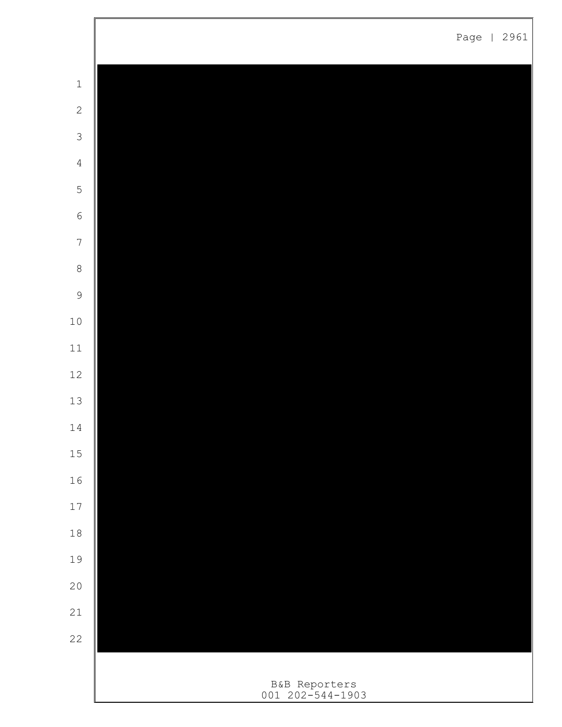|                | Page   2961                       |
|----------------|-----------------------------------|
| $\,1$          |                                   |
| $\overline{c}$ |                                   |
| $\overline{3}$ |                                   |
| $\overline{4}$ |                                   |
| $\overline{5}$ |                                   |
| $\overline{6}$ |                                   |
| $\overline{7}$ |                                   |
| 8              |                                   |
| 9              |                                   |
| 10             |                                   |
| $11\,$         |                                   |
| $12$           |                                   |
| 13             |                                   |
| 14             |                                   |
| 15             |                                   |
| 16             |                                   |
| 17             |                                   |
| $1\,8$         |                                   |
| 19             |                                   |
| $20$           |                                   |
| $2\sqrt{1}$    |                                   |
| 22             |                                   |
|                | B&B Reporters<br>001 202-544-1903 |
|                |                                   |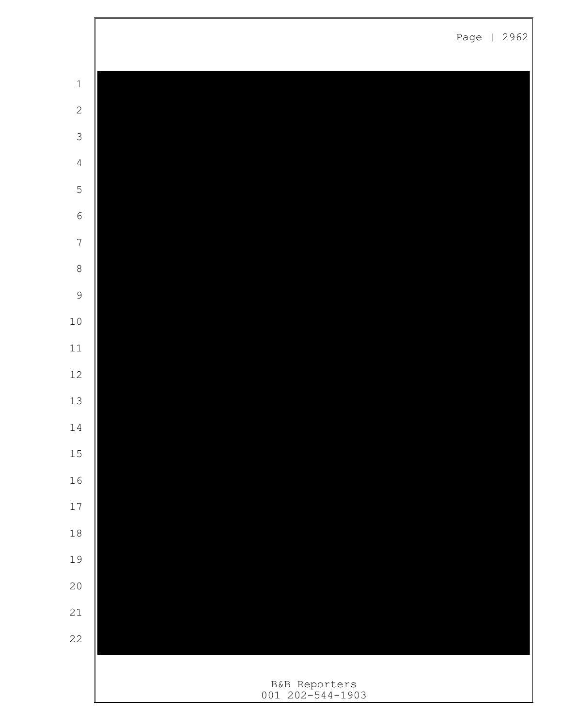|                 |                                   | Page   2962 |  |
|-----------------|-----------------------------------|-------------|--|
|                 |                                   |             |  |
| $\,1$           |                                   |             |  |
| $\overline{c}$  |                                   |             |  |
| $\overline{3}$  |                                   |             |  |
| $\overline{4}$  |                                   |             |  |
| $\overline{5}$  |                                   |             |  |
| $6\overline{6}$ |                                   |             |  |
| $\overline{7}$  |                                   |             |  |
| 8               |                                   |             |  |
| 9               |                                   |             |  |
| $10$            |                                   |             |  |
| $11$            |                                   |             |  |
| 12              |                                   |             |  |
| 13              |                                   |             |  |
| 14              |                                   |             |  |
| $15\,$          |                                   |             |  |
| 16              |                                   |             |  |
| $17$            |                                   |             |  |
| $1\,8$          |                                   |             |  |
| 19              |                                   |             |  |
| $20$            |                                   |             |  |
| $21\,$          |                                   |             |  |
| 22              |                                   |             |  |
|                 |                                   |             |  |
|                 | B&B Reporters<br>001 202-544-1903 |             |  |

 $\overline{\mathbf{I}}$ 

 $\overline{r}$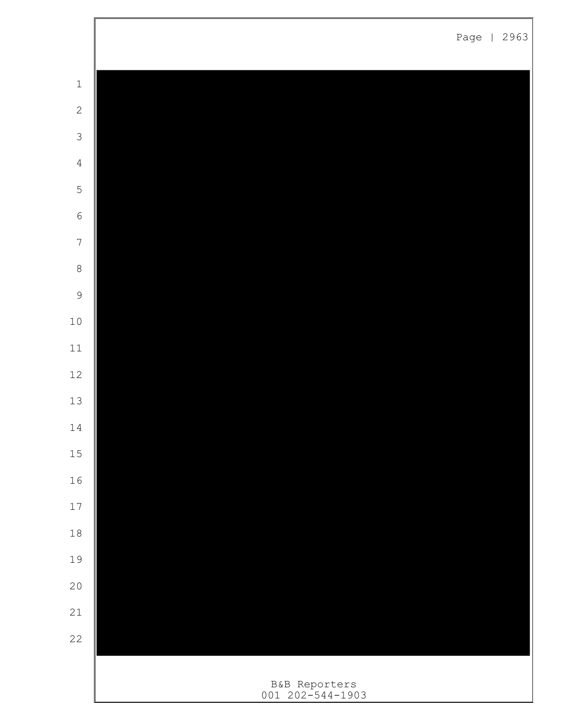|                | Page   2963                       |  |
|----------------|-----------------------------------|--|
|                |                                   |  |
| $\mathbf 1$    |                                   |  |
| $\sqrt{2}$     |                                   |  |
| $\overline{3}$ |                                   |  |
| $\overline{4}$ |                                   |  |
| $\overline{5}$ |                                   |  |
| $\overline{6}$ |                                   |  |
| $\overline{7}$ |                                   |  |
| $\overline{8}$ |                                   |  |
| 9              |                                   |  |
| $10$           |                                   |  |
| $11\,$         |                                   |  |
| 12             |                                   |  |
| 13             |                                   |  |
| 14             |                                   |  |
| 15             |                                   |  |
| $1\,6$         |                                   |  |
| $17\,$         |                                   |  |
| $1\,8$         |                                   |  |
| 19             |                                   |  |
| $20$           |                                   |  |
| $21\,$         |                                   |  |
| 22             |                                   |  |
|                |                                   |  |
|                | B&B Reporters<br>001 202-544-1903 |  |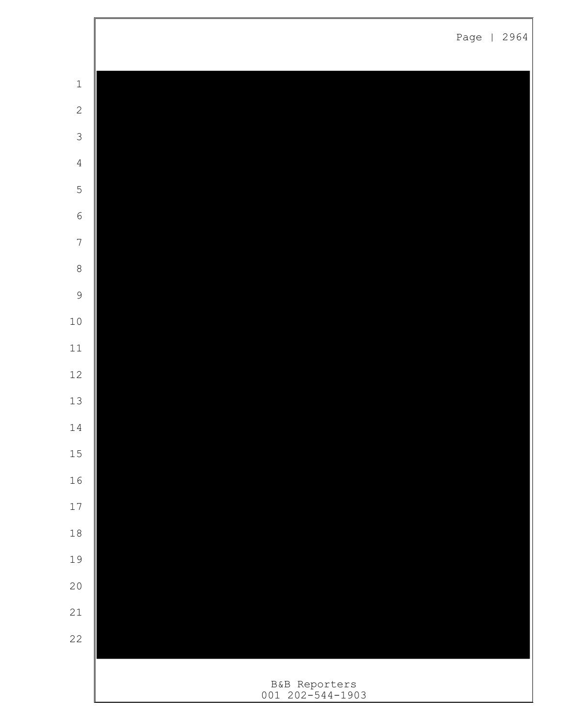|                |                                   | Page   2964 |
|----------------|-----------------------------------|-------------|
|                |                                   |             |
| $\,1$          |                                   |             |
| $\overline{c}$ |                                   |             |
| $\overline{3}$ |                                   |             |
| $\overline{4}$ |                                   |             |
| $\overline{5}$ |                                   |             |
| $6\phantom{a}$ |                                   |             |
| $\overline{7}$ |                                   |             |
| $\overline{8}$ |                                   |             |
| $\overline{9}$ |                                   |             |
| $10$           |                                   |             |
| $11\,$         |                                   |             |
| $12$           |                                   |             |
| 13             |                                   |             |
| 14             |                                   |             |
| $15\,$         |                                   |             |
| $16\,$         |                                   |             |
| $17\,$         |                                   |             |
| $1\,8$         |                                   |             |
| 19             |                                   |             |
| $20$           |                                   |             |
| $2\sqrt{1}$    |                                   |             |
| 22             |                                   |             |
|                |                                   |             |
|                | B&B Reporters<br>001 202-544-1903 |             |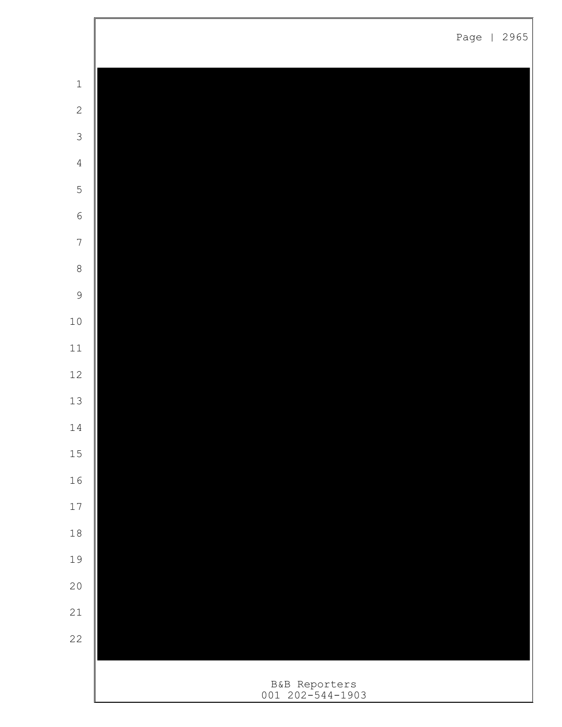|                 | Page   2965                       |
|-----------------|-----------------------------------|
| $\mathbf 1$     |                                   |
| $\overline{c}$  |                                   |
| $\mathfrak{Z}$  |                                   |
| $\sqrt{4}$      |                                   |
| $\overline{5}$  |                                   |
| $6\overline{6}$ |                                   |
| $\overline{7}$  |                                   |
| 8               |                                   |
| 9               |                                   |
| $10$            |                                   |
| $11$            |                                   |
| 12              |                                   |
| 13              |                                   |
| 14              |                                   |
| 15              |                                   |
| $16$            |                                   |
| 17              |                                   |
| $1\,8$          |                                   |
| 19              |                                   |
| $20$            |                                   |
| $21\,$          |                                   |
| 22              |                                   |
|                 | B&B Reporters<br>001 202-544-1903 |
|                 |                                   |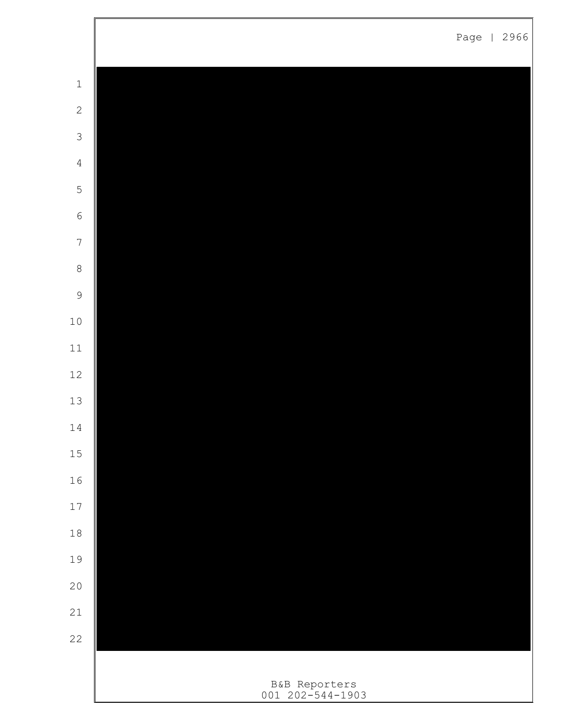|                |                                   | Page   2966 |  |
|----------------|-----------------------------------|-------------|--|
| $\,1$          |                                   |             |  |
| $\overline{c}$ |                                   |             |  |
| $\mathfrak{Z}$ |                                   |             |  |
| $\overline{4}$ |                                   |             |  |
| $\overline{5}$ |                                   |             |  |
| $\overline{6}$ |                                   |             |  |
| $\overline{7}$ |                                   |             |  |
| 8              |                                   |             |  |
| 9              |                                   |             |  |
| $10$           |                                   |             |  |
| $11$           |                                   |             |  |
| $12$           |                                   |             |  |
| 13             |                                   |             |  |
| $1\,4$         |                                   |             |  |
| $15\,$         |                                   |             |  |
| $16\,$         |                                   |             |  |
| $17\,$         |                                   |             |  |
| $1\,8$         |                                   |             |  |
| 19             |                                   |             |  |
| $20$           |                                   |             |  |
| 21             |                                   |             |  |
| 22             |                                   |             |  |
|                | B&B Reporters<br>001 202-544-1903 |             |  |

 $\overline{\mathbf{I}}$ 

 $\overline{r}$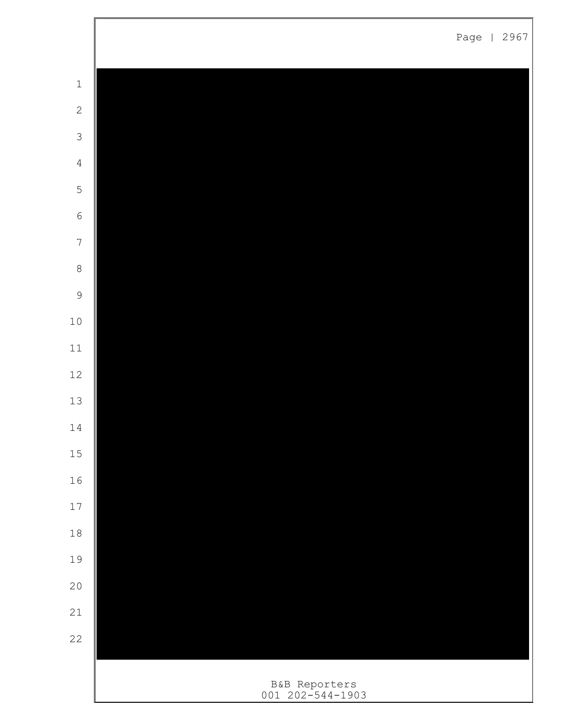|                            | Page   2967                       |
|----------------------------|-----------------------------------|
| $\ensuremath{\mathbbm{1}}$ |                                   |
| $\sqrt{2}$                 |                                   |
| $\overline{3}$             |                                   |
| $\overline{4}$             |                                   |
| $\overline{5}$             |                                   |
| $6\overline{6}$            |                                   |
| $\overline{7}$             |                                   |
| 8                          |                                   |
| 9                          |                                   |
| $10$                       |                                   |
| $11\,$                     |                                   |
| $12$                       |                                   |
| 13                         |                                   |
| $1\,4$                     |                                   |
| $15\,$                     |                                   |
| 16                         |                                   |
| $17\,$                     |                                   |
| $1\,8$                     |                                   |
| 19                         |                                   |
| $20$                       |                                   |
| 21                         |                                   |
| 22                         |                                   |
|                            |                                   |
|                            | B&B Reporters<br>001 202-544-1903 |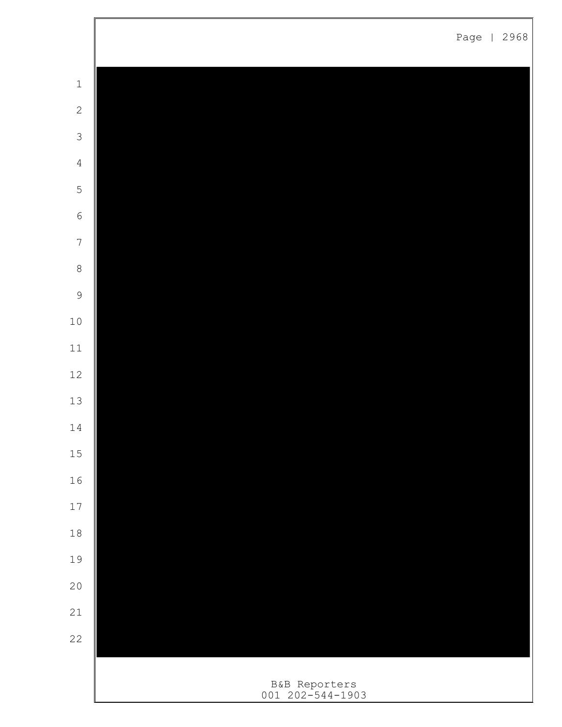|                | Page   2968                       |
|----------------|-----------------------------------|
| $\mathbf 1$    |                                   |
| $\sqrt{2}$     |                                   |
| $\mathfrak{Z}$ |                                   |
| $\overline{4}$ |                                   |
| $\overline{5}$ |                                   |
| $6\phantom{a}$ |                                   |
| $\overline{7}$ |                                   |
| $\,8\,$        |                                   |
| $\mathcal{G}$  |                                   |
| 10             |                                   |
| $11$           |                                   |
| 12             |                                   |
| 13             |                                   |
| $14\,$         |                                   |
| $15\,$         |                                   |
| $16\,$         |                                   |
| $17\,$         |                                   |
| $1\,8$         |                                   |
| 19             |                                   |
| $20$           |                                   |
| $2\sqrt{1}$    |                                   |
| 22             |                                   |
|                |                                   |
|                | B&B Reporters<br>001 202-544-1903 |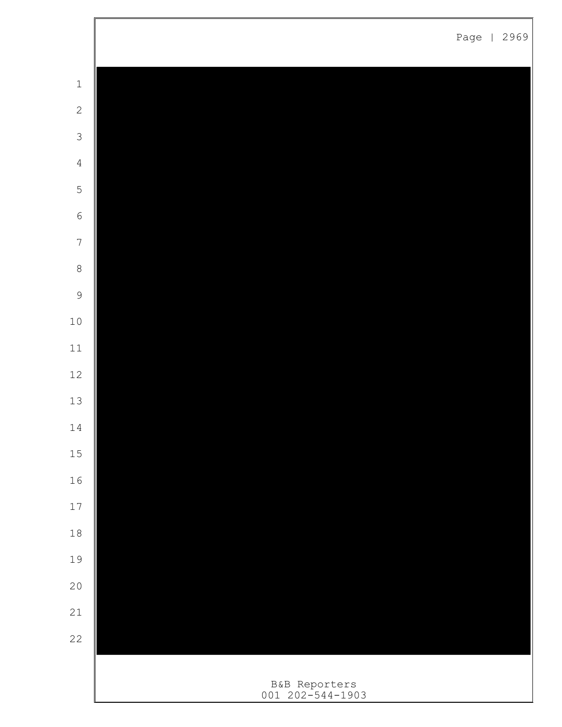|                | 2969<br>Page                      |
|----------------|-----------------------------------|
| $\mathbf 1$    |                                   |
| $\overline{c}$ |                                   |
| $\overline{3}$ |                                   |
| $\overline{4}$ |                                   |
| $\overline{5}$ |                                   |
| $6\phantom{a}$ |                                   |
| $\overline{7}$ |                                   |
| $\theta$       |                                   |
| $\overline{9}$ |                                   |
| 10             |                                   |
| $11\,$         |                                   |
| $12$           |                                   |
| 13             |                                   |
| $1\,4$         |                                   |
| $15\,$         |                                   |
| $16\,$         |                                   |
| $17\,$         |                                   |
| $1\,8$         |                                   |
| 19             |                                   |
| $20$           |                                   |
| 21             |                                   |
| 22             |                                   |
|                |                                   |
|                | B&B Reporters<br>001 202-544-1903 |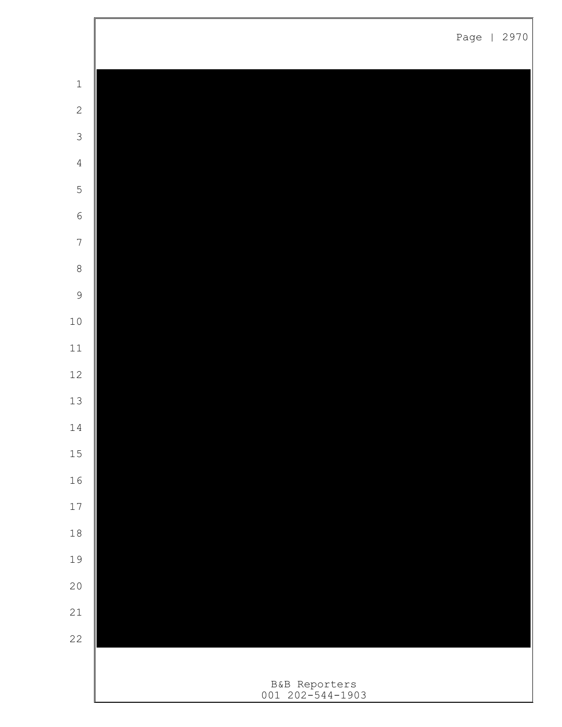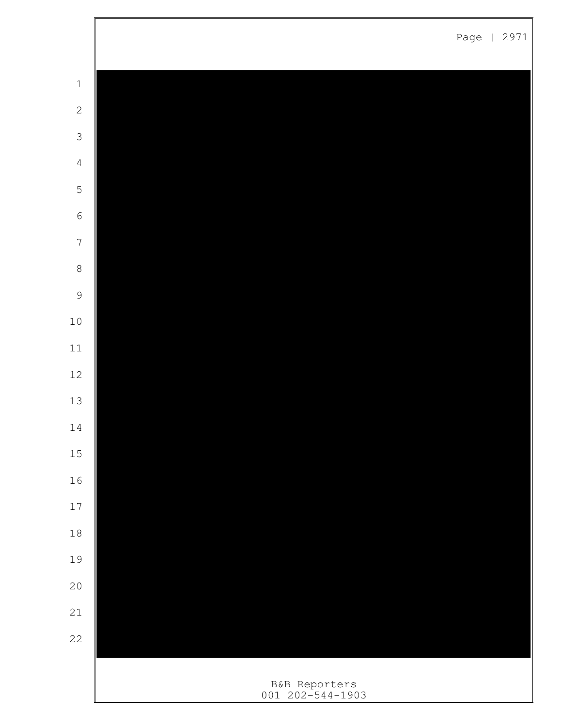|                                 | 2971<br>Page                      |
|---------------------------------|-----------------------------------|
|                                 |                                   |
| $\ensuremath{\mathbbm{1}}$      |                                   |
| $\sqrt{2}$<br>$\mathfrak{Z}$    |                                   |
| $\overline{4}$                  |                                   |
| $\overline{5}$                  |                                   |
| $6\overline{6}$                 |                                   |
| $\overline{7}$                  |                                   |
| $\begin{matrix} 8 \end{matrix}$ |                                   |
| 9                               |                                   |
| $10$                            |                                   |
| $11$                            |                                   |
|                                 |                                   |
| $12\,$                          |                                   |
| 13                              |                                   |
| 14                              |                                   |
| 15                              |                                   |
| $16$                            |                                   |
| $17$                            |                                   |
| $1\,8$                          |                                   |
| 19                              |                                   |
| $20$                            |                                   |
| $21\,$                          |                                   |
| 22                              |                                   |
|                                 |                                   |
|                                 | B&B Reporters<br>001 202-544-1903 |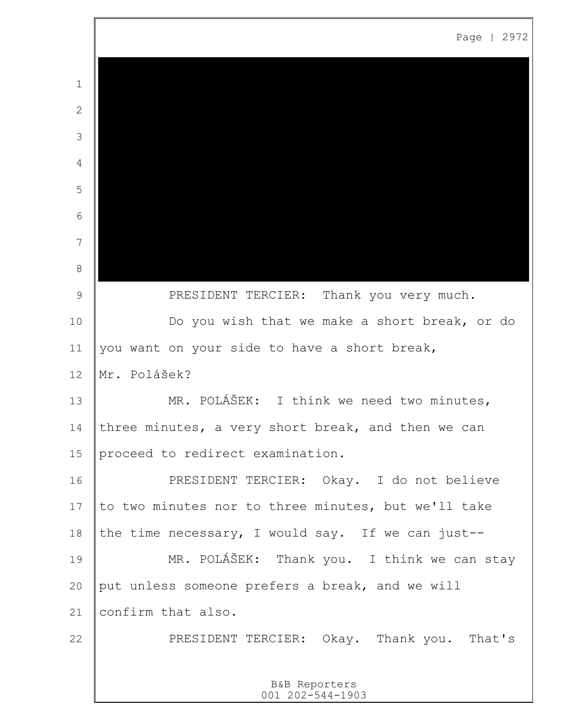| Page   2972                                         |
|-----------------------------------------------------|
|                                                     |
|                                                     |
|                                                     |
|                                                     |
|                                                     |
|                                                     |
|                                                     |
|                                                     |
| PRESIDENT TERCIER: Thank you very much.             |
| Do you wish that we make a short break, or do       |
| you want on your side to have a short break,        |
| Mr. Polášek?                                        |
| MR. POLÁŠEK: I think we need two minutes,           |
| three minutes, a very short break, and then we can  |
| proceed to redirect examination.                    |
| PRESIDENT TERCIER: Okay. I do not believe           |
| to two minutes nor to three minutes, but we'll take |
| the time necessary, I would say. If we can just--   |
| MR. POLÁŠEK: Thank you. I think we can stay         |
| put unless someone prefers a break, and we will     |
| confirm that also.                                  |
| PRESIDENT TERCIER: Okay. Thank you. That's          |
| B&B Reporters<br>001 202-544-1903                   |
|                                                     |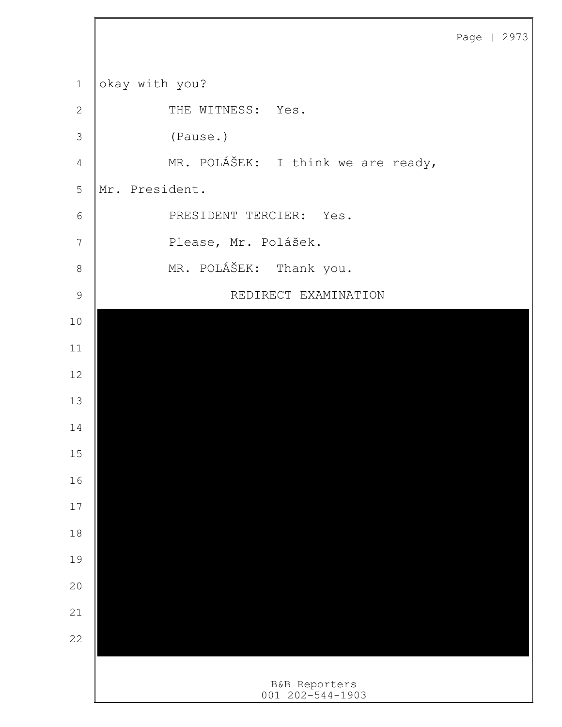|                 |                                    | Page   2973 |
|-----------------|------------------------------------|-------------|
| $\mathbbm{1}$   | okay with you?                     |             |
| $\mathbf{2}$    | THE WITNESS: Yes.                  |             |
| $\mathfrak{Z}$  | (Pause.)                           |             |
| $\overline{4}$  | MR. POLÁŠEK: I think we are ready, |             |
| 5               | Mr. President.                     |             |
| $\sqrt{6}$      | PRESIDENT TERCIER: Yes.            |             |
| $7\phantom{.0}$ | Please, Mr. Polášek.               |             |
| $\,8\,$         | MR. POLÁŠEK: Thank you.            |             |
| $\mathsf 9$     | REDIRECT EXAMINATION               |             |
| 10              |                                    |             |
| 11              |                                    |             |
| 12              |                                    |             |
| 13              |                                    |             |
| 14              |                                    |             |
| 15              |                                    |             |
| 16              |                                    |             |
| 17              |                                    |             |
| $1\,8$          |                                    |             |
| 19              |                                    |             |
| 20              |                                    |             |
| 21              |                                    |             |
| 22              |                                    |             |
|                 |                                    |             |
|                 | B&B Reporters<br>001 202-544-1903  |             |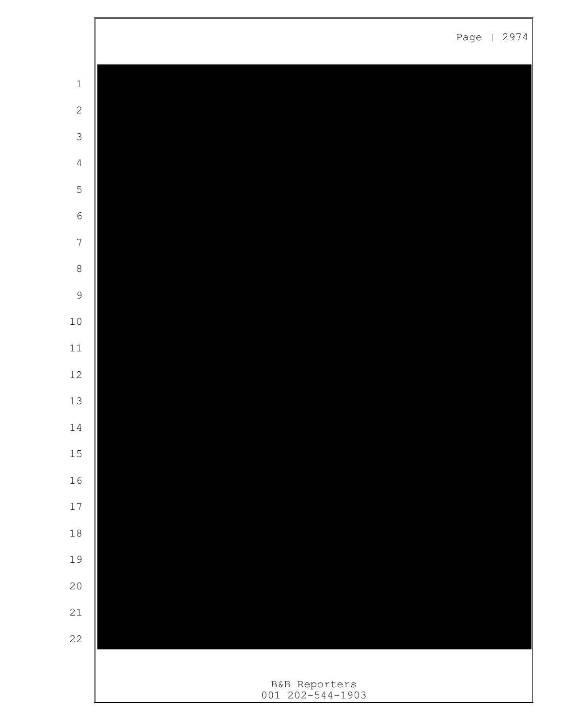|                | Page   2974                       |  |
|----------------|-----------------------------------|--|
| $\,1$          |                                   |  |
| $\overline{c}$ |                                   |  |
| $\overline{3}$ |                                   |  |
| $\overline{4}$ |                                   |  |
| $\overline{5}$ |                                   |  |
| $\overline{6}$ |                                   |  |
| $\overline{7}$ |                                   |  |
| $\overline{8}$ |                                   |  |
| 9              |                                   |  |
| $10$           |                                   |  |
| $11\,$         |                                   |  |
| 12             |                                   |  |
| 13             |                                   |  |
| $14$           |                                   |  |
| 15             |                                   |  |
| $16\,$         |                                   |  |
| 17             |                                   |  |
| $1\,8$         |                                   |  |
| 19             |                                   |  |
| $20$           |                                   |  |
| $21\,$         |                                   |  |
| 22             |                                   |  |
|                |                                   |  |
|                | B&B Reporters<br>001 202-544-1903 |  |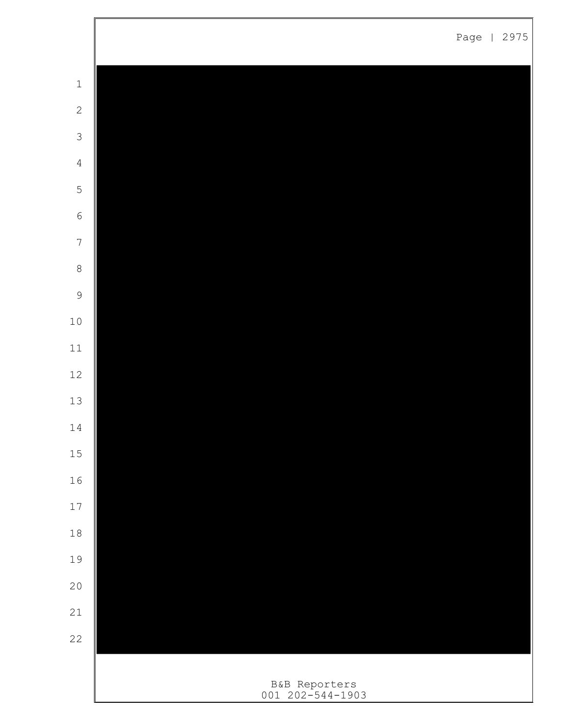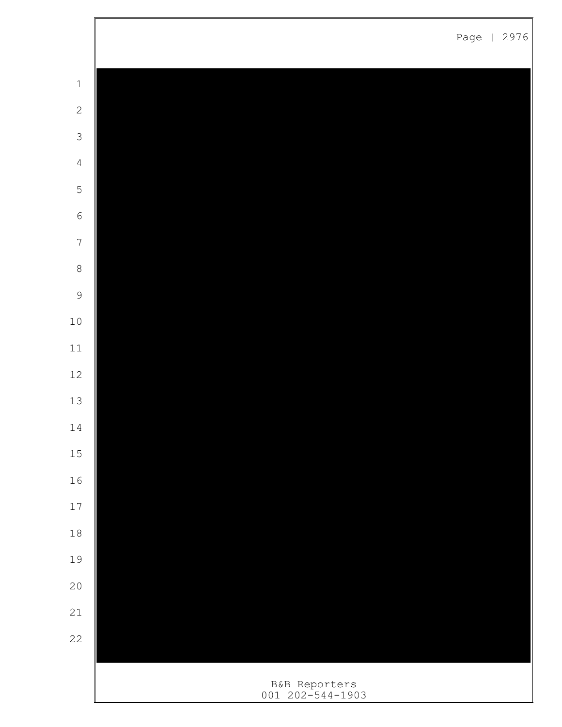|                 | Page   2976                       |
|-----------------|-----------------------------------|
| $\mathbf 1$     |                                   |
| $\mathbf{2}$    |                                   |
| $\overline{3}$  |                                   |
| $\overline{4}$  |                                   |
| $\overline{5}$  |                                   |
| $6\overline{6}$ |                                   |
| $\overline{7}$  |                                   |
| $\overline{8}$  |                                   |
| $\mathcal{G}$   |                                   |
| $10$            |                                   |
| $11\,$          |                                   |
| $12$            |                                   |
| 13              |                                   |
|                 |                                   |
| $1\,4$          |                                   |
| $15\,$<br>16    |                                   |
| $17\,$          |                                   |
| $1\,8$          |                                   |
| 19              |                                   |
| $20$            |                                   |
| 21              |                                   |
| 22              |                                   |
|                 |                                   |
|                 | B&B Reporters<br>001 202-544-1903 |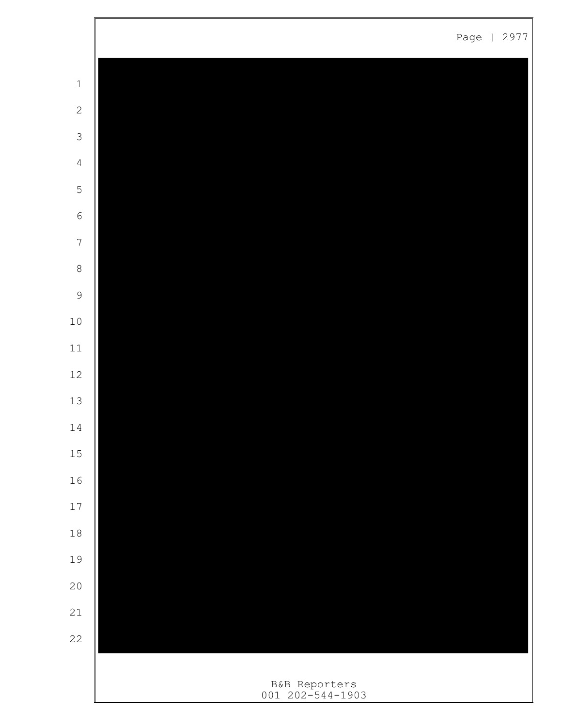|                  |                                   | Page   2977 |  |
|------------------|-----------------------------------|-------------|--|
| $\mathbf 1$      |                                   |             |  |
| $\overline{c}$   |                                   |             |  |
| $\overline{3}$   |                                   |             |  |
| $\sqrt{4}$       |                                   |             |  |
| $\overline{5}$   |                                   |             |  |
| $\overline{6}$   |                                   |             |  |
| $\boldsymbol{7}$ |                                   |             |  |
| $\overline{8}$   |                                   |             |  |
| 9                |                                   |             |  |
| $10$             |                                   |             |  |
| $11\,$           |                                   |             |  |
| $12\,$           |                                   |             |  |
| 13               |                                   |             |  |
| $14$             |                                   |             |  |
| 15               |                                   |             |  |
| $16\,$           |                                   |             |  |
| $17\,$           |                                   |             |  |
| $1\,8$           |                                   |             |  |
| 19<br>$20$       |                                   |             |  |
| 21               |                                   |             |  |
| 22               |                                   |             |  |
|                  |                                   |             |  |
|                  | B&B Reporters<br>001 202-544-1903 |             |  |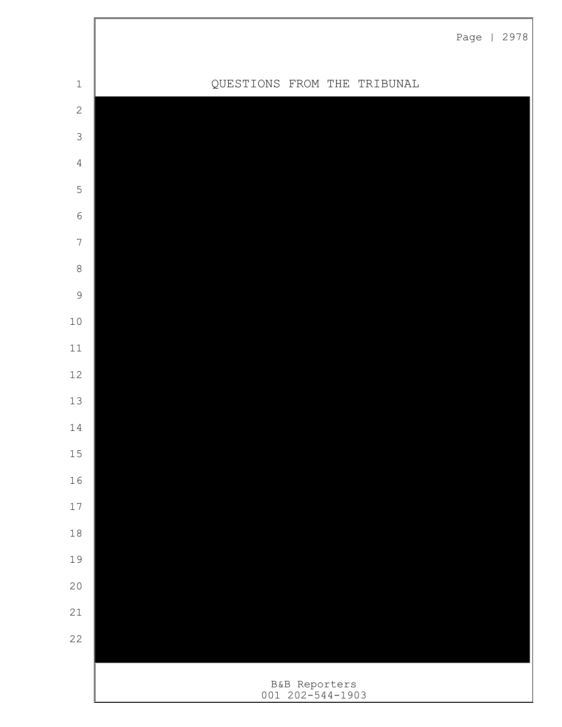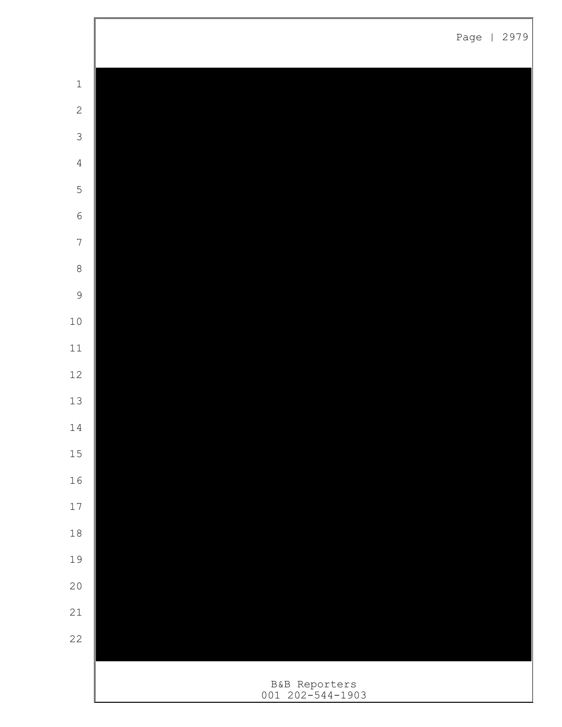|                  |                                   | Page   2979 |  |
|------------------|-----------------------------------|-------------|--|
| $\mathbf 1$      |                                   |             |  |
| $\sqrt{2}$       |                                   |             |  |
| $\mathfrak{Z}$   |                                   |             |  |
| $\overline{4}$   |                                   |             |  |
| $\overline{5}$   |                                   |             |  |
| $\epsilon$       |                                   |             |  |
| $\boldsymbol{7}$ |                                   |             |  |
| $\,8\,$          |                                   |             |  |
| $\mathcal{G}$    |                                   |             |  |
| 10               |                                   |             |  |
| $11$             |                                   |             |  |
| 12               |                                   |             |  |
| 13               |                                   |             |  |
| $1\,4$           |                                   |             |  |
| 15               |                                   |             |  |
| 16               |                                   |             |  |
| $17$             |                                   |             |  |
| $1\,8$           |                                   |             |  |
| 19               |                                   |             |  |
| $20$             |                                   |             |  |
| $2\sqrt{1}$      |                                   |             |  |
| 22               |                                   |             |  |
|                  | B&B Reporters<br>001 202-544-1903 |             |  |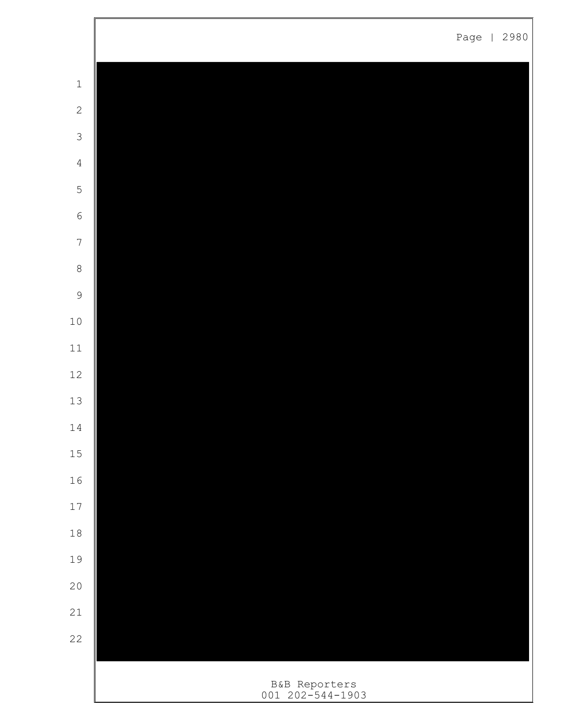|                |                                   | Page   2980 |  |
|----------------|-----------------------------------|-------------|--|
| $\mathbf 1$    |                                   |             |  |
| $\mathbf{2}$   |                                   |             |  |
| $\mathfrak{Z}$ |                                   |             |  |
| $\overline{4}$ |                                   |             |  |
| $\overline{5}$ |                                   |             |  |
| $\overline{6}$ |                                   |             |  |
| $\overline{7}$ |                                   |             |  |
| $\overline{8}$ |                                   |             |  |
| 9              |                                   |             |  |
| $10$           |                                   |             |  |
| $11\,$         |                                   |             |  |
| $12$           |                                   |             |  |
| 13             |                                   |             |  |
| $14$<br>15     |                                   |             |  |
| $16\,$         |                                   |             |  |
| $17$           |                                   |             |  |
| $1\,8$         |                                   |             |  |
| 19             |                                   |             |  |
| $20$           |                                   |             |  |
| $21\,$         |                                   |             |  |
| 22             |                                   |             |  |
|                |                                   |             |  |
|                | B&B Reporters<br>001 202-544-1903 |             |  |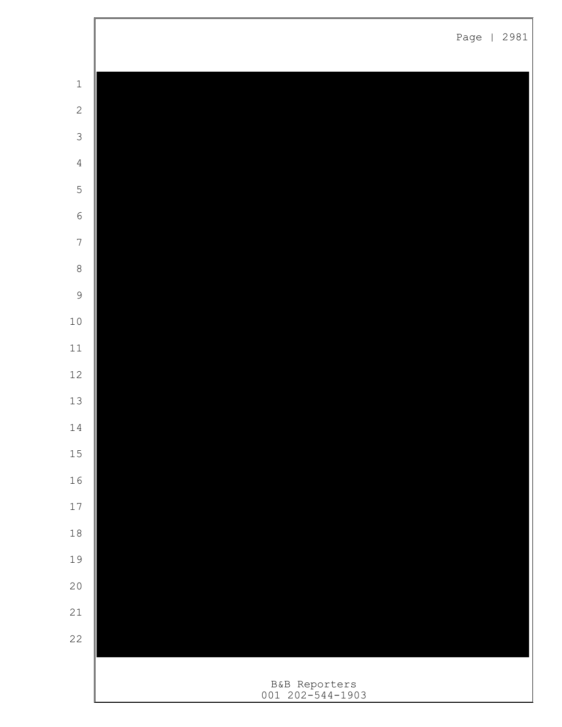|                                  | Page   2981                       |
|----------------------------------|-----------------------------------|
|                                  |                                   |
| $\ensuremath{\mathbbm{1}}$       |                                   |
| $\overline{c}$                   |                                   |
| $\mathfrak{Z}$                   |                                   |
| $\overline{4}$                   |                                   |
| $\overline{5}$                   |                                   |
| $\sqrt{6}$                       |                                   |
| $\overline{7}$                   |                                   |
| $\begin{array}{c} 8 \end{array}$ |                                   |
| $\mathcal{G}$                    |                                   |
| $10$                             |                                   |
| $11\,$                           |                                   |
| $12$                             |                                   |
| 13                               |                                   |
| $1\,4$                           |                                   |
| $15$                             |                                   |
| $16\,$                           |                                   |
| $17\,$                           |                                   |
| $1\,8$                           |                                   |
| 19                               |                                   |
| $20$                             |                                   |
| 21                               |                                   |
| 22                               |                                   |
|                                  |                                   |
|                                  | B&B Reporters<br>001 202-544-1903 |

Г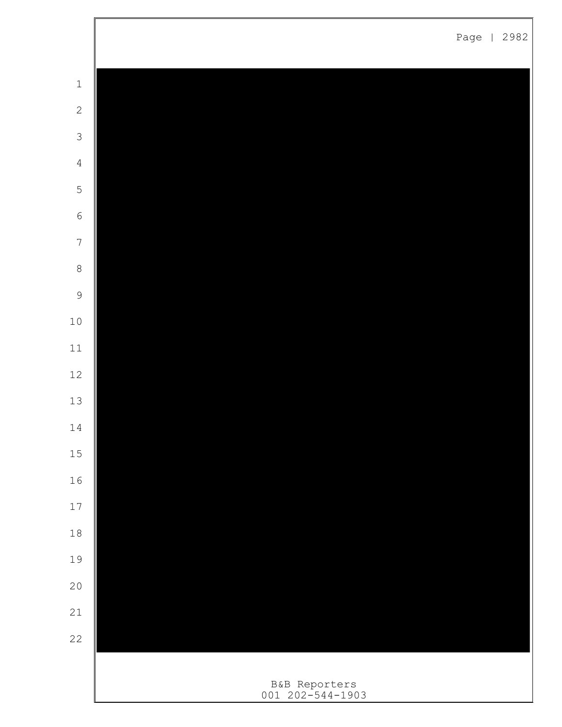|                 | Page   2982                       |
|-----------------|-----------------------------------|
| $\mathbf 1$     |                                   |
| $\sqrt{2}$      |                                   |
| $\overline{3}$  |                                   |
| $\overline{4}$  |                                   |
| $\overline{5}$  |                                   |
| $6\overline{6}$ |                                   |
| $\overline{7}$  |                                   |
| $\overline{8}$  |                                   |
| 9               |                                   |
| $10$            |                                   |
| $11\,$          |                                   |
| $12$            |                                   |
| 13              |                                   |
| $1\,4$          |                                   |
| $15\,$          |                                   |
| 16              |                                   |
| $17\,$          |                                   |
| $1\,8$          |                                   |
| 19              |                                   |
| $20$            |                                   |
| 21              |                                   |
| 22              |                                   |
|                 |                                   |
|                 | B&B Reporters<br>001 202-544-1903 |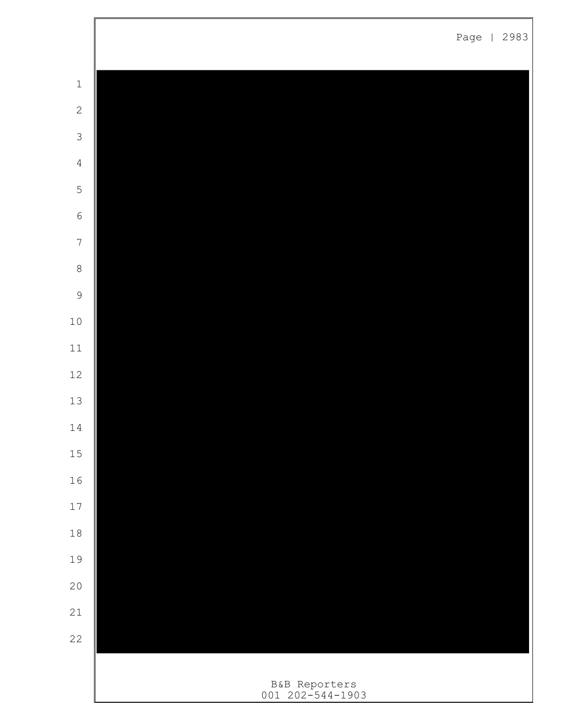|                              |                                   | Page   2983 |  |
|------------------------------|-----------------------------------|-------------|--|
|                              |                                   |             |  |
| $\mathbf 1$                  |                                   |             |  |
| $\sqrt{2}$<br>$\overline{3}$ |                                   |             |  |
|                              |                                   |             |  |
| $\overline{4}$               |                                   |             |  |
| $\overline{5}$               |                                   |             |  |
| $6\overline{6}$              |                                   |             |  |
| $\overline{7}$               |                                   |             |  |
| 8                            |                                   |             |  |
| 9                            |                                   |             |  |
| $10$                         |                                   |             |  |
| $11\,$                       |                                   |             |  |
| $12$                         |                                   |             |  |
| 13                           |                                   |             |  |
| 14                           |                                   |             |  |
| 15                           |                                   |             |  |
| $16\,$                       |                                   |             |  |
| $17\,$                       |                                   |             |  |
| $1\,8$                       |                                   |             |  |
| 19                           |                                   |             |  |
| $20$                         |                                   |             |  |
| $2\sqrt{1}$                  |                                   |             |  |
| $22$                         |                                   |             |  |
|                              |                                   |             |  |
|                              | B&B Reporters<br>001 202-544-1903 |             |  |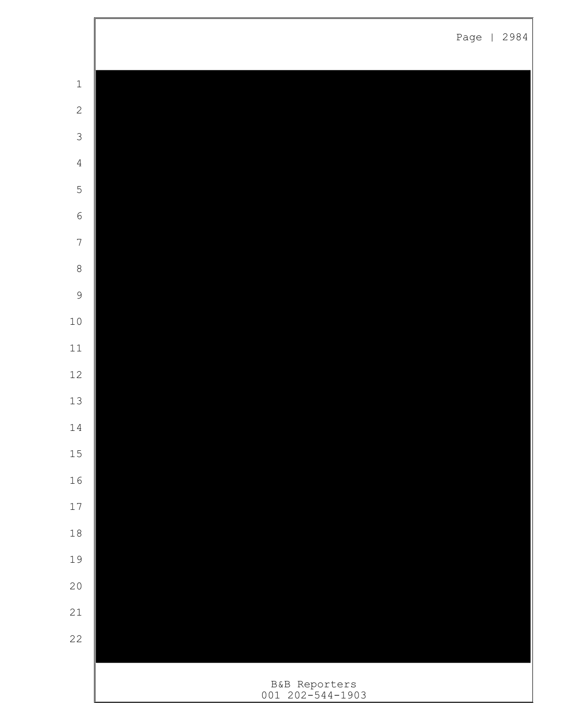|                | Page   2984                       |
|----------------|-----------------------------------|
|                |                                   |
| $\mathbf 1$    |                                   |
| $\sqrt{2}$     |                                   |
| $\mathfrak{Z}$ |                                   |
| $\overline{4}$ |                                   |
| $\overline{5}$ |                                   |
| $\sqrt{6}$     |                                   |
| $\sqrt{ }$     |                                   |
| $\,8\,$        |                                   |
| $\mathcal{G}$  |                                   |
| $10$           |                                   |
| $11$           |                                   |
| $12$           |                                   |
| 13             |                                   |
| $14$           |                                   |
| $15\,$         |                                   |
| $16\,$         |                                   |
| $17\,$         |                                   |
| $1\,8$         |                                   |
| 19             |                                   |
| $20$           |                                   |
| 21             |                                   |
| 22             |                                   |
|                |                                   |
|                | B&B Reporters<br>001 202-544-1903 |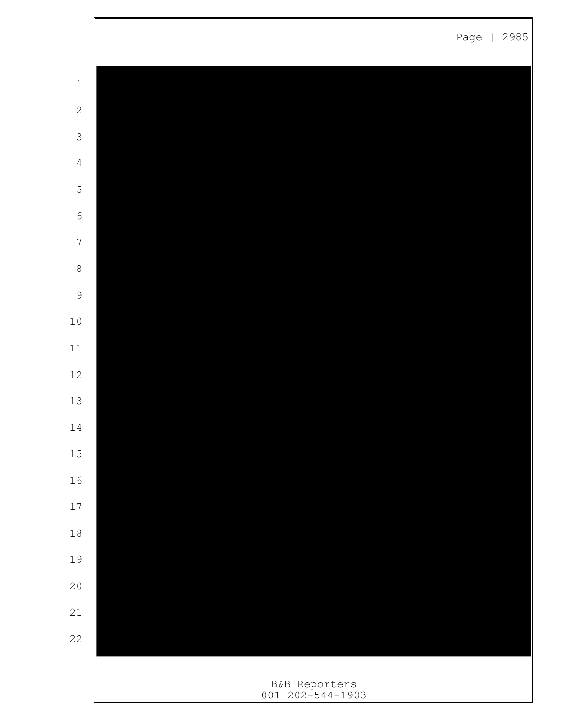|                | Page   2985                       |
|----------------|-----------------------------------|
| $\mathbf 1$    |                                   |
| $\mathbf{2}$   |                                   |
| $\mathfrak{Z}$ |                                   |
| $\overline{4}$ |                                   |
| $\overline{5}$ |                                   |
| $\sqrt{6}$     |                                   |
| $\overline{7}$ |                                   |
| $\overline{8}$ |                                   |
| $\mathcal{G}$  |                                   |
| 10             |                                   |
| $11$           |                                   |
| 12             |                                   |
| 13             |                                   |
| $1\,4$         |                                   |
| $15\,$         |                                   |
| $16\,$         |                                   |
| $17$           |                                   |
| $1\,8$         |                                   |
| 19             |                                   |
| $20$           |                                   |
| 21             |                                   |
| 22             |                                   |
|                |                                   |
|                | B&B Reporters<br>001 202-544-1903 |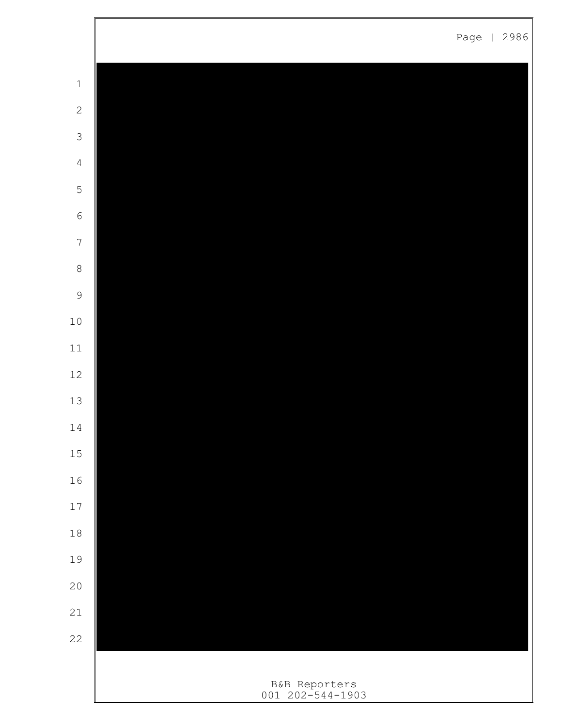|                |                                   | Page | 2986 |
|----------------|-----------------------------------|------|------|
| $\,1\,$        |                                   |      |      |
| $\overline{c}$ |                                   |      |      |
| $\mathfrak{Z}$ |                                   |      |      |
| $\overline{4}$ |                                   |      |      |
| $\overline{5}$ |                                   |      |      |
| $\sqrt{6}$     |                                   |      |      |
| $\overline{7}$ |                                   |      |      |
| $\overline{8}$ |                                   |      |      |
| 9              |                                   |      |      |
| $10$           |                                   |      |      |
| $11$           |                                   |      |      |
| $12$           |                                   |      |      |
| 13             |                                   |      |      |
| 14<br>15       |                                   |      |      |
| $1\,6$         |                                   |      |      |
| $17$           |                                   |      |      |
| $1\,8$         |                                   |      |      |
| 19             |                                   |      |      |
| $20$           |                                   |      |      |
| $21\,$         |                                   |      |      |
| 22             |                                   |      |      |
|                |                                   |      |      |
|                | B&B Reporters<br>001 202-544-1903 |      |      |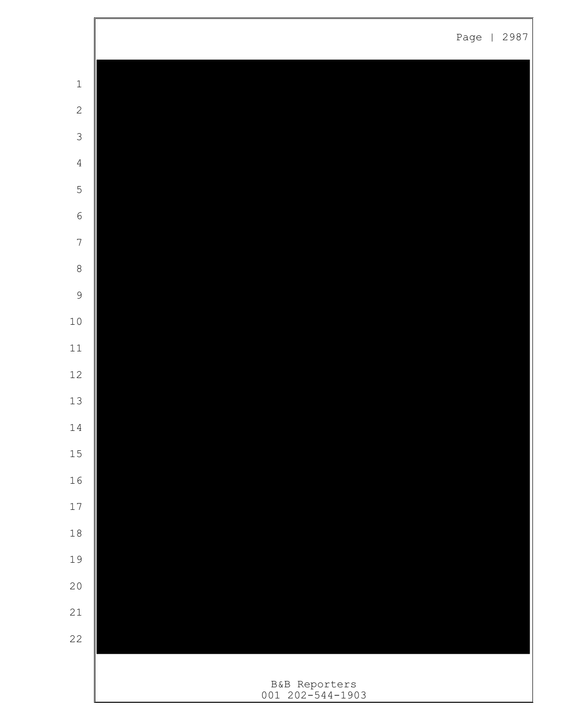|                | Page   2987                       |
|----------------|-----------------------------------|
| $\mathbf 1$    |                                   |
| $\mathbf{2}$   |                                   |
| $\mathfrak{Z}$ |                                   |
| $\sqrt{4}$     |                                   |
| $\overline{5}$ |                                   |
| $\overline{6}$ |                                   |
| $\overline{7}$ |                                   |
| $\,8\,$        |                                   |
| 9              |                                   |
| $10$           |                                   |
| $11\,$         |                                   |
| $12\,$         |                                   |
| 13             |                                   |
| 14             |                                   |
| $15\,$         |                                   |
| 16             |                                   |
| $17\,$         |                                   |
| $1\,8$         |                                   |
| 19             |                                   |
| $20$           |                                   |
| $21$           |                                   |
| 22             |                                   |
|                | B&B Reporters<br>001 202-544-1903 |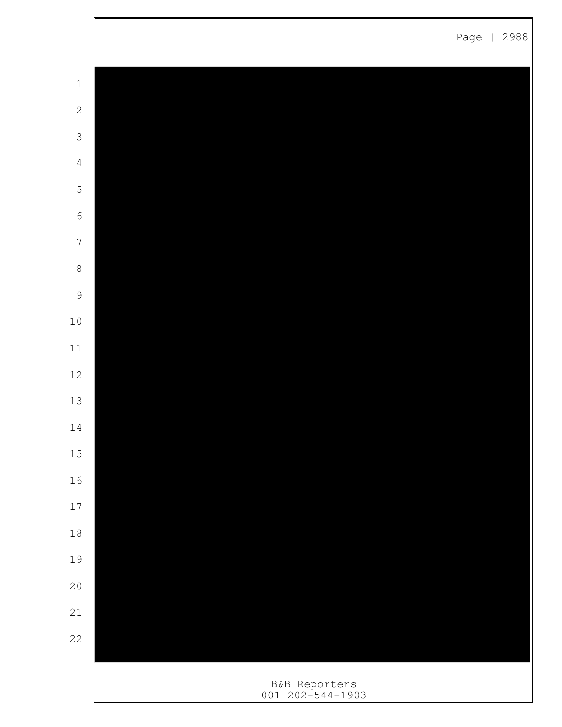|                 | 2988<br>Page                      |
|-----------------|-----------------------------------|
| $\mathbf 1$     |                                   |
| $\overline{c}$  |                                   |
| $\mathfrak{Z}$  |                                   |
| $\overline{4}$  |                                   |
| $\overline{5}$  |                                   |
| $6\overline{6}$ |                                   |
| $\overline{7}$  |                                   |
| $\delta$        |                                   |
| $\mathcal{G}$   |                                   |
| $10$            |                                   |
|                 |                                   |
| $11\,$          |                                   |
| 12              |                                   |
| 13              |                                   |
| 14              |                                   |
| 15              |                                   |
| 16              |                                   |
| $17\,$          |                                   |
| $18$            |                                   |
| 19              |                                   |
| $20$            |                                   |
| 21              |                                   |
| 22              |                                   |
|                 |                                   |
|                 | B&B Reporters<br>001 202-544-1903 |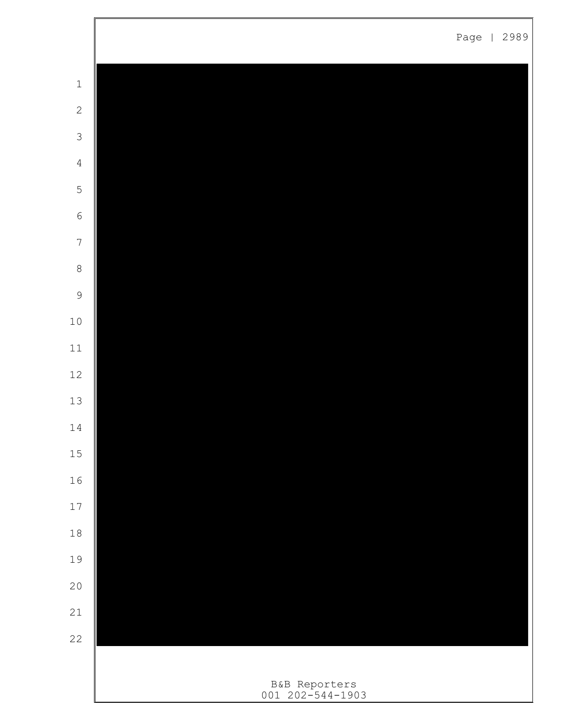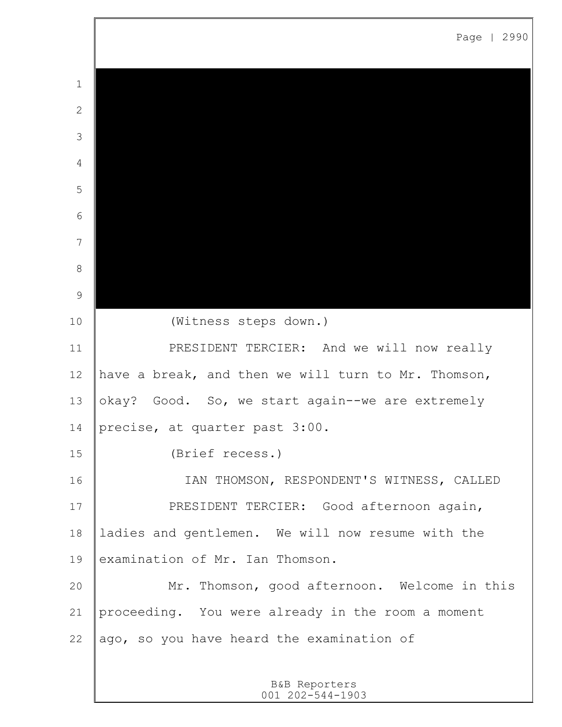|                | Page   2990                                         |
|----------------|-----------------------------------------------------|
| $\mathbf 1$    |                                                     |
| $\mathbf{2}$   |                                                     |
| 3              |                                                     |
| $\overline{4}$ |                                                     |
| 5              |                                                     |
| 6              |                                                     |
| $7\phantom{.}$ |                                                     |
| 8              |                                                     |
| $\mathsf 9$    |                                                     |
| 10             | (Witness steps down.)                               |
| 11             | PRESIDENT TERCIER: And we will now really           |
| 12             | have a break, and then we will turn to Mr. Thomson, |
| 13             | okay? Good. So, we start again--we are extremely    |
| 14             | precise, at quarter past 3:00.                      |
| 15             | (Brief recess.)                                     |
| 16             | IAN THOMSON, RESPONDENT'S WITNESS, CALLED           |
| 17             | PRESIDENT TERCIER: Good afternoon again,            |
| 18             | ladies and gentlemen. We will now resume with the   |
| 19             | examination of Mr. Ian Thomson.                     |
| 20             | Mr. Thomson, good afternoon. Welcome in this        |
| 21             | proceeding. You were already in the room a moment   |
| 22             | ago, so you have heard the examination of           |
|                | B&B Reporters<br>001 202-544-1903                   |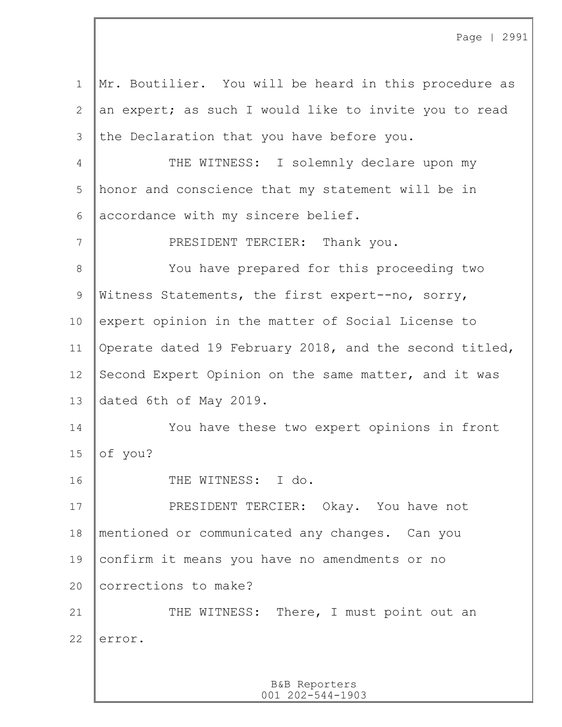| $\mathbf{1}$    | Mr. Boutilier. You will be heard in this procedure as  |
|-----------------|--------------------------------------------------------|
| 2               | an expert; as such I would like to invite you to read  |
| 3               | the Declaration that you have before you.              |
| 4               | THE WITNESS: I solemnly declare upon my                |
| 5               | honor and conscience that my statement will be in      |
| 6               | accordance with my sincere belief.                     |
| $7\phantom{.0}$ | PRESIDENT TERCIER: Thank you.                          |
| 8               | You have prepared for this proceeding two              |
| 9               | Witness Statements, the first expert--no, sorry,       |
| 10              | expert opinion in the matter of Social License to      |
| 11              | Operate dated 19 February 2018, and the second titled, |
| 12              | Second Expert Opinion on the same matter, and it was   |
| 13              | dated 6th of May 2019.                                 |
| 14              | You have these two expert opinions in front            |
| 15              | of you?                                                |
| 16              | THE WITNESS: I do.                                     |
| 17              | PRESIDENT TERCIER: Okay. You have not                  |
| 18              | mentioned or communicated any changes. Can you         |
| 19              | confirm it means you have no amendments or no          |
| 20              | corrections to make?                                   |
| 21              | THE WITNESS: There, I must point out an                |
| 22              | error.                                                 |
|                 |                                                        |
|                 | B&B Reporters                                          |

001 202-544-1903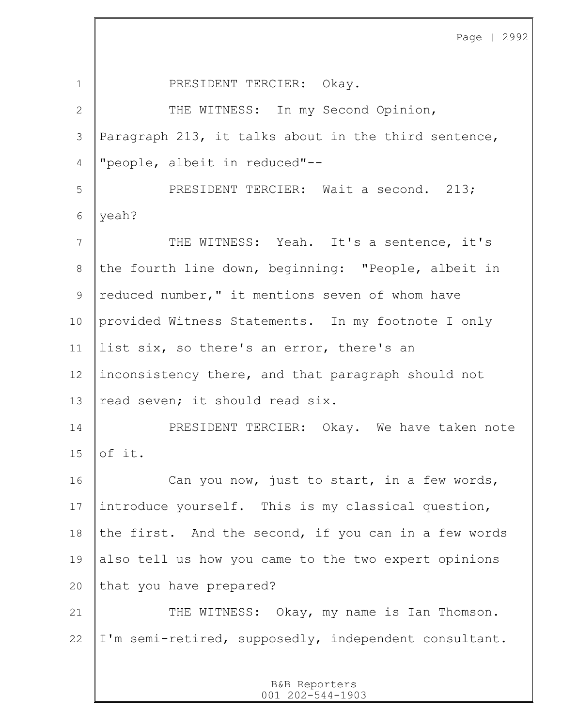|             | Page   2992                                           |
|-------------|-------------------------------------------------------|
| $\mathbf 1$ | PRESIDENT TERCIER: Okay.                              |
| 2           | THE WITNESS: In my Second Opinion,                    |
| 3           | Paragraph 213, it talks about in the third sentence,  |
| 4           | "people, albeit in reduced"--                         |
| 5           |                                                       |
|             | PRESIDENT TERCIER: Wait a second. 213;                |
| 6           | yeah?                                                 |
| 7           | THE WITNESS: Yeah. It's a sentence, it's              |
| 8           | the fourth line down, beginning: "People, albeit in   |
| $\mathsf 9$ | reduced number, " it mentions seven of whom have      |
| 10          | provided Witness Statements. In my footnote I only    |
| 11          | list six, so there's an error, there's an             |
| 12          | inconsistency there, and that paragraph should not    |
| 13          | read seven; it should read six.                       |
| 14          | PRESIDENT TERCIER: Okay. We have taken note           |
| 15          | of it.                                                |
| 16          | Can you now, just to start, in a few words,           |
| 17          | introduce yourself. This is my classical question,    |
| 18          | the first. And the second, if you can in a few words  |
| 19          | also tell us how you came to the two expert opinions  |
| 20          | that you have prepared?                               |
| 21          | THE WITNESS: Okay, my name is Ian Thomson.            |
| 22          | I'm semi-retired, supposedly, independent consultant. |
|             |                                                       |
|             | B&B Reporters<br>001 202-544-1903                     |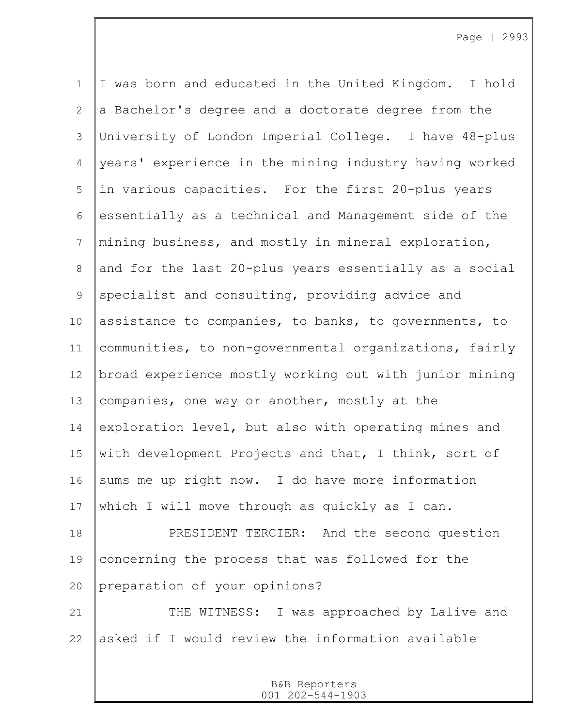Page | 2993

| $\mathbf 1$     | I was born and educated in the United Kingdom.<br>I hold |
|-----------------|----------------------------------------------------------|
| $\mathbf{2}$    | a Bachelor's degree and a doctorate degree from the      |
| $\mathfrak{Z}$  | University of London Imperial College. I have 48-plus    |
| $\overline{4}$  | years' experience in the mining industry having worked   |
| 5               | in various capacities. For the first 20-plus years       |
| 6               | essentially as a technical and Management side of the    |
| $7\phantom{.0}$ | mining business, and mostly in mineral exploration,      |
| $8\,$           | and for the last 20-plus years essentially as a social   |
| $\mathcal{G}$   | specialist and consulting, providing advice and          |
| 10              | assistance to companies, to banks, to governments, to    |
| 11              | communities, to non-governmental organizations, fairly   |
| 12              | broad experience mostly working out with junior mining   |
| 13              | companies, one way or another, mostly at the             |
| 14              | exploration level, but also with operating mines and     |
| 15              | with development Projects and that, I think, sort of     |
| 16              | sums me up right now. I do have more information         |
| 17              | which I will move through as quickly as I can.           |
| 18              | PRESIDENT TERCIER: And the second question               |
| 19              | concerning the process that was followed for the         |
| 20              | preparation of your opinions?                            |
| 21              | THE WITNESS: I was approached by Lalive and              |
| 22              | asked if I would review the information available        |
|                 | B&B Reporters                                            |

001 202-544-1903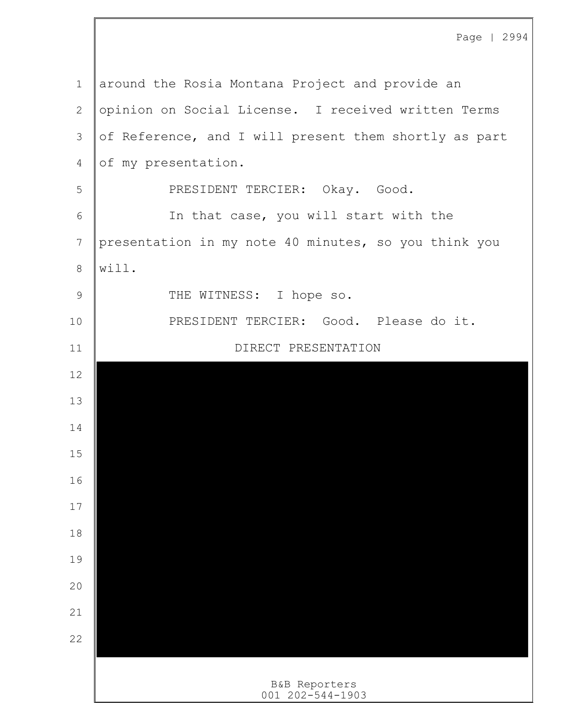|                 | Page   2994                                           |
|-----------------|-------------------------------------------------------|
| $\mathbf 1$     | around the Rosia Montana Project and provide an       |
| $\mathbf{2}$    | opinion on Social License. I received written Terms   |
| $\mathfrak{Z}$  | of Reference, and I will present them shortly as part |
| $\overline{4}$  | of my presentation.                                   |
| 5               | PRESIDENT TERCIER: Okay. Good.                        |
| 6               | In that case, you will start with the                 |
| $7\phantom{.0}$ | presentation in my note 40 minutes, so you think you  |
| $8\,$           | will.                                                 |
| $\mathcal{G}$   | THE WITNESS: I hope so.                               |
| 10              | PRESIDENT TERCIER: Good. Please do it.                |
| 11              | DIRECT PRESENTATION                                   |
| 12              |                                                       |
| 13              |                                                       |
| 14              |                                                       |
| 15              |                                                       |
| 16              |                                                       |
| 17              |                                                       |
| 18              |                                                       |
| 19              |                                                       |
| 20              |                                                       |
| 21              |                                                       |
| 22              |                                                       |
|                 | B&B Reporters                                         |
|                 | 001 202-544-1903                                      |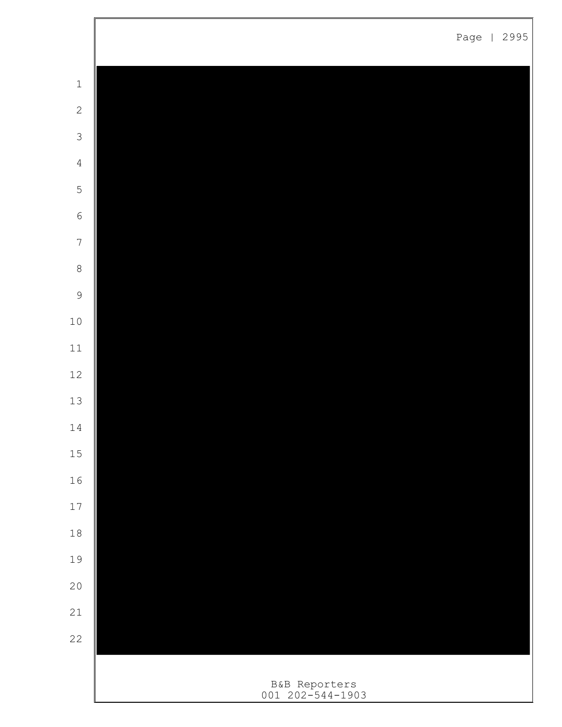|                                 | 2995<br>Page                      |
|---------------------------------|-----------------------------------|
| $\mathbf 1$                     |                                   |
| $\sqrt{2}$                      |                                   |
| $\overline{3}$                  |                                   |
| $\overline{4}$                  |                                   |
| $\overline{5}$                  |                                   |
| $6\phantom{a}$                  |                                   |
| $\overline{7}$                  |                                   |
| $\begin{matrix} 8 \end{matrix}$ |                                   |
| $\overline{9}$                  |                                   |
| $10$                            |                                   |
| $11\,$                          |                                   |
| $12$                            |                                   |
| 13                              |                                   |
| $1\,4$                          |                                   |
| $15\,$                          |                                   |
| $16\,$                          |                                   |
| $17\,$                          |                                   |
| $1\,8$                          |                                   |
| 19                              |                                   |
| $20$                            |                                   |
| 21                              |                                   |
| 22                              |                                   |
|                                 | B&B Reporters<br>001 202-544-1903 |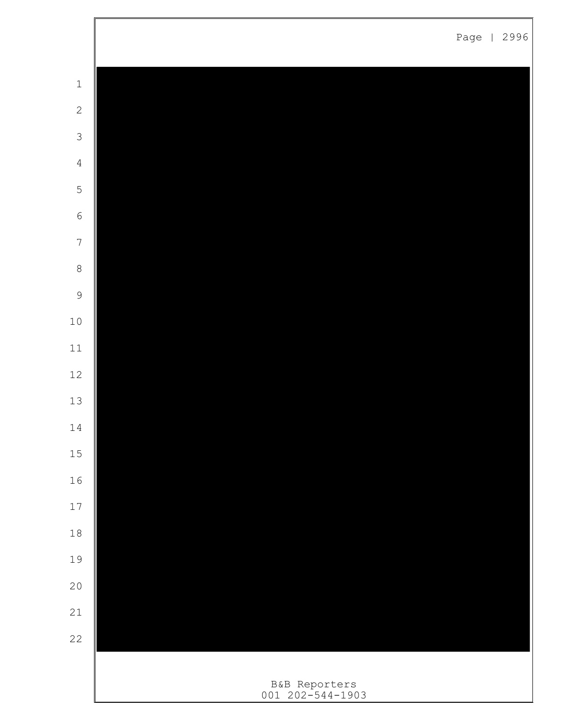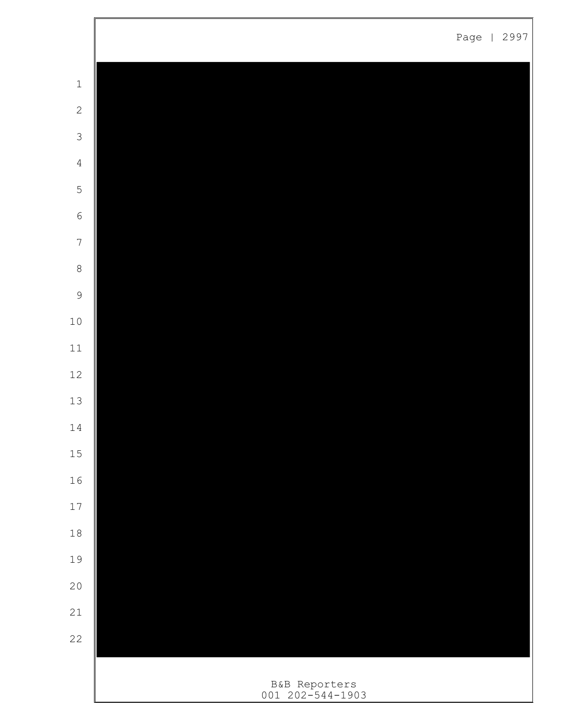|                  | Page   2997                       |
|------------------|-----------------------------------|
| $\mathbf 1$      |                                   |
| $\overline{c}$   |                                   |
| $\mathfrak{Z}$   |                                   |
| $\sqrt{4}$       |                                   |
| $\overline{5}$   |                                   |
| $\overline{6}$   |                                   |
| $\overline{7}$   |                                   |
| $\theta$         |                                   |
| 9                |                                   |
| $10$             |                                   |
| $11\,$           |                                   |
| 12               |                                   |
| 13               |                                   |
| $1\,4$           |                                   |
| $15\,$           |                                   |
| $16\,$<br>$17\,$ |                                   |
| $1\,8$           |                                   |
| 19               |                                   |
| $20$             |                                   |
| 21               |                                   |
| 22               |                                   |
|                  |                                   |
|                  | B&B Reporters<br>001 202-544-1903 |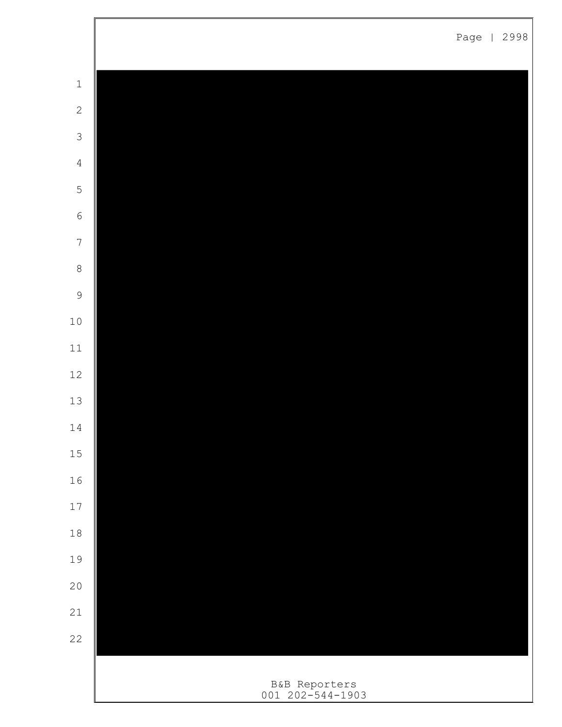|                |                                   | Page   2998 |  |
|----------------|-----------------------------------|-------------|--|
| $\mathbf 1$    |                                   |             |  |
| $\mathbf{2}$   |                                   |             |  |
| $\mathfrak{Z}$ |                                   |             |  |
| $\overline{4}$ |                                   |             |  |
| $\overline{5}$ |                                   |             |  |
| $6\phantom{a}$ |                                   |             |  |
| $\overline{7}$ |                                   |             |  |
| $\,8\,$        |                                   |             |  |
| 9              |                                   |             |  |
| $10$           |                                   |             |  |
| $11$           |                                   |             |  |
| $12$           |                                   |             |  |
| 13             |                                   |             |  |
| 14             |                                   |             |  |
| $15\,$         |                                   |             |  |
| $16\,$         |                                   |             |  |
| $17$           |                                   |             |  |
| $1\,8$         |                                   |             |  |
| 19             |                                   |             |  |
| $20$           |                                   |             |  |
| $21$           |                                   |             |  |
| 22             |                                   |             |  |
|                |                                   |             |  |
|                | B&B Reporters<br>001 202-544-1903 |             |  |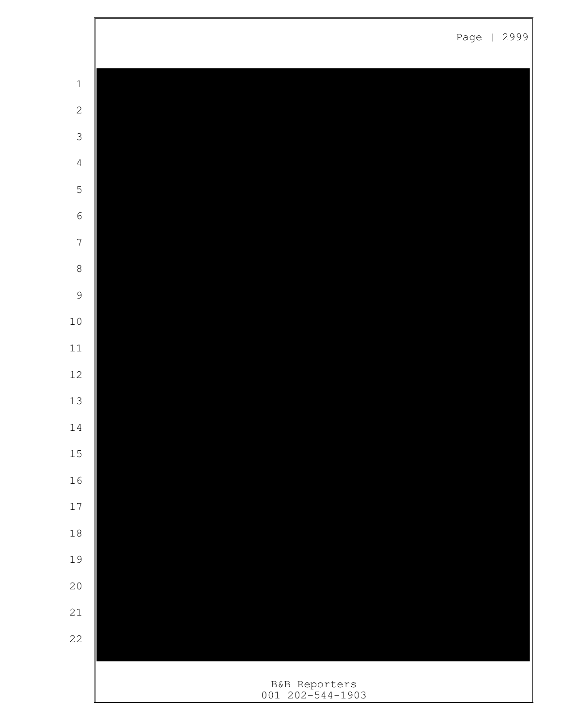|                          | Page   2999                       |
|--------------------------|-----------------------------------|
| $\mathbf 1$              |                                   |
| $\sqrt{2}$               |                                   |
| $\overline{3}$           |                                   |
| $\overline{4}$           |                                   |
| $\overline{5}$           |                                   |
| $6\overline{6}$          |                                   |
| $\overline{\mathcal{I}}$ |                                   |
| 8                        |                                   |
| 9                        |                                   |
| $10$                     |                                   |
| $11\,$                   |                                   |
| 12                       |                                   |
| 13                       |                                   |
| $14$                     |                                   |
| $15\,$                   |                                   |
| 16                       |                                   |
| $17\,$                   |                                   |
| $1\,8$                   |                                   |
| 19                       |                                   |
| $2\,0$                   |                                   |
| 21                       |                                   |
| 22                       |                                   |
|                          |                                   |
|                          | B&B Reporters<br>001 202-544-1903 |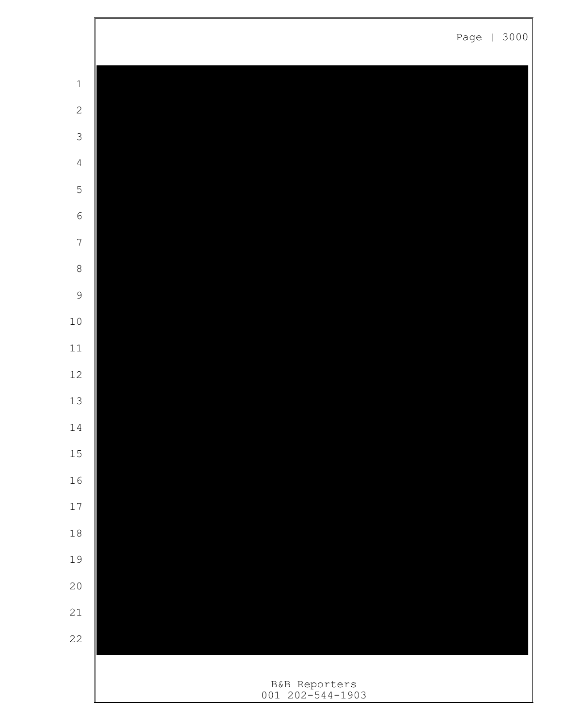|                     |                                   | Page   3000 |  |
|---------------------|-----------------------------------|-------------|--|
| $\mathbbm{1}$       |                                   |             |  |
| $\overline{c}$      |                                   |             |  |
| $\overline{3}$      |                                   |             |  |
| $\overline{4}$      |                                   |             |  |
| $\overline{5}$      |                                   |             |  |
| $\overline{6}$      |                                   |             |  |
| $\overline{7}$      |                                   |             |  |
| $\overline{8}$      |                                   |             |  |
| 9                   |                                   |             |  |
| $10$                |                                   |             |  |
| $11\,$              |                                   |             |  |
| $12\,$              |                                   |             |  |
| 13                  |                                   |             |  |
| $1\,4$              |                                   |             |  |
| $15\,$              |                                   |             |  |
| $16\,$              |                                   |             |  |
| $17\,$              |                                   |             |  |
| $1\,8$              |                                   |             |  |
| 19                  |                                   |             |  |
| $20$<br>$2\sqrt{1}$ |                                   |             |  |
| 22                  |                                   |             |  |
|                     |                                   |             |  |
|                     | B&B Reporters<br>001 202-544-1903 |             |  |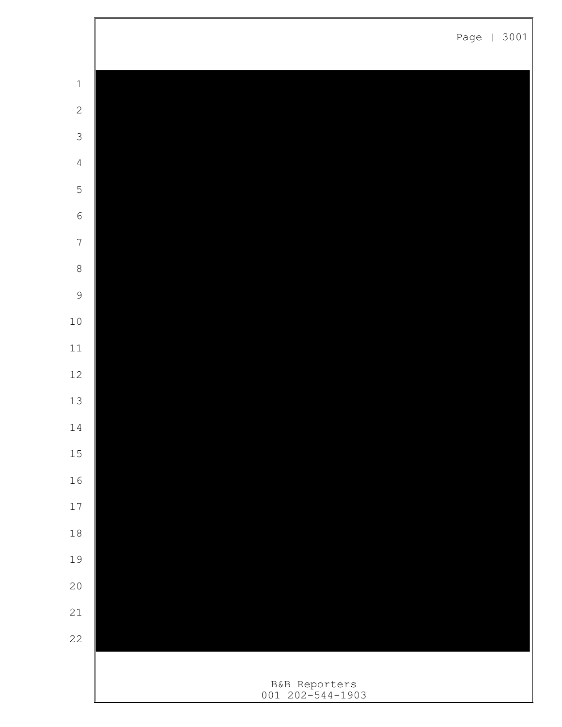|                            |                                   | Page   3001 |  |
|----------------------------|-----------------------------------|-------------|--|
|                            |                                   |             |  |
| $\ensuremath{\mathbbm{1}}$ |                                   |             |  |
| $\sqrt{2}$                 |                                   |             |  |
| $\mathfrak{Z}$             |                                   |             |  |
| $\overline{4}$             |                                   |             |  |
| $\overline{5}$             |                                   |             |  |
| $\sqrt{6}$                 |                                   |             |  |
| $\sqrt{ }$                 |                                   |             |  |
| $\,8\,$                    |                                   |             |  |
| $\mathcal{G}$              |                                   |             |  |
| $10$                       |                                   |             |  |
| $11$                       |                                   |             |  |
| $12\,$                     |                                   |             |  |
| 13                         |                                   |             |  |
| $14$                       |                                   |             |  |
| $15\,$                     |                                   |             |  |
| $16\,$                     |                                   |             |  |
| $17\,$                     |                                   |             |  |
| $1\,8$                     |                                   |             |  |
| 19                         |                                   |             |  |
| $20$                       |                                   |             |  |
| $21\,$                     |                                   |             |  |
| 22                         |                                   |             |  |
|                            |                                   |             |  |
|                            | B&B Reporters<br>001 202-544-1903 |             |  |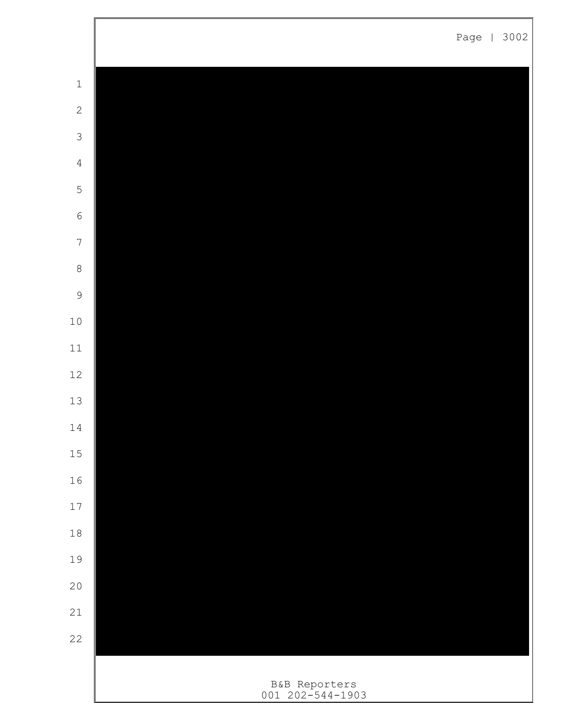|                | 3002<br>Page                      |
|----------------|-----------------------------------|
|                |                                   |
| $\,1\,$        |                                   |
| $\overline{2}$ |                                   |
| $\mathfrak{Z}$ |                                   |
| $\overline{4}$ |                                   |
| $\overline{5}$ |                                   |
| $\sqrt{6}$     |                                   |
| $\overline{7}$ |                                   |
| $\,8\,$        |                                   |
| $\overline{9}$ |                                   |
| $10$           |                                   |
| $11$           |                                   |
| 12             |                                   |
| 13             |                                   |
| 14             |                                   |
| 15             |                                   |
| 16             |                                   |
| $17\,$         |                                   |
| $18\,$         |                                   |
| 19             |                                   |
| $20$           |                                   |
| 21             |                                   |
| 22             |                                   |
|                |                                   |
|                | B&B Reporters<br>001 202-544-1903 |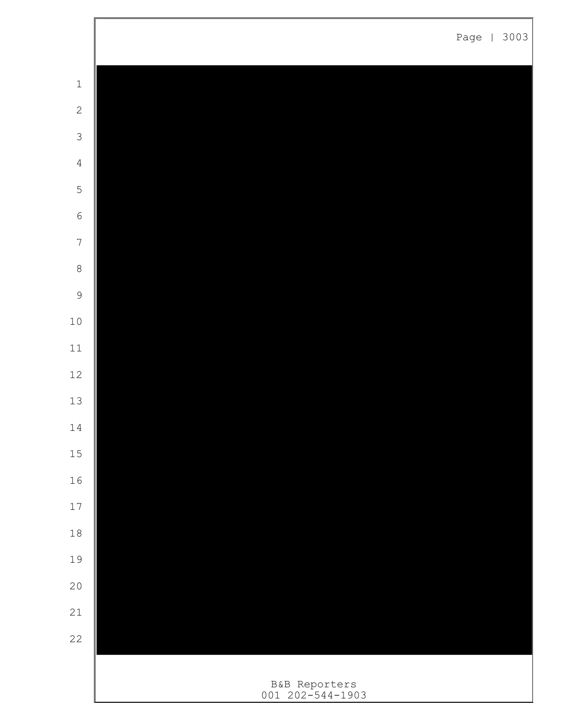|                |                                   | Page   3003 |  |
|----------------|-----------------------------------|-------------|--|
| $\,1\,$        |                                   |             |  |
| $\overline{c}$ |                                   |             |  |
| $\overline{3}$ |                                   |             |  |
| $\overline{4}$ |                                   |             |  |
| $\overline{5}$ |                                   |             |  |
| $\overline{6}$ |                                   |             |  |
| $\overline{7}$ |                                   |             |  |
| 8              |                                   |             |  |
| 9              |                                   |             |  |
| $10$           |                                   |             |  |
| $11$           |                                   |             |  |
| 12             |                                   |             |  |
| 13             |                                   |             |  |
| 14             |                                   |             |  |
| 15             |                                   |             |  |
| $16\,$         |                                   |             |  |
| 17             |                                   |             |  |
| $1\,8$         |                                   |             |  |
| 19             |                                   |             |  |
| $20$           |                                   |             |  |
| $21$           |                                   |             |  |
| 22             |                                   |             |  |
|                | B&B Reporters<br>001 202-544-1903 |             |  |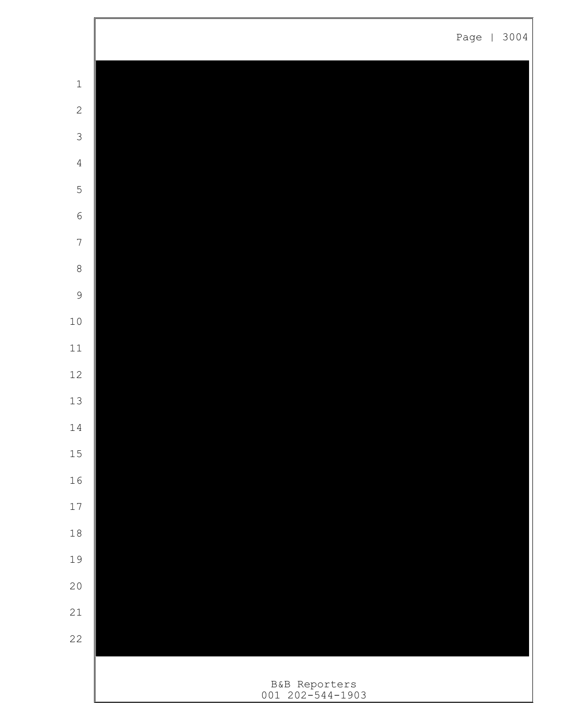|                | 3004<br>Page                      |  |
|----------------|-----------------------------------|--|
| $\mathbf 1$    |                                   |  |
| $\sqrt{2}$     |                                   |  |
| $\mathfrak{Z}$ |                                   |  |
| $\overline{4}$ |                                   |  |
| $\overline{5}$ |                                   |  |
| $\overline{6}$ |                                   |  |
| $\overline{7}$ |                                   |  |
| $\,8\,$        |                                   |  |
| $\mathcal{G}$  |                                   |  |
| $10$           |                                   |  |
| $11\,$         |                                   |  |
| $12\,$         |                                   |  |
| 13             |                                   |  |
| 14             |                                   |  |
| $15\,$         |                                   |  |
| 16             |                                   |  |
| $17$           |                                   |  |
| $1\,8$         |                                   |  |
| 19             |                                   |  |
| $20$           |                                   |  |
| 21<br>22       |                                   |  |
|                |                                   |  |
|                | B&B Reporters<br>001 202-544-1903 |  |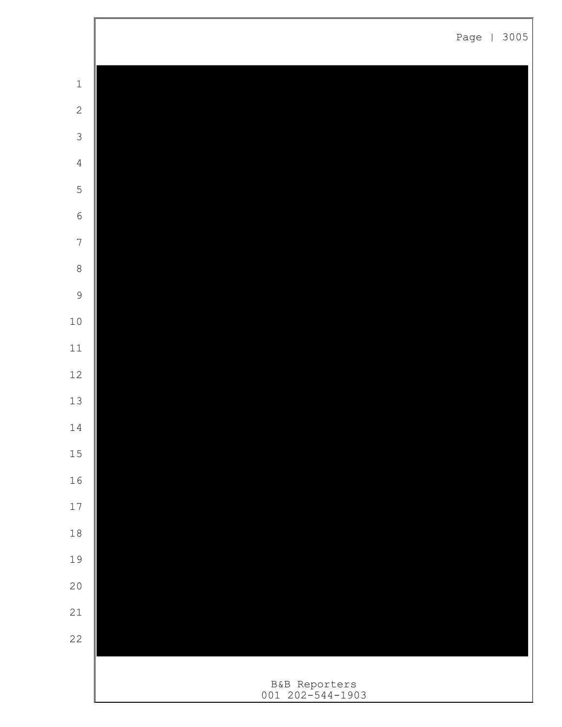|                |                                   |  | Page   3005 |
|----------------|-----------------------------------|--|-------------|
| $\mathbbm{1}$  |                                   |  |             |
| $\overline{c}$ |                                   |  |             |
| $\mathfrak{Z}$ |                                   |  |             |
| $\overline{4}$ |                                   |  |             |
| $\overline{5}$ |                                   |  |             |
| $\overline{6}$ |                                   |  |             |
| $\overline{7}$ |                                   |  |             |
| 8              |                                   |  |             |
| $\overline{9}$ |                                   |  |             |
| $10$           |                                   |  |             |
| $11$           |                                   |  |             |
| $12$           |                                   |  |             |
| 13             |                                   |  |             |
| $1\,4$         |                                   |  |             |
| $15\,$         |                                   |  |             |
| 16             |                                   |  |             |
| $17\,$         |                                   |  |             |
| $1\,8$         |                                   |  |             |
| 19             |                                   |  |             |
| $20$<br>21     |                                   |  |             |
| 22             |                                   |  |             |
|                |                                   |  |             |
|                | B&B Reporters<br>001 202-544-1903 |  |             |

 $\overline{\mathbf{I}}$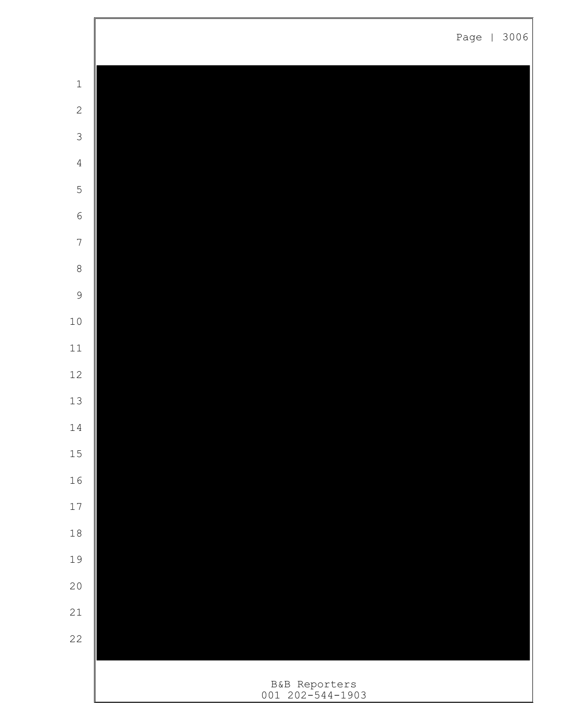|                | Page   3006                       |
|----------------|-----------------------------------|
| $\,1\,$        |                                   |
| $\overline{c}$ |                                   |
| $\mathfrak{Z}$ |                                   |
| $\overline{4}$ |                                   |
| $\overline{5}$ |                                   |
| $\overline{6}$ |                                   |
| $\overline{7}$ |                                   |
| $\,8\,$        |                                   |
| 9              |                                   |
| $10$           |                                   |
| 11             |                                   |
| 12             |                                   |
| 13             |                                   |
| 14             |                                   |
| $15\,$         |                                   |
| $16$           |                                   |
| $17\,$         |                                   |
| $1\,8$<br>19   |                                   |
| $20$           |                                   |
| $21\,$         |                                   |
| 22             |                                   |
|                |                                   |
|                | B&B Reporters<br>001 202-544-1903 |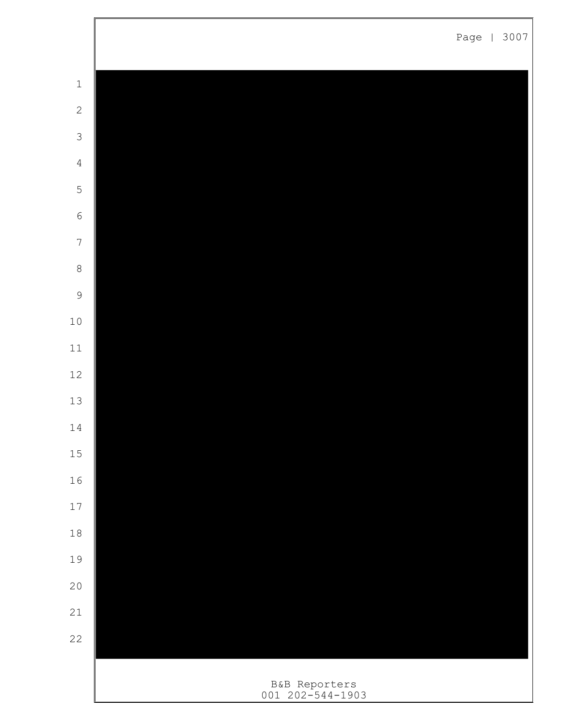|                             |                                   | Page | 3007 |
|-----------------------------|-----------------------------------|------|------|
|                             |                                   |      |      |
| $\ensuremath{\mathbbm{1}}$  |                                   |      |      |
| $\overline{c}$              |                                   |      |      |
| $\mathfrak{Z}$              |                                   |      |      |
| $\overline{4}$              |                                   |      |      |
| $\overline{5}$              |                                   |      |      |
| $6\,$                       |                                   |      |      |
| $\boldsymbol{7}$<br>$\,8\,$ |                                   |      |      |
| $\mathcal{G}$               |                                   |      |      |
| $10$                        |                                   |      |      |
| $11\,$                      |                                   |      |      |
| $12\,$                      |                                   |      |      |
| 13                          |                                   |      |      |
| $1\,4$                      |                                   |      |      |
| 15                          |                                   |      |      |
| $16\,$                      |                                   |      |      |
| $17\,$                      |                                   |      |      |
| $1\,8$                      |                                   |      |      |
| 19                          |                                   |      |      |
| $20$                        |                                   |      |      |
| 21                          |                                   |      |      |
| 22                          |                                   |      |      |
|                             |                                   |      |      |
|                             | B&B Reporters<br>001 202-544-1903 |      |      |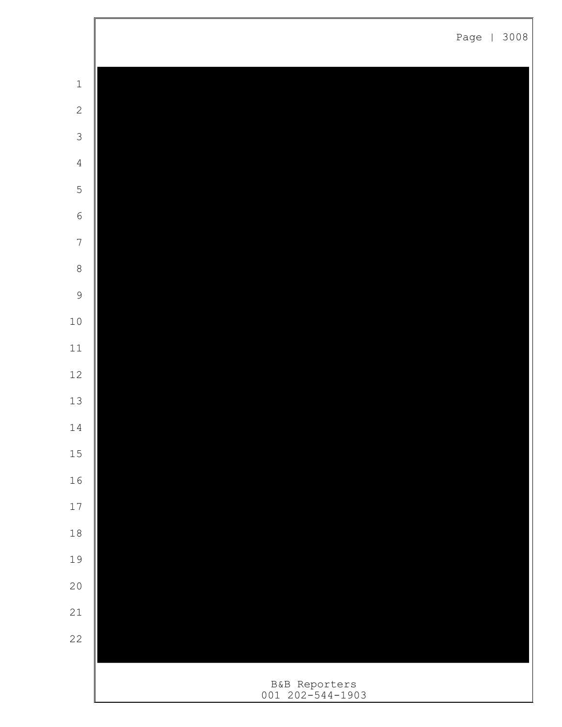|                         |                                   | Page   3008 |  |
|-------------------------|-----------------------------------|-------------|--|
|                         |                                   |             |  |
| $\,1$<br>$\overline{c}$ |                                   |             |  |
| $\overline{3}$          |                                   |             |  |
| $\overline{4}$          |                                   |             |  |
| $\overline{5}$          |                                   |             |  |
| $\overline{6}$          |                                   |             |  |
| $\overline{7}$          |                                   |             |  |
| 8                       |                                   |             |  |
| 9                       |                                   |             |  |
| $10$                    |                                   |             |  |
| $11$                    |                                   |             |  |
| 12                      |                                   |             |  |
| 13                      |                                   |             |  |
| 14                      |                                   |             |  |
| $15\,$                  |                                   |             |  |
| 16                      |                                   |             |  |
| $17$                    |                                   |             |  |
| $1\,8$                  |                                   |             |  |
| 19                      |                                   |             |  |
| $20$                    |                                   |             |  |
| $21\,$                  |                                   |             |  |
| 22                      |                                   |             |  |
|                         |                                   |             |  |
|                         | B&B Reporters<br>001 202-544-1903 |             |  |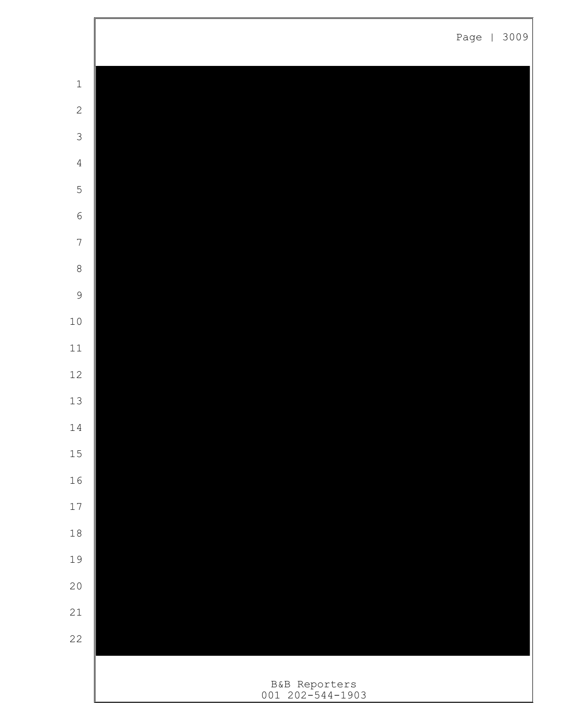|                | 3009<br>Page                      |
|----------------|-----------------------------------|
| $\mathbf 1$    |                                   |
| $\overline{c}$ |                                   |
| $\mathfrak{Z}$ |                                   |
| $\overline{4}$ |                                   |
| $\overline{5}$ |                                   |
| $6\,$          |                                   |
| $\overline{7}$ |                                   |
| $\,8\,$        |                                   |
| $\overline{9}$ |                                   |
|                |                                   |
| $1\,0$         |                                   |
| $11\,$         |                                   |
| $12$           |                                   |
| 13             |                                   |
| $14$           |                                   |
| $15\,$         |                                   |
| 16             |                                   |
| $17\,$         |                                   |
| $1\,8$         |                                   |
| 19             |                                   |
| $20$           |                                   |
| 21             |                                   |
| $2\sqrt{2}$    |                                   |
|                |                                   |
|                | B&B Reporters<br>001 202-544-1903 |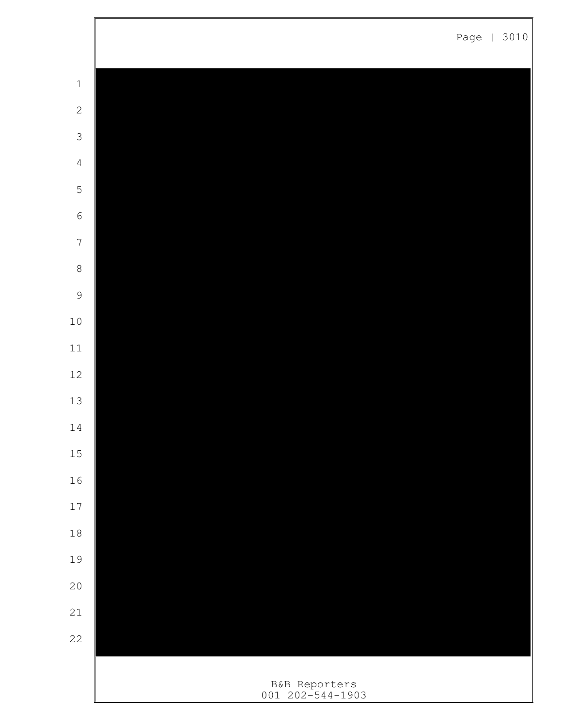|                                            | Page   3010                       |
|--------------------------------------------|-----------------------------------|
|                                            |                                   |
| $\ensuremath{\mathbbm{1}}$<br>$\mathbf{2}$ |                                   |
|                                            |                                   |
| $\mathfrak{Z}$                             |                                   |
| $\overline{4}$                             |                                   |
| $\overline{5}$                             |                                   |
| $\overline{6}$                             |                                   |
| $\overline{\mathcal{I}}$                   |                                   |
| $\begin{matrix} 8 \end{matrix}$            |                                   |
| $\mathcal{G}$                              |                                   |
| $10$                                       |                                   |
| $11\,$                                     |                                   |
| $12\,$                                     |                                   |
| 13                                         |                                   |
| 14                                         |                                   |
| $15\,$                                     |                                   |
| 16                                         |                                   |
| $17\,$                                     |                                   |
| $1\,8$                                     |                                   |
| 19                                         |                                   |
| $20$                                       |                                   |
| $21$                                       |                                   |
| 22                                         |                                   |
|                                            |                                   |
|                                            | B&B Reporters<br>001 202-544-1903 |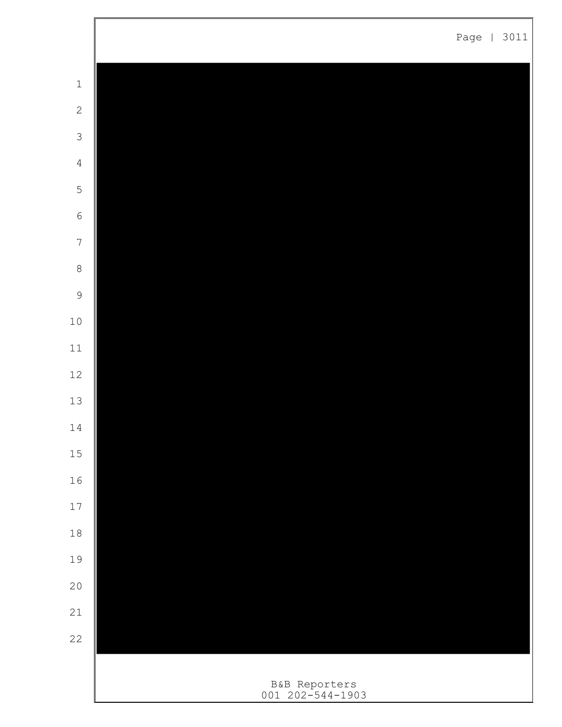|                                  | Page   3011                       |
|----------------------------------|-----------------------------------|
| $\mathbf 1$                      |                                   |
| $\overline{c}$                   |                                   |
| $\mathfrak{Z}$                   |                                   |
| $\overline{4}$                   |                                   |
| $\overline{5}$                   |                                   |
| $\overline{6}$                   |                                   |
| $\overline{7}$                   |                                   |
| $\begin{array}{c} 8 \end{array}$ |                                   |
| 9                                |                                   |
| $10$                             |                                   |
| $11\,$                           |                                   |
| $12\,$                           |                                   |
| 13                               |                                   |
| 14                               |                                   |
| $15\,$                           |                                   |
| $16\,$                           |                                   |
| 17                               |                                   |
| $1\,8$                           |                                   |
| 19                               |                                   |
| $20$<br>$21\,$                   |                                   |
| 22                               |                                   |
|                                  |                                   |
|                                  | B&B Reporters<br>001 202-544-1903 |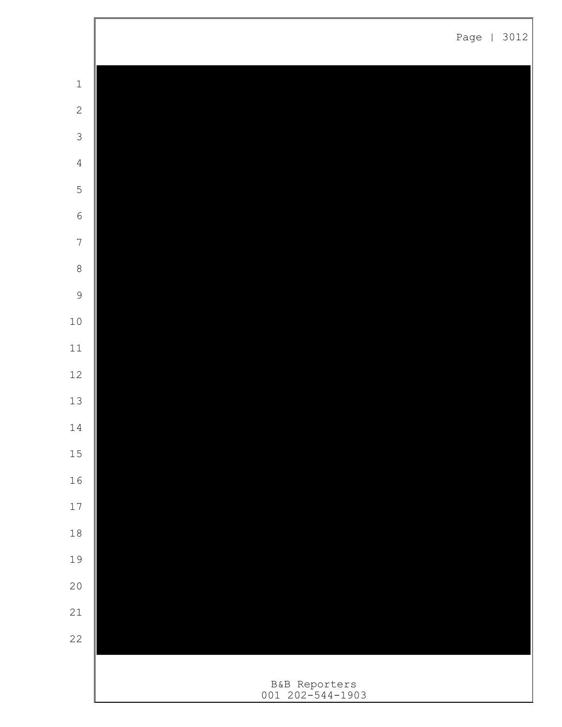|                | Page   3012                       |
|----------------|-----------------------------------|
| $\mathbf{1}$   |                                   |
| $\overline{c}$ |                                   |
| $\overline{3}$ |                                   |
| $\overline{4}$ |                                   |
| $\overline{5}$ |                                   |
| $\sqrt{6}$     |                                   |
| $\overline{7}$ |                                   |
| 8              |                                   |
| $\mathcal{G}$  |                                   |
| $10$           |                                   |
| $11$           |                                   |
| $12\,$         |                                   |
| 13             |                                   |
| 14             |                                   |
| 15             |                                   |
| $16\,$         |                                   |
| $17$           |                                   |
| $1\,8$         |                                   |
| 19             |                                   |
| $20$           |                                   |
| $21\,$         |                                   |
| 22             |                                   |
|                |                                   |
|                | B&B Reporters<br>001 202-544-1903 |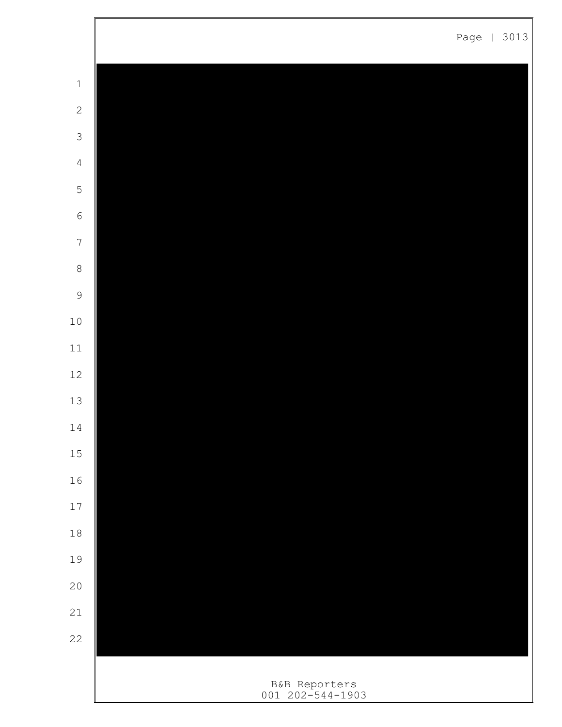|                                 |                                   | Page   3013 |  |
|---------------------------------|-----------------------------------|-------------|--|
| $\mathbbm{1}$                   |                                   |             |  |
| $\overline{c}$                  |                                   |             |  |
| $\mathfrak{Z}$                  |                                   |             |  |
| $\overline{4}$                  |                                   |             |  |
| $\overline{5}$                  |                                   |             |  |
| $\overline{6}$                  |                                   |             |  |
| $\overline{7}$                  |                                   |             |  |
| $\begin{matrix} 8 \end{matrix}$ |                                   |             |  |
| $\overline{9}$                  |                                   |             |  |
| $10$                            |                                   |             |  |
| $11\,$                          |                                   |             |  |
| $12$                            |                                   |             |  |
| 13                              |                                   |             |  |
| 14                              |                                   |             |  |
| $15\,$                          |                                   |             |  |
| $16\,$<br>$17\,$                |                                   |             |  |
| $1\,8$                          |                                   |             |  |
| 19                              |                                   |             |  |
| $20$                            |                                   |             |  |
| 21                              |                                   |             |  |
| 22                              |                                   |             |  |
|                                 |                                   |             |  |
|                                 | B&B Reporters<br>001 202-544-1903 |             |  |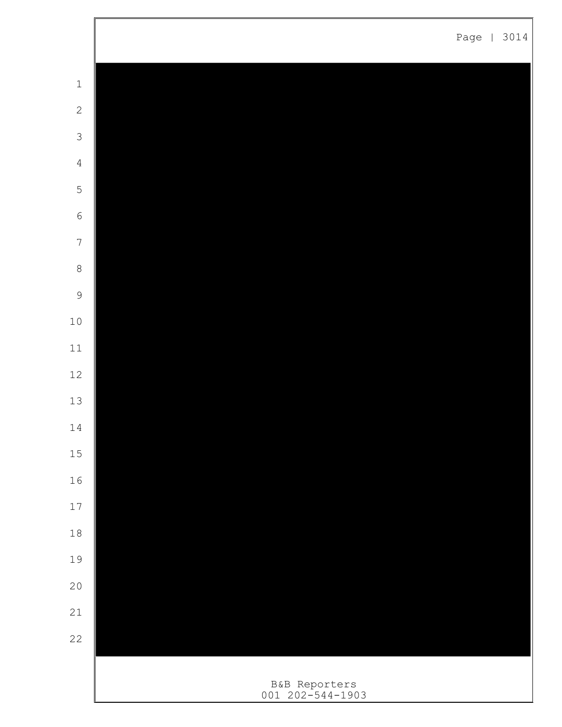|                | Page   3014                       |
|----------------|-----------------------------------|
| $\mathbbm{1}$  |                                   |
| $\overline{c}$ |                                   |
| $\overline{3}$ |                                   |
| $\overline{4}$ |                                   |
| $\overline{5}$ |                                   |
| $\sqrt{6}$     |                                   |
| $\overline{7}$ |                                   |
| $\,8\,$        |                                   |
| $\overline{9}$ |                                   |
| $10$           |                                   |
| $11\,$         |                                   |
| $12\,$         |                                   |
| 13             |                                   |
| $1\,4$         |                                   |
| 15             |                                   |
| $16\,$<br>$17$ |                                   |
| $1\,8$         |                                   |
| 19             |                                   |
| $20$           |                                   |
| $21\,$         |                                   |
| 22             |                                   |
|                |                                   |
|                | B&B Reporters<br>001 202-544-1903 |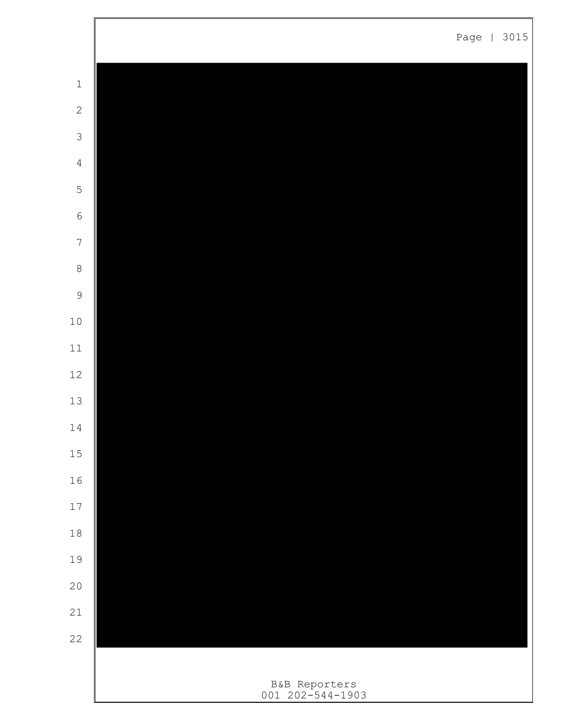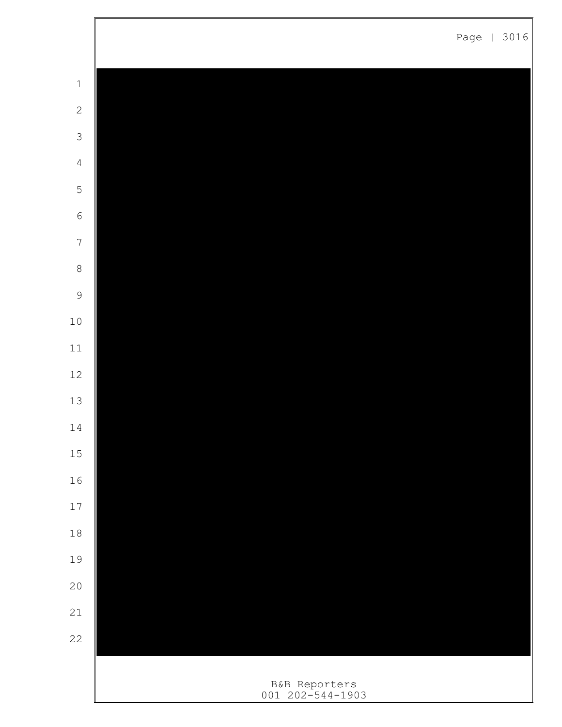|                                 | Page   3016                       |
|---------------------------------|-----------------------------------|
|                                 |                                   |
| $\mathbf 1$                     |                                   |
| $\sqrt{2}$                      |                                   |
| $\overline{3}$                  |                                   |
| $\overline{4}$                  |                                   |
| $\overline{5}$                  |                                   |
| $6\overline{6}$                 |                                   |
| $\overline{7}$                  |                                   |
| $\begin{matrix} 8 \end{matrix}$ |                                   |
| $\mathcal{G}$                   |                                   |
| 10                              |                                   |
| $11\,$                          |                                   |
| $12$                            |                                   |
| 13                              |                                   |
| $1\,4$                          |                                   |
| $15\,$                          |                                   |
| 16                              |                                   |
| $17$                            |                                   |
| $18\,$                          |                                   |
| 19                              |                                   |
| $20$                            |                                   |
| 21                              |                                   |
| 22                              |                                   |
|                                 |                                   |
|                                 | B&B Reporters<br>001 202-544-1903 |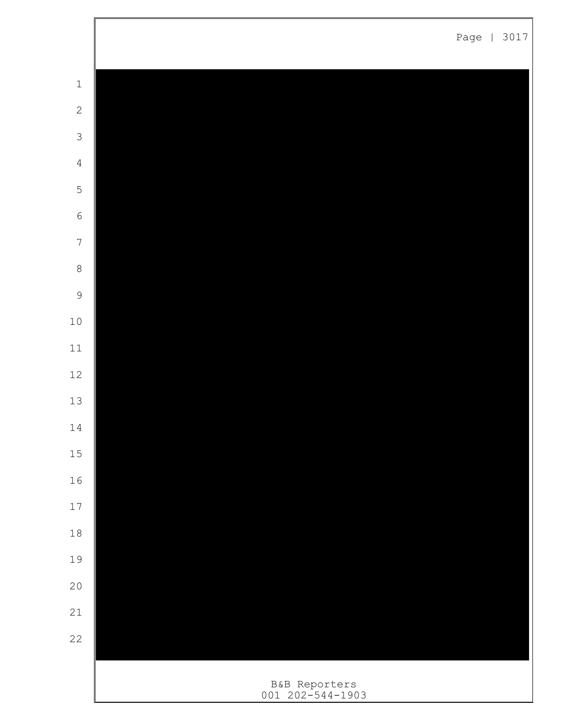|                  |                                   | Page   3017 |  |
|------------------|-----------------------------------|-------------|--|
|                  |                                   |             |  |
| $\mathbf 1$      |                                   |             |  |
| $\sqrt{2}$       |                                   |             |  |
| $\mathfrak{Z}$   |                                   |             |  |
| $\overline{4}$   |                                   |             |  |
| $\overline{5}$   |                                   |             |  |
| $\epsilon$       |                                   |             |  |
| $\boldsymbol{7}$ |                                   |             |  |
| $\,8\,$          |                                   |             |  |
| $\mathcal{G}$    |                                   |             |  |
| $10$             |                                   |             |  |
| $11\,$           |                                   |             |  |
| $12\,$           |                                   |             |  |
| 13               |                                   |             |  |
| 14               |                                   |             |  |
| 15               |                                   |             |  |
| $16\,$           |                                   |             |  |
| $17\,$           |                                   |             |  |
| $1\,8$           |                                   |             |  |
| 19               |                                   |             |  |
| $20$             |                                   |             |  |
| $2\sqrt{1}$      |                                   |             |  |
| 22               |                                   |             |  |
|                  |                                   |             |  |
|                  | B&B Reporters<br>001 202-544-1903 |             |  |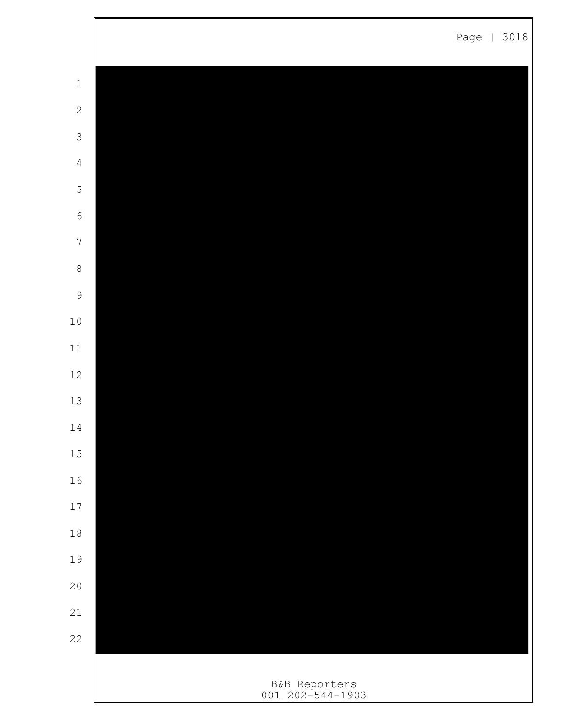|                                              |                                   | Page | 3018 |
|----------------------------------------------|-----------------------------------|------|------|
|                                              |                                   |      |      |
| $\ensuremath{\mathbbm{1}}$<br>$\overline{c}$ |                                   |      |      |
| $\mathfrak{Z}$                               |                                   |      |      |
| $\overline{4}$                               |                                   |      |      |
| $\overline{5}$                               |                                   |      |      |
| $\sqrt{6}$                                   |                                   |      |      |
| $\boldsymbol{7}$                             |                                   |      |      |
| $\,8\,$                                      |                                   |      |      |
| $\overline{9}$                               |                                   |      |      |
| $10$                                         |                                   |      |      |
| $11\,$                                       |                                   |      |      |
| $12\,$                                       |                                   |      |      |
| 13                                           |                                   |      |      |
| 14                                           |                                   |      |      |
| 15                                           |                                   |      |      |
| $16\,$                                       |                                   |      |      |
| $17\,$                                       |                                   |      |      |
| $1\,8$                                       |                                   |      |      |
| 19                                           |                                   |      |      |
| $20$                                         |                                   |      |      |
| $2\sqrt{1}$                                  |                                   |      |      |
| 22                                           |                                   |      |      |
|                                              |                                   |      |      |
|                                              | B&B Reporters<br>001 202-544-1903 |      |      |

Г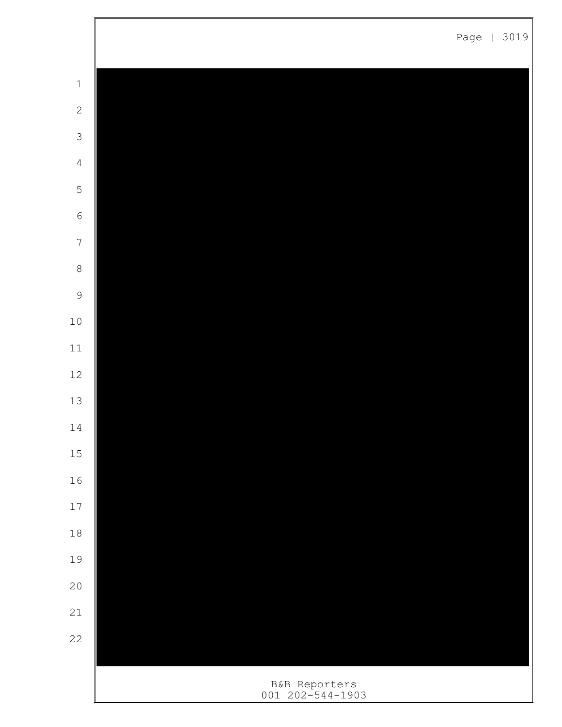|                            | Page   3019                       |
|----------------------------|-----------------------------------|
| $\ensuremath{\mathbbm{1}}$ |                                   |
| $\sqrt{2}$                 |                                   |
| $\overline{3}$             |                                   |
| $\overline{4}$             |                                   |
| $\overline{5}$             |                                   |
| $6\overline{6}$            |                                   |
| $\overline{7}$             |                                   |
| $\overline{8}$             |                                   |
| 9                          |                                   |
| $10$                       |                                   |
| $11\,$                     |                                   |
| $12$                       |                                   |
| 13                         |                                   |
| 14                         |                                   |
| $15\,$                     |                                   |
| $16\,$                     |                                   |
| $17\,$                     |                                   |
| $1\,8$                     |                                   |
| 19                         |                                   |
| $20$                       |                                   |
| $21\,$                     |                                   |
| 22                         |                                   |
|                            | B&B Reporters<br>001 202-544-1903 |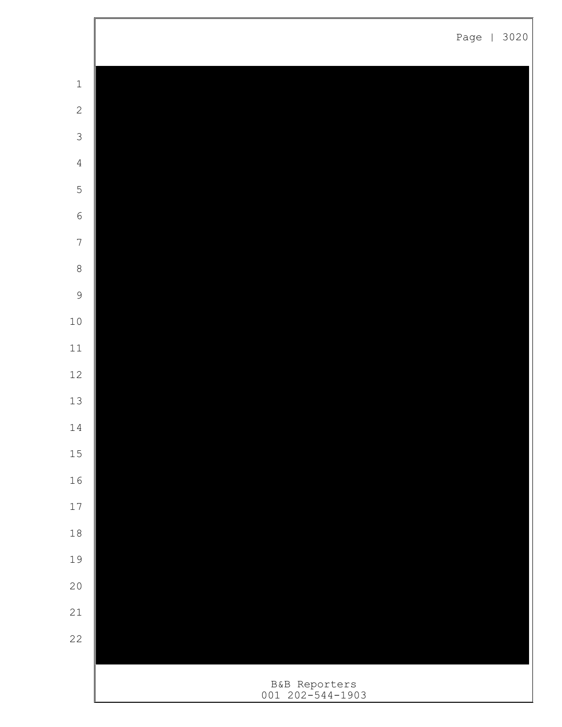|                            | 3020<br>Page                      |
|----------------------------|-----------------------------------|
| $\ensuremath{\mathbbm{1}}$ |                                   |
| $\overline{c}$             |                                   |
| $\mathfrak{Z}$             |                                   |
| $\overline{4}$             |                                   |
| $\overline{5}$             |                                   |
| $6\,$                      |                                   |
| $\overline{7}$             |                                   |
| $\,8\,$                    |                                   |
| 9                          |                                   |
| $10$                       |                                   |
| $11\,$                     |                                   |
| $12$                       |                                   |
| 13                         |                                   |
| $14\,$                     |                                   |
| 15                         |                                   |
| 16                         |                                   |
| $17\,$                     |                                   |
| $18\,$                     |                                   |
| 19                         |                                   |
| $20$                       |                                   |
| 21                         |                                   |
| 22                         |                                   |
|                            |                                   |
|                            | B&B Reporters<br>001 202-544-1903 |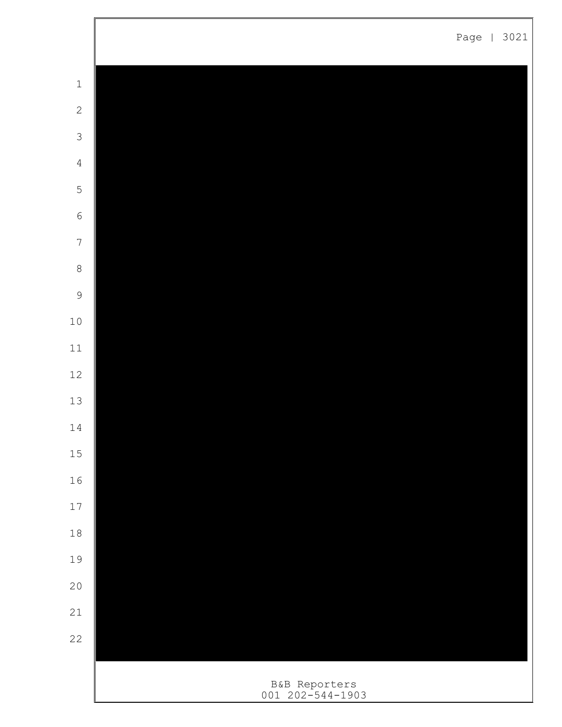|                  |                                   | Page   3021 |
|------------------|-----------------------------------|-------------|
| $\,1$            |                                   |             |
| $\overline{2}$   |                                   |             |
| $\mathfrak{Z}$   |                                   |             |
| $\overline{4}$   |                                   |             |
| $\overline{5}$   |                                   |             |
| $6\phantom{a}$   |                                   |             |
| $\boldsymbol{7}$ |                                   |             |
| $\,8\,$          |                                   |             |
| $\mathcal{G}$    |                                   |             |
| $10$             |                                   |             |
| $11\,$           |                                   |             |
| $12\,$           |                                   |             |
| 13               |                                   |             |
| 14               |                                   |             |
| 15<br>16         |                                   |             |
| $17\,$           |                                   |             |
| $1\,8$           |                                   |             |
| 19               |                                   |             |
| $20$             |                                   |             |
| $21\,$           |                                   |             |
| 22               |                                   |             |
|                  |                                   |             |
|                  | B&B Reporters<br>001 202-544-1903 |             |

Iī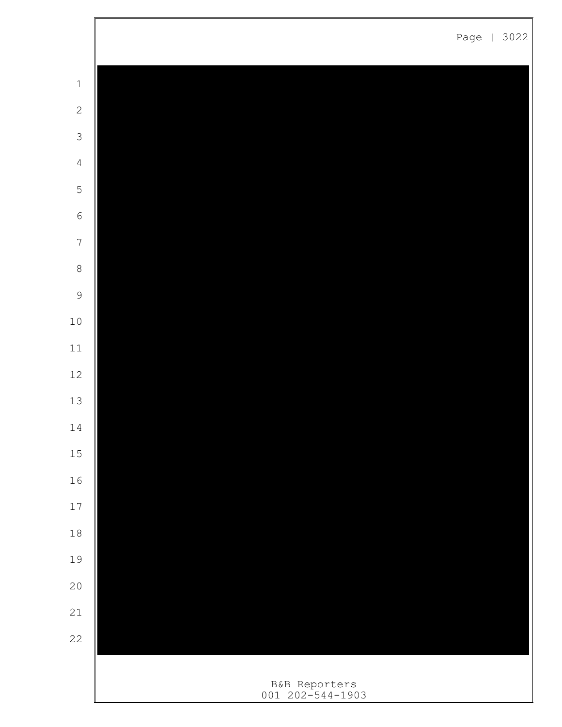|                 | Page   3022                       |
|-----------------|-----------------------------------|
| $\,1\,$         |                                   |
| $\mathbf{2}$    |                                   |
| $\overline{3}$  |                                   |
| $\overline{4}$  |                                   |
| $\overline{5}$  |                                   |
| $6\overline{6}$ |                                   |
| $\overline{7}$  |                                   |
| 8               |                                   |
| 9               |                                   |
| 10              |                                   |
| $11\,$          |                                   |
| 12              |                                   |
| 13              |                                   |
| 14              |                                   |
| 15              |                                   |
| $16$            |                                   |
| 17              |                                   |
| $1\,8$          |                                   |
| 19              |                                   |
| $20$            |                                   |
| $21\,$          |                                   |
| 22              |                                   |
|                 |                                   |
|                 | B&B Reporters<br>001 202-544-1903 |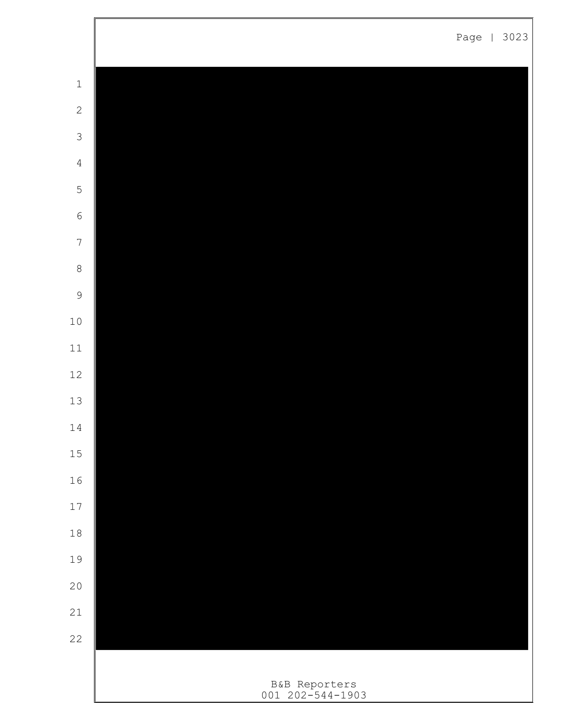|                           |                                   | Page | 3023 |
|---------------------------|-----------------------------------|------|------|
|                           |                                   |      |      |
| $\mathbf 1$<br>$\sqrt{2}$ |                                   |      |      |
| $\mathfrak{Z}$            |                                   |      |      |
| $\overline{4}$            |                                   |      |      |
| $\overline{5}$            |                                   |      |      |
| $\sqrt{6}$                |                                   |      |      |
| $\boldsymbol{7}$          |                                   |      |      |
| $\,8\,$                   |                                   |      |      |
| $\overline{9}$            |                                   |      |      |
| 10                        |                                   |      |      |
| $11\,$                    |                                   |      |      |
| $12$                      |                                   |      |      |
| 13                        |                                   |      |      |
| $14\,$                    |                                   |      |      |
| 15                        |                                   |      |      |
| $16\,$                    |                                   |      |      |
| $17\,$                    |                                   |      |      |
| $1\,8$                    |                                   |      |      |
| 19                        |                                   |      |      |
| $20$                      |                                   |      |      |
| 21                        |                                   |      |      |
| 22                        |                                   |      |      |
|                           |                                   |      |      |
|                           | B&B Reporters<br>001 202-544-1903 |      |      |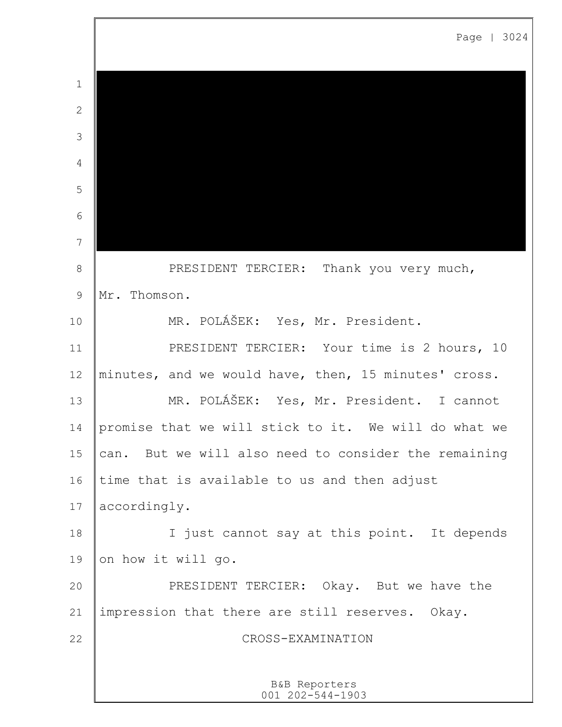|              | Page   3024                                          |
|--------------|------------------------------------------------------|
| $\mathbf 1$  |                                                      |
| $\mathbf{2}$ |                                                      |
| 3            |                                                      |
| 4            |                                                      |
| 5            |                                                      |
| 6            |                                                      |
| 7            |                                                      |
| $8\,$        | PRESIDENT TERCIER: Thank you very much,              |
| $\mathsf 9$  | Mr. Thomson.                                         |
| 10           | MR. POLÁŠEK: Yes, Mr. President.                     |
| 11           | PRESIDENT TERCIER: Your time is 2 hours, 10          |
| 12           | minutes, and we would have, then, 15 minutes' cross. |
| 13           | MR. POLÁŠEK: Yes, Mr. President. I cannot            |
| 14           | promise that we will stick to it. We will do what we |
| 15           | can. But we will also need to consider the remaining |
| 16           | time that is available to us and then adjust         |
| 17           | accordingly.                                         |
| 18           | I just cannot say at this point. It depends          |
| 19           | on how it will go.                                   |
| 20           | PRESIDENT TERCIER: Okay. But we have the             |
| 21           | impression that there are still reserves. Okay.      |
| 22           | CROSS-EXAMINATION                                    |
|              | B&B Reporters<br>001 202-544-1903                    |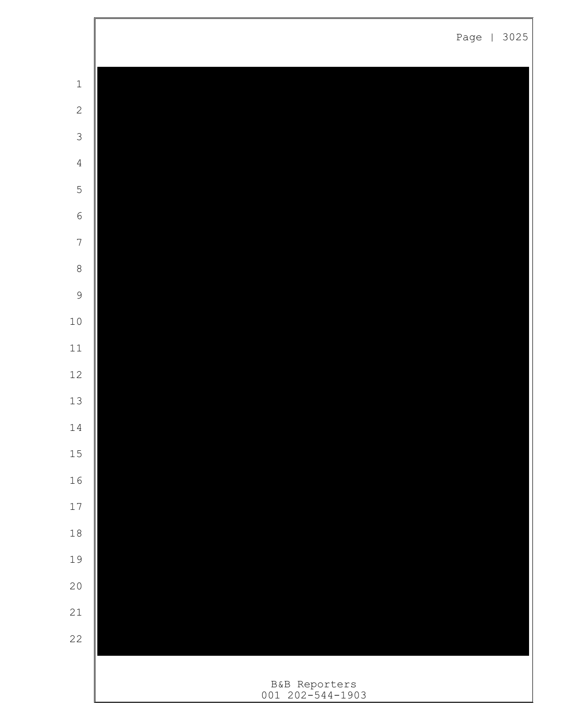|                 |                                   | Page   3025 |  |
|-----------------|-----------------------------------|-------------|--|
| $\,1\,$         |                                   |             |  |
| $\overline{c}$  |                                   |             |  |
| $\overline{3}$  |                                   |             |  |
| $\overline{4}$  |                                   |             |  |
| $\overline{5}$  |                                   |             |  |
| $6\overline{6}$ |                                   |             |  |
| $\overline{7}$  |                                   |             |  |
| 8               |                                   |             |  |
| 9               |                                   |             |  |
| 10              |                                   |             |  |
| $11$            |                                   |             |  |
| 12              |                                   |             |  |
| 13              |                                   |             |  |
| 14              |                                   |             |  |
| 15              |                                   |             |  |
| $16\,$          |                                   |             |  |
| $17$            |                                   |             |  |
| $1\,8$          |                                   |             |  |
| 19              |                                   |             |  |
| $20$            |                                   |             |  |
| $2\sqrt{1}$     |                                   |             |  |
| 22              |                                   |             |  |
|                 |                                   |             |  |
|                 | B&B Reporters<br>001 202-544-1903 |             |  |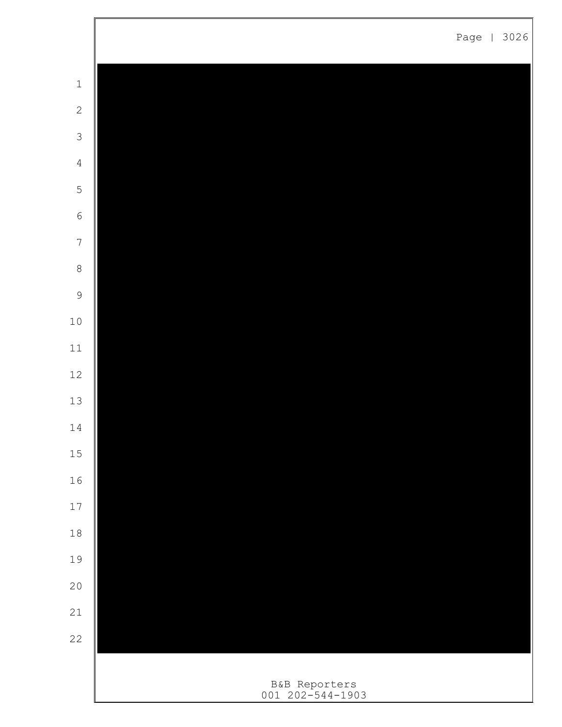|                | Page   3026                       |
|----------------|-----------------------------------|
| $\,1$          |                                   |
| $\overline{c}$ |                                   |
| $\overline{3}$ |                                   |
| $\overline{4}$ |                                   |
| $\overline{5}$ |                                   |
| $\overline{6}$ |                                   |
| $\overline{7}$ |                                   |
| 8              |                                   |
| 9              |                                   |
| $10$           |                                   |
| $11\,$         |                                   |
| 12             |                                   |
| 13             |                                   |
| 14             |                                   |
| 15             |                                   |
| 16             |                                   |
| 17             |                                   |
| $1\,8$         |                                   |
| 19             |                                   |
| $20$           |                                   |
| $2\sqrt{1}$    |                                   |
| $22$           |                                   |
|                |                                   |
|                | B&B Reporters<br>001 202-544-1903 |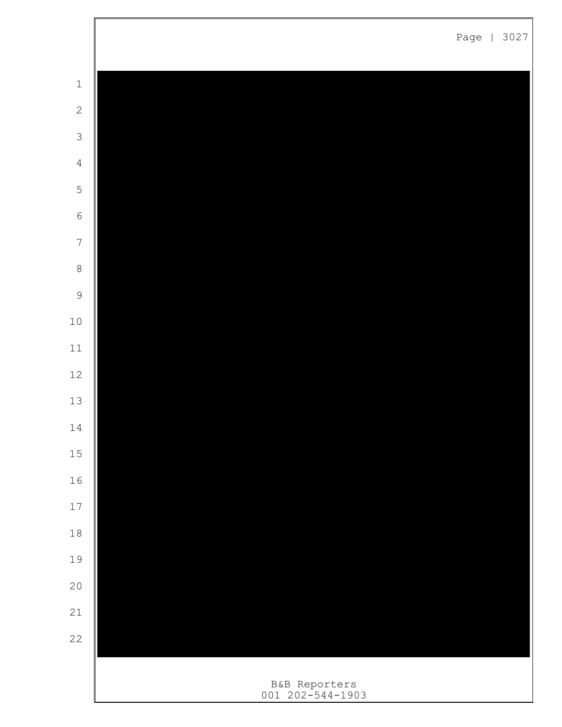|                               | Page   3027                       |
|-------------------------------|-----------------------------------|
|                               |                                   |
| $\mathbf 1$<br>$\overline{c}$ |                                   |
| $\overline{3}$                |                                   |
| $\overline{4}$                |                                   |
| $\overline{5}$                |                                   |
| $6\overline{6}$               |                                   |
| $\overline{7}$                |                                   |
| $\theta$                      |                                   |
| 9                             |                                   |
| $10$                          |                                   |
| $11\,$                        |                                   |
| $12$                          |                                   |
| 13                            |                                   |
| 14                            |                                   |
| $15\,$                        |                                   |
| $16$                          |                                   |
| $17\,$                        |                                   |
| $1\,8$                        |                                   |
| 19                            |                                   |
| $20$                          |                                   |
| $21\,$                        |                                   |
| 22                            |                                   |
|                               |                                   |
|                               | B&B Reporters<br>001 202-544-1903 |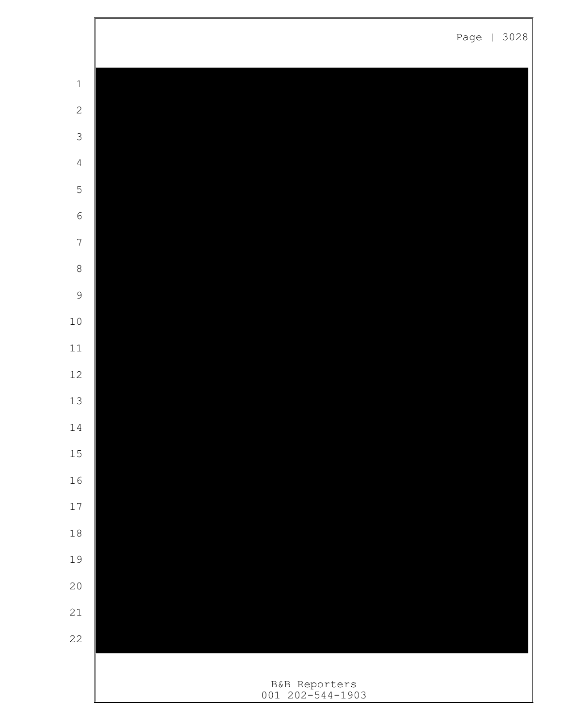|                  |                                   | Page   3028 |  |
|------------------|-----------------------------------|-------------|--|
|                  |                                   |             |  |
| $\mathbf 1$      |                                   |             |  |
| $\overline{c}$   |                                   |             |  |
| $\mathfrak{Z}$   |                                   |             |  |
| $\overline{4}$   |                                   |             |  |
| $\overline{5}$   |                                   |             |  |
| $\sqrt{6}$       |                                   |             |  |
| $\boldsymbol{7}$ |                                   |             |  |
| $\,8\,$          |                                   |             |  |
| $\mathcal{G}$    |                                   |             |  |
| $10$             |                                   |             |  |
| $11$             |                                   |             |  |
| $12\,$           |                                   |             |  |
| 13               |                                   |             |  |
| $1\,4$           |                                   |             |  |
| 15               |                                   |             |  |
| $16\,$           |                                   |             |  |
| $17\,$           |                                   |             |  |
| $1\,8$           |                                   |             |  |
| 19               |                                   |             |  |
| $20$             |                                   |             |  |
| $21\,$           |                                   |             |  |
| 22               |                                   |             |  |
|                  |                                   |             |  |
|                  | B&B Reporters<br>001 202-544-1903 |             |  |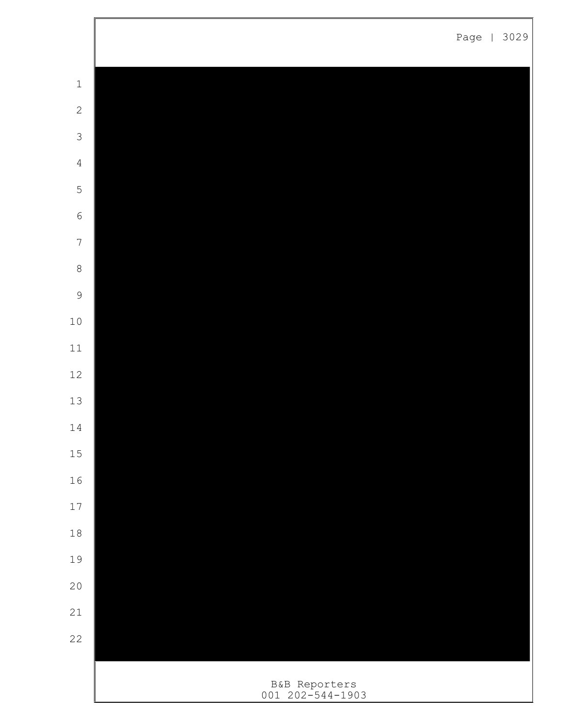|                                 | 3029<br>Page                      |
|---------------------------------|-----------------------------------|
| $\mathbf 1$                     |                                   |
| $\overline{c}$                  |                                   |
|                                 |                                   |
| $\mathfrak{Z}$                  |                                   |
| $\overline{4}$                  |                                   |
| $\overline{5}$                  |                                   |
| $6\overline{6}$                 |                                   |
| $\overline{7}$                  |                                   |
| $\begin{matrix} 8 \end{matrix}$ |                                   |
| $\mathcal{G}$                   |                                   |
| $10$                            |                                   |
| $11\,$                          |                                   |
| 12                              |                                   |
| 13                              |                                   |
| $14$                            |                                   |
| 15                              |                                   |
| 16                              |                                   |
| $17\,$                          |                                   |
| 18                              |                                   |
| 19                              |                                   |
| $20$                            |                                   |
| $21$                            |                                   |
| 22                              |                                   |
|                                 |                                   |
|                                 | B&B Reporters<br>001 202-544-1903 |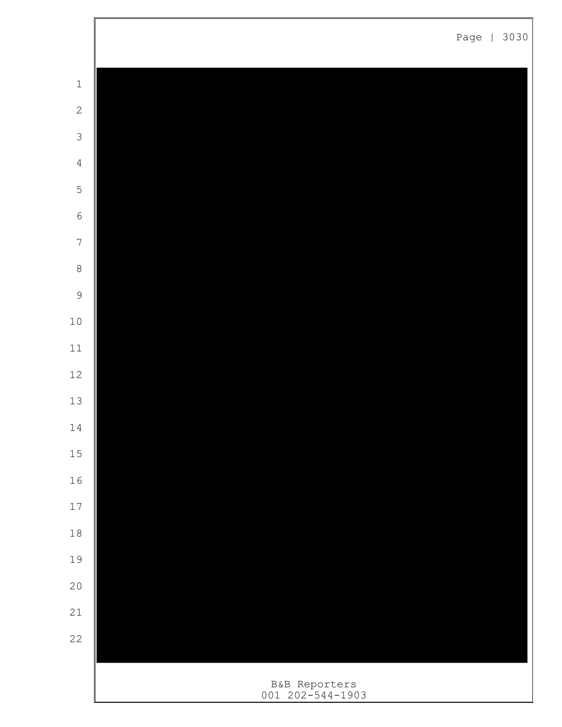|                |                                   | Page | 3030 |
|----------------|-----------------------------------|------|------|
| $\mathbbm{1}$  |                                   |      |      |
| $\overline{c}$ |                                   |      |      |
| $\overline{3}$ |                                   |      |      |
| $\overline{4}$ |                                   |      |      |
| $\overline{5}$ |                                   |      |      |
| $\overline{6}$ |                                   |      |      |
| $\overline{7}$ |                                   |      |      |
| $\overline{8}$ |                                   |      |      |
| 9              |                                   |      |      |
| $10$           |                                   |      |      |
| $11\,$         |                                   |      |      |
| $12\,$         |                                   |      |      |
| 13             |                                   |      |      |
| 14             |                                   |      |      |
| $15\,$         |                                   |      |      |
| $16\,$         |                                   |      |      |
| $17\,$         |                                   |      |      |
| $1\,8$         |                                   |      |      |
| 19             |                                   |      |      |
| $20$           |                                   |      |      |
| $2\sqrt{1}$    |                                   |      |      |
| 22             |                                   |      |      |
|                | B&B Reporters<br>001 202-544-1903 |      |      |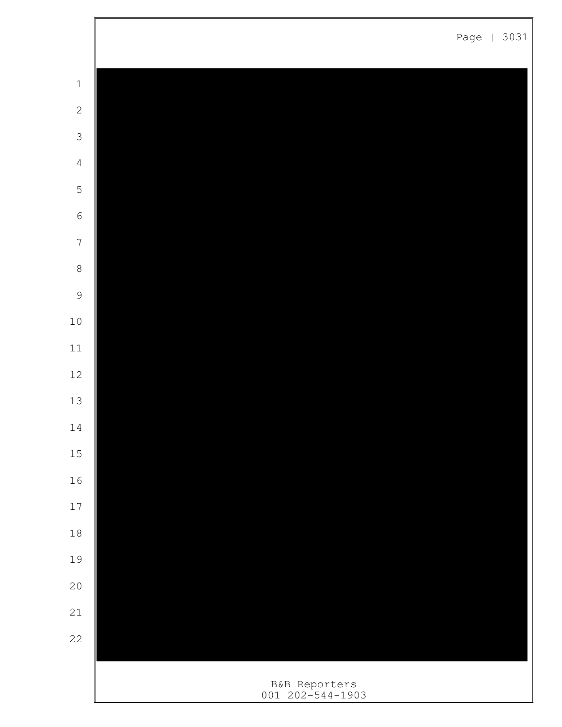|                |                                   | 3031<br>Page |
|----------------|-----------------------------------|--------------|
| $\mathbbm{1}$  |                                   |              |
| $\overline{c}$ |                                   |              |
| $\overline{3}$ |                                   |              |
| $\overline{4}$ |                                   |              |
| $\overline{5}$ |                                   |              |
| $\overline{6}$ |                                   |              |
| $\overline{7}$ |                                   |              |
| 8              |                                   |              |
| $\mathcal{G}$  |                                   |              |
| $10$           |                                   |              |
| $11\,$         |                                   |              |
| $12$           |                                   |              |
| 13             |                                   |              |
| $14$           |                                   |              |
| $15\,$         |                                   |              |
| $16\,$         |                                   |              |
| $17\,$         |                                   |              |
| $1\,8$         |                                   |              |
| 19             |                                   |              |
| $20$           |                                   |              |
| $21\,$         |                                   |              |
| 22             |                                   |              |
|                | B&B Reporters<br>001 202-544-1903 |              |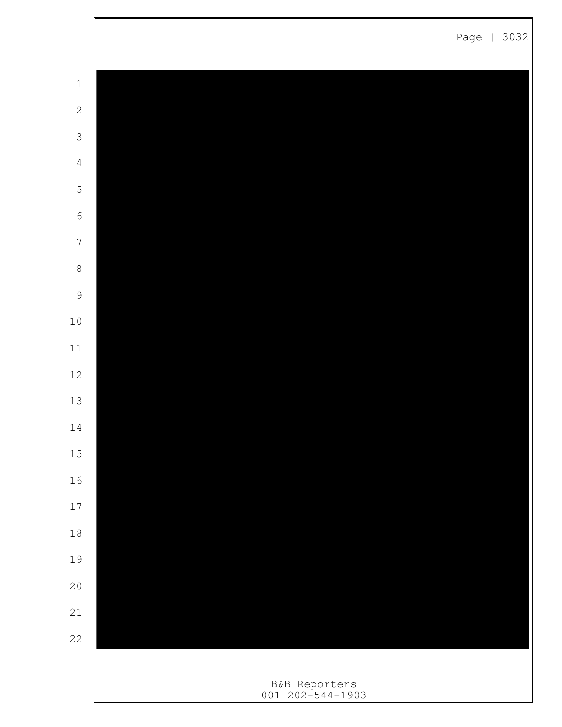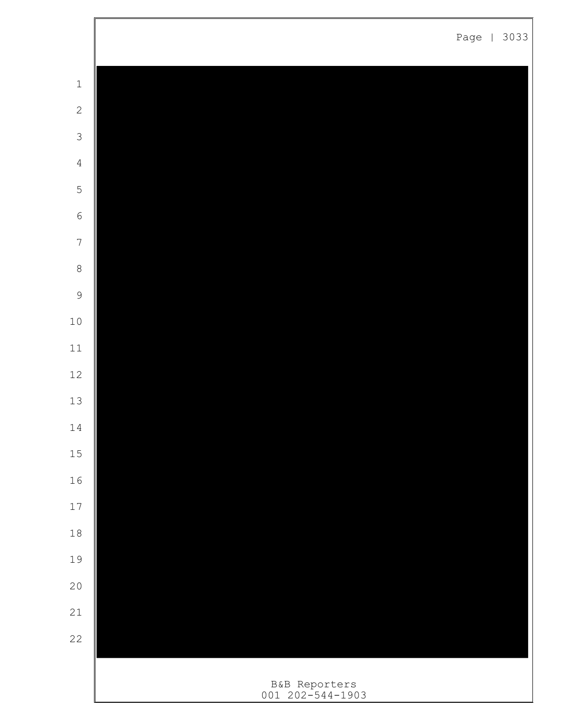|                                 | Page   3033                       |
|---------------------------------|-----------------------------------|
|                                 |                                   |
| $\mathbbm{1}$<br>$\overline{c}$ |                                   |
| $\mathfrak{Z}$                  |                                   |
| $\overline{4}$                  |                                   |
| $\overline{5}$                  |                                   |
| $6\overline{6}$                 |                                   |
| $\overline{7}$                  |                                   |
| 8                               |                                   |
| $\overline{9}$                  |                                   |
| $10$                            |                                   |
| $11$                            |                                   |
| $12$                            |                                   |
| 13                              |                                   |
| $1\,4$                          |                                   |
| 15                              |                                   |
| 16                              |                                   |
| $17\,$                          |                                   |
| $1\,8$                          |                                   |
| 19                              |                                   |
| $20$                            |                                   |
| 21                              |                                   |
| 22                              |                                   |
|                                 |                                   |
|                                 | B&B Reporters<br>001 202-544-1903 |

 $\overline{\mathbf{I}}$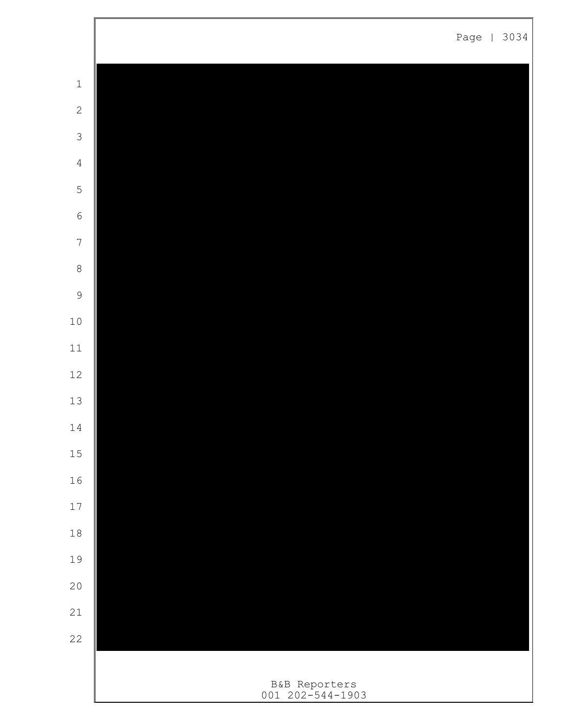|                |                                   | Page | 3034 |
|----------------|-----------------------------------|------|------|
| $\,1\,$        |                                   |      |      |
| $\overline{c}$ |                                   |      |      |
| $\mathfrak{Z}$ |                                   |      |      |
| $\overline{4}$ |                                   |      |      |
| $\overline{5}$ |                                   |      |      |
| $\overline{6}$ |                                   |      |      |
| $\overline{7}$ |                                   |      |      |
| $\,8\,$        |                                   |      |      |
| $\mathcal{G}$  |                                   |      |      |
| $10$           |                                   |      |      |
| $11$           |                                   |      |      |
| $12\,$         |                                   |      |      |
| 13             |                                   |      |      |
| 14             |                                   |      |      |
| 15             |                                   |      |      |
| $16\,$         |                                   |      |      |
| $17$           |                                   |      |      |
| $1\,8$         |                                   |      |      |
| 19             |                                   |      |      |
| $20$           |                                   |      |      |
| $21\,$         |                                   |      |      |
| 22             |                                   |      |      |
|                | B&B Reporters<br>001 202-544-1903 |      |      |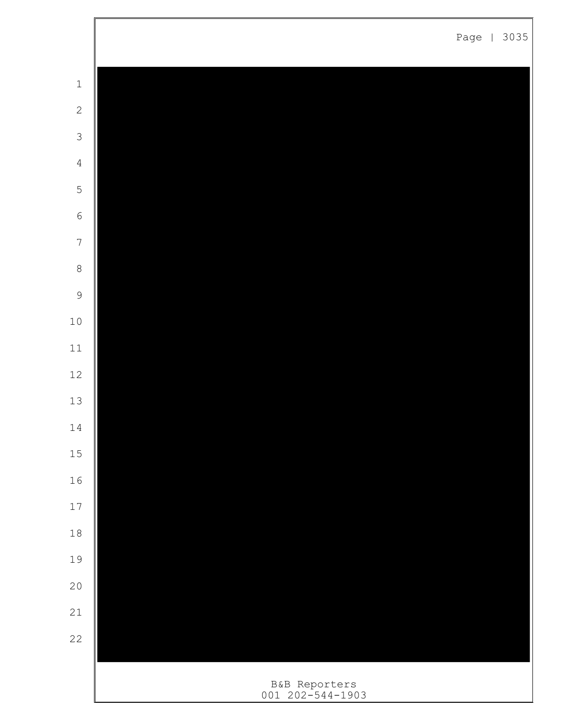|                | Page   3035                       |  |
|----------------|-----------------------------------|--|
| $\mathbf 1$    |                                   |  |
| $\overline{c}$ |                                   |  |
| $\overline{3}$ |                                   |  |
| $\overline{4}$ |                                   |  |
| $\overline{5}$ |                                   |  |
| $6\phantom{a}$ |                                   |  |
| $\overline{7}$ |                                   |  |
| $\overline{8}$ |                                   |  |
| $\mathcal{G}$  |                                   |  |
| $10$           |                                   |  |
| $11$           |                                   |  |
| 12             |                                   |  |
| 13             |                                   |  |
| 14             |                                   |  |
| 15             |                                   |  |
| 16             |                                   |  |
| $17$           |                                   |  |
| $1\,8$         |                                   |  |
| 19             |                                   |  |
| $20$           |                                   |  |
| $21\,$         |                                   |  |
| 22             |                                   |  |
|                |                                   |  |
|                | B&B Reporters<br>001 202-544-1903 |  |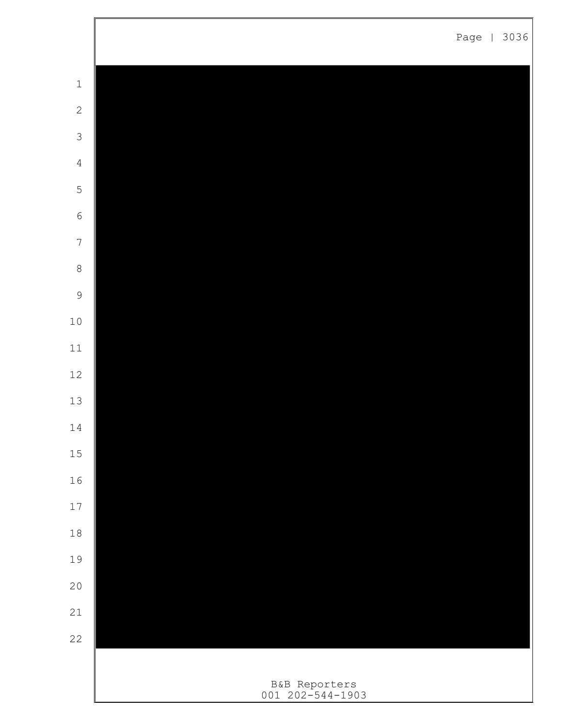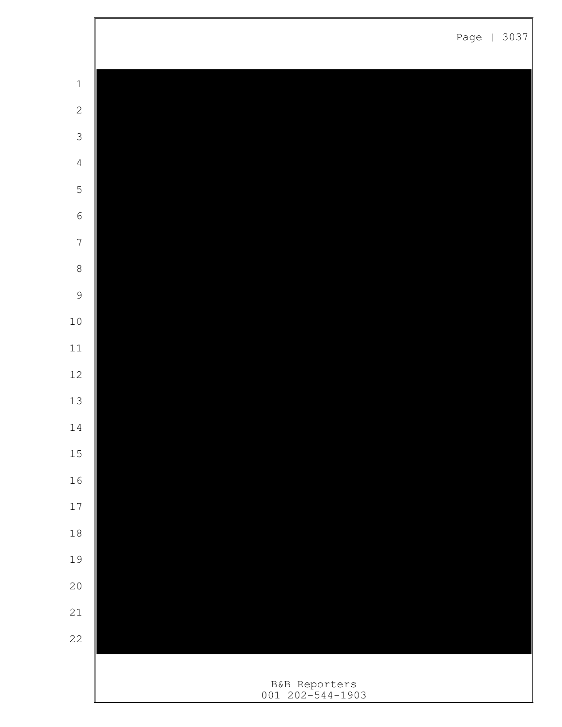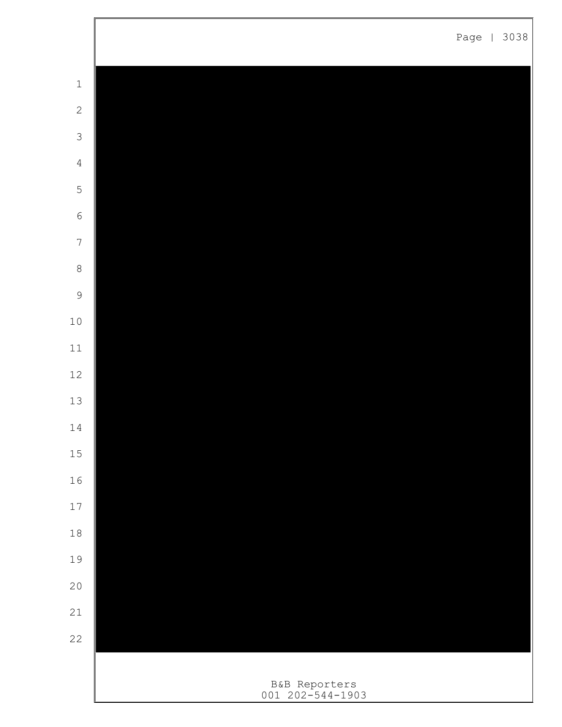|                 | 3038<br>Page                      |
|-----------------|-----------------------------------|
| $\mathbf 1$     |                                   |
| $\overline{c}$  |                                   |
| $\mathfrak{Z}$  |                                   |
| $\overline{4}$  |                                   |
| $\overline{5}$  |                                   |
| $6\overline{6}$ |                                   |
| $\overline{7}$  |                                   |
| $\,8\,$         |                                   |
| $\overline{9}$  |                                   |
| $1\,0$          |                                   |
| $11\,$          |                                   |
| $12$            |                                   |
| 13              |                                   |
| 14              |                                   |
| $15\,$          |                                   |
| 16              |                                   |
| $17\,$          |                                   |
| $1\,8$          |                                   |
| 19              |                                   |
| $20$            |                                   |
| 21              |                                   |
| 22              |                                   |
|                 |                                   |
|                 | B&B Reporters<br>001 202-544-1903 |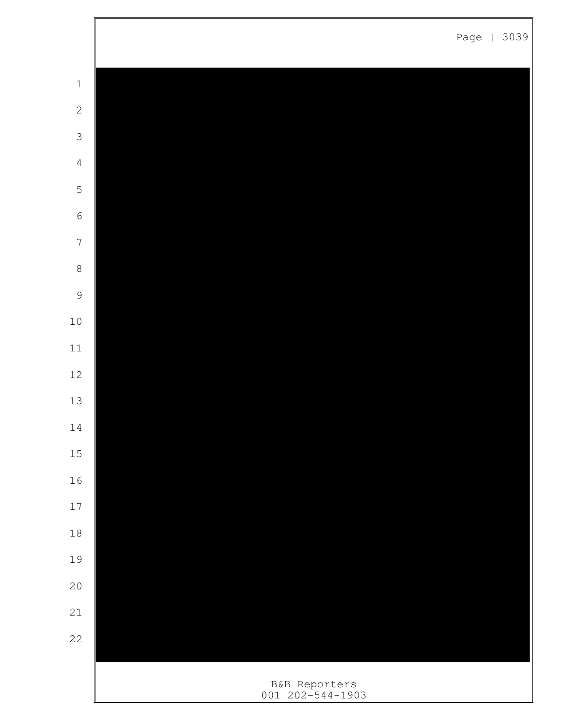|                               | Page   3039                       |
|-------------------------------|-----------------------------------|
|                               |                                   |
| $\mathbf 1$<br>$\overline{c}$ |                                   |
| $\mathfrak{Z}$                |                                   |
| $\overline{4}$                |                                   |
| $\overline{5}$                |                                   |
| $\sqrt{6}$                    |                                   |
| $\overline{7}$                |                                   |
| $\,8\,$                       |                                   |
| $\overline{9}$                |                                   |
| $10$                          |                                   |
| $11\,$                        |                                   |
| $12\,$                        |                                   |
| 13                            |                                   |
| 14                            |                                   |
| $15\,$                        |                                   |
| $16$                          |                                   |
| $17\,$                        |                                   |
| $1\,8$                        |                                   |
| 19                            |                                   |
| $20$                          |                                   |
| 21                            |                                   |
| 22                            |                                   |
|                               |                                   |
|                               | B&B Reporters<br>001 202-544-1903 |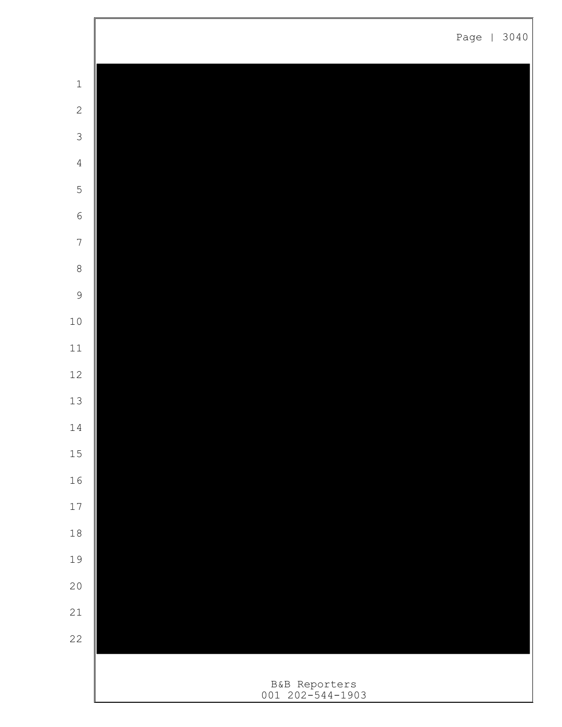|                                 | Page   3040                       |
|---------------------------------|-----------------------------------|
| $\,1\,$                         |                                   |
| $\overline{c}$                  |                                   |
| $\overline{3}$                  |                                   |
| $\overline{4}$                  |                                   |
| $\overline{5}$                  |                                   |
| $\overline{6}$                  |                                   |
| $\overline{7}$                  |                                   |
| $\begin{matrix} 8 \end{matrix}$ |                                   |
| $\mathcal{G}$                   |                                   |
| $10$                            |                                   |
| $11$                            |                                   |
| 12                              |                                   |
| 13                              |                                   |
| 14                              |                                   |
| $15\,$                          |                                   |
| $16\,$                          |                                   |
| $17\,$                          |                                   |
| $1\,8$                          |                                   |
| 19                              |                                   |
| $20$<br>$21$                    |                                   |
| 22                              |                                   |
|                                 |                                   |
|                                 | B&B Reporters<br>001 202-544-1903 |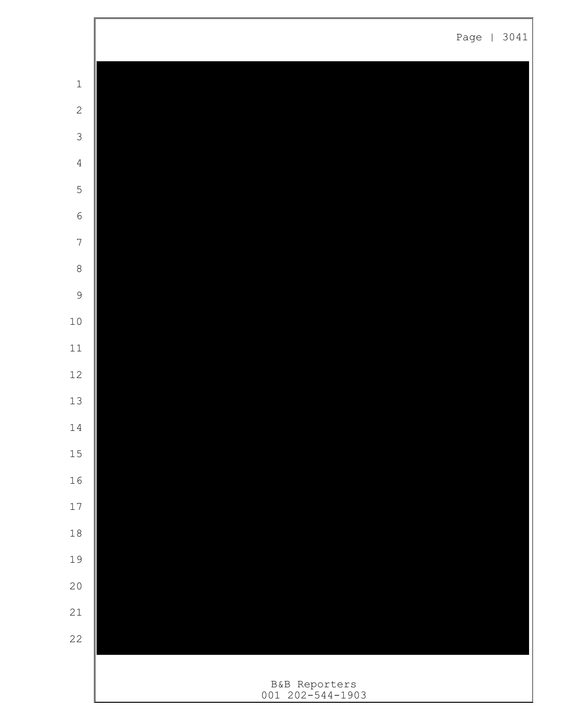|                | Page   3041                       |
|----------------|-----------------------------------|
| $\mathbf 1$    |                                   |
| $\overline{c}$ |                                   |
| $\mathfrak{Z}$ |                                   |
| $\overline{4}$ |                                   |
| $\overline{5}$ |                                   |
| $\overline{6}$ |                                   |
| $\overline{7}$ |                                   |
| $\,8\,$        |                                   |
| $\mathcal{G}$  |                                   |
| $10$           |                                   |
| $11\,$         |                                   |
| $12\,$         |                                   |
| 13             |                                   |
| 14<br>15       |                                   |
| $16\,$         |                                   |
| 17             |                                   |
| $1\,8$         |                                   |
| 19             |                                   |
| $20$           |                                   |
| $21$           |                                   |
| 22             |                                   |
|                |                                   |
|                | B&B Reporters<br>001 202-544-1903 |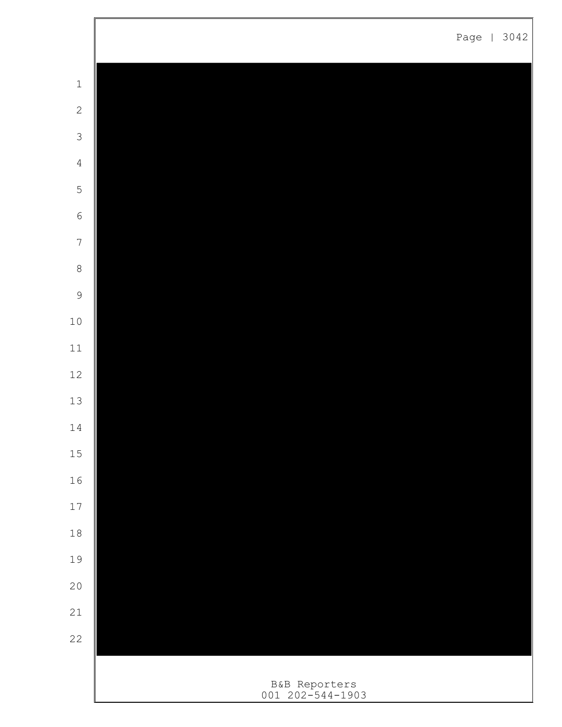|                                  | Page   3042                       |
|----------------------------------|-----------------------------------|
|                                  |                                   |
| $\mathbf 1$<br>$\overline{c}$    |                                   |
| $\overline{3}$                   |                                   |
| $\overline{4}$                   |                                   |
| $\overline{5}$                   |                                   |
| $\overline{6}$                   |                                   |
| $\overline{7}$                   |                                   |
| $\begin{array}{c} 8 \end{array}$ |                                   |
| $\mathcal{G}$                    |                                   |
| $10$                             |                                   |
| $11\,$                           |                                   |
| $12\,$                           |                                   |
| 13                               |                                   |
| $1\,4$                           |                                   |
| $15\,$                           |                                   |
| $16\,$                           |                                   |
| 17                               |                                   |
| $1\,8$                           |                                   |
| 19                               |                                   |
| $20$                             |                                   |
| $21\,$                           |                                   |
| 22                               |                                   |
|                                  | B&B Reporters<br>001 202-544-1903 |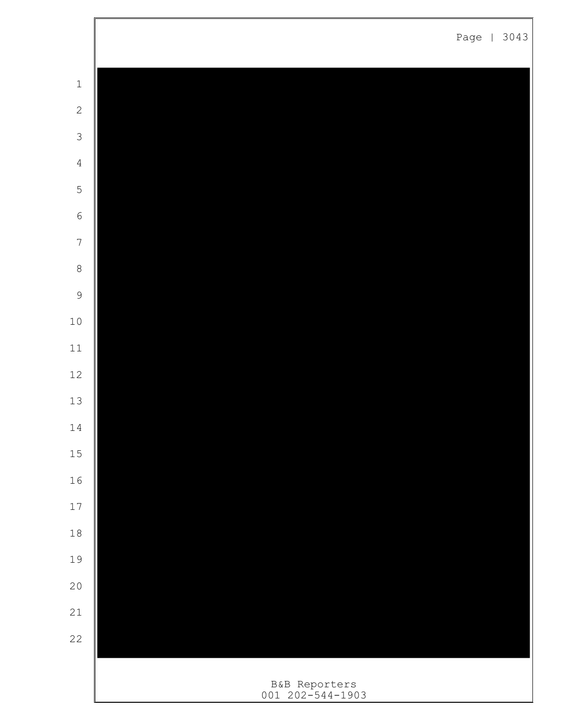|                                  | Page   3043                       |
|----------------------------------|-----------------------------------|
|                                  |                                   |
| $\,1\,$                          |                                   |
| $\overline{c}$<br>$\overline{3}$ |                                   |
|                                  |                                   |
| $\overline{4}$                   |                                   |
| $\overline{5}$                   |                                   |
| $6\overline{6}$                  |                                   |
| $\overline{7}$                   |                                   |
| $\overline{8}$                   |                                   |
| 9                                |                                   |
| 10                               |                                   |
| $11$                             |                                   |
| 12                               |                                   |
| 13                               |                                   |
| 14                               |                                   |
| 15                               |                                   |
| $16$                             |                                   |
| 17                               |                                   |
| $1\,8$                           |                                   |
| 19                               |                                   |
| $20$                             |                                   |
| $21\,$                           |                                   |
| 22                               |                                   |
|                                  |                                   |
|                                  | B&B Reporters<br>001 202-544-1903 |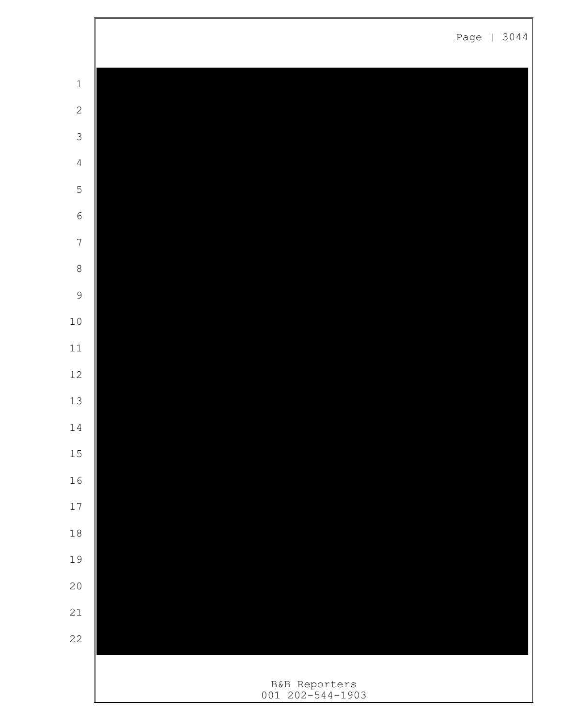|                                 |                                   | Page   3044 |  |
|---------------------------------|-----------------------------------|-------------|--|
|                                 |                                   |             |  |
| $\mathbbm{1}$<br>$\overline{c}$ |                                   |             |  |
| $\overline{3}$                  |                                   |             |  |
| $\overline{4}$                  |                                   |             |  |
| $\overline{5}$                  |                                   |             |  |
| $\overline{6}$                  |                                   |             |  |
| $\overline{7}$                  |                                   |             |  |
| $\overline{8}$                  |                                   |             |  |
| 9                               |                                   |             |  |
|                                 |                                   |             |  |
| $10$<br>$11\,$                  |                                   |             |  |
|                                 |                                   |             |  |
| $12$                            |                                   |             |  |
| 13                              |                                   |             |  |
| $1\,4$                          |                                   |             |  |
| $15\,$                          |                                   |             |  |
| $16\,$<br>$17\,$                |                                   |             |  |
|                                 |                                   |             |  |
| $1\,8$                          |                                   |             |  |
| 19                              |                                   |             |  |
| $20$                            |                                   |             |  |
| $2\sqrt{1}$                     |                                   |             |  |
| 22                              |                                   |             |  |
|                                 | B&B Reporters<br>001 202-544-1903 |             |  |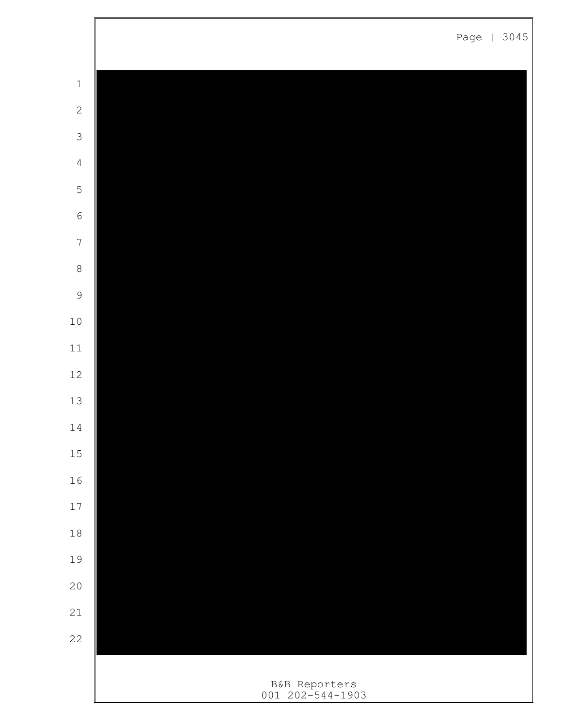|                |                                   | Page   3045 |  |
|----------------|-----------------------------------|-------------|--|
|                |                                   |             |  |
| $\mathbf 1$    |                                   |             |  |
| $\overline{c}$ |                                   |             |  |
| $\overline{3}$ |                                   |             |  |
| $\overline{4}$ |                                   |             |  |
| $\overline{5}$ |                                   |             |  |
| $\overline{6}$ |                                   |             |  |
| $\overline{7}$ |                                   |             |  |
| 8              |                                   |             |  |
| 9              |                                   |             |  |
| $10$           |                                   |             |  |
| $11\,$         |                                   |             |  |
| 12             |                                   |             |  |
| 13             |                                   |             |  |
| 14             |                                   |             |  |
| 15             |                                   |             |  |
| $16\,$         |                                   |             |  |
| $17\,$         |                                   |             |  |
| $1\,8$         |                                   |             |  |
| 19             |                                   |             |  |
| $20$           |                                   |             |  |
| $21\,$         |                                   |             |  |
| 22             |                                   |             |  |
|                |                                   |             |  |
|                | B&B Reporters<br>001 202-544-1903 |             |  |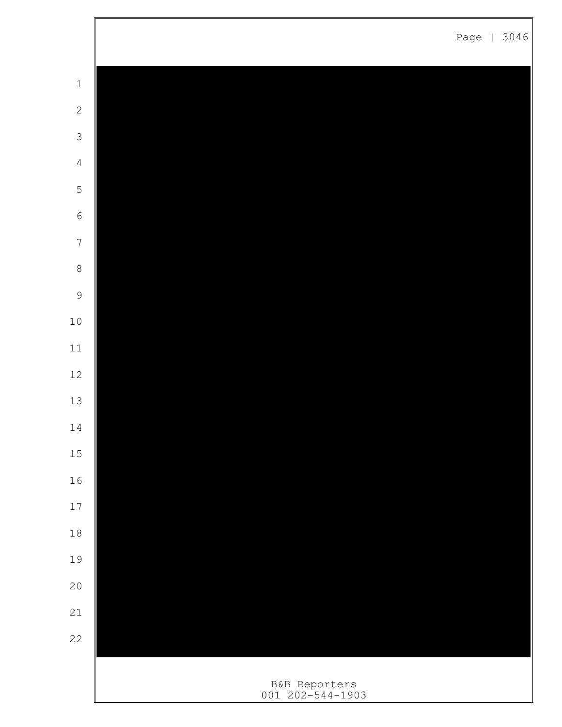|                                 | Page   3046                       |
|---------------------------------|-----------------------------------|
| $\mathbf 1$                     |                                   |
| $\overline{c}$                  |                                   |
| $\overline{3}$                  |                                   |
| $\overline{4}$                  |                                   |
| $\overline{5}$                  |                                   |
| $6\phantom{a}$                  |                                   |
| $\overline{7}$                  |                                   |
| $\begin{matrix} 8 \end{matrix}$ |                                   |
| $\overline{9}$                  |                                   |
| 10                              |                                   |
| $11$                            |                                   |
| $12$                            |                                   |
| 13                              |                                   |
| $1\,4$                          |                                   |
| $15\,$                          |                                   |
| $16\,$                          |                                   |
| $17\,$                          |                                   |
| $1\,8$                          |                                   |
| 19                              |                                   |
| $20$                            |                                   |
| 21<br>22                        |                                   |
|                                 |                                   |
|                                 | B&B Reporters<br>001 202-544-1903 |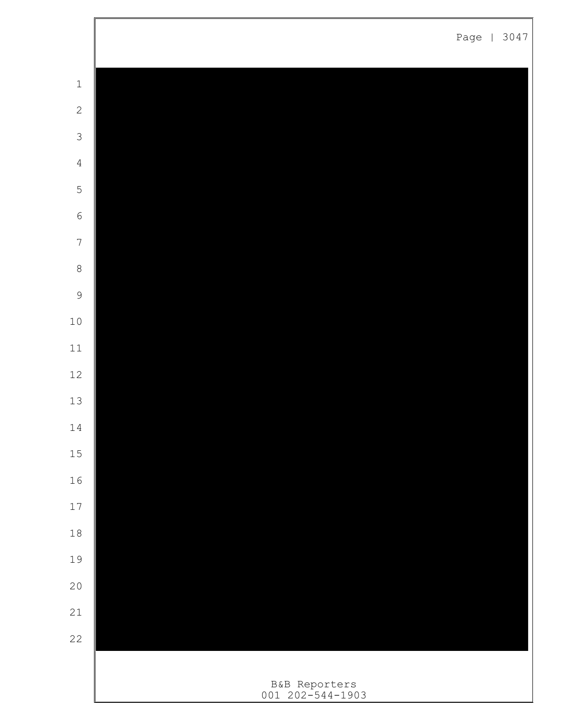|                              |                                   | Page   3047 |  |
|------------------------------|-----------------------------------|-------------|--|
|                              |                                   |             |  |
| $\ensuremath{\mathbbm{1}}$   |                                   |             |  |
| $\sqrt{2}$<br>$\mathfrak{Z}$ |                                   |             |  |
| $\overline{4}$               |                                   |             |  |
| $\overline{5}$               |                                   |             |  |
| $\sqrt{6}$                   |                                   |             |  |
| $\boldsymbol{7}$             |                                   |             |  |
| $\,8\,$                      |                                   |             |  |
| $\mathcal{G}$                |                                   |             |  |
| $10$                         |                                   |             |  |
| $11\,$                       |                                   |             |  |
| $12\,$                       |                                   |             |  |
| 13                           |                                   |             |  |
| $1\,4$                       |                                   |             |  |
| 15                           |                                   |             |  |
| $16\,$                       |                                   |             |  |
| $17\,$                       |                                   |             |  |
| $1\,8$                       |                                   |             |  |
| 19                           |                                   |             |  |
| $20$                         |                                   |             |  |
| $21\,$                       |                                   |             |  |
| 22                           |                                   |             |  |
|                              |                                   |             |  |
|                              | B&B Reporters<br>001 202-544-1903 |             |  |
|                              |                                   |             |  |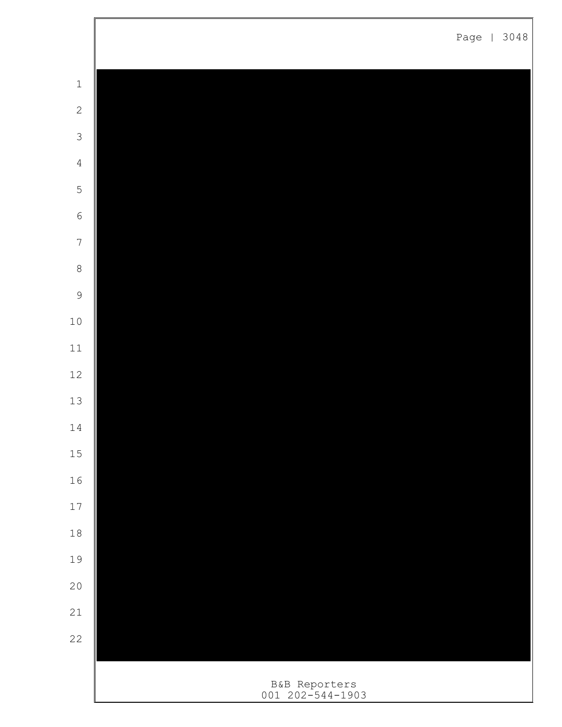|                              | Page   3048                       |
|------------------------------|-----------------------------------|
|                              |                                   |
| $\mathbf 1$                  |                                   |
| $\sqrt{2}$<br>$\overline{3}$ |                                   |
|                              |                                   |
| $\overline{4}$               |                                   |
| $\overline{5}$               |                                   |
| $6\overline{6}$              |                                   |
| $\boldsymbol{7}$             |                                   |
| $\overline{8}$               |                                   |
| $\mathcal{G}$                |                                   |
| $10$                         |                                   |
| $11\,$                       |                                   |
| 12                           |                                   |
| 13                           |                                   |
| $14$                         |                                   |
| $15\,$                       |                                   |
| $16\,$                       |                                   |
| $17\,$                       |                                   |
| $1\,8$                       |                                   |
| 19                           |                                   |
| $20$                         |                                   |
| $21\,$                       |                                   |
| 22                           |                                   |
|                              |                                   |
|                              | B&B Reporters<br>001 202-544-1903 |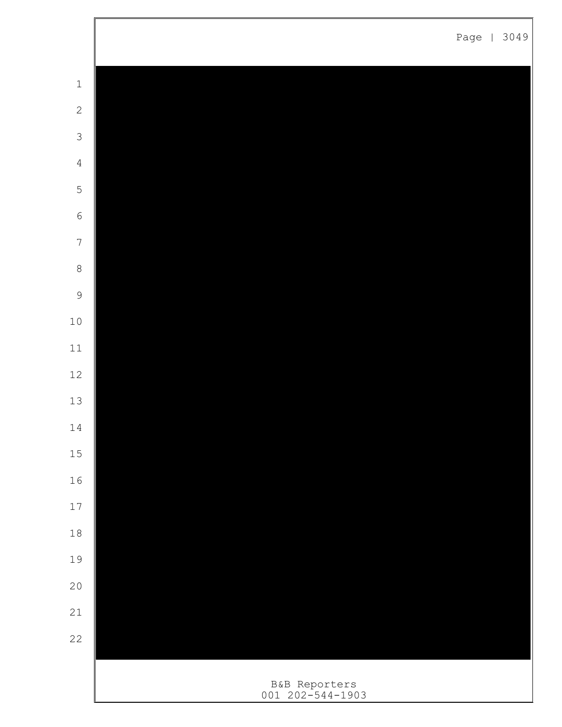|                | 3049<br>Page                      |
|----------------|-----------------------------------|
| $\mathbf 1$    |                                   |
| $\overline{c}$ |                                   |
| $\overline{3}$ |                                   |
| $\overline{4}$ |                                   |
| $\overline{5}$ |                                   |
| $6\,$          |                                   |
| $\overline{7}$ |                                   |
| $\,8\,$        |                                   |
| $\overline{9}$ |                                   |
| $1\,0$         |                                   |
| $11\,$         |                                   |
| $12$           |                                   |
| 13             |                                   |
| 14             |                                   |
| 15             |                                   |
| 16             |                                   |
| $17\,$         |                                   |
| $1\,8$         |                                   |
| 19             |                                   |
| $20$           |                                   |
| 21             |                                   |
| 22             |                                   |
|                |                                   |
|                | B&B Reporters<br>001 202-544-1903 |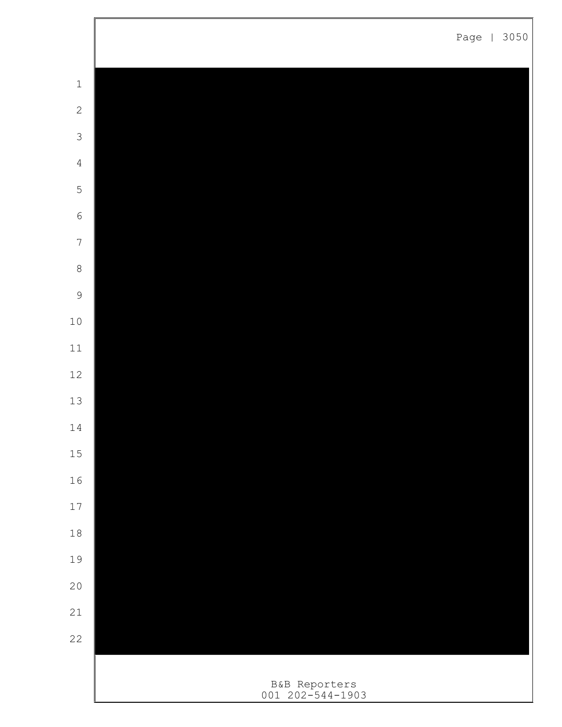|                | 3050<br>Page                      |
|----------------|-----------------------------------|
|                |                                   |
| $\mathbf 1$    |                                   |
| $\overline{c}$ |                                   |
| $\mathfrak{Z}$ |                                   |
| $\overline{4}$ |                                   |
| $\overline{5}$ |                                   |
| $6\phantom{a}$ |                                   |
| $\overline{7}$ |                                   |
| $\,8\,$        |                                   |
| 9              |                                   |
| $10$           |                                   |
| $11\,$         |                                   |
| 12             |                                   |
| 13             |                                   |
| 14             |                                   |
| 15             |                                   |
| 16             |                                   |
| $17\,$         |                                   |
|                |                                   |
| $18$           |                                   |
| 19             |                                   |
| $20$           |                                   |
| 21             |                                   |
| 22             |                                   |
|                |                                   |
|                | B&B Reporters<br>001 202-544-1903 |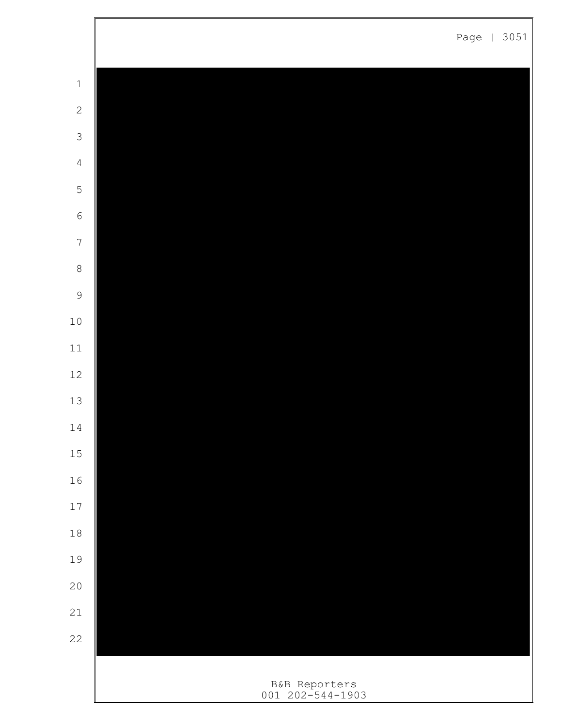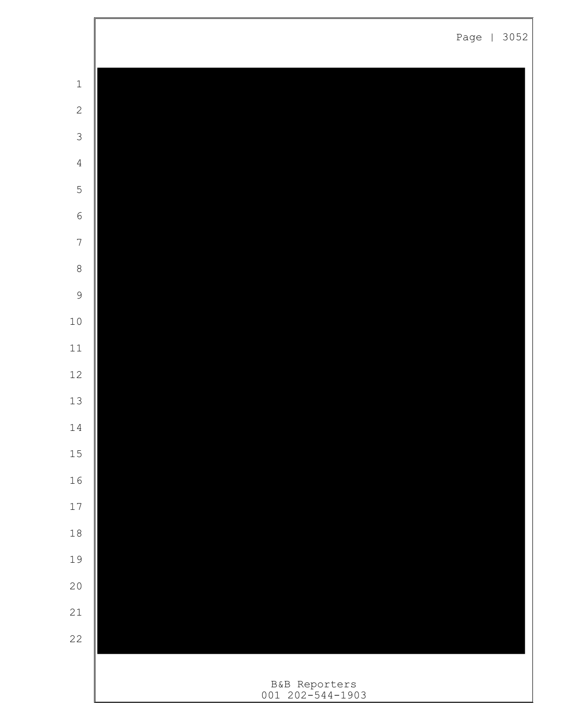|                |                                   | Page | 3052 |
|----------------|-----------------------------------|------|------|
| $\mathbbm{1}$  |                                   |      |      |
| $\overline{c}$ |                                   |      |      |
| $\overline{3}$ |                                   |      |      |
| $\overline{4}$ |                                   |      |      |
| $\overline{5}$ |                                   |      |      |
| $6\phantom{a}$ |                                   |      |      |
| $\overline{7}$ |                                   |      |      |
| $\theta$       |                                   |      |      |
| 9              |                                   |      |      |
| $10$           |                                   |      |      |
| $11$           |                                   |      |      |
| $12$           |                                   |      |      |
| 13             |                                   |      |      |
| $14\,$         |                                   |      |      |
| $15\,$         |                                   |      |      |
| $16$           |                                   |      |      |
| $17\,$         |                                   |      |      |
| $1\,8$         |                                   |      |      |
| 19             |                                   |      |      |
| $2\,0$         |                                   |      |      |
| $21\,$         |                                   |      |      |
| 22             |                                   |      |      |
|                |                                   |      |      |
|                | B&B Reporters<br>001 202-544-1903 |      |      |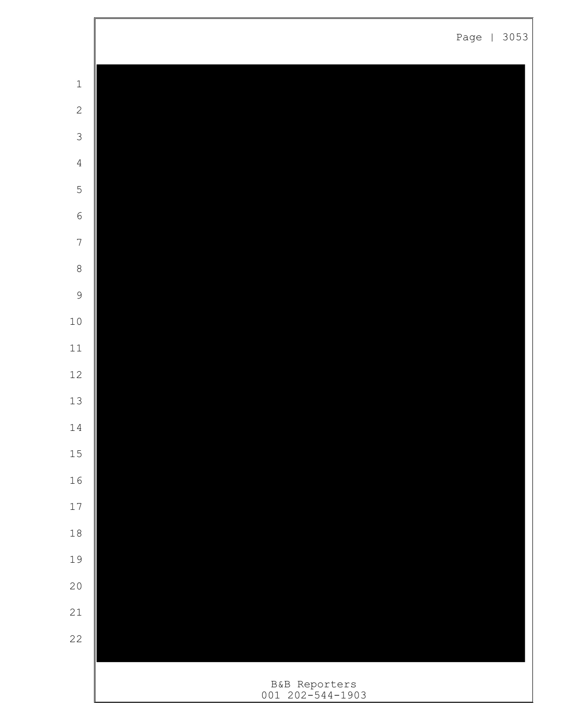|                |                                   | Page   3053 |  |
|----------------|-----------------------------------|-------------|--|
| $\mathbbm{1}$  |                                   |             |  |
| $\overline{c}$ |                                   |             |  |
| $\overline{3}$ |                                   |             |  |
| $\overline{4}$ |                                   |             |  |
| $\overline{5}$ |                                   |             |  |
| $6\phantom{a}$ |                                   |             |  |
| $\overline{7}$ |                                   |             |  |
| $\overline{8}$ |                                   |             |  |
| $\overline{9}$ |                                   |             |  |
| $10$           |                                   |             |  |
| $11\,$         |                                   |             |  |
| $12\,$         |                                   |             |  |
| 13             |                                   |             |  |
| 14             |                                   |             |  |
| 15             |                                   |             |  |
| $16\,$         |                                   |             |  |
| $17\,$         |                                   |             |  |
| $1\,8$         |                                   |             |  |
| 19             |                                   |             |  |
| $20$           |                                   |             |  |
| $21\,$         |                                   |             |  |
| 22             |                                   |             |  |
|                | B&B Reporters<br>001 202-544-1903 |             |  |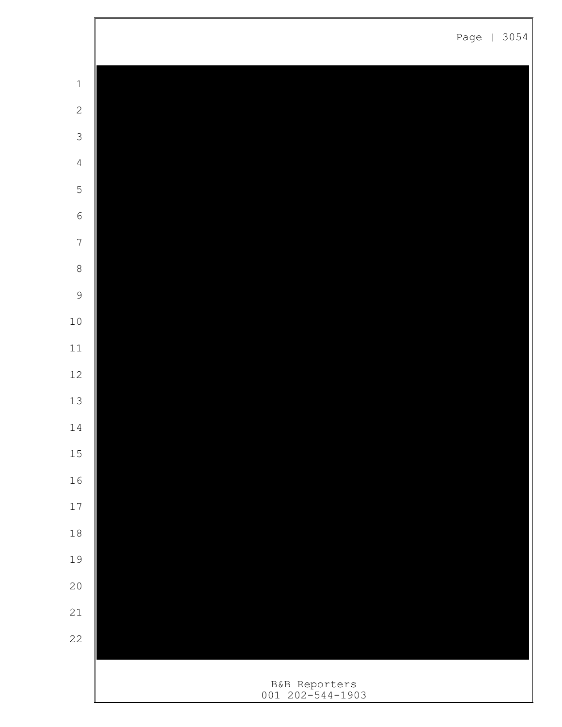|                                  | Page   3054                       |
|----------------------------------|-----------------------------------|
| $\mathbf 1$                      |                                   |
| $\overline{c}$                   |                                   |
| $\overline{3}$                   |                                   |
| $\overline{4}$                   |                                   |
| $\overline{5}$                   |                                   |
| $6\phantom{a}$                   |                                   |
| $\overline{7}$                   |                                   |
| $\begin{array}{c} 8 \end{array}$ |                                   |
| $\mathcal{G}$                    |                                   |
| 10                               |                                   |
| $11$                             |                                   |
| 12                               |                                   |
| 13                               |                                   |
| $1\,4$                           |                                   |
| 15                               |                                   |
| $16\,$                           |                                   |
| $17\,$                           |                                   |
| $1\,8$                           |                                   |
| 19                               |                                   |
| $20$                             |                                   |
| $2\sqrt{1}$                      |                                   |
| 22                               |                                   |
|                                  | B&B Reporters<br>001 202-544-1903 |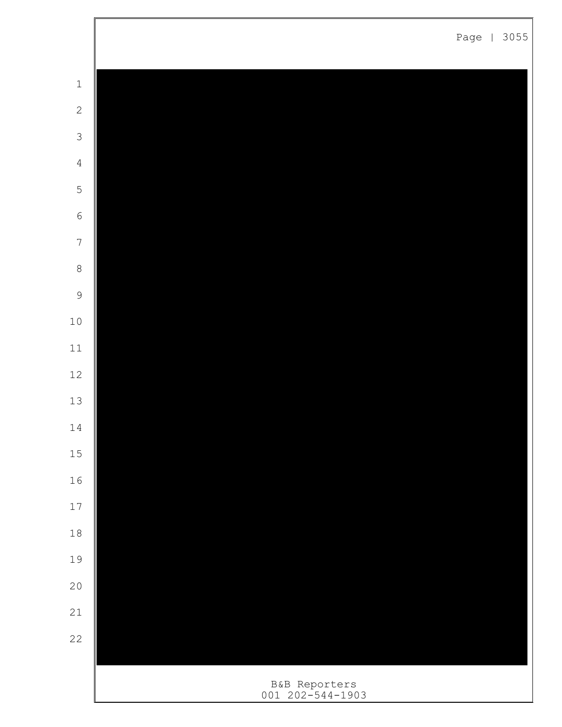|                |                                   | Page   3055 |  |
|----------------|-----------------------------------|-------------|--|
| $\mathbbm{1}$  |                                   |             |  |
| $\mathbf{2}$   |                                   |             |  |
| $\overline{3}$ |                                   |             |  |
| $\overline{4}$ |                                   |             |  |
| $\overline{5}$ |                                   |             |  |
| $6\phantom{a}$ |                                   |             |  |
| $\overline{7}$ |                                   |             |  |
| $\overline{8}$ |                                   |             |  |
| $\mathcal{G}$  |                                   |             |  |
| $10$           |                                   |             |  |
| $11\,$         |                                   |             |  |
| $12$           |                                   |             |  |
| 13             |                                   |             |  |
| 14             |                                   |             |  |
| 15             |                                   |             |  |
| $16\,$         |                                   |             |  |
| $17\,$         |                                   |             |  |
| $1\,8$         |                                   |             |  |
| 19             |                                   |             |  |
| $20$           |                                   |             |  |
| $21\,$         |                                   |             |  |
| 22             |                                   |             |  |
|                |                                   |             |  |
|                | B&B Reporters<br>001 202-544-1903 |             |  |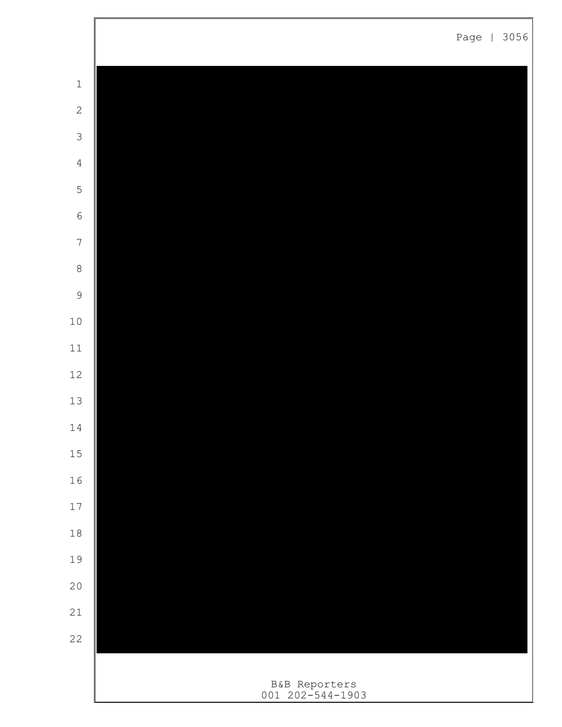|                |                                   | Page   3056 |  |
|----------------|-----------------------------------|-------------|--|
| $\mathbbm{1}$  |                                   |             |  |
| $\overline{c}$ |                                   |             |  |
| $\mathfrak{Z}$ |                                   |             |  |
| $\overline{4}$ |                                   |             |  |
| $\overline{5}$ |                                   |             |  |
| $\overline{6}$ |                                   |             |  |
| $\overline{7}$ |                                   |             |  |
| $\overline{8}$ |                                   |             |  |
| $\overline{9}$ |                                   |             |  |
| 10             |                                   |             |  |
| $11$           |                                   |             |  |
| $12$           |                                   |             |  |
| 13             |                                   |             |  |
| $1\,4$         |                                   |             |  |
| $15\,$         |                                   |             |  |
| 16             |                                   |             |  |
| $17\,$         |                                   |             |  |
| $1\,8$         |                                   |             |  |
| 19             |                                   |             |  |
| $20$           |                                   |             |  |
| $21\,$         |                                   |             |  |
| 22             |                                   |             |  |
|                | B&B Reporters<br>001 202-544-1903 |             |  |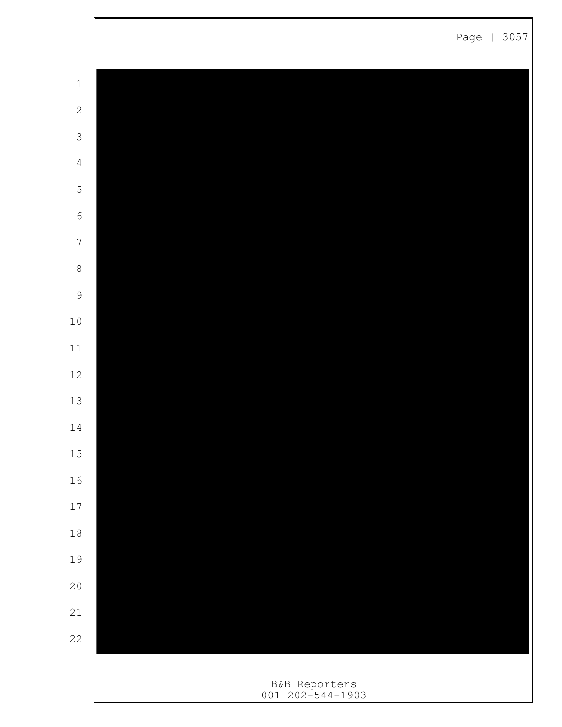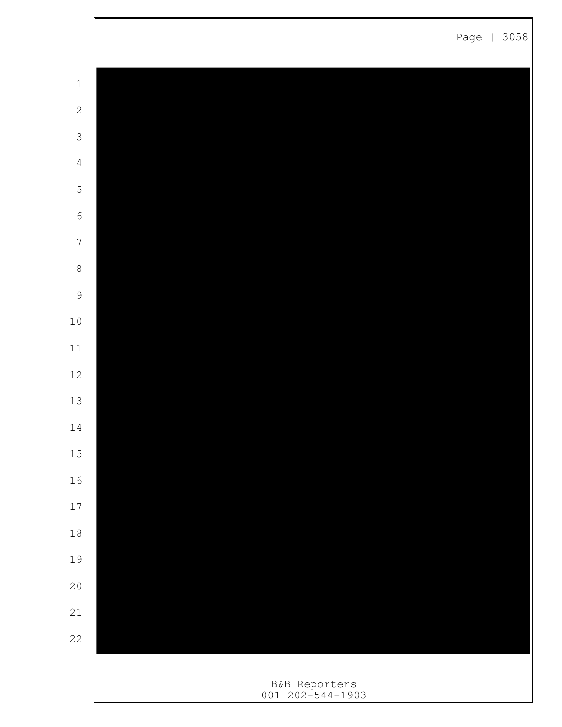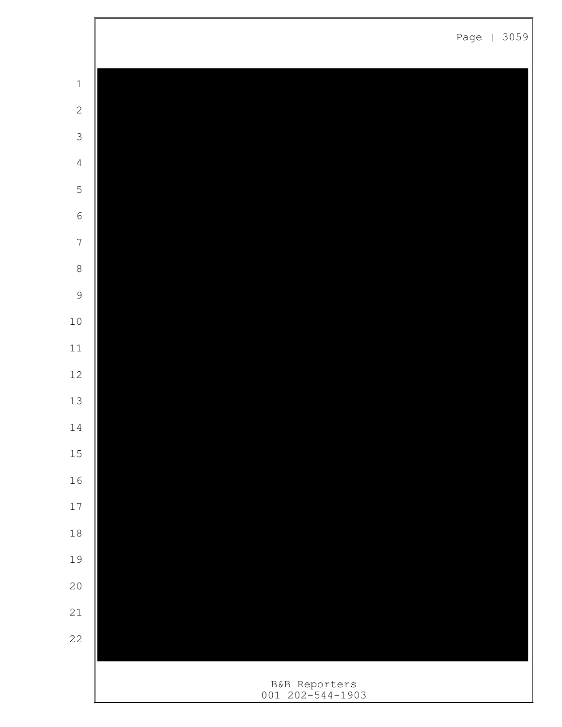|                 |                                   | Page   3059 |  |
|-----------------|-----------------------------------|-------------|--|
| $\,1\,$         |                                   |             |  |
| $\overline{c}$  |                                   |             |  |
| $\overline{3}$  |                                   |             |  |
| $\overline{4}$  |                                   |             |  |
| $\overline{5}$  |                                   |             |  |
| $6\overline{6}$ |                                   |             |  |
| $\overline{7}$  |                                   |             |  |
| $\overline{8}$  |                                   |             |  |
| $\mathcal{G}$   |                                   |             |  |
| 10              |                                   |             |  |
| $11\,$          |                                   |             |  |
| $12\,$          |                                   |             |  |
| 13              |                                   |             |  |
| 14              |                                   |             |  |
| 15              |                                   |             |  |
| $16$            |                                   |             |  |
| $17\,$          |                                   |             |  |
| $1\,8$          |                                   |             |  |
| 19              |                                   |             |  |
| $20$            |                                   |             |  |
| $2\sqrt{1}$     |                                   |             |  |
| 22              |                                   |             |  |
|                 | B&B Reporters<br>001 202-544-1903 |             |  |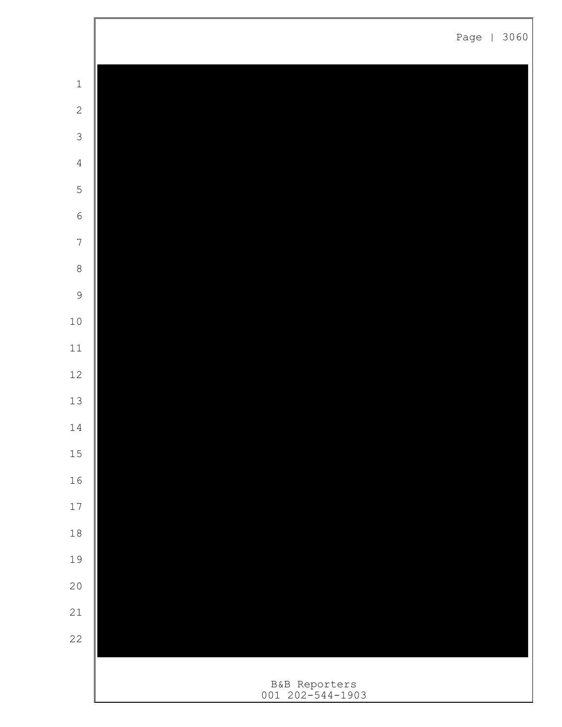|                |                                   | Page   3060 |  |
|----------------|-----------------------------------|-------------|--|
| $\mathbbm{1}$  |                                   |             |  |
| $\overline{c}$ |                                   |             |  |
| $\overline{3}$ |                                   |             |  |
| $\overline{4}$ |                                   |             |  |
| $\overline{5}$ |                                   |             |  |
| $\overline{6}$ |                                   |             |  |
| $\overline{7}$ |                                   |             |  |
| $\overline{8}$ |                                   |             |  |
| $\overline{9}$ |                                   |             |  |
| $10$           |                                   |             |  |
| $11$           |                                   |             |  |
| $12$           |                                   |             |  |
| 13             |                                   |             |  |
| 14             |                                   |             |  |
| 15             |                                   |             |  |
| $16\,$         |                                   |             |  |
| $17$           |                                   |             |  |
| $1\,8$         |                                   |             |  |
| 19             |                                   |             |  |
| $20$           |                                   |             |  |
| $2\sqrt{1}$    |                                   |             |  |
| 22             |                                   |             |  |
|                | B&B Reporters<br>001 202-544-1903 |             |  |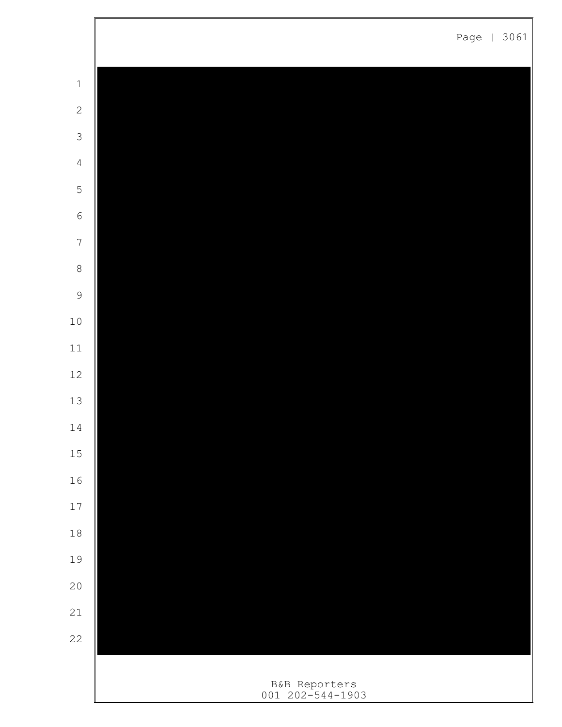|                |                                   | Page   3061 |
|----------------|-----------------------------------|-------------|
| $\mathbf 1$    |                                   |             |
| $\overline{c}$ |                                   |             |
| $\overline{3}$ |                                   |             |
| $\overline{4}$ |                                   |             |
| $\overline{5}$ |                                   |             |
| $6\phantom{a}$ |                                   |             |
| $\overline{7}$ |                                   |             |
| $\overline{8}$ |                                   |             |
| $\mathcal{G}$  |                                   |             |
| $10$           |                                   |             |
| $11$           |                                   |             |
| 12             |                                   |             |
| 13             |                                   |             |
| $14\,$         |                                   |             |
| 15             |                                   |             |
| 16             |                                   |             |
| $17$           |                                   |             |
| $1\,8$         |                                   |             |
| 19             |                                   |             |
| $20$           |                                   |             |
| $21\,$         |                                   |             |
| 22             |                                   |             |
|                |                                   |             |
|                | B&B Reporters<br>001 202-544-1903 |             |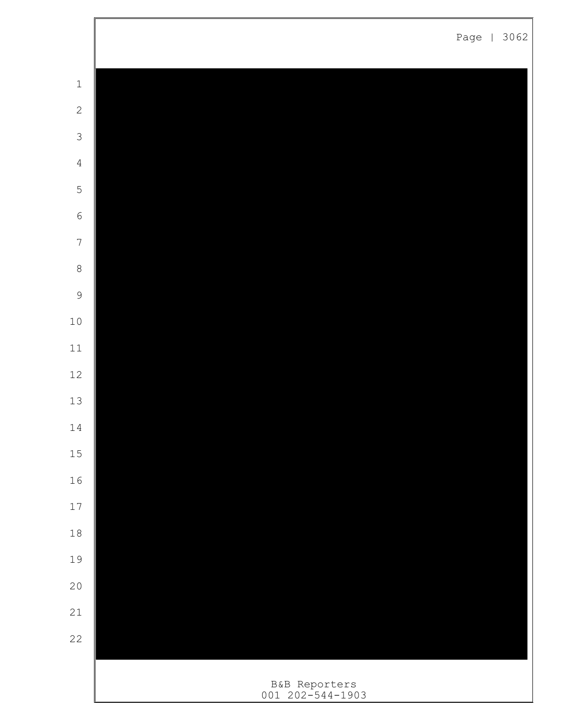|                            | 3062<br>Page                      |
|----------------------------|-----------------------------------|
| $\ensuremath{\mathbbm{1}}$ |                                   |
| $\sqrt{2}$                 |                                   |
| $\mathfrak{Z}$             |                                   |
| $\overline{4}$             |                                   |
| $\overline{5}$             |                                   |
| $6\,$                      |                                   |
| $\sqrt{ }$                 |                                   |
| $\,8\,$                    |                                   |
| $\mathcal{G}$              |                                   |
| 10                         |                                   |
| $11\,$                     |                                   |
| $12$                       |                                   |
| 13                         |                                   |
| $1\,4$                     |                                   |
| $15\,$                     |                                   |
| $1\,6$                     |                                   |
| $17\,$                     |                                   |
| $1\,8$                     |                                   |
| 19                         |                                   |
| $20$                       |                                   |
| 21                         |                                   |
| 22                         |                                   |
|                            |                                   |
|                            | B&B Reporters<br>001 202-544-1903 |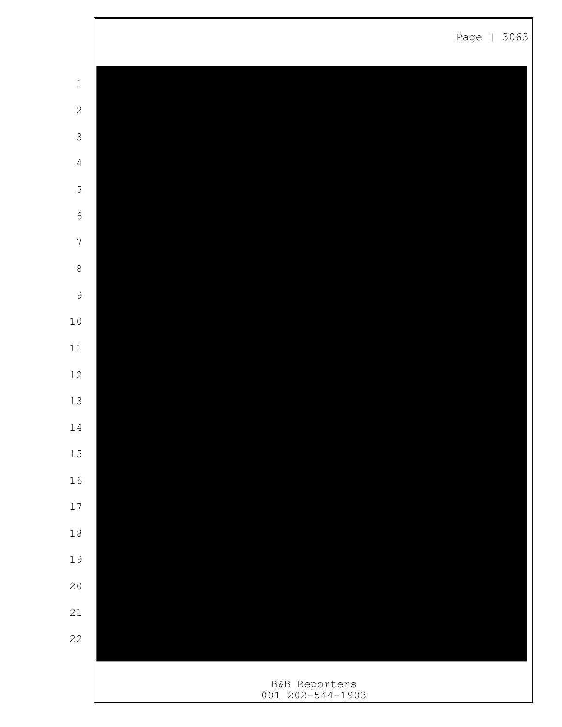|                                 |                                   | Page   3063 |  |
|---------------------------------|-----------------------------------|-------------|--|
| $\mathbf 1$                     |                                   |             |  |
| $\overline{c}$                  |                                   |             |  |
| $\overline{3}$                  |                                   |             |  |
| $\overline{4}$                  |                                   |             |  |
| $\overline{5}$                  |                                   |             |  |
| $6\phantom{a}$                  |                                   |             |  |
| $\overline{7}$                  |                                   |             |  |
| $\begin{matrix} 8 \end{matrix}$ |                                   |             |  |
| $\mathcal{G}$                   |                                   |             |  |
| 10                              |                                   |             |  |
| $11$                            |                                   |             |  |
| 12                              |                                   |             |  |
| 13                              |                                   |             |  |
| $1\,4$                          |                                   |             |  |
| 15                              |                                   |             |  |
| $16\,$                          |                                   |             |  |
| $17\,$                          |                                   |             |  |
| $1\,8$                          |                                   |             |  |
| 19                              |                                   |             |  |
| $20$                            |                                   |             |  |
| $2\sqrt{1}$                     |                                   |             |  |
| 22                              |                                   |             |  |
|                                 | B&B Reporters<br>001 202-544-1903 |             |  |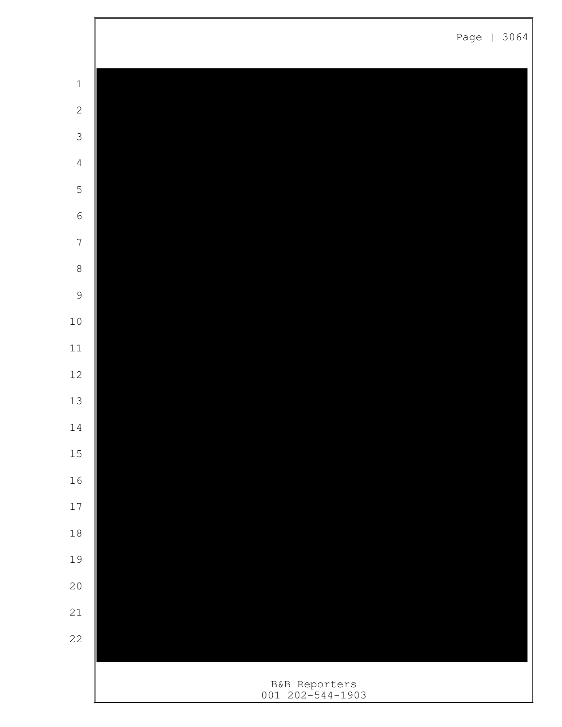|                |                                   | Page   3064 |  |
|----------------|-----------------------------------|-------------|--|
| $\mathbbm{1}$  |                                   |             |  |
| $\overline{c}$ |                                   |             |  |
| $\overline{3}$ |                                   |             |  |
| $\overline{4}$ |                                   |             |  |
| $\overline{5}$ |                                   |             |  |
| $\overline{6}$ |                                   |             |  |
| $\overline{7}$ |                                   |             |  |
| 8              |                                   |             |  |
| $\mathcal{G}$  |                                   |             |  |
| $10$           |                                   |             |  |
| $11\,$         |                                   |             |  |
| $12$           |                                   |             |  |
| 13             |                                   |             |  |
| $14$           |                                   |             |  |
| $15\,$         |                                   |             |  |
| $16\,$         |                                   |             |  |
| $17\,$         |                                   |             |  |
| $1\,8$         |                                   |             |  |
| 19             |                                   |             |  |
| $20$           |                                   |             |  |
| $21\,$         |                                   |             |  |
| 22             |                                   |             |  |
|                | B&B Reporters<br>001 202-544-1903 |             |  |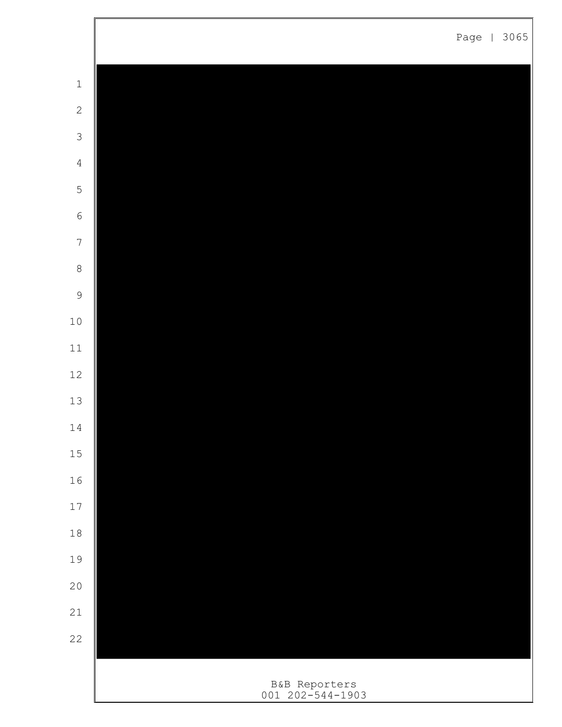|                                 | Page   3065                       |
|---------------------------------|-----------------------------------|
| $\mathbf 1$                     |                                   |
| $\overline{c}$                  |                                   |
| $\mathfrak{Z}$                  |                                   |
| $\overline{4}$                  |                                   |
| $\overline{5}$                  |                                   |
| $6\overline{6}$                 |                                   |
| $\overline{7}$                  |                                   |
| $\begin{matrix} 8 \end{matrix}$ |                                   |
| $\overline{9}$                  |                                   |
| $10$                            |                                   |
| $11\,$                          |                                   |
| $12$                            |                                   |
| 13                              |                                   |
| $1\,4$                          |                                   |
| $15$                            |                                   |
| $16\,$                          |                                   |
| $17\,$                          |                                   |
| $1\,8$                          |                                   |
| 19                              |                                   |
| $20$                            |                                   |
| 21<br>22                        |                                   |
|                                 |                                   |
|                                 | B&B Reporters<br>001 202-544-1903 |

 $\overline{\mathbf{I}}$ 

 $\overline{r}$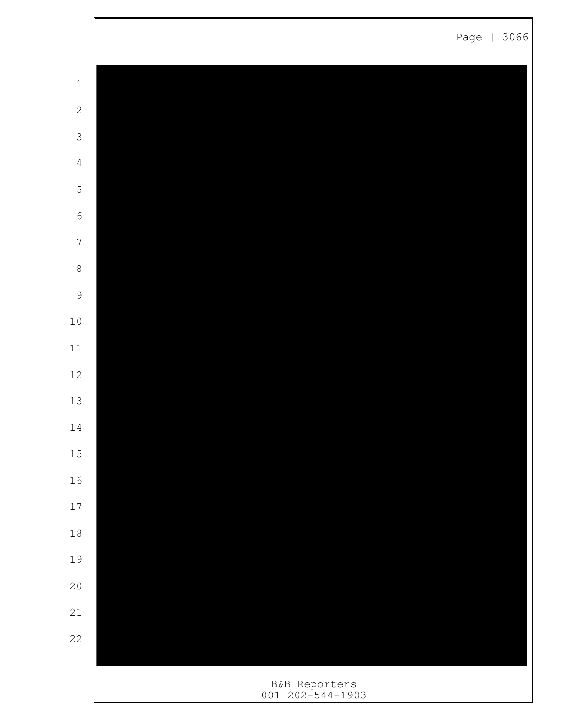|                |                                   | Page   3066 |  |
|----------------|-----------------------------------|-------------|--|
| $\mathbf 1$    |                                   |             |  |
| $\overline{c}$ |                                   |             |  |
| $\mathfrak{Z}$ |                                   |             |  |
| $\overline{4}$ |                                   |             |  |
| $\overline{5}$ |                                   |             |  |
| $\overline{6}$ |                                   |             |  |
| $\overline{7}$ |                                   |             |  |
| $\overline{8}$ |                                   |             |  |
| $\mathcal{G}$  |                                   |             |  |
| $10$           |                                   |             |  |
| $11$           |                                   |             |  |
| $12$           |                                   |             |  |
| 13             |                                   |             |  |
| $1\,4$         |                                   |             |  |
| $15\,$         |                                   |             |  |
| $16\,$         |                                   |             |  |
| $17\,$         |                                   |             |  |
| $1\,8$         |                                   |             |  |
| 19             |                                   |             |  |
| $20$           |                                   |             |  |
| $21\,$         |                                   |             |  |
| 22             |                                   |             |  |
|                | B&B Reporters<br>001 202-544-1903 |             |  |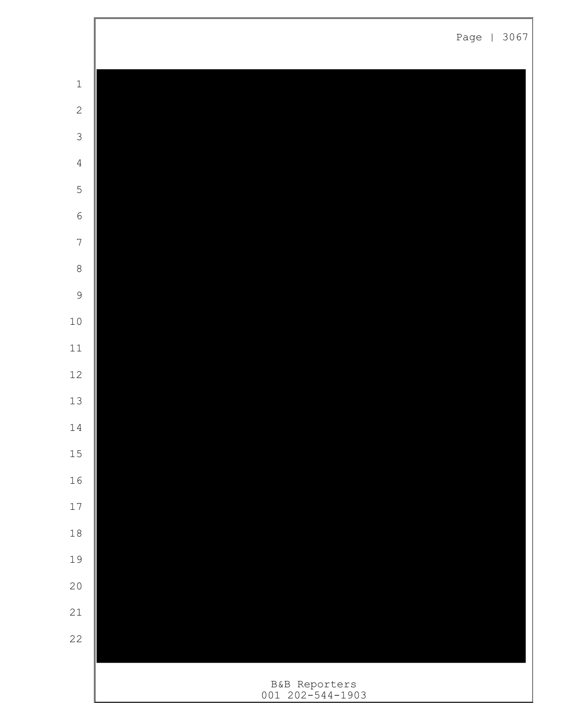|                                  |                                   | Page | 3067 |
|----------------------------------|-----------------------------------|------|------|
|                                  |                                   |      |      |
| $\mathbf 1$                      |                                   |      |      |
| $\sqrt{2}$<br>$\mathfrak{Z}$     |                                   |      |      |
| $\overline{4}$                   |                                   |      |      |
| $\overline{5}$                   |                                   |      |      |
| $\sqrt{6}$                       |                                   |      |      |
| $\boldsymbol{7}$                 |                                   |      |      |
| $\begin{array}{c} 8 \end{array}$ |                                   |      |      |
| 9                                |                                   |      |      |
| $10$                             |                                   |      |      |
| $11\,$                           |                                   |      |      |
| $12$                             |                                   |      |      |
| 13                               |                                   |      |      |
|                                  |                                   |      |      |
| $1\,4$<br>$15\,$                 |                                   |      |      |
| $16$                             |                                   |      |      |
| $17$                             |                                   |      |      |
| $1\,8$                           |                                   |      |      |
| 19                               |                                   |      |      |
| $2\,0$                           |                                   |      |      |
| $21\,$                           |                                   |      |      |
| 22                               |                                   |      |      |
|                                  |                                   |      |      |
|                                  | B&B Reporters<br>001 202-544-1903 |      |      |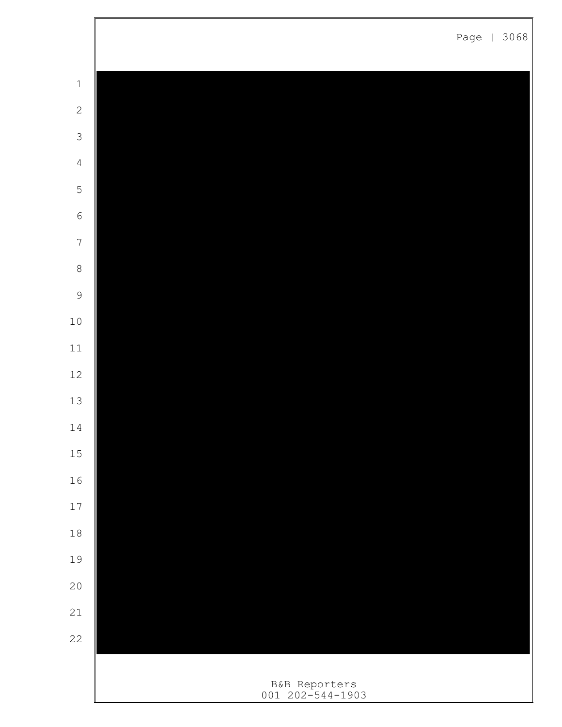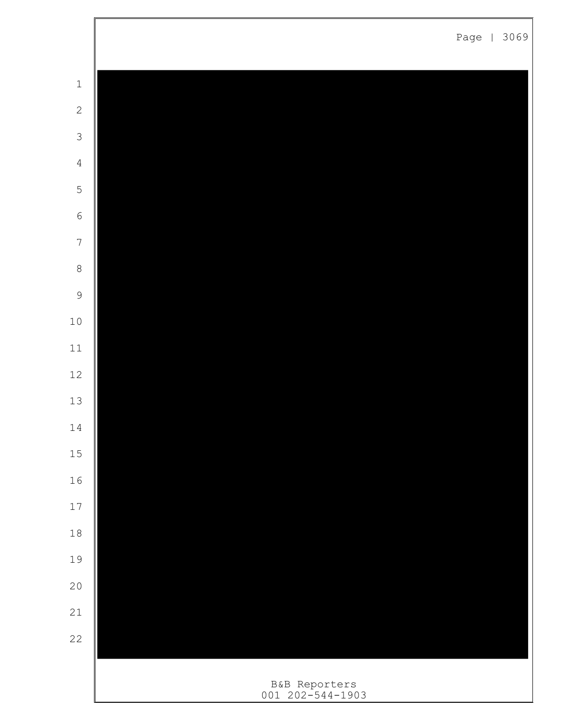|                                  |                                   | Page   3069 |  |
|----------------------------------|-----------------------------------|-------------|--|
|                                  |                                   |             |  |
| $\mathbbm{1}$                    |                                   |             |  |
| $\overline{c}$<br>$\overline{3}$ |                                   |             |  |
| $\overline{4}$                   |                                   |             |  |
| $\overline{5}$                   |                                   |             |  |
| $\overline{6}$                   |                                   |             |  |
| $\overline{7}$                   |                                   |             |  |
| $\overline{8}$                   |                                   |             |  |
| 9                                |                                   |             |  |
| $10$                             |                                   |             |  |
| $11$                             |                                   |             |  |
| $12\,$                           |                                   |             |  |
| 13                               |                                   |             |  |
| 14                               |                                   |             |  |
| $15\,$                           |                                   |             |  |
| $16\,$                           |                                   |             |  |
| $17\,$                           |                                   |             |  |
| $1\,8$                           |                                   |             |  |
| 19                               |                                   |             |  |
| $20$                             |                                   |             |  |
| $21\,$                           |                                   |             |  |
| 22                               |                                   |             |  |
|                                  |                                   |             |  |
|                                  | B&B Reporters<br>001 202-544-1903 |             |  |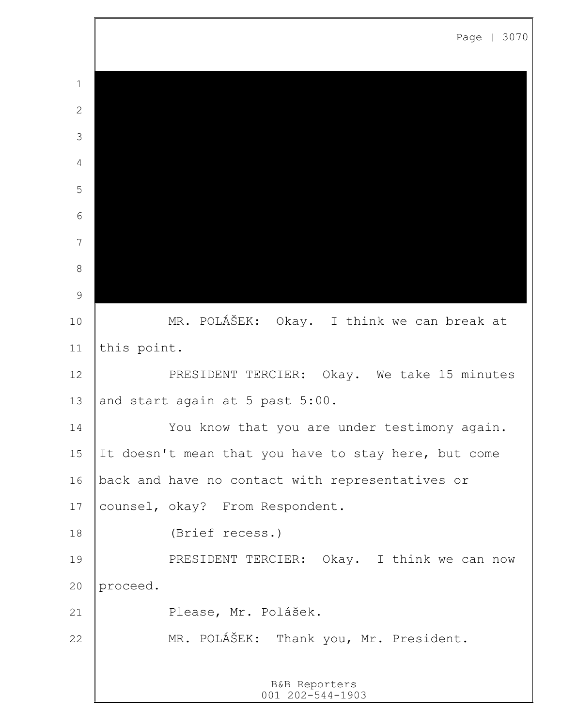|                | Page   3070                                          |
|----------------|------------------------------------------------------|
| $\mathbf{1}$   |                                                      |
| 2              |                                                      |
| 3              |                                                      |
| $\overline{4}$ |                                                      |
| 5              |                                                      |
| 6              |                                                      |
| 7              |                                                      |
| 8              |                                                      |
| 9              |                                                      |
| 10             | MR. POLÁŠEK: Okay. I think we can break at           |
| 11             | this point.                                          |
| 12             | PRESIDENT TERCIER: Okay. We take 15 minutes          |
| 13             | and start again at 5 past 5:00.                      |
| 14             | You know that you are under testimony again.         |
| 15             | It doesn't mean that you have to stay here, but come |
| 16             | back and have no contact with representatives or     |
| 17             | counsel, okay? From Respondent.                      |
| 18             | (Brief recess.)                                      |
| 19             | PRESIDENT TERCIER: Okay. I think we can now          |
| 20             | proceed.                                             |
| 21             | Please, Mr. Polášek.                                 |
| 22             | MR. POLÁŠEK: Thank you, Mr. President.               |
|                | B&B Reporters<br>001 202-544-1903                    |

 $\mathbb F$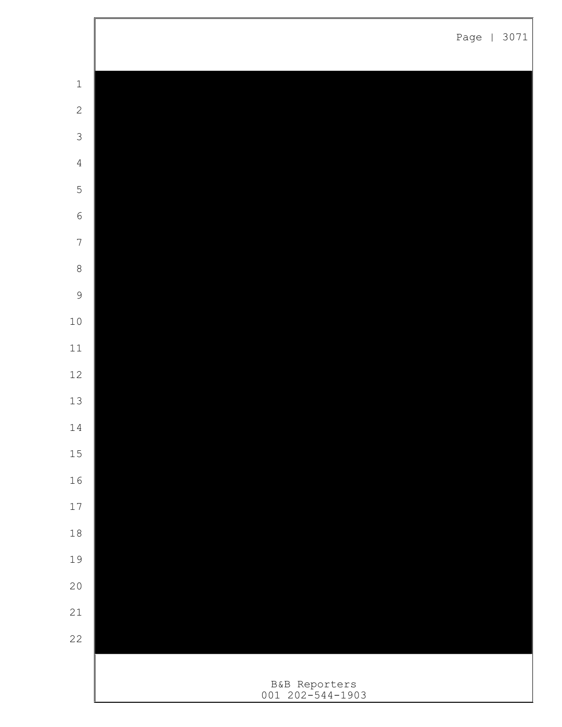|                                 | 3071<br>Page                      |
|---------------------------------|-----------------------------------|
|                                 |                                   |
| $\mathbf 1$                     |                                   |
| $\overline{c}$                  |                                   |
| $\mathfrak{Z}$                  |                                   |
| $\overline{4}$                  |                                   |
| $\overline{5}$                  |                                   |
| $\overline{6}$                  |                                   |
| $\overline{7}$                  |                                   |
| $\begin{matrix} 8 \end{matrix}$ |                                   |
| 9                               |                                   |
| $10$                            |                                   |
| $11\,$                          |                                   |
| 12                              |                                   |
| 13                              |                                   |
| $14\,$                          |                                   |
| 15                              |                                   |
| 16                              |                                   |
| $17$                            |                                   |
| $18$                            |                                   |
| 19                              |                                   |
| 20                              |                                   |
| $21\,$                          |                                   |
| 22                              |                                   |
|                                 |                                   |
|                                 | B&B Reporters<br>001 202-544-1903 |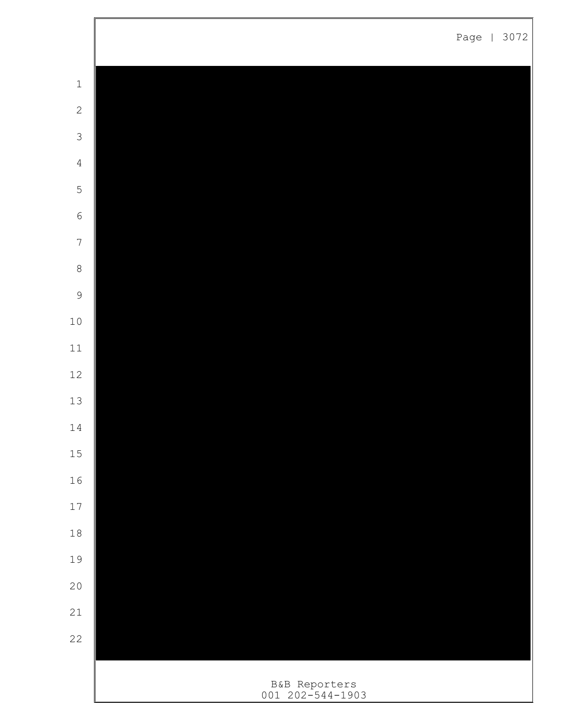|                            | 3072<br>Page                      |
|----------------------------|-----------------------------------|
| $\ensuremath{\mathbbm{1}}$ |                                   |
| $\overline{2}$             |                                   |
| $\mathfrak{Z}$             |                                   |
| $\overline{4}$             |                                   |
| $\overline{5}$             |                                   |
| $\sqrt{6}$                 |                                   |
| $\overline{7}$             |                                   |
| $\,8\,$                    |                                   |
| $\overline{9}$             |                                   |
| $10$                       |                                   |
| $11\,$                     |                                   |
| 12                         |                                   |
| 13                         |                                   |
| $14$                       |                                   |
| 15                         |                                   |
| 16                         |                                   |
| $17\,$                     |                                   |
| $18\,$                     |                                   |
| 19                         |                                   |
| $20$                       |                                   |
| 21                         |                                   |
| 22                         |                                   |
|                            | B&B Reporters<br>001 202-544-1903 |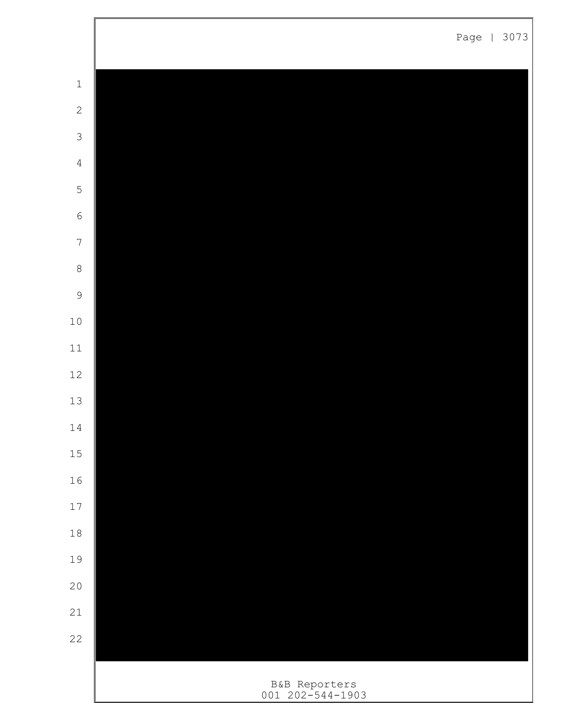|                                  |                                   | Page   3073 |  |
|----------------------------------|-----------------------------------|-------------|--|
|                                  |                                   |             |  |
| $\mathbf 1$                      |                                   |             |  |
| $\sqrt{2}$                       |                                   |             |  |
| $\mathfrak{Z}$<br>$\overline{4}$ |                                   |             |  |
|                                  |                                   |             |  |
| $\overline{5}$                   |                                   |             |  |
| $\epsilon$                       |                                   |             |  |
| $\boldsymbol{7}$<br>$\,8\,$      |                                   |             |  |
|                                  |                                   |             |  |
| $\mathcal{G}$                    |                                   |             |  |
| $10$                             |                                   |             |  |
| $11$                             |                                   |             |  |
| $12\,$                           |                                   |             |  |
| 13                               |                                   |             |  |
| 14                               |                                   |             |  |
| $15\,$                           |                                   |             |  |
| $16\,$                           |                                   |             |  |
| $17\,$                           |                                   |             |  |
| $1\,8$                           |                                   |             |  |
| 19                               |                                   |             |  |
| $20$                             |                                   |             |  |
| 21                               |                                   |             |  |
| 22                               |                                   |             |  |
|                                  | B&B Reporters<br>001 202-544-1903 |             |  |
|                                  |                                   |             |  |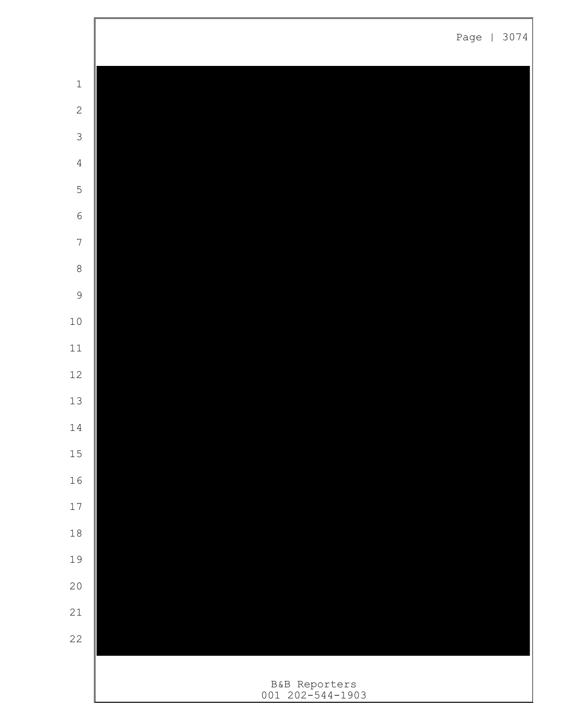|                                 | Page   3074                       |
|---------------------------------|-----------------------------------|
| $\mathbbm{1}$                   |                                   |
| $\overline{c}$                  |                                   |
| $\overline{3}$                  |                                   |
| $\overline{4}$                  |                                   |
| $\overline{5}$                  |                                   |
| $6\phantom{a}$                  |                                   |
| $\overline{7}$                  |                                   |
| $\begin{matrix} 8 \end{matrix}$ |                                   |
| $\overline{9}$                  |                                   |
| 10                              |                                   |
| $11\,$                          |                                   |
| $12$                            |                                   |
| 13                              |                                   |
| $1\,4$                          |                                   |
| $15\,$                          |                                   |
| $16\,$                          |                                   |
| $17\,$                          |                                   |
| $1\,8$                          |                                   |
| 19                              |                                   |
| $20$                            |                                   |
| 21<br>22                        |                                   |
|                                 |                                   |
|                                 | B&B Reporters<br>001 202-544-1903 |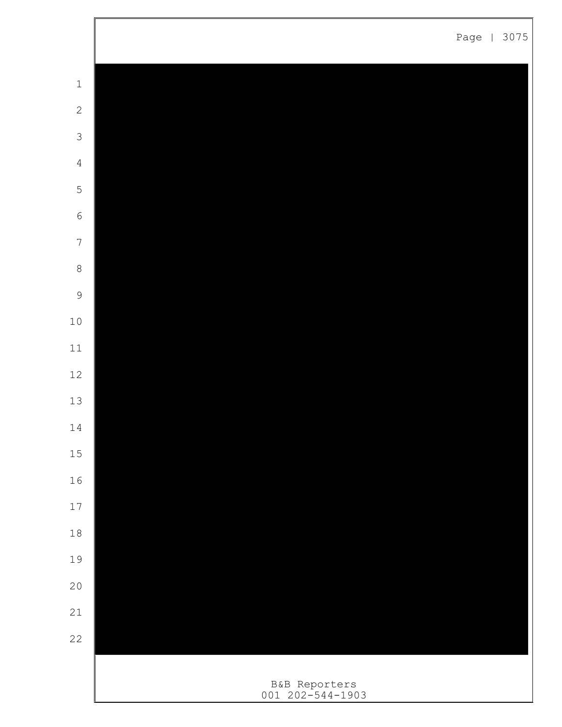|                  |                                   | Page   3075 |
|------------------|-----------------------------------|-------------|
| $\mathbf 1$      |                                   |             |
| $\overline{c}$   |                                   |             |
| $\mathfrak{Z}$   |                                   |             |
| $\overline{4}$   |                                   |             |
| $\overline{5}$   |                                   |             |
| $\sqrt{6}$       |                                   |             |
| $\sqrt{ }$       |                                   |             |
| $\,8\,$          |                                   |             |
| $\mathcal{G}$    |                                   |             |
| $10$             |                                   |             |
| $11\,$           |                                   |             |
| $12\,$           |                                   |             |
| 13               |                                   |             |
| 14               |                                   |             |
| 15               |                                   |             |
| $16\,$<br>$17\,$ |                                   |             |
| $1\,8$           |                                   |             |
| 19               |                                   |             |
| $20$             |                                   |             |
| $21$             |                                   |             |
| 22               |                                   |             |
|                  |                                   |             |
|                  | B&B Reporters<br>001 202-544-1903 |             |

 $\Gamma$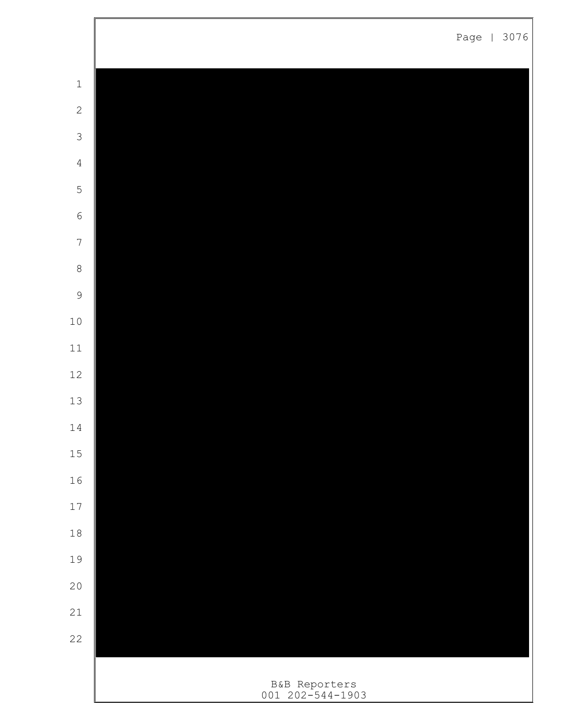|                | Page   3076                       |
|----------------|-----------------------------------|
|                |                                   |
| $\mathbf 1$    |                                   |
| $\sqrt{2}$     |                                   |
| $\mathfrak{Z}$ |                                   |
| $\overline{4}$ |                                   |
| $\overline{5}$ |                                   |
| $\sqrt{6}$     |                                   |
| $\sqrt{ }$     |                                   |
| $\overline{8}$ |                                   |
| $\mathcal{G}$  |                                   |
| $10$           |                                   |
| $11\,$         |                                   |
| 12             |                                   |
| 13             |                                   |
| $1\,4$         |                                   |
| $15\,$         |                                   |
| 16             |                                   |
| 17             |                                   |
| $1\,8$         |                                   |
| 19             |                                   |
| $2\,0$         |                                   |
| 21             |                                   |
| 22             |                                   |
|                |                                   |
|                | B&B Reporters<br>001 202-544-1903 |
|                |                                   |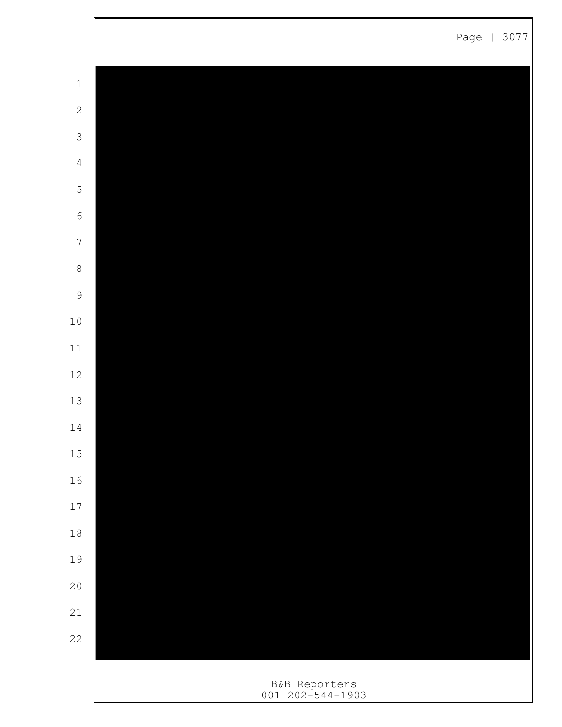|                            | 3077<br>Page                      |
|----------------------------|-----------------------------------|
| $\ensuremath{\mathbbm{1}}$ |                                   |
| $\overline{c}$             |                                   |
| $\mathfrak{Z}$             |                                   |
| $\overline{4}$             |                                   |
|                            |                                   |
| $\overline{5}$             |                                   |
| $\sqrt{6}$                 |                                   |
| $\overline{7}$             |                                   |
| $\,8\,$                    |                                   |
| $\overline{9}$             |                                   |
| $10$                       |                                   |
| $11\,$                     |                                   |
| 12                         |                                   |
| 13                         |                                   |
| 14                         |                                   |
| 15                         |                                   |
| 16                         |                                   |
| $17\,$                     |                                   |
| $18\,$                     |                                   |
| 19                         |                                   |
| $20$                       |                                   |
| 21                         |                                   |
| 22                         |                                   |
|                            |                                   |
|                            | B&B Reporters<br>001 202-544-1903 |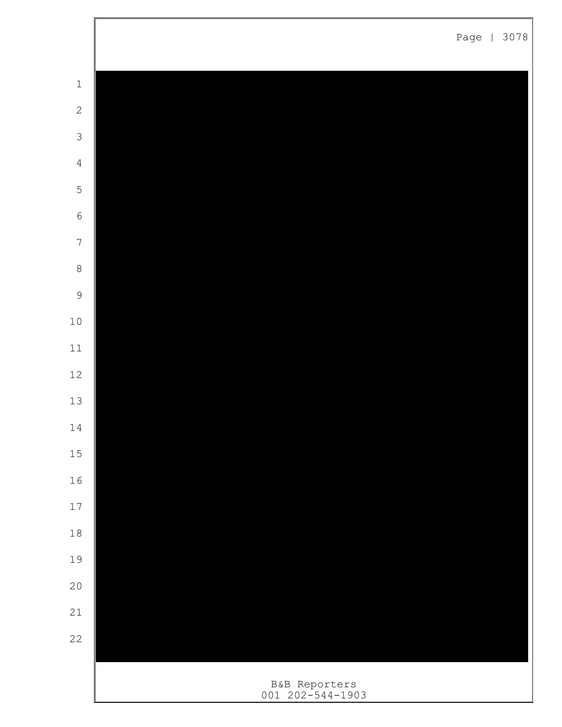|                            |                                   | Page | 3078 |
|----------------------------|-----------------------------------|------|------|
|                            |                                   |      |      |
| $\ensuremath{\mathbbm{1}}$ |                                   |      |      |
| $\overline{c}$             |                                   |      |      |
| $\mathfrak{Z}$             |                                   |      |      |
| $\overline{4}$             |                                   |      |      |
| $\overline{5}$             |                                   |      |      |
| $6\phantom{a}$             |                                   |      |      |
| $\boldsymbol{7}$           |                                   |      |      |
| $\,8\,$                    |                                   |      |      |
| $\mathcal{G}$              |                                   |      |      |
| $10$                       |                                   |      |      |
| $11\,$                     |                                   |      |      |
| $12$                       |                                   |      |      |
| 13                         |                                   |      |      |
| $1\,4$                     |                                   |      |      |
| $15\,$                     |                                   |      |      |
| $16\,$                     |                                   |      |      |
| $17\,$                     |                                   |      |      |
| $1\,8$                     |                                   |      |      |
| 19                         |                                   |      |      |
| $20$                       |                                   |      |      |
| $21$                       |                                   |      |      |
| 22                         |                                   |      |      |
|                            |                                   |      |      |
|                            | B&B Reporters<br>001 202-544-1903 |      |      |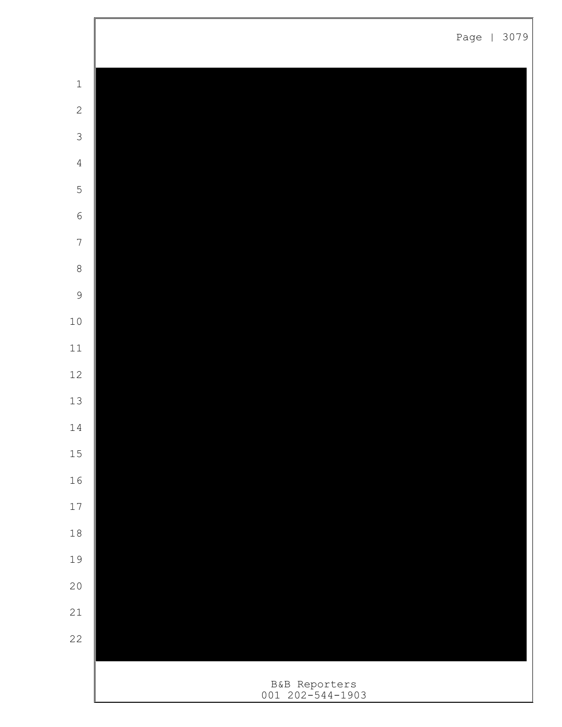|                                  |                                   |  | Page   3079 |
|----------------------------------|-----------------------------------|--|-------------|
|                                  |                                   |  |             |
| $\mathbf 1$                      |                                   |  |             |
| $\overline{c}$                   |                                   |  |             |
| $\mathfrak{Z}$                   |                                   |  |             |
| $\overline{4}$                   |                                   |  |             |
| $\overline{5}$                   |                                   |  |             |
| $\sqrt{6}$                       |                                   |  |             |
| $\boldsymbol{7}$                 |                                   |  |             |
| $\begin{array}{c} 8 \end{array}$ |                                   |  |             |
| $\mathcal{G}$                    |                                   |  |             |
| $10$                             |                                   |  |             |
| $11$                             |                                   |  |             |
| $12\,$                           |                                   |  |             |
| 13                               |                                   |  |             |
| $1\,4$                           |                                   |  |             |
| 15                               |                                   |  |             |
| $16\,$                           |                                   |  |             |
| $17\,$                           |                                   |  |             |
| $1\,8$                           |                                   |  |             |
| 19                               |                                   |  |             |
| $20$                             |                                   |  |             |
| $21\,$                           |                                   |  |             |
| 22                               |                                   |  |             |
|                                  |                                   |  |             |
|                                  | B&B Reporters<br>001 202-544-1903 |  |             |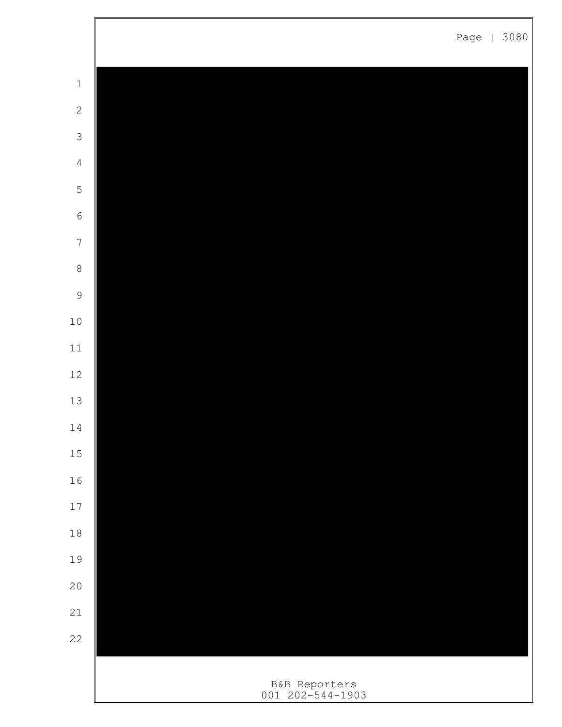|                |                                   |  | Page   3080 |
|----------------|-----------------------------------|--|-------------|
| $\mathbbm{1}$  |                                   |  |             |
| $\overline{c}$ |                                   |  |             |
| $\overline{3}$ |                                   |  |             |
| $\overline{4}$ |                                   |  |             |
| $\overline{5}$ |                                   |  |             |
| $\overline{6}$ |                                   |  |             |
| $\overline{7}$ |                                   |  |             |
| $\overline{8}$ |                                   |  |             |
| 9              |                                   |  |             |
| $10$           |                                   |  |             |
| $11\,$         |                                   |  |             |
| $12\,$         |                                   |  |             |
| 13             |                                   |  |             |
| $1\,4$         |                                   |  |             |
| $15\,$         |                                   |  |             |
| 16             |                                   |  |             |
| $17\,$         |                                   |  |             |
| $1\,8$         |                                   |  |             |
| 19             |                                   |  |             |
| $20$           |                                   |  |             |
| $2\sqrt{1}$    |                                   |  |             |
| 22             |                                   |  |             |
|                |                                   |  |             |
|                | B&B Reporters<br>001 202-544-1903 |  |             |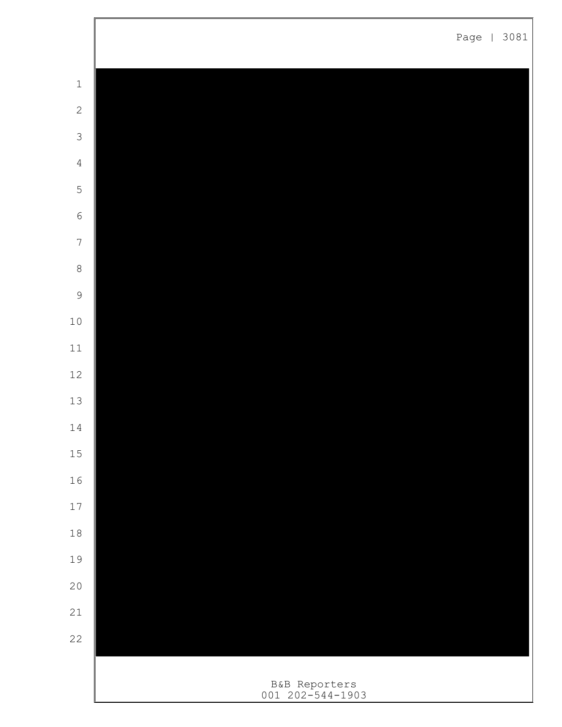|                | Page   3081                       |
|----------------|-----------------------------------|
| $\mathbf 1$    |                                   |
| $\sqrt{2}$     |                                   |
| $\mathfrak{Z}$ |                                   |
| $\overline{4}$ |                                   |
| $\overline{5}$ |                                   |
| $\sqrt{6}$     |                                   |
| $\sqrt{ }$     |                                   |
| $\overline{8}$ |                                   |
| $\mathcal{G}$  |                                   |
| $10$           |                                   |
| $11\,$         |                                   |
| 12             |                                   |
| 13             |                                   |
| $1\,4$         |                                   |
| $15\,$         |                                   |
| 16             |                                   |
| 17             |                                   |
| $1\,8$         |                                   |
| 19             |                                   |
| $2\,0$         |                                   |
| 21             |                                   |
| 22             |                                   |
|                |                                   |
|                | B&B Reporters<br>001 202-544-1903 |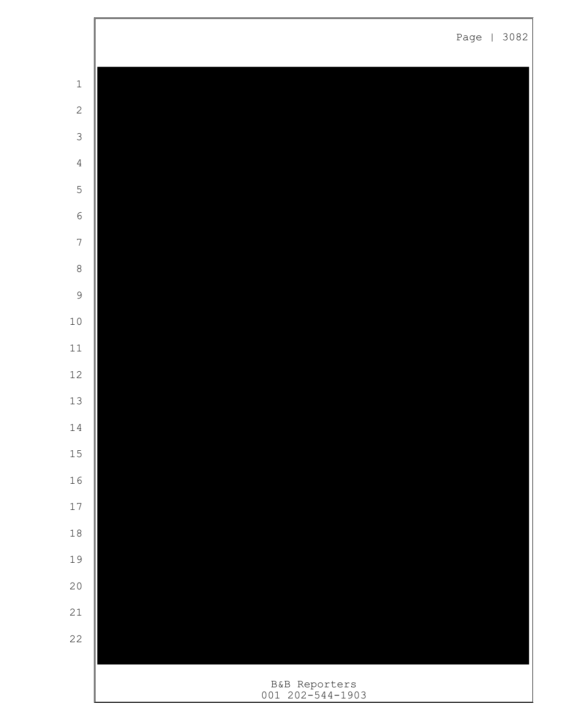|                | Page   3082                       |
|----------------|-----------------------------------|
| $\mathbbm{1}$  |                                   |
| $\overline{c}$ |                                   |
| $\mathfrak{Z}$ |                                   |
| $\overline{4}$ |                                   |
| $\overline{5}$ |                                   |
| $\overline{6}$ |                                   |
| $\overline{7}$ |                                   |
| $\overline{8}$ |                                   |
| 9              |                                   |
| $10$           |                                   |
| $11$           |                                   |
| $12\,$         |                                   |
| 13             |                                   |
| $1\,4$         |                                   |
| $15\,$         |                                   |
| $16\,$         |                                   |
| $17$           |                                   |
| $1\,8$         |                                   |
| 19             |                                   |
| $20$           |                                   |
| $21$           |                                   |
| 22             |                                   |
|                | B&B Reporters<br>001 202-544-1903 |
|                |                                   |

 $\overline{\mathbf{I}}$ 

 $\overline{r}$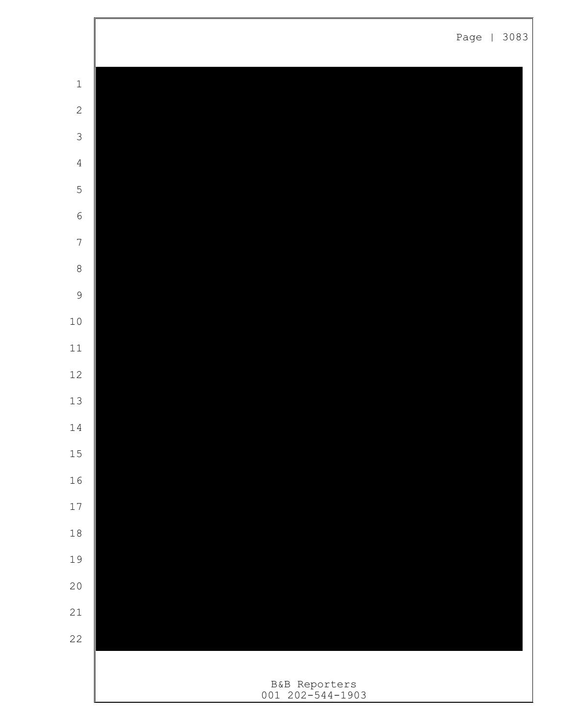|                             |                                   | Page | 3083 |
|-----------------------------|-----------------------------------|------|------|
|                             |                                   |      |      |
| $\mathbf 1$                 |                                   |      |      |
| $\sqrt{2}$<br>$\mathcal{S}$ |                                   |      |      |
| $\overline{4}$              |                                   |      |      |
| $\overline{5}$              |                                   |      |      |
| $6\phantom{a}$              |                                   |      |      |
| $\boldsymbol{7}$            |                                   |      |      |
| $\,8\,$                     |                                   |      |      |
| $\mathcal{G}$               |                                   |      |      |
| $10$                        |                                   |      |      |
| $11\,$                      |                                   |      |      |
| $12\,$                      |                                   |      |      |
| 13                          |                                   |      |      |
| $1\,4$                      |                                   |      |      |
| 15                          |                                   |      |      |
| 16                          |                                   |      |      |
| $17\,$                      |                                   |      |      |
| $1\,8$                      |                                   |      |      |
| 19                          |                                   |      |      |
| $20$                        |                                   |      |      |
| $21\,$                      |                                   |      |      |
| 22                          |                                   |      |      |
|                             |                                   |      |      |
|                             | B&B Reporters<br>001 202-544-1903 |      |      |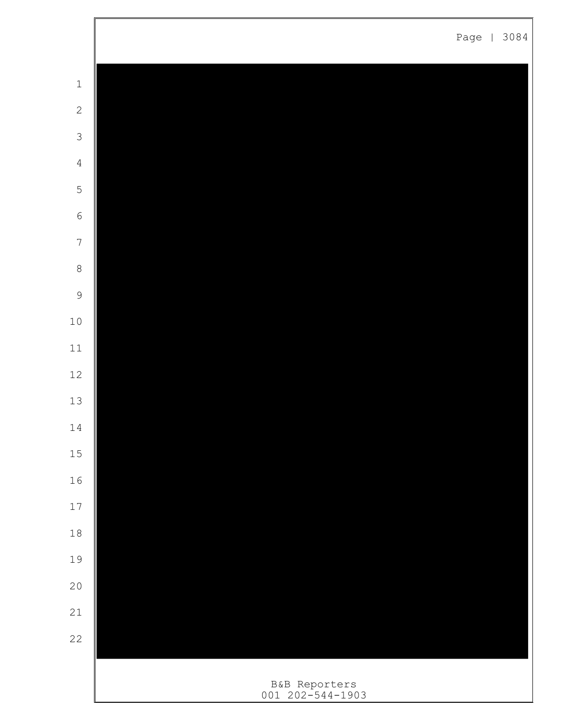|                |                                   | Page   3084 |  |
|----------------|-----------------------------------|-------------|--|
| $\mathbbm{1}$  |                                   |             |  |
| $\overline{c}$ |                                   |             |  |
| $\overline{3}$ |                                   |             |  |
| $\overline{4}$ |                                   |             |  |
| $\overline{5}$ |                                   |             |  |
| $\overline{6}$ |                                   |             |  |
| $\overline{7}$ |                                   |             |  |
| $\overline{8}$ |                                   |             |  |
| $\overline{9}$ |                                   |             |  |
| 10             |                                   |             |  |
| $11$           |                                   |             |  |
| $12$           |                                   |             |  |
| 13             |                                   |             |  |
| $1\,4$         |                                   |             |  |
| $15\,$         |                                   |             |  |
| 16             |                                   |             |  |
| $17\,$         |                                   |             |  |
| $1\,8$         |                                   |             |  |
| 19             |                                   |             |  |
| $20\,$         |                                   |             |  |
| $21\,$<br>22   |                                   |             |  |
|                |                                   |             |  |
|                | B&B Reporters<br>001 202-544-1903 |             |  |

Г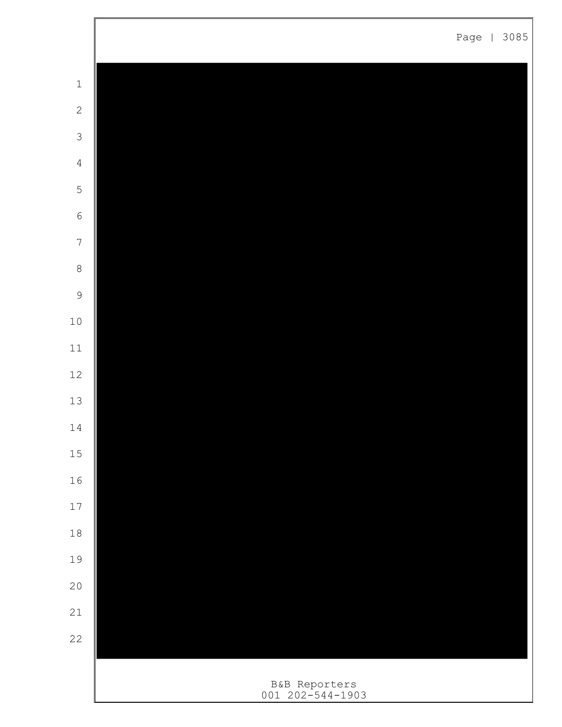|                  |                                   | Page   3085 |  |
|------------------|-----------------------------------|-------------|--|
| $\mathbf 1$      |                                   |             |  |
| $\overline{c}$   |                                   |             |  |
| $\overline{3}$   |                                   |             |  |
| $\overline{4}$   |                                   |             |  |
| $\overline{5}$   |                                   |             |  |
| $\overline{6}$   |                                   |             |  |
| $\overline{7}$   |                                   |             |  |
| $\overline{8}$   |                                   |             |  |
| $\overline{9}$   |                                   |             |  |
| $10$             |                                   |             |  |
| $11\,$           |                                   |             |  |
| $12\,$           |                                   |             |  |
| 13               |                                   |             |  |
| 14               |                                   |             |  |
| 15               |                                   |             |  |
| $16\,$<br>$17\,$ |                                   |             |  |
| $1\,8$           |                                   |             |  |
| 19               |                                   |             |  |
| $20$             |                                   |             |  |
| $2\sqrt{1}$      |                                   |             |  |
| 22               |                                   |             |  |
|                  |                                   |             |  |
|                  | B&B Reporters<br>001 202-544-1903 |             |  |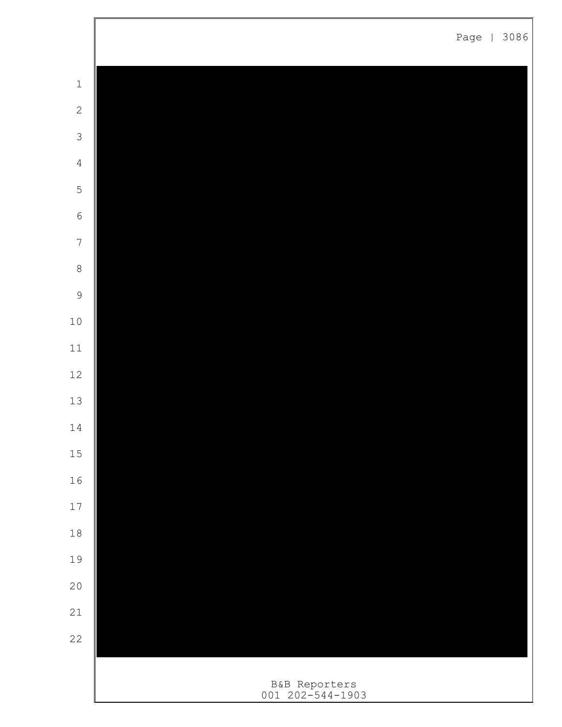|                                 | Page   3086                       |  |
|---------------------------------|-----------------------------------|--|
|                                 |                                   |  |
| $\mathbbm{1}$<br>$\overline{c}$ |                                   |  |
| $\mathfrak{Z}$                  |                                   |  |
| $\overline{4}$                  |                                   |  |
| $\overline{5}$                  |                                   |  |
| $\overline{6}$                  |                                   |  |
| $\overline{7}$                  |                                   |  |
| $\overline{8}$                  |                                   |  |
| $\overline{9}$                  |                                   |  |
| 10                              |                                   |  |
| $11$                            |                                   |  |
| $12$                            |                                   |  |
| 13                              |                                   |  |
| $1\,4$                          |                                   |  |
| $15\,$                          |                                   |  |
| 16                              |                                   |  |
| $17\,$                          |                                   |  |
| $1\,8$                          |                                   |  |
| 19                              |                                   |  |
| $20$                            |                                   |  |
| 21                              |                                   |  |
| 22                              |                                   |  |
|                                 | B&B Reporters<br>001 202-544-1903 |  |
|                                 |                                   |  |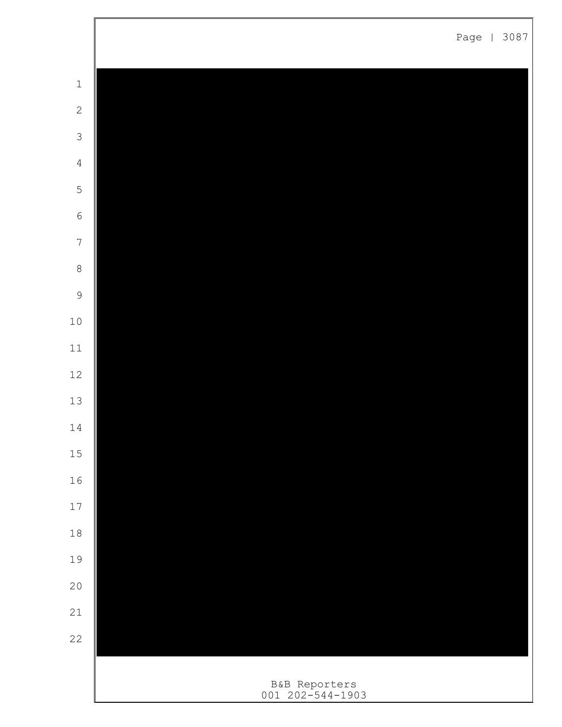|                |                                   | Page   3087 |  |
|----------------|-----------------------------------|-------------|--|
| $\mathbbm{1}$  |                                   |             |  |
| $\sqrt{2}$     |                                   |             |  |
| $\overline{3}$ |                                   |             |  |
| $\overline{4}$ |                                   |             |  |
| $\overline{5}$ |                                   |             |  |
| $\overline{6}$ |                                   |             |  |
| $\overline{7}$ |                                   |             |  |
| 8              |                                   |             |  |
| $\mathcal{G}$  |                                   |             |  |
| $10$           |                                   |             |  |
| $11\,$         |                                   |             |  |
| $12$           |                                   |             |  |
| 13             |                                   |             |  |
| $14$           |                                   |             |  |
| $15\,$         |                                   |             |  |
| $16\,$         |                                   |             |  |
| $17\,$         |                                   |             |  |
| $1\,8$         |                                   |             |  |
| 19             |                                   |             |  |
| $20$           |                                   |             |  |
| $21\,$         |                                   |             |  |
| 22             |                                   |             |  |
|                |                                   |             |  |
|                | B&B Reporters<br>001 202-544-1903 |             |  |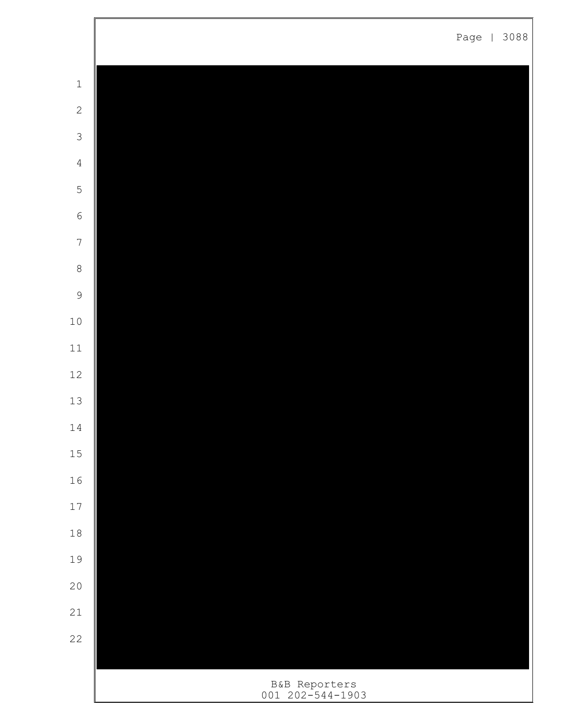|                                 |                                   | Page   3088 |  |
|---------------------------------|-----------------------------------|-------------|--|
| $\mathbbm{1}$                   |                                   |             |  |
| $\overline{c}$                  |                                   |             |  |
| $\mathfrak{Z}$                  |                                   |             |  |
| $\overline{4}$                  |                                   |             |  |
| $\overline{5}$                  |                                   |             |  |
| $\overline{6}$                  |                                   |             |  |
| $\overline{7}$                  |                                   |             |  |
| $\begin{matrix} 8 \end{matrix}$ |                                   |             |  |
| 9                               |                                   |             |  |
| $10$                            |                                   |             |  |
| $11\,$                          |                                   |             |  |
| $12$                            |                                   |             |  |
| 13                              |                                   |             |  |
| $1\,4$                          |                                   |             |  |
| $15\,$                          |                                   |             |  |
| $16\,$                          |                                   |             |  |
| $17\,$                          |                                   |             |  |
| $1\,8$                          |                                   |             |  |
| 19                              |                                   |             |  |
| $20$                            |                                   |             |  |
| 21<br>22                        |                                   |             |  |
|                                 |                                   |             |  |
|                                 | B&B Reporters<br>001 202-544-1903 |             |  |

 $\overline{\mathbf{I}}$ 

 $\overline{r}$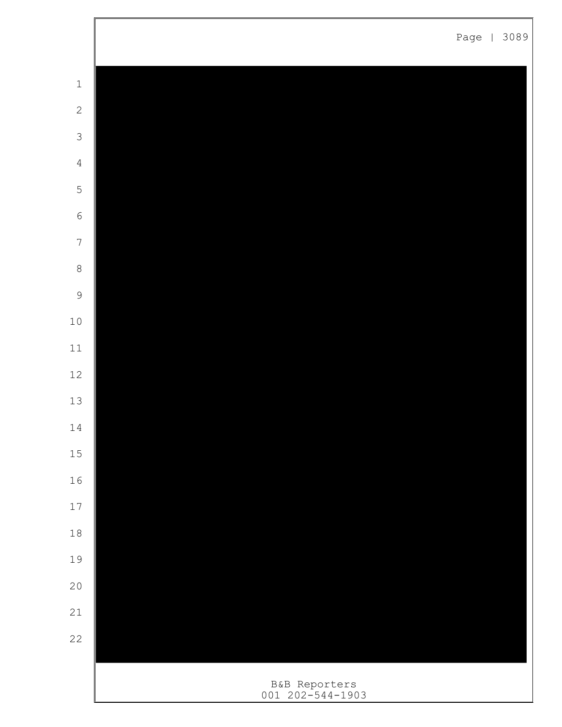|                                  |                                   | Page | 3089 |
|----------------------------------|-----------------------------------|------|------|
|                                  |                                   |      |      |
| $\mathbf 1$                      |                                   |      |      |
| $\mathbf{2}$                     |                                   |      |      |
| $\mathfrak{Z}$<br>$\overline{4}$ |                                   |      |      |
| $\overline{5}$                   |                                   |      |      |
| $6\phantom{a}$                   |                                   |      |      |
| $\sqrt{ }$                       |                                   |      |      |
| $\,8\,$                          |                                   |      |      |
| $\mathcal{G}$                    |                                   |      |      |
| $10$                             |                                   |      |      |
| $11\,$                           |                                   |      |      |
| $12\,$                           |                                   |      |      |
| 13                               |                                   |      |      |
| 14                               |                                   |      |      |
| 15                               |                                   |      |      |
| 16                               |                                   |      |      |
| $17\,$                           |                                   |      |      |
| $18\,$                           |                                   |      |      |
| 19                               |                                   |      |      |
| $20$                             |                                   |      |      |
| $2\sqrt{1}$                      |                                   |      |      |
| 22                               |                                   |      |      |
|                                  |                                   |      |      |
|                                  | B&B Reporters<br>001 202-544-1903 |      |      |

Г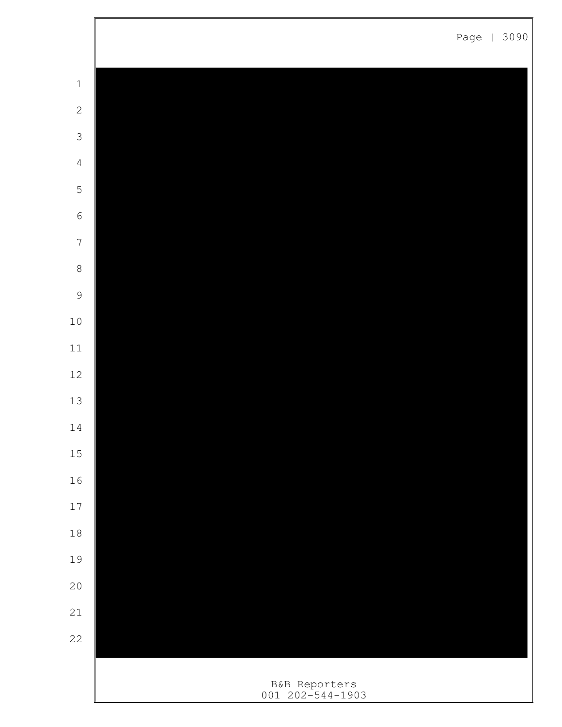|                            |                                   |  | Page   3090 |
|----------------------------|-----------------------------------|--|-------------|
|                            |                                   |  |             |
| $\ensuremath{\mathbbm{1}}$ |                                   |  |             |
| $\mathbf{2}$               |                                   |  |             |
| $\mathfrak{Z}$             |                                   |  |             |
| $\overline{4}$             |                                   |  |             |
| $\overline{5}$             |                                   |  |             |
| $\sqrt{6}$                 |                                   |  |             |
| $\boldsymbol{7}$           |                                   |  |             |
| $\,8\,$                    |                                   |  |             |
| $\overline{9}$             |                                   |  |             |
| $10$                       |                                   |  |             |
| $11\,$                     |                                   |  |             |
| $12\,$                     |                                   |  |             |
| 13                         |                                   |  |             |
| $1\,4$                     |                                   |  |             |
| 15                         |                                   |  |             |
| $16\,$                     |                                   |  |             |
| $17\,$                     |                                   |  |             |
| $1\,8$                     |                                   |  |             |
| 19                         |                                   |  |             |
| $20$                       |                                   |  |             |
| 21                         |                                   |  |             |
| 22                         |                                   |  |             |
|                            |                                   |  |             |
|                            | B&B Reporters<br>001 202-544-1903 |  |             |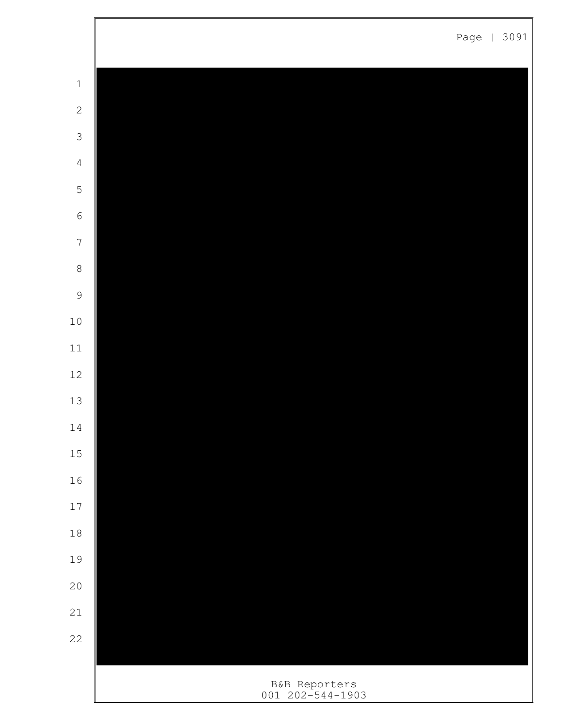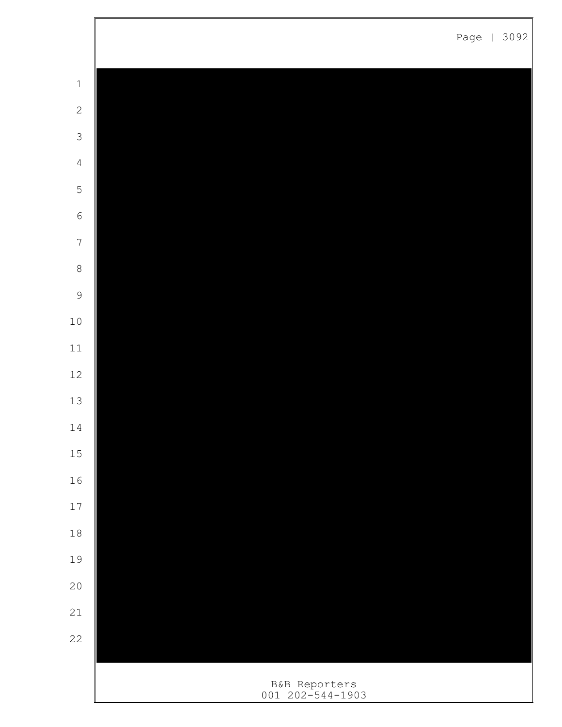|                            | Page   3092                       |
|----------------------------|-----------------------------------|
| $\ensuremath{\mathbbm{1}}$ |                                   |
| $\mathbf{2}$               |                                   |
| $\overline{3}$             |                                   |
| $\overline{4}$             |                                   |
| $\overline{5}$             |                                   |
| $6\overline{6}$            |                                   |
| $\overline{\mathcal{I}}$   |                                   |
| $\overline{8}$             |                                   |
| $\mathcal{G}$              |                                   |
| $10$                       |                                   |
| $11\,$                     |                                   |
| $12\,$                     |                                   |
| 13                         |                                   |
| $1\,4$                     |                                   |
| $15\,$                     |                                   |
| 16                         |                                   |
| $17\,$                     |                                   |
| $1\,8$                     |                                   |
| 19                         |                                   |
| $2\,0$                     |                                   |
| 21                         |                                   |
| 22                         |                                   |
|                            |                                   |
|                            | B&B Reporters<br>001 202-544-1903 |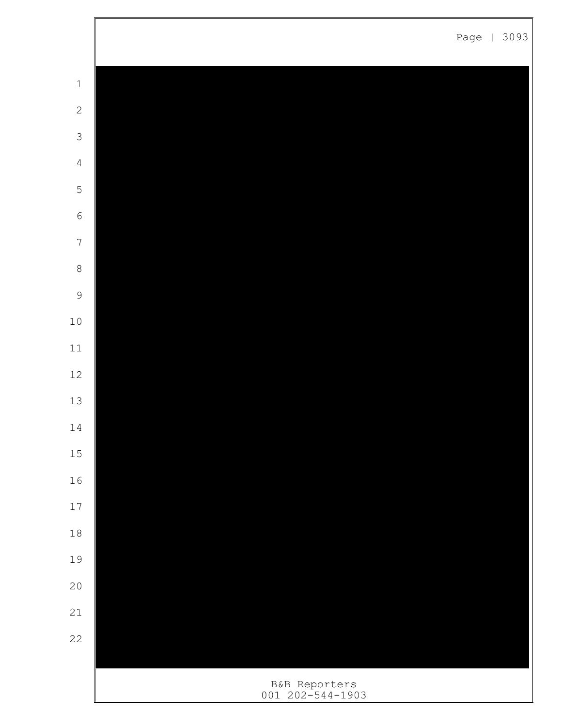|                            | 3093<br>Page                      |
|----------------------------|-----------------------------------|
|                            |                                   |
| $\ensuremath{\mathbbm{1}}$ |                                   |
| $\overline{c}$             |                                   |
| $\mathfrak{Z}$             |                                   |
| $\overline{4}$             |                                   |
| $\overline{5}$             |                                   |
| $6\,$                      |                                   |
| $\overline{7}$             |                                   |
| $\,8\,$                    |                                   |
| 9                          |                                   |
| $10$                       |                                   |
| $11\,$                     |                                   |
| $12$                       |                                   |
| 13                         |                                   |
| $14$                       |                                   |
| 15                         |                                   |
| $16\,$                     |                                   |
| $17\,$                     |                                   |
|                            |                                   |
| $18\,$                     |                                   |
| 19                         |                                   |
| $20$                       |                                   |
| $21$                       |                                   |
| 22                         |                                   |
|                            |                                   |
|                            | B&B Reporters<br>001 202-544-1903 |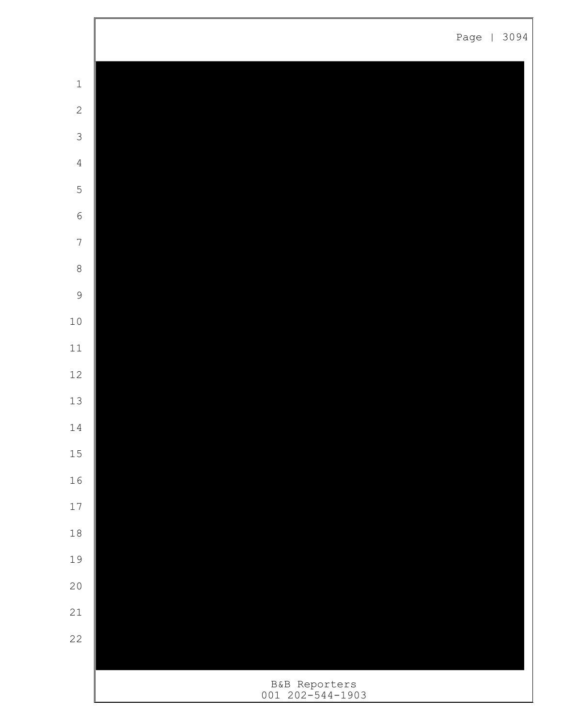|                |                                   | Page   3094 |  |
|----------------|-----------------------------------|-------------|--|
| $\mathbf 1$    |                                   |             |  |
| $\sqrt{2}$     |                                   |             |  |
| $\mathfrak{Z}$ |                                   |             |  |
| $\overline{4}$ |                                   |             |  |
| $\overline{5}$ |                                   |             |  |
| $\sqrt{6}$     |                                   |             |  |
| $\overline{7}$ |                                   |             |  |
| $\,8\,$        |                                   |             |  |
| $\mathcal{G}$  |                                   |             |  |
| $10$           |                                   |             |  |
| $11\,$         |                                   |             |  |
| $12\,$         |                                   |             |  |
| 13<br>14       |                                   |             |  |
| $15\,$         |                                   |             |  |
| 16             |                                   |             |  |
| $17\,$         |                                   |             |  |
| $1\,8$         |                                   |             |  |
| 19             |                                   |             |  |
| $20$           |                                   |             |  |
| $21$           |                                   |             |  |
| 22             |                                   |             |  |
|                |                                   |             |  |
|                | B&B Reporters<br>001 202-544-1903 |             |  |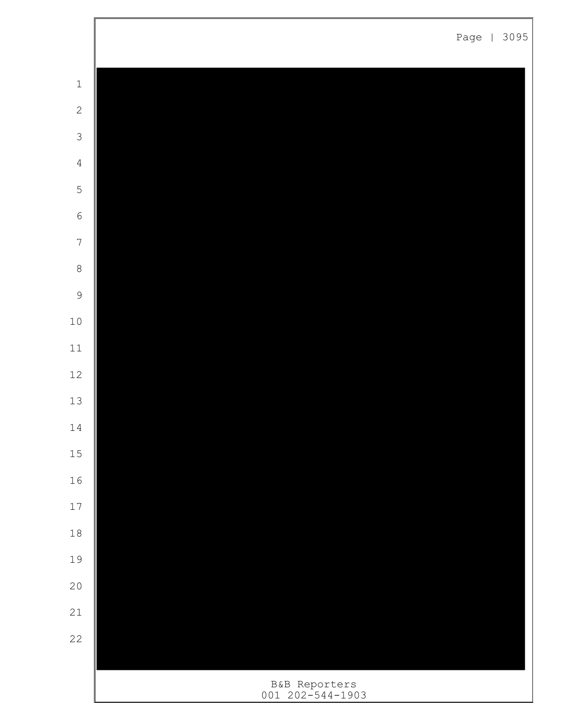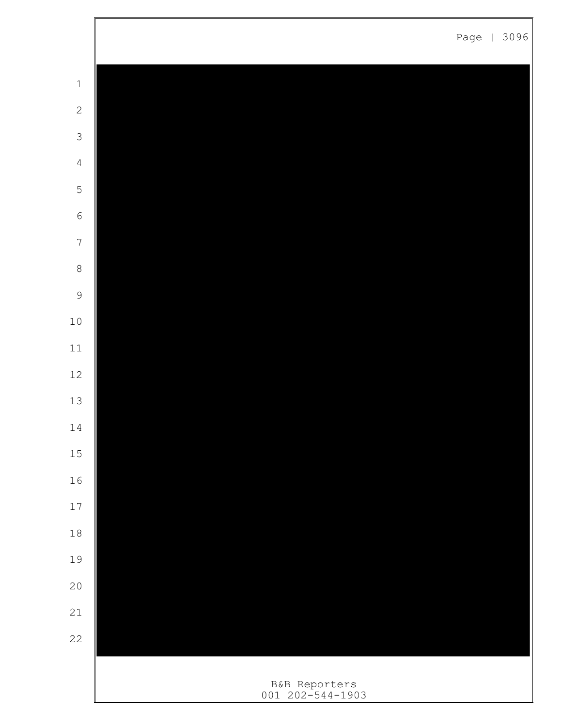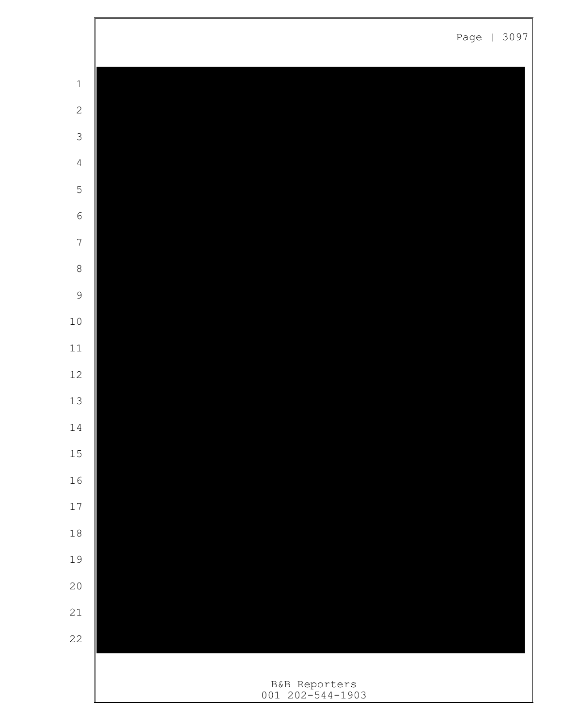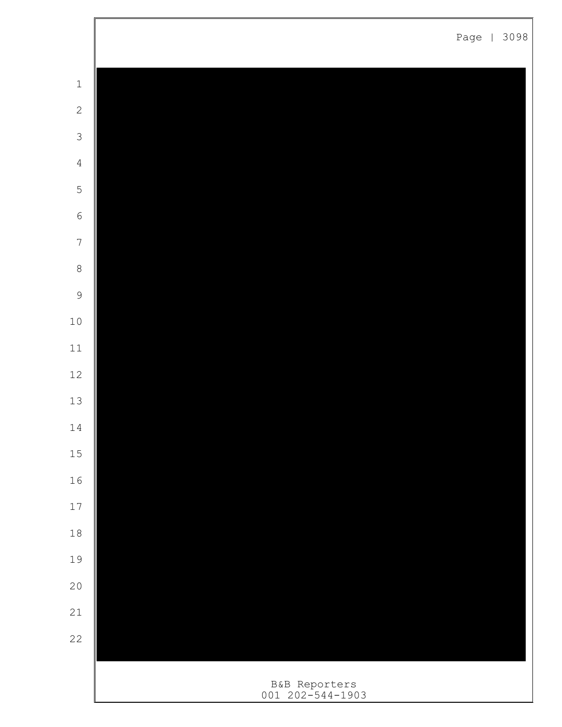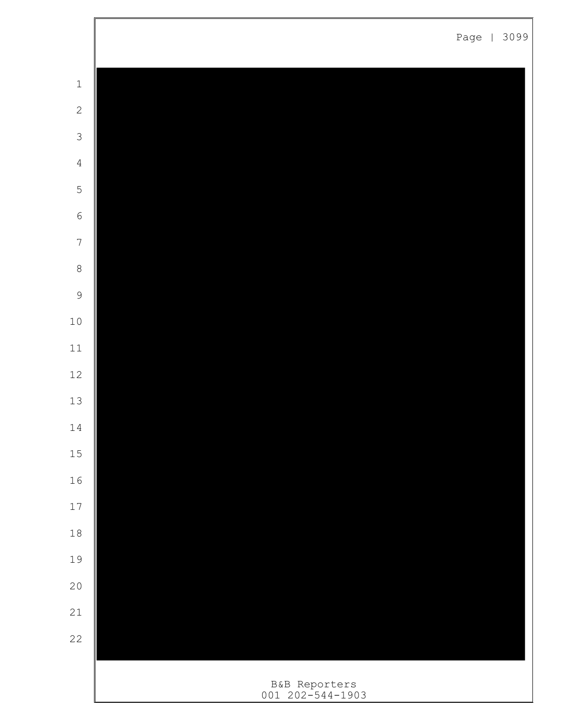|                                 |                                   | Page | 3099 |
|---------------------------------|-----------------------------------|------|------|
| $\mathbbm{1}$                   |                                   |      |      |
| $\sqrt{2}$                      |                                   |      |      |
| $\overline{3}$                  |                                   |      |      |
| $\overline{4}$                  |                                   |      |      |
| $\overline{5}$                  |                                   |      |      |
| $\sqrt{6}$                      |                                   |      |      |
| $\overline{7}$                  |                                   |      |      |
| $\begin{matrix} 8 \end{matrix}$ |                                   |      |      |
| $\mathcal{G}$                   |                                   |      |      |
| 10                              |                                   |      |      |
| $11\,$                          |                                   |      |      |
| $12$                            |                                   |      |      |
| 13                              |                                   |      |      |
| $14\,$                          |                                   |      |      |
| $15\,$                          |                                   |      |      |
| $16\,$                          |                                   |      |      |
| $17\,$                          |                                   |      |      |
| $1\,8$                          |                                   |      |      |
| 19                              |                                   |      |      |
| $20$                            |                                   |      |      |
| $2\sqrt{1}$                     |                                   |      |      |
| 22                              |                                   |      |      |
|                                 |                                   |      |      |
|                                 | B&B Reporters<br>001 202-544-1903 |      |      |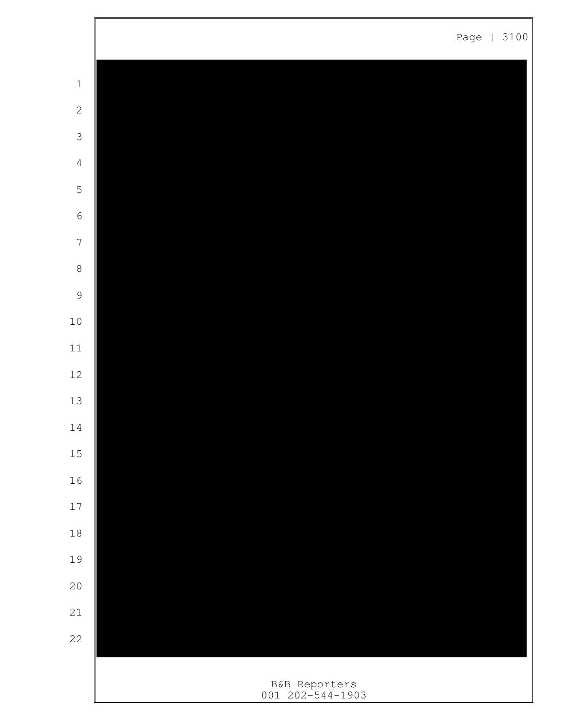|                |                                   | Page | 3100 |
|----------------|-----------------------------------|------|------|
| $\mathbbm{1}$  |                                   |      |      |
| $\overline{c}$ |                                   |      |      |
| $\overline{3}$ |                                   |      |      |
| $\overline{4}$ |                                   |      |      |
| $\overline{5}$ |                                   |      |      |
| $\overline{6}$ |                                   |      |      |
| $\overline{7}$ |                                   |      |      |
| $\overline{8}$ |                                   |      |      |
| $\overline{9}$ |                                   |      |      |
| $10$           |                                   |      |      |
| $11\,$         |                                   |      |      |
| $12\,$         |                                   |      |      |
| 13             |                                   |      |      |
| 14             |                                   |      |      |
| $15\,$         |                                   |      |      |
| 16             |                                   |      |      |
| $17$           |                                   |      |      |
| $1\,8$         |                                   |      |      |
| 19             |                                   |      |      |
| $20$           |                                   |      |      |
| $21$<br>22     |                                   |      |      |
|                |                                   |      |      |
|                | B&B Reporters<br>001 202-544-1903 |      |      |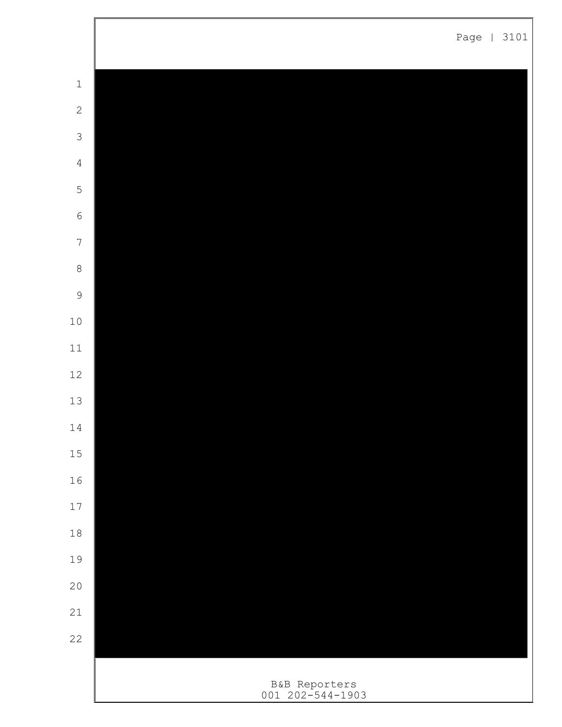|                                                  | 3101<br>Page                      |  |
|--------------------------------------------------|-----------------------------------|--|
|                                                  |                                   |  |
| $\ensuremath{\mathbbm{1}}$                       |                                   |  |
| $\overline{c}$                                   |                                   |  |
| $\mathfrak{Z}$                                   |                                   |  |
| $\overline{4}$                                   |                                   |  |
| $\overline{5}$                                   |                                   |  |
| $6\,$                                            |                                   |  |
| $\sqrt{ }$                                       |                                   |  |
| $\begin{matrix} 8 \end{matrix}$<br>$\mathcal{G}$ |                                   |  |
|                                                  |                                   |  |
| $10$<br>$11\,$                                   |                                   |  |
| $12\,$                                           |                                   |  |
| 13                                               |                                   |  |
| $1\,4$                                           |                                   |  |
| $1\,5$                                           |                                   |  |
| $16\,$                                           |                                   |  |
| $17\,$                                           |                                   |  |
| $1\,8$                                           |                                   |  |
| 19                                               |                                   |  |
| $20$                                             |                                   |  |
| 21                                               |                                   |  |
| 22                                               |                                   |  |
|                                                  |                                   |  |
|                                                  | B&B Reporters<br>001 202-544-1903 |  |

Г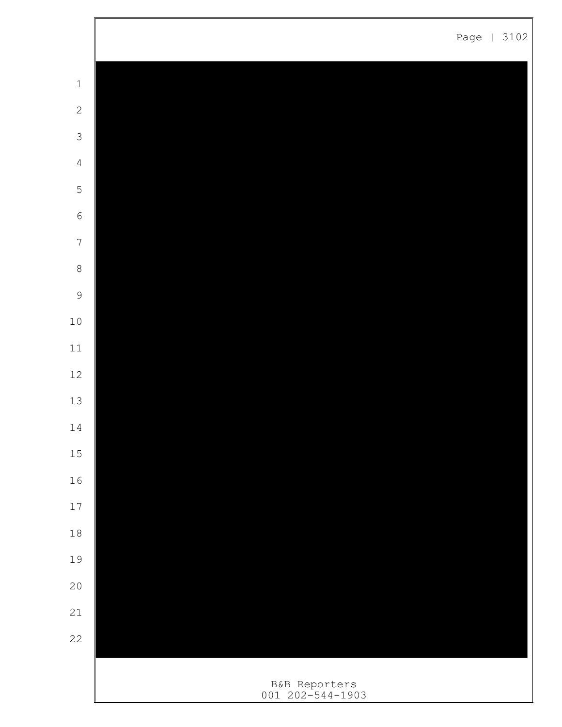|                |                                   | Page   3102 |  |
|----------------|-----------------------------------|-------------|--|
| $\mathbf 1$    |                                   |             |  |
| $\mathbf{2}$   |                                   |             |  |
| $\overline{3}$ |                                   |             |  |
| $\overline{4}$ |                                   |             |  |
| $\overline{5}$ |                                   |             |  |
| $6\phantom{a}$ |                                   |             |  |
| $\overline{7}$ |                                   |             |  |
| $\,8\,$        |                                   |             |  |
| $\overline{9}$ |                                   |             |  |
| $10$           |                                   |             |  |
| $11\,$         |                                   |             |  |
| $12\,$         |                                   |             |  |
| 13             |                                   |             |  |
| 14             |                                   |             |  |
| 15             |                                   |             |  |
| 16<br>17       |                                   |             |  |
| $1\,8$         |                                   |             |  |
| 19             |                                   |             |  |
| $2\,0$         |                                   |             |  |
| $21\,$         |                                   |             |  |
| 22             |                                   |             |  |
|                |                                   |             |  |
|                | B&B Reporters<br>001 202-544-1903 |             |  |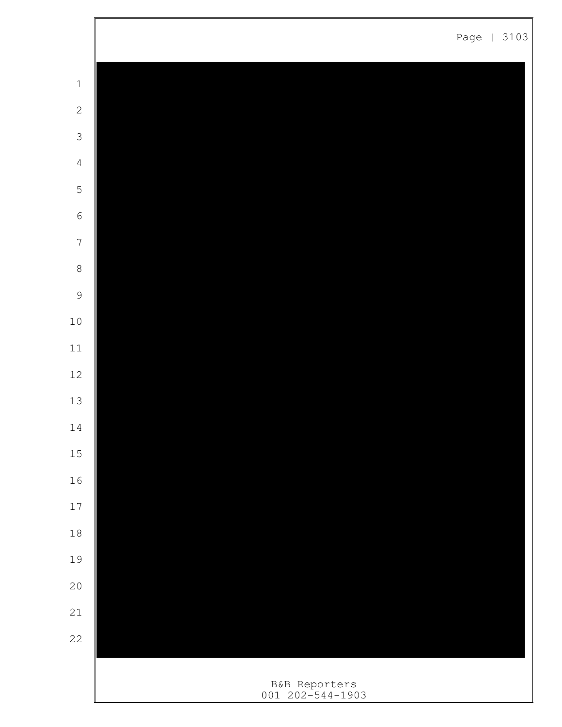|                                  | Page                              | 3103 |
|----------------------------------|-----------------------------------|------|
| $\ensuremath{\mathbbm{1}}$       |                                   |      |
| $\overline{c}$                   |                                   |      |
| $\overline{3}$                   |                                   |      |
| $\overline{4}$                   |                                   |      |
| $\overline{5}$                   |                                   |      |
| $6\overline{6}$                  |                                   |      |
| $\overline{7}$                   |                                   |      |
| $\begin{array}{c} 8 \end{array}$ |                                   |      |
| 9                                |                                   |      |
| $10$                             |                                   |      |
| $11\,$                           |                                   |      |
| $12\,$                           |                                   |      |
| 13                               |                                   |      |
| $14$                             |                                   |      |
| $15\,$                           |                                   |      |
| $16\,$                           |                                   |      |
| $17\,$                           |                                   |      |
| $1\,8$                           |                                   |      |
| 19                               |                                   |      |
| $20$                             |                                   |      |
| $21\,$<br>22                     |                                   |      |
|                                  |                                   |      |
|                                  | B&B Reporters<br>001 202-544-1903 |      |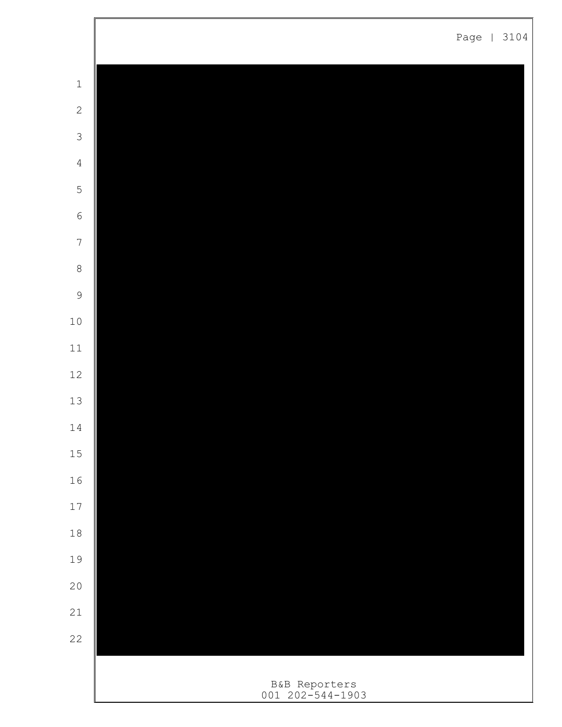|                |                                   | Page | 3104 |
|----------------|-----------------------------------|------|------|
| $\mathbbm{1}$  |                                   |      |      |
| $\overline{c}$ |                                   |      |      |
| $\overline{3}$ |                                   |      |      |
| $\overline{4}$ |                                   |      |      |
| $\overline{5}$ |                                   |      |      |
| $\sqrt{6}$     |                                   |      |      |
| $\overline{7}$ |                                   |      |      |
| $\overline{8}$ |                                   |      |      |
| 9              |                                   |      |      |
| $10$           |                                   |      |      |
| $11\,$         |                                   |      |      |
| $12$           |                                   |      |      |
| 13             |                                   |      |      |
| $1\,4$         |                                   |      |      |
| 15             |                                   |      |      |
| $16\,$         |                                   |      |      |
| $17\,$         |                                   |      |      |
| $1\,8$         |                                   |      |      |
| 19             |                                   |      |      |
| $20$           |                                   |      |      |
| $2\sqrt{1}$    |                                   |      |      |
| 22             |                                   |      |      |
|                | B&B Reporters<br>001 202-544-1903 |      |      |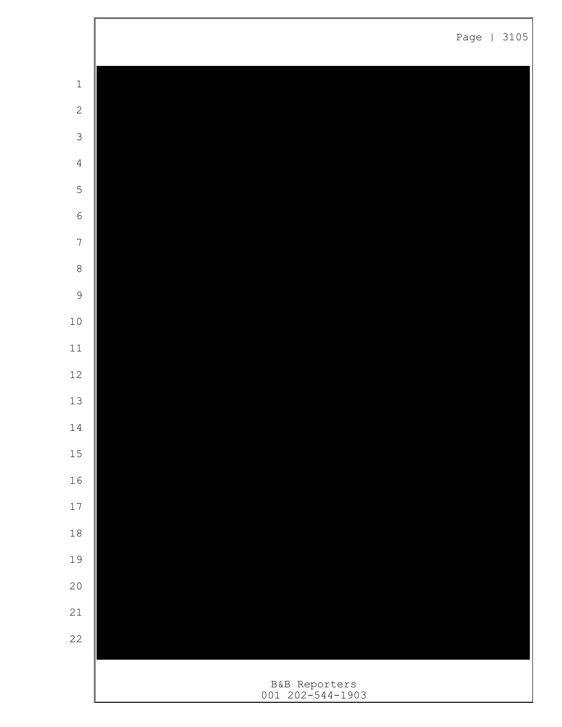|                                 | Page   3105                       |
|---------------------------------|-----------------------------------|
| $\mathbbm{1}$                   |                                   |
| $\sqrt{2}$                      |                                   |
| $\overline{3}$                  |                                   |
| $\overline{4}$                  |                                   |
| $\overline{5}$                  |                                   |
| $6\phantom{a}$                  |                                   |
| $\overline{7}$                  |                                   |
| $\begin{matrix} 8 \end{matrix}$ |                                   |
| $\mathcal{G}$                   |                                   |
| $10$                            |                                   |
| $11\,$                          |                                   |
| 12                              |                                   |
| 13                              |                                   |
| 14                              |                                   |
| $15\,$                          |                                   |
| $16\,$                          |                                   |
| $17\,$                          |                                   |
| $1\,8$                          |                                   |
| 19                              |                                   |
| $20$                            |                                   |
| 21                              |                                   |
| 22                              |                                   |
|                                 |                                   |
|                                 | B&B Reporters<br>001 202-544-1903 |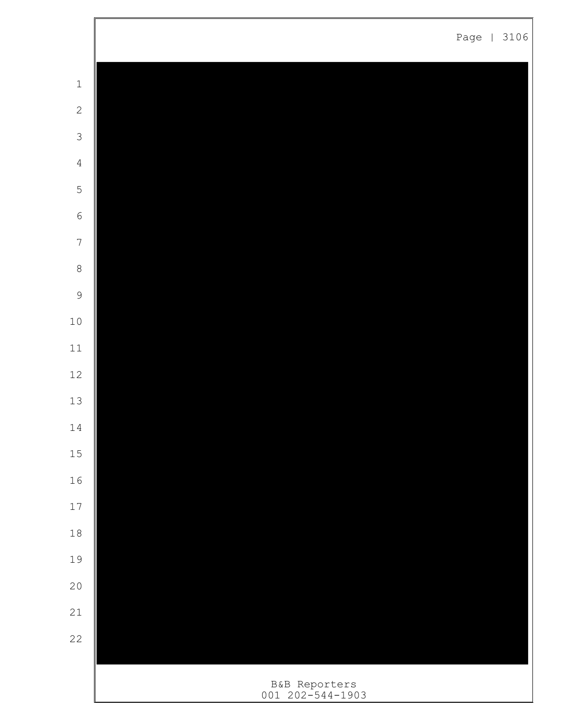|                |                                   | Page   3106 |  |
|----------------|-----------------------------------|-------------|--|
| $\mathbf 1$    |                                   |             |  |
| $\overline{c}$ |                                   |             |  |
| $\mathfrak{Z}$ |                                   |             |  |
| $\overline{4}$ |                                   |             |  |
| $\overline{5}$ |                                   |             |  |
| $6\phantom{a}$ |                                   |             |  |
| $\overline{7}$ |                                   |             |  |
| $\,8\,$        |                                   |             |  |
| $\mathcal{G}$  |                                   |             |  |
| $10$           |                                   |             |  |
| $11\,$         |                                   |             |  |
| $12\,$         |                                   |             |  |
| 13             |                                   |             |  |
| 14             |                                   |             |  |
| 15<br>$16\,$   |                                   |             |  |
| 17             |                                   |             |  |
| $1\,8$         |                                   |             |  |
| 19             |                                   |             |  |
| $20$           |                                   |             |  |
| $2\sqrt{1}$    |                                   |             |  |
| 22             |                                   |             |  |
|                |                                   |             |  |
|                | B&B Reporters<br>001 202-544-1903 |             |  |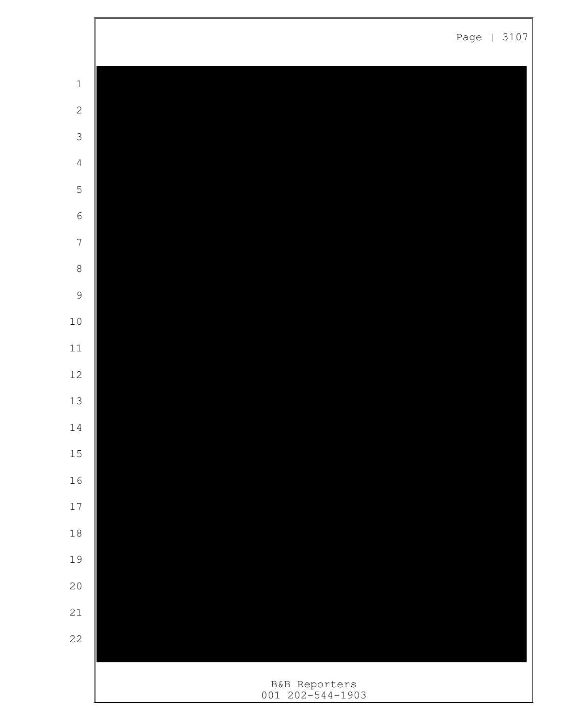|                |                                   | Page   3107 |  |
|----------------|-----------------------------------|-------------|--|
| $\,1$          |                                   |             |  |
| $\overline{c}$ |                                   |             |  |
| $\overline{3}$ |                                   |             |  |
| $\overline{4}$ |                                   |             |  |
| $\overline{5}$ |                                   |             |  |
| $6\phantom{a}$ |                                   |             |  |
| $\overline{7}$ |                                   |             |  |
| $\overline{8}$ |                                   |             |  |
| $\mathcal{G}$  |                                   |             |  |
| $10$           |                                   |             |  |
| $11\,$         |                                   |             |  |
| $12\,$         |                                   |             |  |
| 13             |                                   |             |  |
| 14             |                                   |             |  |
| 15             |                                   |             |  |
| $16\,$         |                                   |             |  |
| $17\,$         |                                   |             |  |
| $1\,8$         |                                   |             |  |
| 19             |                                   |             |  |
| $20$           |                                   |             |  |
| $2\sqrt{1}$    |                                   |             |  |
| 22             |                                   |             |  |
|                | B&B Reporters<br>001 202-544-1903 |             |  |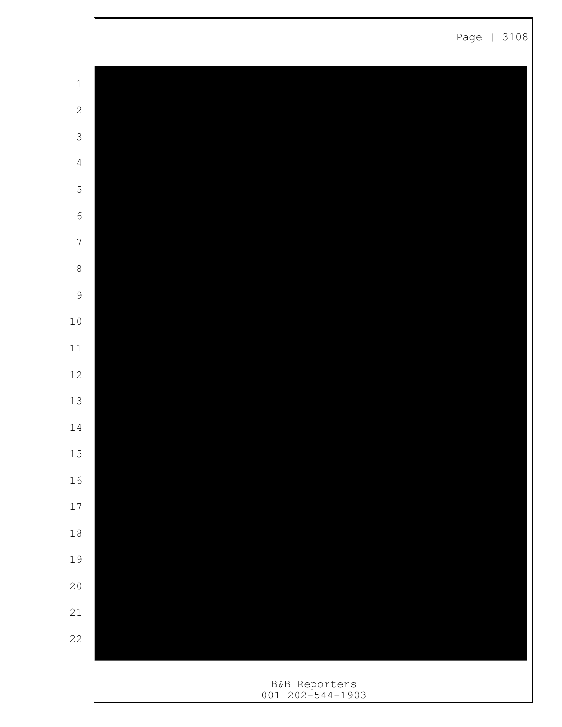|                            | Page                              | 3108 |
|----------------------------|-----------------------------------|------|
|                            |                                   |      |
| $\ensuremath{\mathbbm{1}}$ |                                   |      |
| $\overline{2}$             |                                   |      |
| $\mathfrak{Z}$             |                                   |      |
| $\overline{4}$             |                                   |      |
| $\overline{5}$             |                                   |      |
| $\sqrt{6}$                 |                                   |      |
| $\boldsymbol{7}$           |                                   |      |
| $\,8\,$                    |                                   |      |
| $\mathcal{G}$              |                                   |      |
| $10$                       |                                   |      |
| $11\,$                     |                                   |      |
| $12\,$                     |                                   |      |
| 13                         |                                   |      |
| $1\,4$                     |                                   |      |
| $15\,$                     |                                   |      |
| $16\,$                     |                                   |      |
| $17\,$                     |                                   |      |
| $18\,$                     |                                   |      |
| 19                         |                                   |      |
| $20$                       |                                   |      |
| $21\,$                     |                                   |      |
| 22                         |                                   |      |
|                            |                                   |      |
|                            | B&B Reporters<br>001 202-544-1903 |      |

 $\mathbb{F}$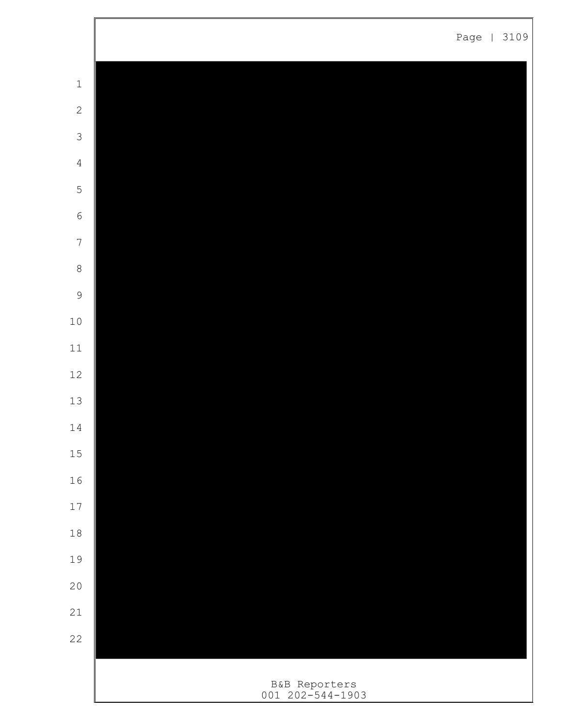|                |                                   | Page   3109 |  |
|----------------|-----------------------------------|-------------|--|
| $\mathbf 1$    |                                   |             |  |
| $\sqrt{2}$     |                                   |             |  |
| $\mathfrak{Z}$ |                                   |             |  |
| $\overline{4}$ |                                   |             |  |
| $\overline{5}$ |                                   |             |  |
| $\sqrt{6}$     |                                   |             |  |
| $\overline{7}$ |                                   |             |  |
| $\,8\,$        |                                   |             |  |
| $\mathcal{G}$  |                                   |             |  |
| $10$           |                                   |             |  |
| $11\,$         |                                   |             |  |
| $12\,$         |                                   |             |  |
| 13             |                                   |             |  |
| 14             |                                   |             |  |
| $15\,$         |                                   |             |  |
| 16             |                                   |             |  |
| $17\,$         |                                   |             |  |
| $1\,8$         |                                   |             |  |
| 19             |                                   |             |  |
| $20$           |                                   |             |  |
| $21\,$<br>22   |                                   |             |  |
|                |                                   |             |  |
|                | B&B Reporters<br>001 202-544-1903 |             |  |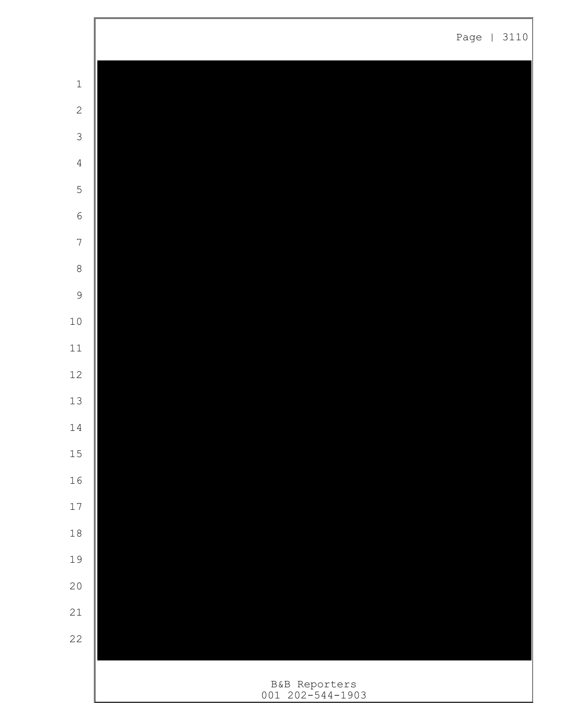|                | 3110<br>Page                      |
|----------------|-----------------------------------|
| $\mathbf{1}$   |                                   |
| $\overline{c}$ |                                   |
| $\overline{3}$ |                                   |
| $\overline{4}$ |                                   |
| $\overline{5}$ |                                   |
| $\overline{6}$ |                                   |
| $\overline{7}$ |                                   |
| $\overline{8}$ |                                   |
| 9              |                                   |
| $10$           |                                   |
| $11\,$         |                                   |
| 12             |                                   |
| 13             |                                   |
| $14$           |                                   |
| $15\,$         |                                   |
| $16$           |                                   |
| $17\,$         |                                   |
| $1\,8$         |                                   |
| 19             |                                   |
| $20$           |                                   |
| 21             |                                   |
| 22             |                                   |
|                |                                   |
|                | B&B Reporters<br>001 202-544-1903 |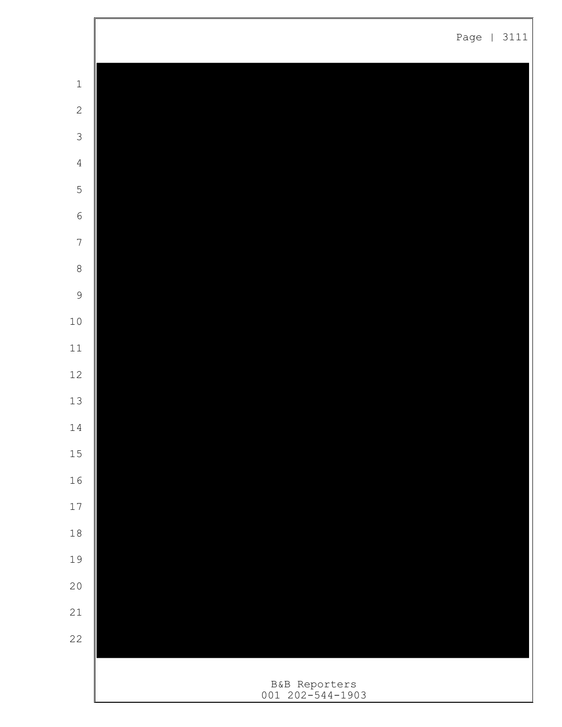|                | 3111<br>Page                      |
|----------------|-----------------------------------|
| $\mathbf 1$    |                                   |
| $\overline{c}$ |                                   |
| $\mathfrak{Z}$ |                                   |
| $\overline{4}$ |                                   |
| $\overline{5}$ |                                   |
| $\overline{6}$ |                                   |
| $\overline{7}$ |                                   |
| $\,8\,$        |                                   |
| 9              |                                   |
| $10$           |                                   |
| $11\,$         |                                   |
| $12\,$         |                                   |
| 13             |                                   |
| 14             |                                   |
| 15             |                                   |
| $16\,$         |                                   |
| $17\,$         |                                   |
| $1\,8$         |                                   |
| 19             |                                   |
| $20$<br>21     |                                   |
| 22             |                                   |
|                |                                   |
|                | B&B Reporters<br>001 202-544-1903 |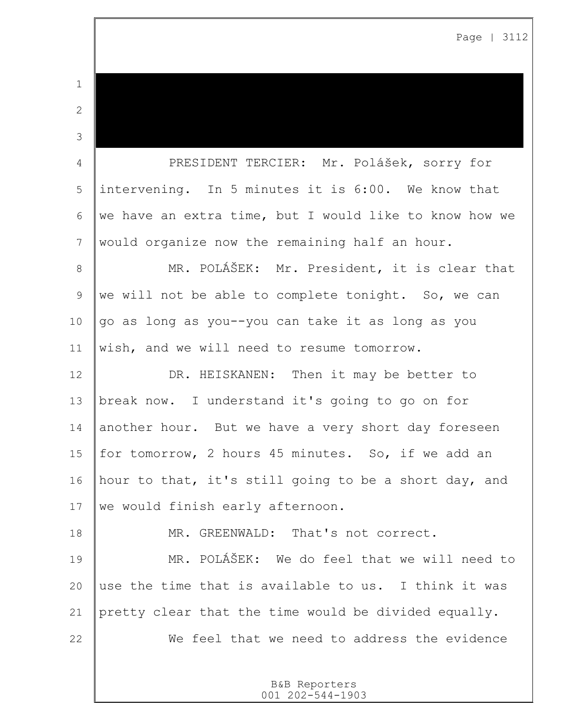|              | Page   3112                                            |
|--------------|--------------------------------------------------------|
| $\mathbf 1$  |                                                        |
| $\mathbf{2}$ |                                                        |
| 3            |                                                        |
| 4            | PRESIDENT TERCIER: Mr. Polášek, sorry for              |
| 5            | intervening. In 5 minutes it is 6:00. We know that     |
| 6            | we have an extra time, but I would like to know how we |
| 7            | would organize now the remaining half an hour.         |
| $8\,$        | MR. POLÁŠEK: Mr. President, it is clear that           |
| $\mathsf 9$  | we will not be able to complete tonight. So, we can    |
| 10           | go as long as you--you can take it as long as you      |
| 11           | wish, and we will need to resume tomorrow.             |
| 12           | DR. HEISKANEN: Then it may be better to                |
| 13           | break now. I understand it's going to go on for        |
| 14           | another hour. But we have a very short day foreseen    |
| 15           | for tomorrow, 2 hours 45 minutes. So, if we add an     |
| 16           | hour to that, it's still going to be a short day, and  |
| 17           | we would finish early afternoon.                       |
| 18           | MR. GREENWALD: That's not correct.                     |
| 19           | MR. POLÁŠEK: We do feel that we will need to           |
| 20           | use the time that is available to us. I think it was   |
| 21           | pretty clear that the time would be divided equally.   |
| 22           | We feel that we need to address the evidence           |
|              | B&B Reporters                                          |

## 001 202-544-1903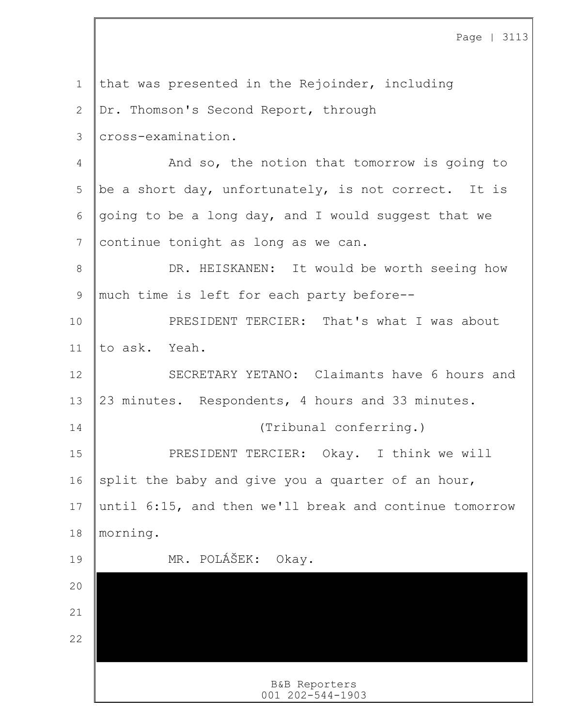Page | 3113 B&B Reporters 001 202-544-1903 1 that was presented in the Rejoinder, including 2 | Dr. Thomson's Second Report, through 3 cross-examination. 4 And so, the notion that tomorrow is going to 5 | be a short day, unfortunately, is not correct. It is 6 going to be a long day, and I would suggest that we 7 continue tonight as long as we can. 8 DR. HEISKANEN: It would be worth seeing how 9 much time is left for each party before--10 | PRESIDENT TERCIER: That's what I was about 11 to ask. Yeah. 12 SECRETARY YETANO: Claimants have 6 hours and 13 23 minutes. Respondents, 4 hours and 33 minutes. 14 Tribunal conferring.) 15 PRESIDENT TERCIER: Okay. I think we will 16 split the baby and give you a quarter of an hour, 17 until 6:15, and then we'll break and continue tomorrow 18 morning. 19 MR. POLÁŠEK: Okay. 20 21 22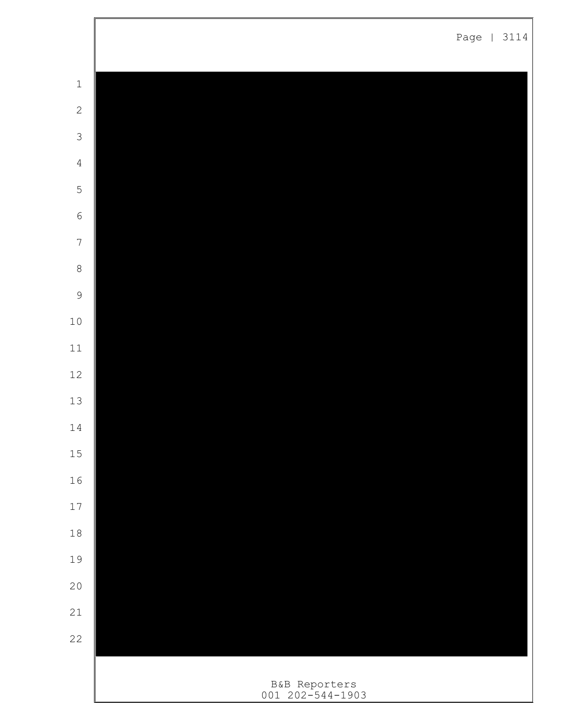|                  | Page                              | $\overline{\phantom{a}}$ | 3114 |
|------------------|-----------------------------------|--------------------------|------|
|                  |                                   |                          |      |
| $\mathbf 1$      |                                   |                          |      |
| $\overline{c}$   |                                   |                          |      |
| $\mathcal{S}$    |                                   |                          |      |
| $\overline{4}$   |                                   |                          |      |
| $\overline{5}$   |                                   |                          |      |
| $\sqrt{6}$       |                                   |                          |      |
| $\boldsymbol{7}$ |                                   |                          |      |
| $\,8\,$          |                                   |                          |      |
| $\overline{9}$   |                                   |                          |      |
| $10$             |                                   |                          |      |
| $11$             |                                   |                          |      |
| $12$             |                                   |                          |      |
| 13               |                                   |                          |      |
| $1\,4$           |                                   |                          |      |
| $15\,$           |                                   |                          |      |
| 16               |                                   |                          |      |
| $17\,$           |                                   |                          |      |
| $1\,8$           |                                   |                          |      |
| 19               |                                   |                          |      |
| $20$             |                                   |                          |      |
| $21$             |                                   |                          |      |
| 22               |                                   |                          |      |
|                  |                                   |                          |      |
|                  | B&B Reporters<br>001 202-544-1903 |                          |      |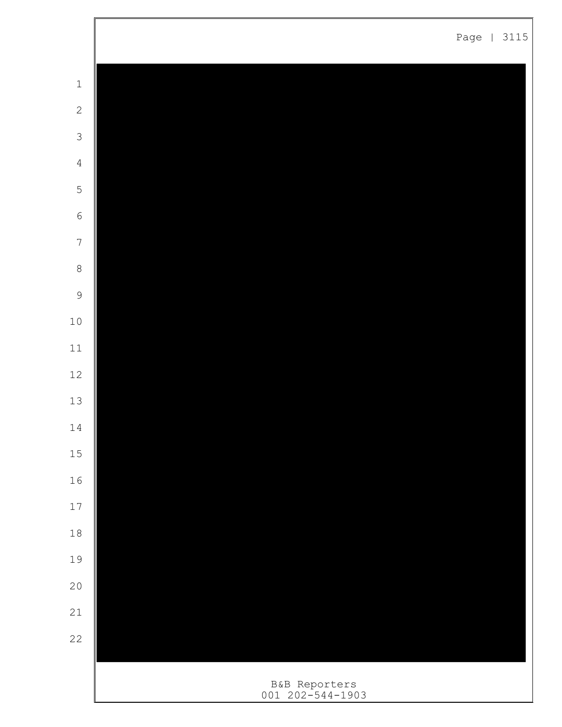|                 |                                   | Page   3115 |  |
|-----------------|-----------------------------------|-------------|--|
| $\mathbf 1$     |                                   |             |  |
| $\overline{c}$  |                                   |             |  |
| $\overline{3}$  |                                   |             |  |
| $\overline{4}$  |                                   |             |  |
| $\overline{5}$  |                                   |             |  |
| $6\overline{6}$ |                                   |             |  |
| $\overline{7}$  |                                   |             |  |
| 8               |                                   |             |  |
| $\mathcal{G}$   |                                   |             |  |
| 10              |                                   |             |  |
| $11\,$          |                                   |             |  |
| 12              |                                   |             |  |
| 13              |                                   |             |  |
| 14              |                                   |             |  |
| 15              |                                   |             |  |
| 16              |                                   |             |  |
| $17\,$          |                                   |             |  |
| $1\,8$          |                                   |             |  |
| 19              |                                   |             |  |
| $20$            |                                   |             |  |
| $21\,$          |                                   |             |  |
| 22              |                                   |             |  |
|                 | B&B Reporters<br>001 202-544-1903 |             |  |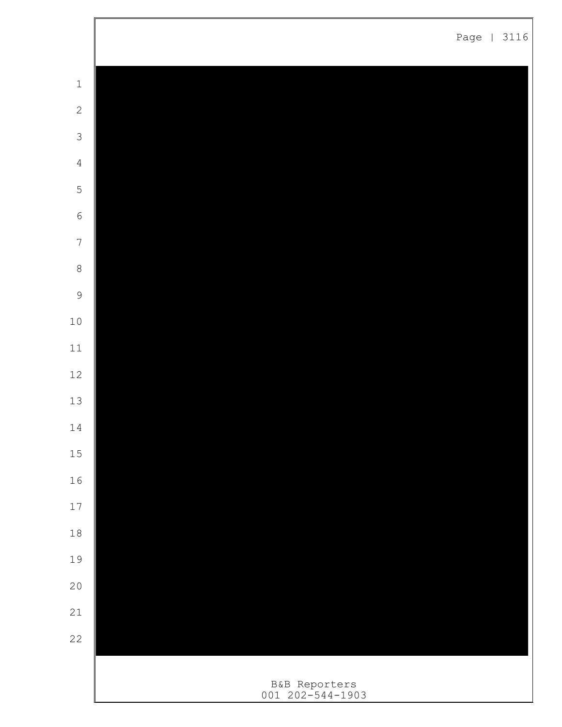|                                 | 3116<br>Page                      |
|---------------------------------|-----------------------------------|
|                                 |                                   |
| $\ensuremath{\mathbbm{1}}$      |                                   |
| $\overline{c}$                  |                                   |
| $\mathfrak{Z}$                  |                                   |
| $\overline{4}$                  |                                   |
| $\overline{5}$                  |                                   |
| $6\,$                           |                                   |
| $\overline{7}$                  |                                   |
| $\begin{matrix} 8 \end{matrix}$ |                                   |
| 9                               |                                   |
| $10$                            |                                   |
| $11$                            |                                   |
| $12$                            |                                   |
| 13                              |                                   |
| $14$                            |                                   |
| 15                              |                                   |
| 16                              |                                   |
| $17\,$                          |                                   |
| $18\,$                          |                                   |
| 19                              |                                   |
| $20$                            |                                   |
| 21                              |                                   |
| 22                              |                                   |
|                                 |                                   |
|                                 | B&B Reporters<br>001 202-544-1903 |
|                                 |                                   |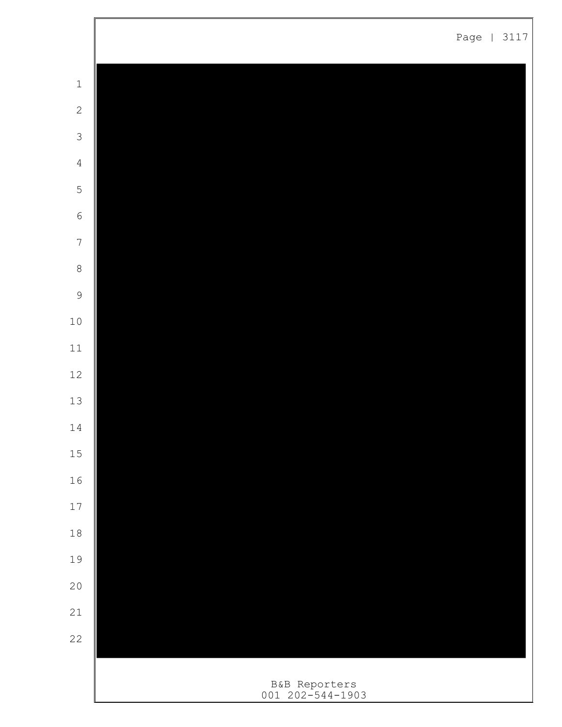|                     |                                   | Page | 3117 |
|---------------------|-----------------------------------|------|------|
| $\mathbbm{1}$       |                                   |      |      |
| $\overline{c}$      |                                   |      |      |
| $\overline{3}$      |                                   |      |      |
| $\overline{4}$      |                                   |      |      |
| $\overline{5}$      |                                   |      |      |
| $\sqrt{6}$          |                                   |      |      |
| $\overline{7}$      |                                   |      |      |
| $\overline{8}$      |                                   |      |      |
| $\mathcal{G}$       |                                   |      |      |
| 10                  |                                   |      |      |
| $11$                |                                   |      |      |
| $12$                |                                   |      |      |
| 13                  |                                   |      |      |
| $14\,$              |                                   |      |      |
| 15                  |                                   |      |      |
| $16\,$              |                                   |      |      |
| $17\,$              |                                   |      |      |
| $1\,8$              |                                   |      |      |
| 19                  |                                   |      |      |
| $20$<br>$2\sqrt{1}$ |                                   |      |      |
| 22                  |                                   |      |      |
|                     |                                   |      |      |
|                     | B&B Reporters<br>001 202-544-1903 |      |      |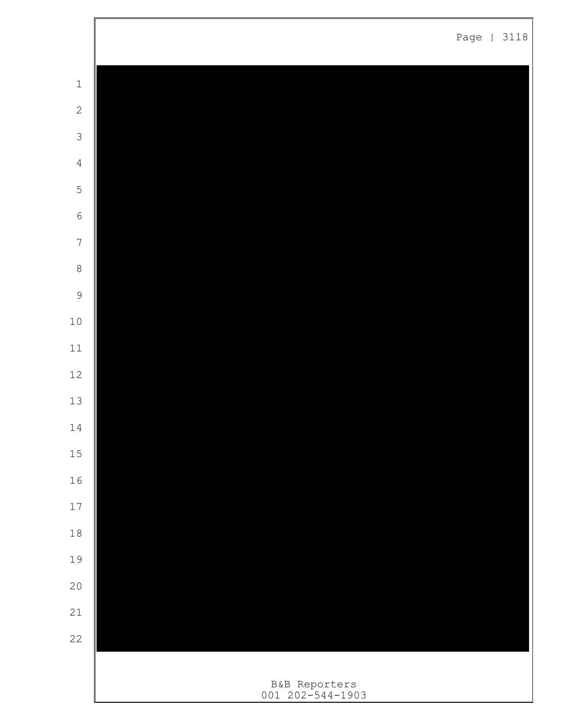|                               |                                   | Page   3118 |  |
|-------------------------------|-----------------------------------|-------------|--|
|                               |                                   |             |  |
| $\mathbf 1$<br>$\overline{c}$ |                                   |             |  |
| $\mathfrak{Z}$                |                                   |             |  |
| $\overline{4}$                |                                   |             |  |
| $\overline{5}$                |                                   |             |  |
| $\overline{6}$                |                                   |             |  |
| $\overline{7}$                |                                   |             |  |
| 8                             |                                   |             |  |
| $\overline{9}$                |                                   |             |  |
| $10$                          |                                   |             |  |
| $11$                          |                                   |             |  |
| $12$                          |                                   |             |  |
| 13                            |                                   |             |  |
| $1\,4$                        |                                   |             |  |
| 15                            |                                   |             |  |
| 16                            |                                   |             |  |
| $17\,$                        |                                   |             |  |
| $1\,8$                        |                                   |             |  |
| 19                            |                                   |             |  |
| $20$                          |                                   |             |  |
| 21                            |                                   |             |  |
| 22                            |                                   |             |  |
|                               | B&B Reporters<br>001 202-544-1903 |             |  |

 $\overline{\mathbf{I}}$ 

 $\overline{r}$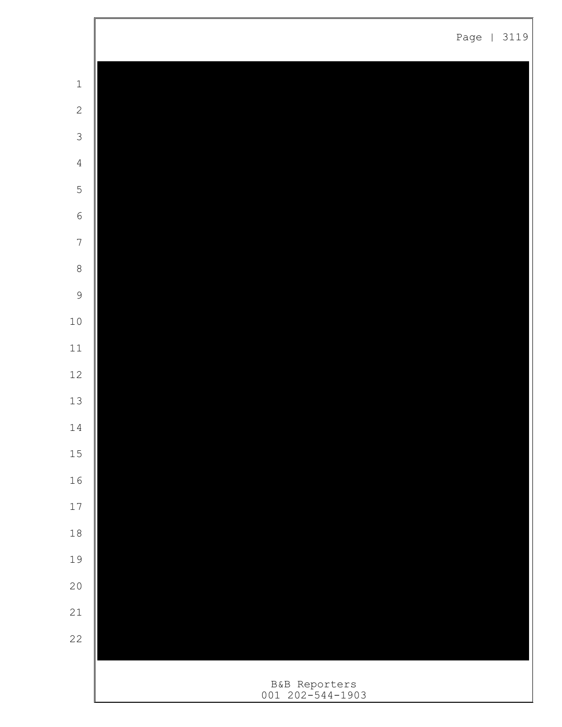|                |                                   | Page   3119 |  |
|----------------|-----------------------------------|-------------|--|
| $\mathbf{1}$   |                                   |             |  |
| $\overline{c}$ |                                   |             |  |
| $\mathfrak{Z}$ |                                   |             |  |
| $\overline{4}$ |                                   |             |  |
| $\overline{5}$ |                                   |             |  |
| $\overline{6}$ |                                   |             |  |
| $\overline{7}$ |                                   |             |  |
| $\overline{8}$ |                                   |             |  |
| 9              |                                   |             |  |
| $10$           |                                   |             |  |
| $11\,$         |                                   |             |  |
| $12$           |                                   |             |  |
| 13             |                                   |             |  |
| $14$           |                                   |             |  |
| 15             |                                   |             |  |
| $16\,$         |                                   |             |  |
| 17             |                                   |             |  |
| $1\,8$<br>19   |                                   |             |  |
| $20$           |                                   |             |  |
| 21             |                                   |             |  |
| 22             |                                   |             |  |
|                |                                   |             |  |
|                | B&B Reporters<br>001 202-544-1903 |             |  |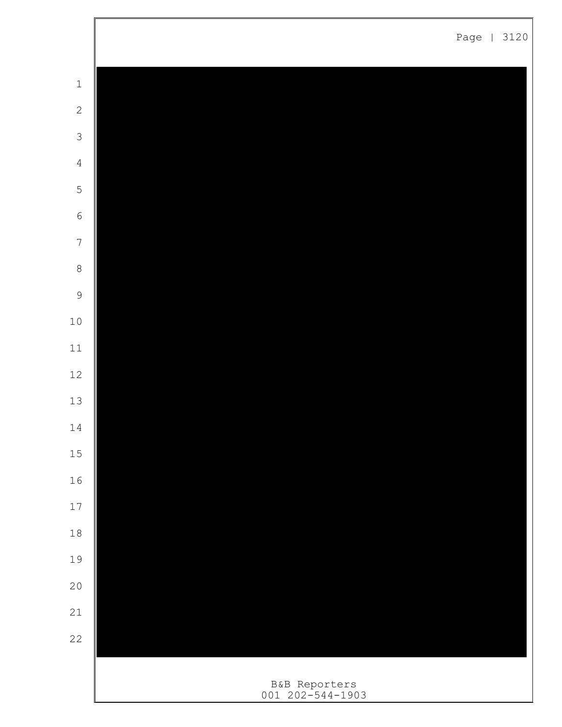|                |                                   |  | Page   3120 |
|----------------|-----------------------------------|--|-------------|
| $\,1$          |                                   |  |             |
| $\overline{c}$ |                                   |  |             |
| $\overline{3}$ |                                   |  |             |
| $\overline{4}$ |                                   |  |             |
| $\overline{5}$ |                                   |  |             |
| $\overline{6}$ |                                   |  |             |
| $\overline{7}$ |                                   |  |             |
| $\overline{8}$ |                                   |  |             |
| 9              |                                   |  |             |
| $10$           |                                   |  |             |
| $11\,$         |                                   |  |             |
| $12\,$         |                                   |  |             |
| 13             |                                   |  |             |
| 14             |                                   |  |             |
| 15             |                                   |  |             |
| $16\,$         |                                   |  |             |
| $17\,$         |                                   |  |             |
| $1\,8$         |                                   |  |             |
| 19             |                                   |  |             |
| $20$           |                                   |  |             |
| $21\,$         |                                   |  |             |
| 22             |                                   |  |             |
|                |                                   |  |             |
|                | B&B Reporters<br>001 202-544-1903 |  |             |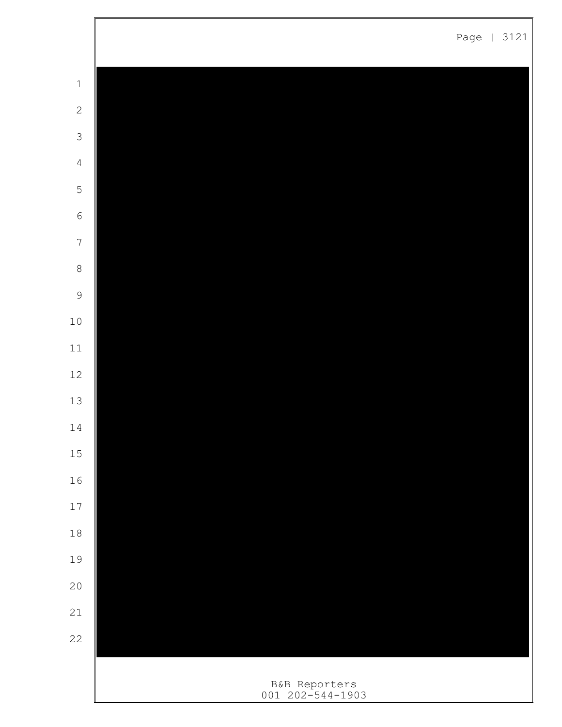|                 | Page   3121                       |
|-----------------|-----------------------------------|
| $\mathbf 1$     |                                   |
| $\sqrt{2}$      |                                   |
| $\overline{3}$  |                                   |
| $\overline{4}$  |                                   |
| $\overline{5}$  |                                   |
| $6\overline{6}$ |                                   |
| $\overline{7}$  |                                   |
| $\overline{8}$  |                                   |
| $\overline{9}$  |                                   |
| 10              |                                   |
| $11\,$          |                                   |
| $12$            |                                   |
| 13              |                                   |
| $1\,4$          |                                   |
| 15              |                                   |
| $16\,$          |                                   |
| $17\,$          |                                   |
| $1\,8$          |                                   |
| 19              |                                   |
| $20$            |                                   |
| $21\,$          |                                   |
| 22              |                                   |
|                 |                                   |
|                 | B&B Reporters<br>001 202-544-1903 |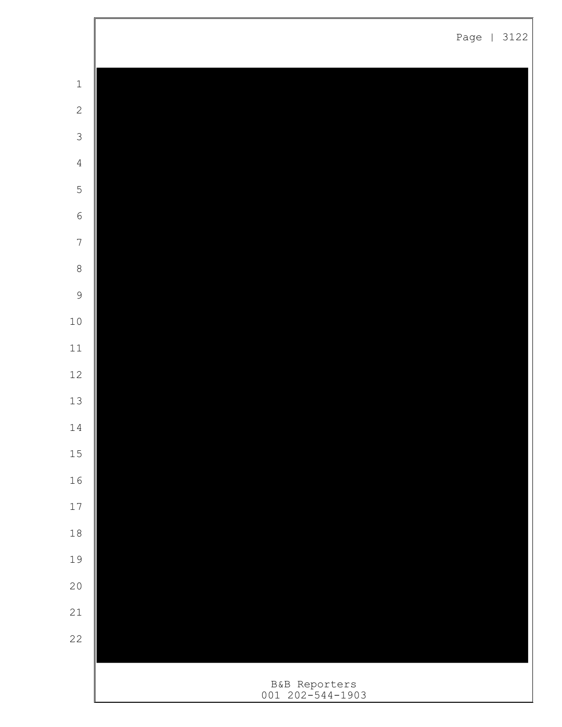|                                 |                                   | Page   3122 |  |
|---------------------------------|-----------------------------------|-------------|--|
|                                 |                                   |             |  |
| $\,1$<br>$\overline{c}$         |                                   |             |  |
| $\overline{3}$                  |                                   |             |  |
| $\overline{4}$                  |                                   |             |  |
| $\overline{5}$                  |                                   |             |  |
| $\overline{6}$                  |                                   |             |  |
| $\overline{7}$                  |                                   |             |  |
| $\begin{matrix} 8 \end{matrix}$ |                                   |             |  |
| $\overline{9}$                  |                                   |             |  |
| $10$                            |                                   |             |  |
| $11\,$                          |                                   |             |  |
| $12$                            |                                   |             |  |
| 13                              |                                   |             |  |
| 14                              |                                   |             |  |
| $15\,$                          |                                   |             |  |
| $16\,$                          |                                   |             |  |
| $17\,$                          |                                   |             |  |
| $1\,8$                          |                                   |             |  |
| 19                              |                                   |             |  |
| $20$                            |                                   |             |  |
| 21                              |                                   |             |  |
| 22                              |                                   |             |  |
|                                 |                                   |             |  |
|                                 | B&B Reporters<br>001 202-544-1903 |             |  |

 $\overline{\mathbf{I}}$ 

 $\overline{r}$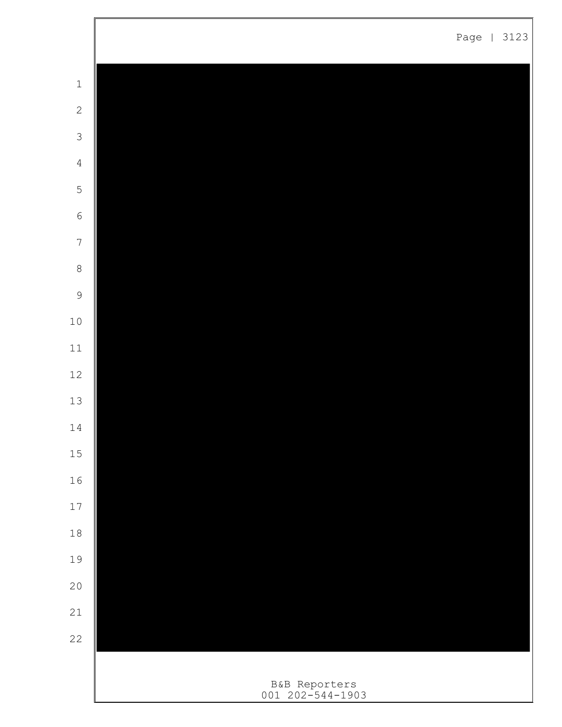|                |                                   | Page   3123 |  |
|----------------|-----------------------------------|-------------|--|
| $\,1\,$        |                                   |             |  |
| $\overline{c}$ |                                   |             |  |
| $\overline{3}$ |                                   |             |  |
| $\overline{4}$ |                                   |             |  |
| $\overline{5}$ |                                   |             |  |
| $\overline{6}$ |                                   |             |  |
| $\overline{7}$ |                                   |             |  |
| $\overline{8}$ |                                   |             |  |
| $\mathcal{G}$  |                                   |             |  |
| $10$           |                                   |             |  |
| $11$           |                                   |             |  |
| 12             |                                   |             |  |
| 13             |                                   |             |  |
| 14             |                                   |             |  |
| $15\,$         |                                   |             |  |
| $16\,$         |                                   |             |  |
| $17\,$         |                                   |             |  |
| $1\,8$         |                                   |             |  |
| 19             |                                   |             |  |
| $20$           |                                   |             |  |
| $21$           |                                   |             |  |
| 22             |                                   |             |  |
|                | B&B Reporters<br>001 202-544-1903 |             |  |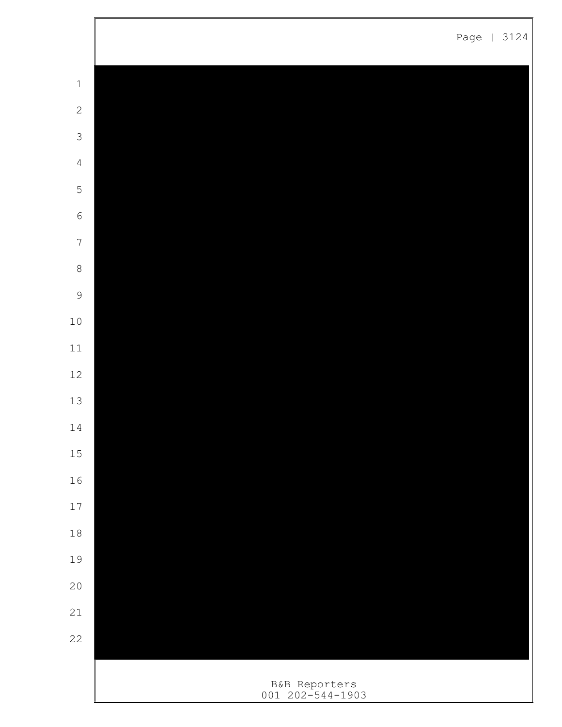|                          | Page   3124                       |
|--------------------------|-----------------------------------|
|                          |                                   |
| $\mathbf 1$              |                                   |
| $\overline{c}$           |                                   |
| $\mathcal{S}$            |                                   |
| $\overline{4}$           |                                   |
| $\overline{5}$           |                                   |
| $6\,$                    |                                   |
| $\overline{\mathcal{I}}$ |                                   |
| $\,8\,$                  |                                   |
| $\mathcal{G}$            |                                   |
| $10$                     |                                   |
| $11\,$                   |                                   |
| 12                       |                                   |
| 13                       |                                   |
| $14\,$                   |                                   |
| 15                       |                                   |
| 16                       |                                   |
| $17\,$                   |                                   |
| $18$                     |                                   |
| 19                       |                                   |
| 20                       |                                   |
| 21                       |                                   |
| 22                       |                                   |
|                          |                                   |
|                          | B&B Reporters<br>001 202-544-1903 |
|                          |                                   |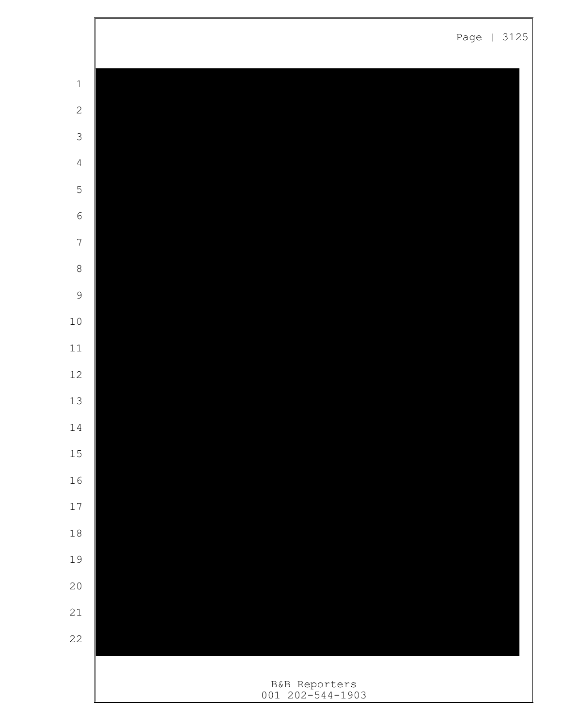|                                 |                                   | Page   3125 |
|---------------------------------|-----------------------------------|-------------|
| $\ensuremath{\mathbbm{1}}$      |                                   |             |
| $\mathbf{2}$                    |                                   |             |
| $\mathfrak{Z}$                  |                                   |             |
| $\overline{4}$                  |                                   |             |
| $\overline{5}$                  |                                   |             |
| $\sqrt{6}$                      |                                   |             |
| $\sqrt{ }$                      |                                   |             |
| $\begin{matrix} 8 \end{matrix}$ |                                   |             |
| $\mathcal{G}$                   |                                   |             |
| $10$                            |                                   |             |
| $11\,$                          |                                   |             |
| $12\,$                          |                                   |             |
| 13                              |                                   |             |
| $1\,4$                          |                                   |             |
| $15\,$                          |                                   |             |
| 16                              |                                   |             |
| $17\,$                          |                                   |             |
| $1\,8$                          |                                   |             |
| 19                              |                                   |             |
| $20$                            |                                   |             |
| 21                              |                                   |             |
| 22                              |                                   |             |
|                                 |                                   |             |
|                                 | B&B Reporters<br>001 202-544-1903 |             |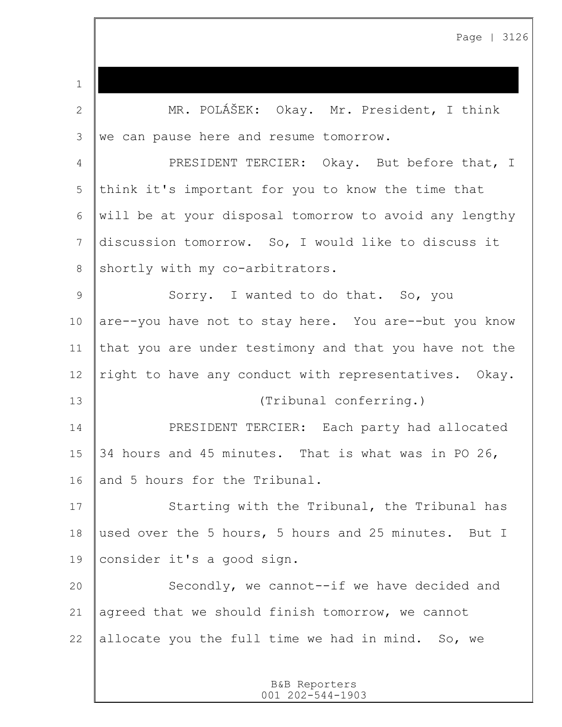|                 | Page   3126                                            |
|-----------------|--------------------------------------------------------|
| $\mathbf 1$     |                                                        |
| 2               | MR. POLÁŠEK: Okay. Mr. President, I think              |
| 3               | we can pause here and resume tomorrow.                 |
| $\overline{4}$  | PRESIDENT TERCIER: Okay. But before that, I            |
| 5               | think it's important for you to know the time that     |
| 6               | will be at your disposal tomorrow to avoid any lengthy |
| $7\phantom{.0}$ | discussion tomorrow. So, I would like to discuss it    |
| 8               | shortly with my co-arbitrators.                        |
| $\mathcal{G}$   | Sorry. I wanted to do that. So, you                    |
| 10              | are--you have not to stay here. You are--but you know  |
| 11              | that you are under testimony and that you have not the |
| 12              | right to have any conduct with representatives. Okay.  |
| 13              | (Tribunal conferring.)                                 |
| 14              | PRESIDENT TERCIER: Each party had allocated            |
| 15              | 34 hours and 45 minutes. That is what was in PO 26,    |
| 16              | and 5 hours for the Tribunal.                          |
| 17              | Starting with the Tribunal, the Tribunal has           |
| 18              | used over the 5 hours, 5 hours and 25 minutes. But I   |
| 19              | consider it's a good sign.                             |
| 20              | Secondly, we cannot--if we have decided and            |
| 21              | agreed that we should finish tomorrow, we cannot       |
| 22              | allocate you the full time we had in mind. So, we      |
|                 | B&B Reporters<br>001 202-544-1903                      |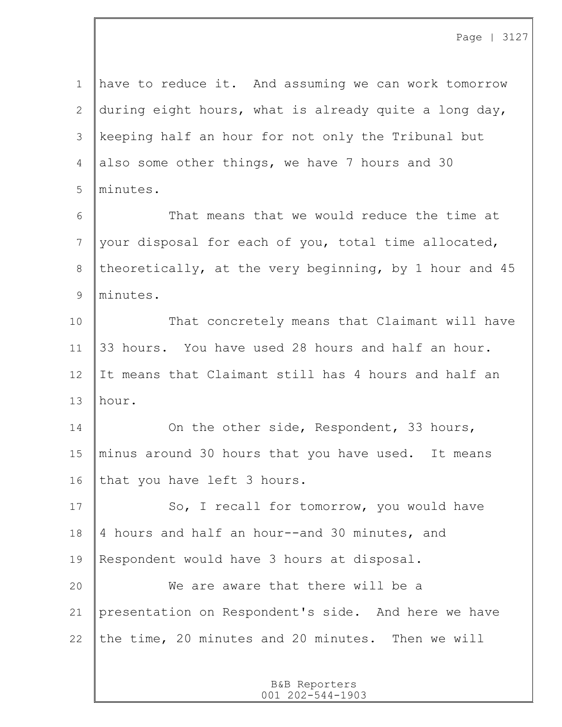| $\mathbf 1$     | have to reduce it. And assuming we can work tomorrow   |
|-----------------|--------------------------------------------------------|
| $\mathbf{2}$    | during eight hours, what is already quite a long day,  |
| 3               | keeping half an hour for not only the Tribunal but     |
| $\overline{4}$  | also some other things, we have 7 hours and 30         |
| 5               | minutes.                                               |
| 6               | That means that we would reduce the time at            |
| $7\phantom{.0}$ | your disposal for each of you, total time allocated,   |
| 8               | theoretically, at the very beginning, by 1 hour and 45 |
| $\overline{9}$  | minutes.                                               |
| 10              | That concretely means that Claimant will have          |
| 11              | 33 hours. You have used 28 hours and half an hour.     |
| 12              | It means that Claimant still has 4 hours and half an   |
| 13              | hour.                                                  |
| 14              | On the other side, Respondent, 33 hours,               |
| 15              | minus around 30 hours that you have used. It means     |
|                 | 16 that you have left 3 hours.                         |
| 17              | So, I recall for tomorrow, you would have              |
| 18              | 4 hours and half an hour--and 30 minutes, and          |
| 19              | Respondent would have 3 hours at disposal.             |
| 20              | We are aware that there will be a                      |
| 21              | presentation on Respondent's side. And here we have    |
| 22              | the time, 20 minutes and 20 minutes. Then we will      |
|                 |                                                        |
|                 | B&B Reporters<br>001 202-544-1903                      |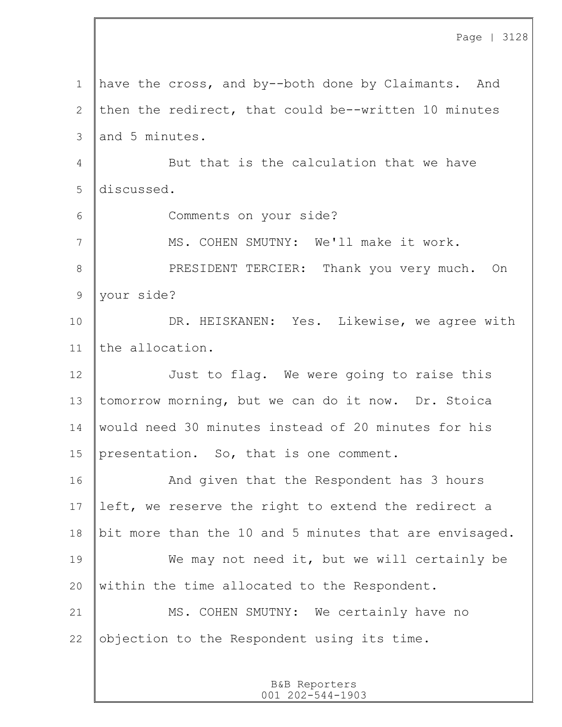Page | 3128 B&B Reporters 1 | have the cross, and by--both done by Claimants. And 2 then the redirect, that could be--written 10 minutes  $3$  and 5 minutes. 4 But that is the calculation that we have 5 discussed. 6 Comments on your side? 7 MS. COHEN SMUTNY: We'll make it work. 8 PRESIDENT TERCIER: Thank you very much. On 9 your side? 10 DR. HEISKANEN: Yes. Likewise, we agree with 11 the allocation. 12 Just to flag. We were going to raise this 13 tomorrow morning, but we can do it now. Dr. Stoica 14 would need 30 minutes instead of 20 minutes for his 15 presentation. So, that is one comment. 16 | And given that the Respondent has 3 hours 17 left, we reserve the right to extend the redirect a 18 bit more than the 10 and 5 minutes that are envisaged. 19 We may not need it, but we will certainly be 20 Within the time allocated to the Respondent. 21 MS. COHEN SMUTNY: We certainly have no 22 objection to the Respondent using its time.

001 202-544-1903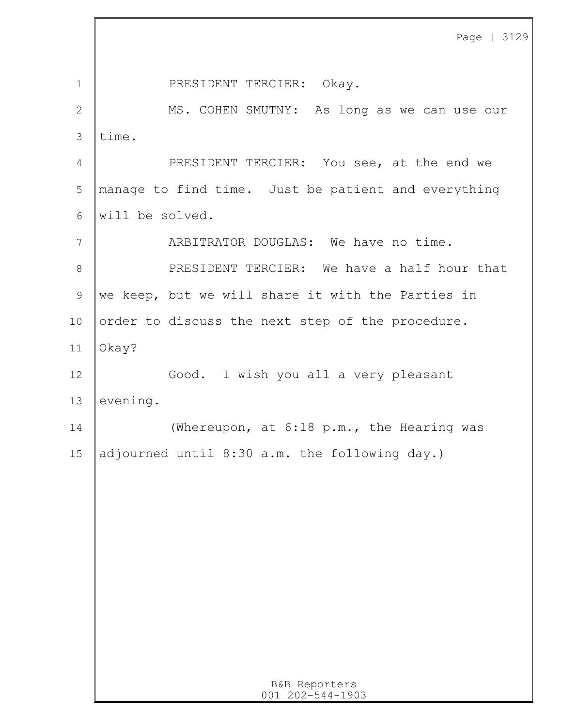Page | 3129

1 | PRESIDENT TERCIER: Okay. 2 | MS. COHEN SMUTNY: As long as we can use our  $3$  | time. 4 **PRESIDENT TERCIER:** You see, at the end we 5  $\parallel$  manage to find time. Just be patient and everything 6 will be solved. 7 | ARBITRATOR DOUGLAS: We have no time. 8 || PRESIDENT TERCIER: We have a half hour that 9 We keep, but we will share it with the Parties in 10 order to discuss the next step of the procedure. 11 Okay? 12 Good. I wish you all a very pleasant 13 evening. 14 Whereupon, at 6:18 p.m., the Hearing was 15 adjourned until 8:30 a.m. the following day.)

## B&B Reporters 001 202-544-1903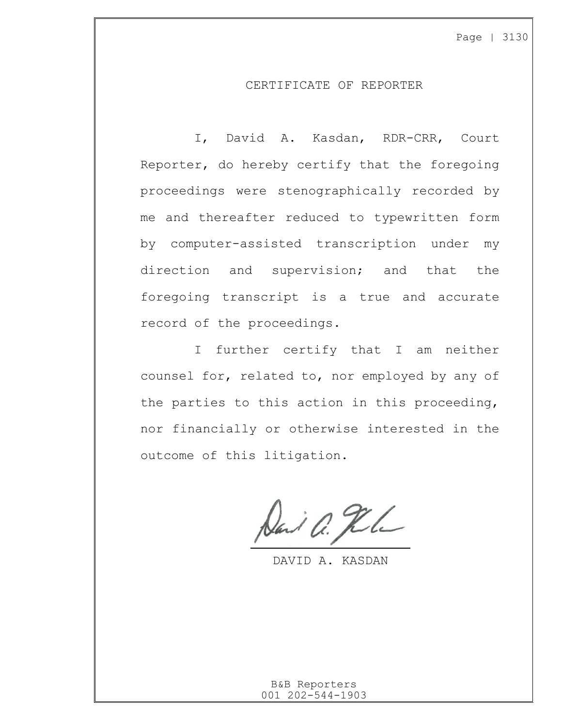Page | 3130

## CERTIFICATE OF REPORTER

I, David A. Kasdan, RDR-CRR, Court Reporter, do hereby certify that the foregoing proceedings were stenographically recorded by me and thereafter reduced to typewritten form by computer-assisted transcription under my direction and supervision; and that the foregoing transcript is a true and accurate record of the proceedings.

I further certify that I am neither counsel for, related to, nor employed by any of the parties to this action in this proceeding, nor financially or otherwise interested in the outcome of this litigation.

Dail a. Kh

DAVID A. KASDAN